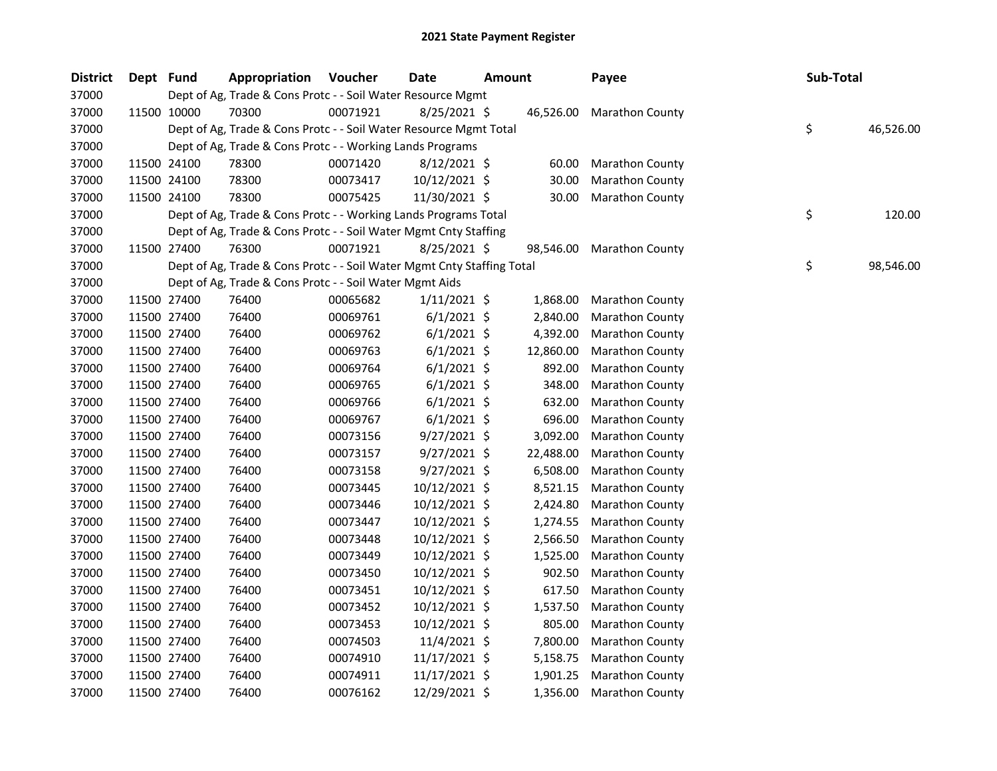| <b>District</b> | Dept Fund |             | <b>Appropriation Voucher</b>                                           |          | Date           | <b>Amount</b> |           | Payee                  | Sub-Total |           |
|-----------------|-----------|-------------|------------------------------------------------------------------------|----------|----------------|---------------|-----------|------------------------|-----------|-----------|
| 37000           |           |             | Dept of Ag, Trade & Cons Protc - - Soil Water Resource Mgmt            |          |                |               |           |                        |           |           |
| 37000           |           | 11500 10000 | 70300                                                                  | 00071921 | $8/25/2021$ \$ |               | 46,526.00 | <b>Marathon County</b> |           |           |
| 37000           |           |             | Dept of Ag, Trade & Cons Protc - - Soil Water Resource Mgmt Total      |          |                |               |           |                        | \$        | 46,526.00 |
| 37000           |           |             | Dept of Ag, Trade & Cons Protc - - Working Lands Programs              |          |                |               |           |                        |           |           |
| 37000           |           | 11500 24100 | 78300                                                                  | 00071420 | $8/12/2021$ \$ |               | 60.00     | <b>Marathon County</b> |           |           |
| 37000           |           | 11500 24100 | 78300                                                                  | 00073417 | 10/12/2021 \$  |               | 30.00     | <b>Marathon County</b> |           |           |
| 37000           |           | 11500 24100 | 78300                                                                  | 00075425 | 11/30/2021 \$  |               | 30.00     | <b>Marathon County</b> |           |           |
| 37000           |           |             | Dept of Ag, Trade & Cons Protc - - Working Lands Programs Total        |          |                |               |           |                        | \$        | 120.00    |
| 37000           |           |             | Dept of Ag, Trade & Cons Protc - - Soil Water Mgmt Cnty Staffing       |          |                |               |           |                        |           |           |
| 37000           |           | 11500 27400 | 76300                                                                  | 00071921 | 8/25/2021 \$   |               | 98,546.00 | <b>Marathon County</b> |           |           |
| 37000           |           |             | Dept of Ag, Trade & Cons Protc - - Soil Water Mgmt Cnty Staffing Total |          |                |               |           |                        | \$        | 98,546.00 |
| 37000           |           |             | Dept of Ag, Trade & Cons Protc - - Soil Water Mgmt Aids                |          |                |               |           |                        |           |           |
| 37000           |           | 11500 27400 | 76400                                                                  | 00065682 | $1/11/2021$ \$ |               | 1,868.00  | <b>Marathon County</b> |           |           |
| 37000           |           | 11500 27400 | 76400                                                                  | 00069761 | $6/1/2021$ \$  |               | 2,840.00  | <b>Marathon County</b> |           |           |
| 37000           |           | 11500 27400 | 76400                                                                  | 00069762 | $6/1/2021$ \$  |               | 4,392.00  | <b>Marathon County</b> |           |           |
| 37000           |           | 11500 27400 | 76400                                                                  | 00069763 | $6/1/2021$ \$  |               | 12,860.00 | Marathon County        |           |           |
| 37000           |           | 11500 27400 | 76400                                                                  | 00069764 | $6/1/2021$ \$  |               | 892.00    | Marathon County        |           |           |
| 37000           |           | 11500 27400 | 76400                                                                  | 00069765 | $6/1/2021$ \$  |               | 348.00    | Marathon County        |           |           |
| 37000           |           | 11500 27400 | 76400                                                                  | 00069766 | $6/1/2021$ \$  |               | 632.00    | Marathon County        |           |           |
| 37000           |           | 11500 27400 | 76400                                                                  | 00069767 | $6/1/2021$ \$  |               | 696.00    | Marathon County        |           |           |
| 37000           |           | 11500 27400 | 76400                                                                  | 00073156 | $9/27/2021$ \$ |               | 3,092.00  | Marathon County        |           |           |
| 37000           |           | 11500 27400 | 76400                                                                  | 00073157 | 9/27/2021 \$   |               | 22,488.00 | Marathon County        |           |           |
| 37000           |           | 11500 27400 | 76400                                                                  | 00073158 | 9/27/2021 \$   |               | 6,508.00  | Marathon County        |           |           |
| 37000           |           | 11500 27400 | 76400                                                                  | 00073445 | 10/12/2021 \$  |               | 8,521.15  | Marathon County        |           |           |
| 37000           |           | 11500 27400 | 76400                                                                  | 00073446 | 10/12/2021 \$  |               | 2,424.80  | Marathon County        |           |           |
| 37000           |           | 11500 27400 | 76400                                                                  | 00073447 | 10/12/2021 \$  |               | 1,274.55  | Marathon County        |           |           |
| 37000           |           | 11500 27400 | 76400                                                                  | 00073448 | 10/12/2021 \$  |               | 2,566.50  | Marathon County        |           |           |
| 37000           |           | 11500 27400 | 76400                                                                  | 00073449 | 10/12/2021 \$  |               | 1,525.00  | Marathon County        |           |           |
| 37000           |           | 11500 27400 | 76400                                                                  | 00073450 | 10/12/2021 \$  |               | 902.50    | <b>Marathon County</b> |           |           |
| 37000           |           | 11500 27400 | 76400                                                                  | 00073451 | 10/12/2021 \$  |               | 617.50    | Marathon County        |           |           |
| 37000           |           | 11500 27400 | 76400                                                                  | 00073452 | 10/12/2021 \$  |               | 1,537.50  | Marathon County        |           |           |
| 37000           |           | 11500 27400 | 76400                                                                  | 00073453 | 10/12/2021 \$  |               | 805.00    | <b>Marathon County</b> |           |           |
| 37000           |           | 11500 27400 | 76400                                                                  | 00074503 | 11/4/2021 \$   |               | 7,800.00  | <b>Marathon County</b> |           |           |
| 37000           |           | 11500 27400 | 76400                                                                  | 00074910 | 11/17/2021 \$  |               | 5,158.75  | Marathon County        |           |           |
| 37000           |           | 11500 27400 | 76400                                                                  | 00074911 | 11/17/2021 \$  |               | 1,901.25  | Marathon County        |           |           |
| 37000           |           | 11500 27400 | 76400                                                                  | 00076162 | 12/29/2021 \$  |               | 1,356.00  | <b>Marathon County</b> |           |           |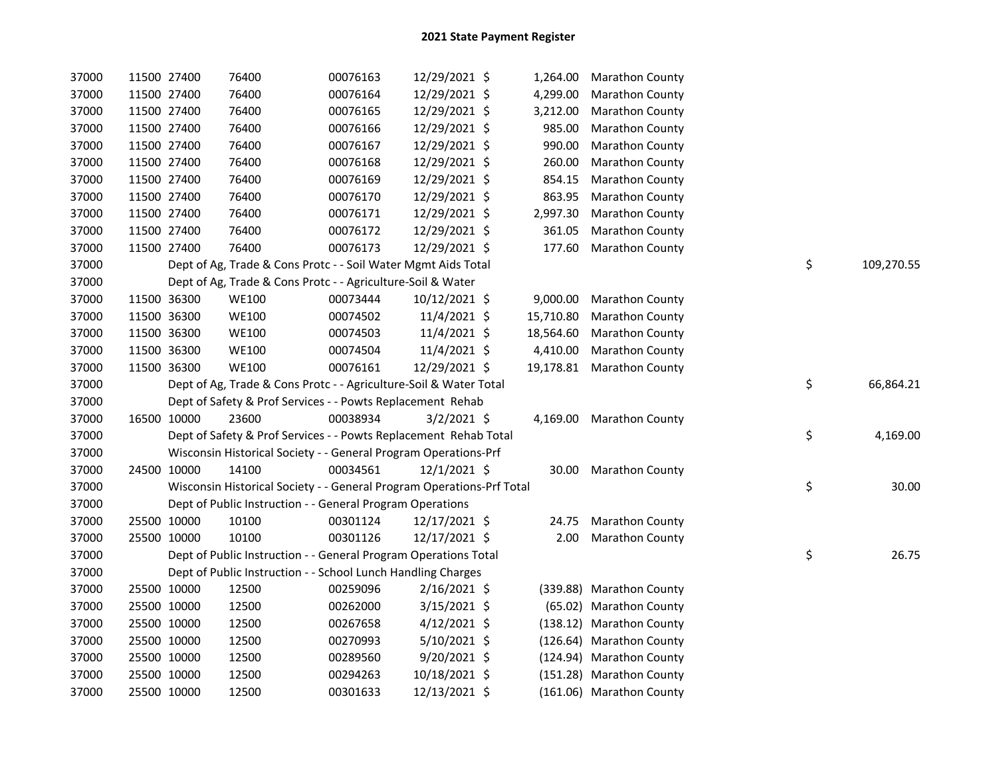| 37000 |             | 11500 27400 | 76400                                                                 | 00076163 | 12/29/2021 \$  |           | 1,264.00 Marathon County  |    |            |
|-------|-------------|-------------|-----------------------------------------------------------------------|----------|----------------|-----------|---------------------------|----|------------|
| 37000 |             | 11500 27400 | 76400                                                                 | 00076164 | 12/29/2021 \$  | 4,299.00  | <b>Marathon County</b>    |    |            |
| 37000 |             | 11500 27400 | 76400                                                                 | 00076165 | 12/29/2021 \$  | 3,212.00  | <b>Marathon County</b>    |    |            |
| 37000 |             | 11500 27400 | 76400                                                                 | 00076166 | 12/29/2021 \$  | 985.00    | Marathon County           |    |            |
| 37000 |             | 11500 27400 | 76400                                                                 | 00076167 | 12/29/2021 \$  | 990.00    | Marathon County           |    |            |
| 37000 |             | 11500 27400 | 76400                                                                 | 00076168 | 12/29/2021 \$  | 260.00    | Marathon County           |    |            |
| 37000 |             | 11500 27400 | 76400                                                                 | 00076169 | 12/29/2021 \$  | 854.15    | Marathon County           |    |            |
| 37000 |             | 11500 27400 | 76400                                                                 | 00076170 | 12/29/2021 \$  | 863.95    | Marathon County           |    |            |
| 37000 |             | 11500 27400 | 76400                                                                 | 00076171 | 12/29/2021 \$  | 2,997.30  | Marathon County           |    |            |
| 37000 |             | 11500 27400 | 76400                                                                 | 00076172 | 12/29/2021 \$  | 361.05    | Marathon County           |    |            |
| 37000 |             | 11500 27400 | 76400                                                                 | 00076173 | 12/29/2021 \$  | 177.60    | <b>Marathon County</b>    |    |            |
| 37000 |             |             | Dept of Ag, Trade & Cons Protc - - Soil Water Mgmt Aids Total         |          |                |           |                           | \$ | 109,270.55 |
| 37000 |             |             | Dept of Ag, Trade & Cons Protc - - Agriculture-Soil & Water           |          |                |           |                           |    |            |
| 37000 |             | 11500 36300 | <b>WE100</b>                                                          | 00073444 | 10/12/2021 \$  |           | 9,000.00 Marathon County  |    |            |
| 37000 |             | 11500 36300 | <b>WE100</b>                                                          | 00074502 | 11/4/2021 \$   | 15,710.80 | <b>Marathon County</b>    |    |            |
| 37000 |             | 11500 36300 | <b>WE100</b>                                                          | 00074503 | 11/4/2021 \$   | 18,564.60 | <b>Marathon County</b>    |    |            |
| 37000 |             | 11500 36300 | <b>WE100</b>                                                          | 00074504 | 11/4/2021 \$   |           | 4,410.00 Marathon County  |    |            |
| 37000 |             | 11500 36300 | <b>WE100</b>                                                          | 00076161 | 12/29/2021 \$  |           | 19,178.81 Marathon County |    |            |
| 37000 |             |             | Dept of Ag, Trade & Cons Protc - - Agriculture-Soil & Water Total     |          |                |           |                           | \$ | 66,864.21  |
| 37000 |             |             | Dept of Safety & Prof Services - - Powts Replacement Rehab            |          |                |           |                           |    |            |
| 37000 |             | 16500 10000 | 23600                                                                 | 00038934 | $3/2/2021$ \$  |           | 4,169.00 Marathon County  |    |            |
| 37000 |             |             | Dept of Safety & Prof Services - - Powts Replacement Rehab Total      |          |                |           |                           | \$ | 4,169.00   |
| 37000 |             |             | Wisconsin Historical Society - - General Program Operations-Prf       |          |                |           |                           |    |            |
| 37000 |             | 24500 10000 | 14100                                                                 | 00034561 | 12/1/2021 \$   |           | 30.00 Marathon County     |    |            |
| 37000 |             |             | Wisconsin Historical Society - - General Program Operations-Prf Total |          |                |           |                           | \$ | 30.00      |
| 37000 |             |             | Dept of Public Instruction - - General Program Operations             |          |                |           |                           |    |            |
| 37000 |             | 25500 10000 | 10100                                                                 | 00301124 | 12/17/2021 \$  | 24.75     | <b>Marathon County</b>    |    |            |
| 37000 |             | 25500 10000 | 10100                                                                 | 00301126 | 12/17/2021 \$  | 2.00      | <b>Marathon County</b>    |    |            |
| 37000 |             |             | Dept of Public Instruction - - General Program Operations Total       |          |                |           |                           | \$ | 26.75      |
| 37000 |             |             | Dept of Public Instruction - - School Lunch Handling Charges          |          |                |           |                           |    |            |
| 37000 |             | 25500 10000 | 12500                                                                 | 00259096 | $2/16/2021$ \$ |           | (339.88) Marathon County  |    |            |
| 37000 |             | 25500 10000 | 12500                                                                 | 00262000 | $3/15/2021$ \$ |           | (65.02) Marathon County   |    |            |
| 37000 |             | 25500 10000 | 12500                                                                 | 00267658 | $4/12/2021$ \$ |           | (138.12) Marathon County  |    |            |
| 37000 |             | 25500 10000 | 12500                                                                 | 00270993 | $5/10/2021$ \$ |           | (126.64) Marathon County  |    |            |
| 37000 |             | 25500 10000 | 12500                                                                 | 00289560 | 9/20/2021 \$   |           | (124.94) Marathon County  |    |            |
| 37000 |             | 25500 10000 | 12500                                                                 | 00294263 | 10/18/2021 \$  |           | (151.28) Marathon County  |    |            |
| 37000 | 25500 10000 |             | 12500                                                                 | 00301633 | 12/13/2021 \$  |           | (161.06) Marathon County  |    |            |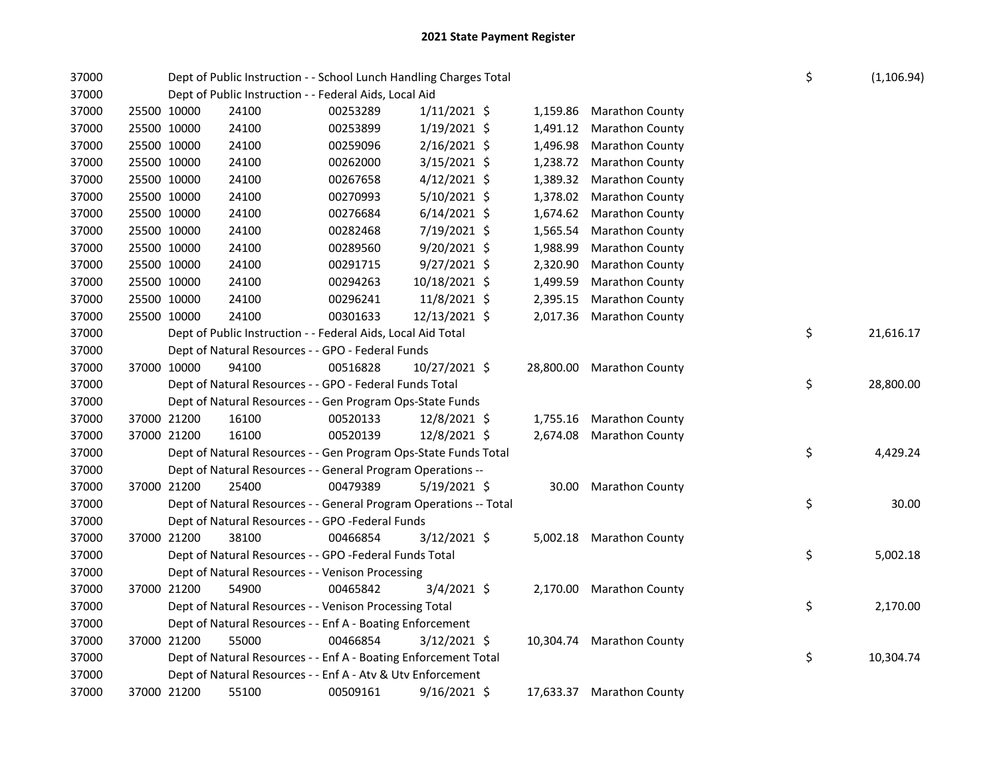| 37000 |             | Dept of Public Instruction - - School Lunch Handling Charges Total<br>Dept of Public Instruction - - Federal Aids, Local Aid |                                                                   |          |                |  |           |                           | \$ | (1, 106.94) |
|-------|-------------|------------------------------------------------------------------------------------------------------------------------------|-------------------------------------------------------------------|----------|----------------|--|-----------|---------------------------|----|-------------|
| 37000 |             |                                                                                                                              |                                                                   |          |                |  |           |                           |    |             |
| 37000 |             | 25500 10000                                                                                                                  | 24100                                                             | 00253289 | $1/11/2021$ \$ |  | 1,159.86  | Marathon County           |    |             |
| 37000 | 25500 10000 |                                                                                                                              | 24100                                                             | 00253899 | $1/19/2021$ \$ |  | 1,491.12  | <b>Marathon County</b>    |    |             |
| 37000 |             | 25500 10000                                                                                                                  | 24100                                                             | 00259096 | $2/16/2021$ \$ |  | 1,496.98  | <b>Marathon County</b>    |    |             |
| 37000 |             | 25500 10000                                                                                                                  | 24100                                                             | 00262000 | $3/15/2021$ \$ |  | 1,238.72  | <b>Marathon County</b>    |    |             |
| 37000 | 25500 10000 |                                                                                                                              | 24100                                                             | 00267658 | $4/12/2021$ \$ |  | 1,389.32  | Marathon County           |    |             |
| 37000 |             | 25500 10000                                                                                                                  | 24100                                                             | 00270993 | 5/10/2021 \$   |  | 1,378.02  | Marathon County           |    |             |
| 37000 |             | 25500 10000                                                                                                                  | 24100                                                             | 00276684 | $6/14/2021$ \$ |  | 1,674.62  | Marathon County           |    |             |
| 37000 |             | 25500 10000                                                                                                                  | 24100                                                             | 00282468 | 7/19/2021 \$   |  | 1,565.54  | Marathon County           |    |             |
| 37000 |             | 25500 10000                                                                                                                  | 24100                                                             | 00289560 | 9/20/2021 \$   |  | 1,988.99  | Marathon County           |    |             |
| 37000 | 25500 10000 |                                                                                                                              | 24100                                                             | 00291715 | $9/27/2021$ \$ |  | 2,320.90  | Marathon County           |    |             |
| 37000 |             | 25500 10000                                                                                                                  | 24100                                                             | 00294263 | 10/18/2021 \$  |  | 1,499.59  | Marathon County           |    |             |
| 37000 |             | 25500 10000                                                                                                                  | 24100                                                             | 00296241 | 11/8/2021 \$   |  | 2,395.15  | Marathon County           |    |             |
| 37000 |             | 25500 10000                                                                                                                  | 24100                                                             | 00301633 | 12/13/2021 \$  |  | 2,017.36  | <b>Marathon County</b>    |    |             |
| 37000 |             |                                                                                                                              | Dept of Public Instruction - - Federal Aids, Local Aid Total      |          |                |  |           |                           | \$ | 21,616.17   |
| 37000 |             |                                                                                                                              | Dept of Natural Resources - - GPO - Federal Funds                 |          |                |  |           |                           |    |             |
| 37000 |             | 37000 10000                                                                                                                  | 94100                                                             | 00516828 | 10/27/2021 \$  |  |           | 28,800.00 Marathon County |    |             |
| 37000 |             |                                                                                                                              | Dept of Natural Resources - - GPO - Federal Funds Total           |          |                |  |           |                           | \$ | 28,800.00   |
| 37000 |             |                                                                                                                              | Dept of Natural Resources - - Gen Program Ops-State Funds         |          |                |  |           |                           |    |             |
| 37000 |             | 37000 21200                                                                                                                  | 16100                                                             | 00520133 | 12/8/2021 \$   |  | 1,755.16  | Marathon County           |    |             |
| 37000 |             | 37000 21200                                                                                                                  | 16100                                                             | 00520139 | 12/8/2021 \$   |  | 2,674.08  | <b>Marathon County</b>    |    |             |
| 37000 |             |                                                                                                                              | Dept of Natural Resources - - Gen Program Ops-State Funds Total   |          |                |  |           |                           | \$ | 4,429.24    |
| 37000 |             |                                                                                                                              | Dept of Natural Resources - - General Program Operations --       |          |                |  |           |                           |    |             |
| 37000 |             | 37000 21200                                                                                                                  | 25400                                                             | 00479389 | $5/19/2021$ \$ |  | 30.00     | <b>Marathon County</b>    |    |             |
| 37000 |             |                                                                                                                              | Dept of Natural Resources - - General Program Operations -- Total |          |                |  |           |                           | \$ | 30.00       |
| 37000 |             |                                                                                                                              | Dept of Natural Resources - - GPO -Federal Funds                  |          |                |  |           |                           |    |             |
| 37000 |             | 37000 21200                                                                                                                  | 38100                                                             | 00466854 | 3/12/2021 \$   |  |           | 5,002.18 Marathon County  |    |             |
| 37000 |             |                                                                                                                              | Dept of Natural Resources - - GPO -Federal Funds Total            |          |                |  |           |                           | \$ | 5,002.18    |
| 37000 |             |                                                                                                                              | Dept of Natural Resources - - Venison Processing                  |          |                |  |           |                           |    |             |
| 37000 |             | 37000 21200                                                                                                                  | 54900                                                             | 00465842 | $3/4/2021$ \$  |  |           | 2,170.00 Marathon County  |    |             |
| 37000 |             |                                                                                                                              | Dept of Natural Resources - - Venison Processing Total            |          |                |  |           |                           | \$ | 2,170.00    |
| 37000 |             |                                                                                                                              | Dept of Natural Resources - - Enf A - Boating Enforcement         |          |                |  |           |                           |    |             |
| 37000 |             | 37000 21200                                                                                                                  | 55000                                                             | 00466854 | $3/12/2021$ \$ |  |           | 10,304.74 Marathon County |    |             |
| 37000 |             |                                                                                                                              | Dept of Natural Resources - - Enf A - Boating Enforcement Total   |          |                |  |           |                           | \$ | 10,304.74   |
| 37000 |             |                                                                                                                              | Dept of Natural Resources - - Enf A - Atv & Utv Enforcement       |          |                |  |           |                           |    |             |
| 37000 |             | 37000 21200                                                                                                                  | 55100                                                             | 00509161 | $9/16/2021$ \$ |  | 17,633.37 | Marathon County           |    |             |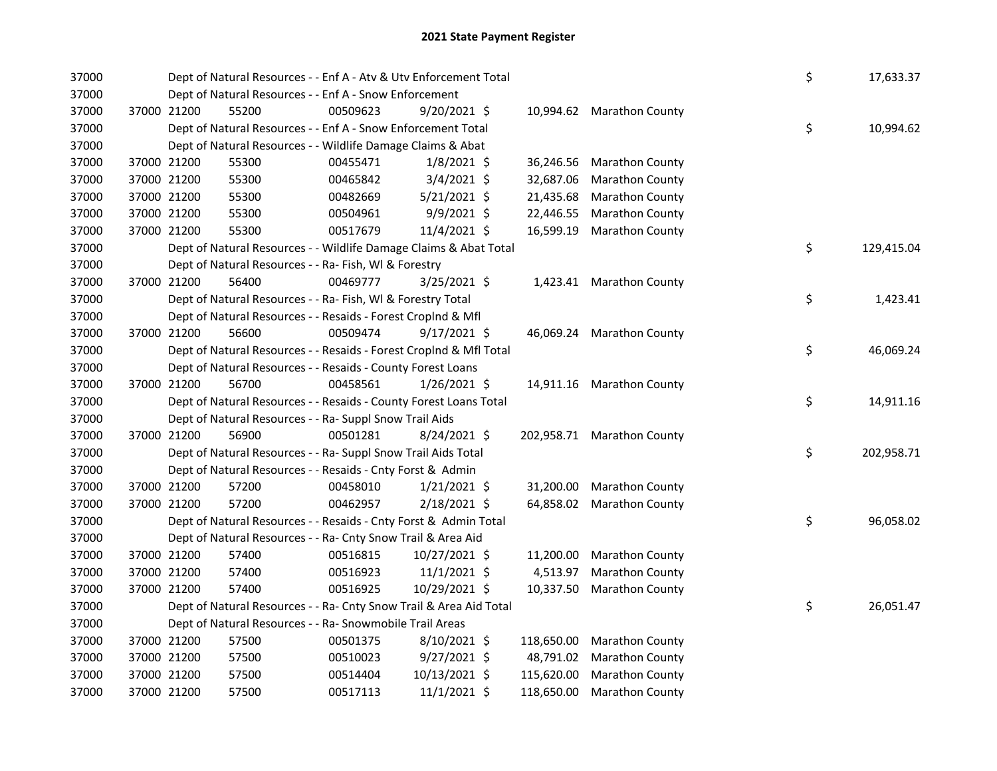| 37000 |             | Dept of Natural Resources - - Enf A - Atv & Utv Enforcement Total  |          |                |            |                            | \$ | 17,633.37  |
|-------|-------------|--------------------------------------------------------------------|----------|----------------|------------|----------------------------|----|------------|
| 37000 |             | Dept of Natural Resources - - Enf A - Snow Enforcement             |          |                |            |                            |    |            |
| 37000 | 37000 21200 | 55200                                                              | 00509623 | 9/20/2021 \$   |            | 10,994.62 Marathon County  |    |            |
| 37000 |             | Dept of Natural Resources - - Enf A - Snow Enforcement Total       |          |                |            |                            | \$ | 10,994.62  |
| 37000 |             | Dept of Natural Resources - - Wildlife Damage Claims & Abat        |          |                |            |                            |    |            |
| 37000 | 37000 21200 | 55300                                                              | 00455471 | $1/8/2021$ \$  | 36,246.56  | <b>Marathon County</b>     |    |            |
| 37000 | 37000 21200 | 55300                                                              | 00465842 | 3/4/2021 \$    | 32,687.06  | Marathon County            |    |            |
| 37000 | 37000 21200 | 55300                                                              | 00482669 | $5/21/2021$ \$ | 21,435.68  | <b>Marathon County</b>     |    |            |
| 37000 | 37000 21200 | 55300                                                              | 00504961 | 9/9/2021 \$    | 22,446.55  | Marathon County            |    |            |
| 37000 | 37000 21200 | 55300                                                              | 00517679 | 11/4/2021 \$   | 16,599.19  | <b>Marathon County</b>     |    |            |
| 37000 |             | Dept of Natural Resources - - Wildlife Damage Claims & Abat Total  |          |                |            |                            | \$ | 129,415.04 |
| 37000 |             | Dept of Natural Resources - - Ra- Fish, WI & Forestry              |          |                |            |                            |    |            |
| 37000 | 37000 21200 | 56400                                                              | 00469777 | 3/25/2021 \$   |            | 1,423.41 Marathon County   |    |            |
| 37000 |             | Dept of Natural Resources - - Ra- Fish, WI & Forestry Total        |          |                |            |                            | \$ | 1,423.41   |
| 37000 |             | Dept of Natural Resources - - Resaids - Forest Croplnd & Mfl       |          |                |            |                            |    |            |
| 37000 | 37000 21200 | 56600                                                              | 00509474 | 9/17/2021 \$   |            | 46,069.24 Marathon County  |    |            |
| 37000 |             | Dept of Natural Resources - - Resaids - Forest CropInd & Mfl Total |          |                |            |                            | \$ | 46,069.24  |
| 37000 |             | Dept of Natural Resources - - Resaids - County Forest Loans        |          |                |            |                            |    |            |
| 37000 | 37000 21200 | 56700                                                              | 00458561 | $1/26/2021$ \$ |            | 14,911.16 Marathon County  |    |            |
| 37000 |             | Dept of Natural Resources - - Resaids - County Forest Loans Total  |          |                |            |                            | \$ | 14,911.16  |
| 37000 |             | Dept of Natural Resources - - Ra- Suppl Snow Trail Aids            |          |                |            |                            |    |            |
| 37000 | 37000 21200 | 56900                                                              | 00501281 | $8/24/2021$ \$ |            | 202,958.71 Marathon County |    |            |
| 37000 |             | Dept of Natural Resources - - Ra- Suppl Snow Trail Aids Total      |          |                |            |                            | \$ | 202,958.71 |
| 37000 |             | Dept of Natural Resources - - Resaids - Cnty Forst & Admin         |          |                |            |                            |    |            |
| 37000 | 37000 21200 | 57200                                                              | 00458010 | $1/21/2021$ \$ | 31,200.00  | <b>Marathon County</b>     |    |            |
| 37000 | 37000 21200 | 57200                                                              | 00462957 | 2/18/2021 \$   | 64,858.02  | <b>Marathon County</b>     |    |            |
| 37000 |             | Dept of Natural Resources - - Resaids - Cnty Forst & Admin Total   |          |                |            |                            | \$ | 96,058.02  |
| 37000 |             | Dept of Natural Resources - - Ra- Cnty Snow Trail & Area Aid       |          |                |            |                            |    |            |
| 37000 | 37000 21200 | 57400                                                              | 00516815 | 10/27/2021 \$  | 11,200.00  | <b>Marathon County</b>     |    |            |
| 37000 | 37000 21200 | 57400                                                              | 00516923 | $11/1/2021$ \$ | 4,513.97   | <b>Marathon County</b>     |    |            |
| 37000 | 37000 21200 | 57400                                                              | 00516925 | 10/29/2021 \$  | 10,337.50  | <b>Marathon County</b>     |    |            |
| 37000 |             | Dept of Natural Resources - - Ra- Cnty Snow Trail & Area Aid Total |          |                |            |                            | \$ | 26,051.47  |
| 37000 |             | Dept of Natural Resources - - Ra- Snowmobile Trail Areas           |          |                |            |                            |    |            |
| 37000 | 37000 21200 | 57500                                                              | 00501375 | $8/10/2021$ \$ | 118,650.00 | <b>Marathon County</b>     |    |            |
| 37000 | 37000 21200 | 57500                                                              | 00510023 | $9/27/2021$ \$ | 48,791.02  | <b>Marathon County</b>     |    |            |
| 37000 | 37000 21200 | 57500                                                              | 00514404 | 10/13/2021 \$  | 115,620.00 | <b>Marathon County</b>     |    |            |
| 37000 | 37000 21200 | 57500                                                              | 00517113 | 11/1/2021 \$   | 118,650.00 | <b>Marathon County</b>     |    |            |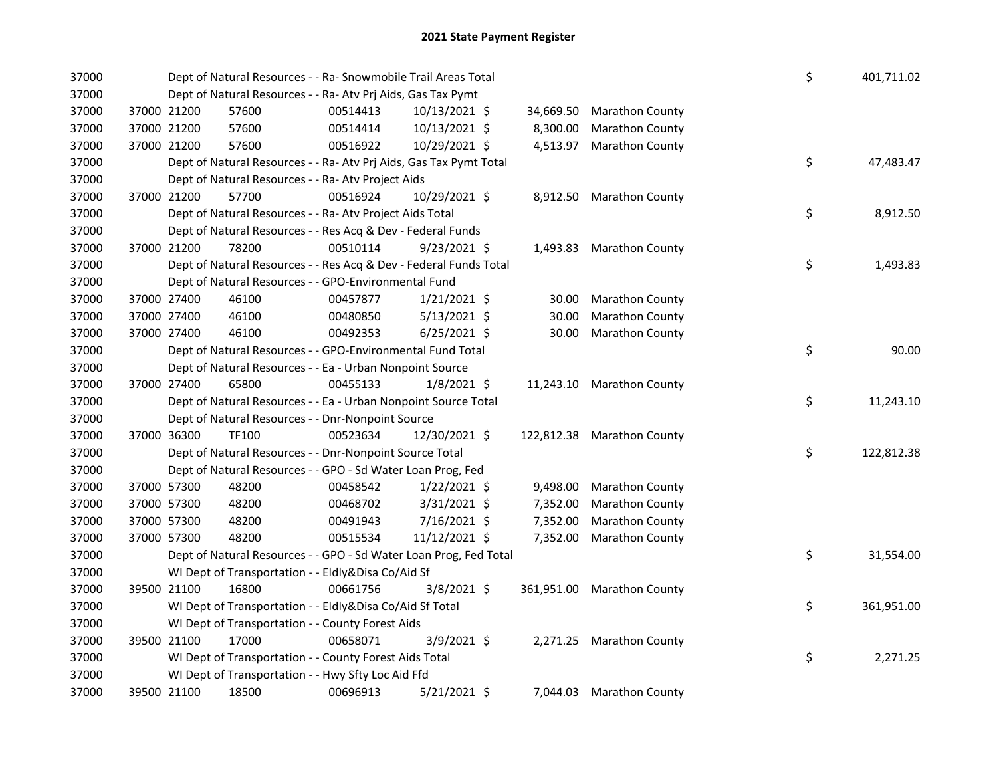| 37000 |             | Dept of Natural Resources - - Ra- Snowmobile Trail Areas Total     |          |                |          |                            | \$ | 401,711.02 |
|-------|-------------|--------------------------------------------------------------------|----------|----------------|----------|----------------------------|----|------------|
| 37000 |             | Dept of Natural Resources - - Ra- Atv Prj Aids, Gas Tax Pymt       |          |                |          |                            |    |            |
| 37000 | 37000 21200 | 57600                                                              | 00514413 | 10/13/2021 \$  |          | 34,669.50 Marathon County  |    |            |
| 37000 | 37000 21200 | 57600                                                              | 00514414 | 10/13/2021 \$  | 8,300.00 | <b>Marathon County</b>     |    |            |
| 37000 | 37000 21200 | 57600                                                              | 00516922 | 10/29/2021 \$  | 4,513.97 | <b>Marathon County</b>     |    |            |
| 37000 |             | Dept of Natural Resources - - Ra- Atv Prj Aids, Gas Tax Pymt Total |          |                |          |                            | \$ | 47,483.47  |
| 37000 |             | Dept of Natural Resources - - Ra- Atv Project Aids                 |          |                |          |                            |    |            |
| 37000 | 37000 21200 | 57700                                                              | 00516924 | 10/29/2021 \$  |          | 8,912.50 Marathon County   |    |            |
| 37000 |             | Dept of Natural Resources - - Ra- Atv Project Aids Total           |          |                |          |                            | \$ | 8,912.50   |
| 37000 |             | Dept of Natural Resources - - Res Acq & Dev - Federal Funds        |          |                |          |                            |    |            |
| 37000 | 37000 21200 | 78200                                                              | 00510114 | 9/23/2021 \$   |          | 1,493.83 Marathon County   |    |            |
| 37000 |             | Dept of Natural Resources - - Res Acq & Dev - Federal Funds Total  |          |                |          |                            | \$ | 1,493.83   |
| 37000 |             | Dept of Natural Resources - - GPO-Environmental Fund               |          |                |          |                            |    |            |
| 37000 | 37000 27400 | 46100                                                              | 00457877 | $1/21/2021$ \$ | 30.00    | <b>Marathon County</b>     |    |            |
| 37000 | 37000 27400 | 46100                                                              | 00480850 | $5/13/2021$ \$ | 30.00    | <b>Marathon County</b>     |    |            |
| 37000 | 37000 27400 | 46100                                                              | 00492353 | $6/25/2021$ \$ | 30.00    | <b>Marathon County</b>     |    |            |
| 37000 |             | Dept of Natural Resources - - GPO-Environmental Fund Total         |          |                |          |                            | \$ | 90.00      |
| 37000 |             | Dept of Natural Resources - - Ea - Urban Nonpoint Source           |          |                |          |                            |    |            |
| 37000 | 37000 27400 | 65800                                                              | 00455133 | $1/8/2021$ \$  |          | 11,243.10 Marathon County  |    |            |
| 37000 |             | Dept of Natural Resources - - Ea - Urban Nonpoint Source Total     |          |                |          |                            | \$ | 11,243.10  |
| 37000 |             | Dept of Natural Resources - - Dnr-Nonpoint Source                  |          |                |          |                            |    |            |
| 37000 | 37000 36300 | <b>TF100</b>                                                       | 00523634 | 12/30/2021 \$  |          | 122,812.38 Marathon County |    |            |
| 37000 |             | Dept of Natural Resources - - Dnr-Nonpoint Source Total            |          |                |          |                            | \$ | 122,812.38 |
| 37000 |             | Dept of Natural Resources - - GPO - Sd Water Loan Prog, Fed        |          |                |          |                            |    |            |
| 37000 | 37000 57300 | 48200                                                              | 00458542 | $1/22/2021$ \$ | 9,498.00 | <b>Marathon County</b>     |    |            |
| 37000 | 37000 57300 | 48200                                                              | 00468702 | $3/31/2021$ \$ | 7,352.00 | <b>Marathon County</b>     |    |            |
| 37000 | 37000 57300 | 48200                                                              | 00491943 | 7/16/2021 \$   | 7,352.00 | <b>Marathon County</b>     |    |            |
| 37000 | 37000 57300 | 48200                                                              | 00515534 | 11/12/2021 \$  | 7,352.00 | <b>Marathon County</b>     |    |            |
| 37000 |             | Dept of Natural Resources - - GPO - Sd Water Loan Prog, Fed Total  |          |                |          |                            | \$ | 31,554.00  |
| 37000 |             | WI Dept of Transportation - - Eldly&Disa Co/Aid Sf                 |          |                |          |                            |    |            |
| 37000 | 39500 21100 | 16800                                                              | 00661756 | $3/8/2021$ \$  |          | 361,951.00 Marathon County |    |            |
| 37000 |             | WI Dept of Transportation - - Eldly&Disa Co/Aid Sf Total           |          |                |          |                            | \$ | 361,951.00 |
| 37000 |             | WI Dept of Transportation - - County Forest Aids                   |          |                |          |                            |    |            |
| 37000 | 39500 21100 | 17000                                                              | 00658071 | $3/9/2021$ \$  |          | 2,271.25 Marathon County   |    |            |
| 37000 |             | WI Dept of Transportation - - County Forest Aids Total             |          |                |          |                            | \$ | 2,271.25   |
| 37000 |             | WI Dept of Transportation - - Hwy Sfty Loc Aid Ffd                 |          |                |          |                            |    |            |
| 37000 | 39500 21100 | 18500                                                              | 00696913 | 5/21/2021 \$   |          | 7,044.03 Marathon County   |    |            |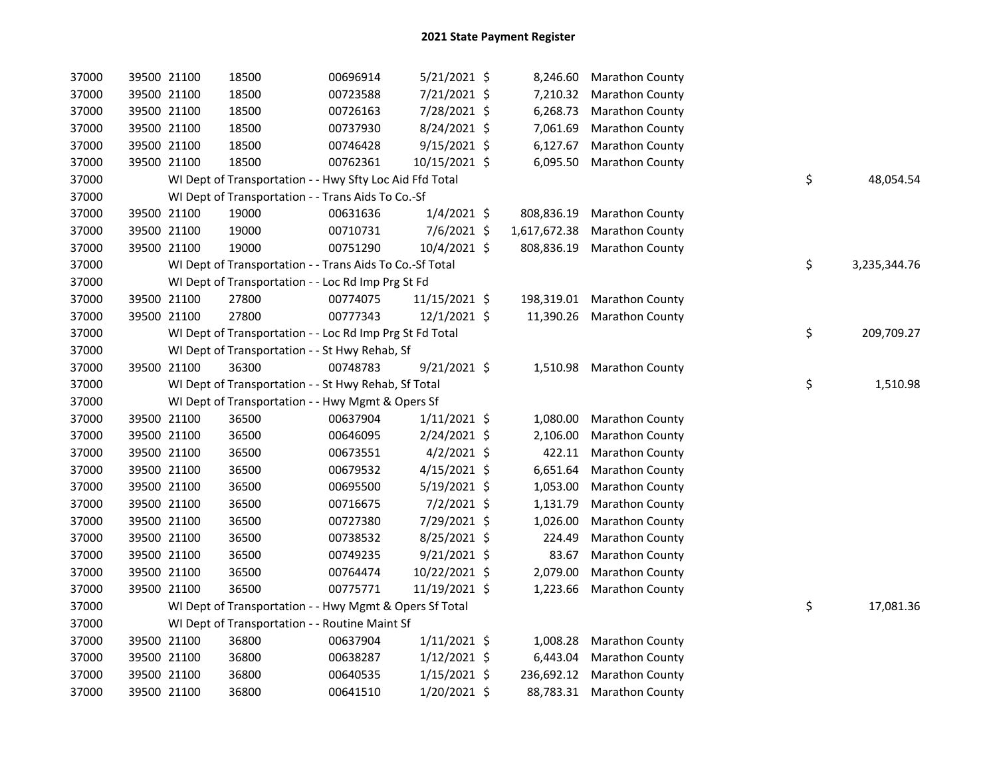| 37000 | 39500 21100 | 18500                                                    | 00696914 | 5/21/2021 \$   | 8,246.60     | <b>Marathon County</b>    |    |              |
|-------|-------------|----------------------------------------------------------|----------|----------------|--------------|---------------------------|----|--------------|
| 37000 | 39500 21100 | 18500                                                    | 00723588 | 7/21/2021 \$   | 7,210.32     | Marathon County           |    |              |
| 37000 | 39500 21100 | 18500                                                    | 00726163 | 7/28/2021 \$   | 6,268.73     | <b>Marathon County</b>    |    |              |
| 37000 | 39500 21100 | 18500                                                    | 00737930 | 8/24/2021 \$   | 7,061.69     | <b>Marathon County</b>    |    |              |
| 37000 | 39500 21100 | 18500                                                    | 00746428 | $9/15/2021$ \$ | 6,127.67     | Marathon County           |    |              |
| 37000 | 39500 21100 | 18500                                                    | 00762361 | 10/15/2021 \$  | 6,095.50     | Marathon County           |    |              |
| 37000 |             | WI Dept of Transportation - - Hwy Sfty Loc Aid Ffd Total |          |                |              |                           | \$ | 48,054.54    |
| 37000 |             | WI Dept of Transportation - - Trans Aids To Co.-Sf       |          |                |              |                           |    |              |
| 37000 | 39500 21100 | 19000                                                    | 00631636 | $1/4/2021$ \$  | 808,836.19   | Marathon County           |    |              |
| 37000 | 39500 21100 | 19000                                                    | 00710731 | 7/6/2021 \$    | 1,617,672.38 | Marathon County           |    |              |
| 37000 | 39500 21100 | 19000                                                    | 00751290 | 10/4/2021 \$   | 808,836.19   | <b>Marathon County</b>    |    |              |
| 37000 |             | WI Dept of Transportation - - Trans Aids To Co.-Sf Total |          |                |              |                           | \$ | 3,235,344.76 |
| 37000 |             | WI Dept of Transportation - - Loc Rd Imp Prg St Fd       |          |                |              |                           |    |              |
| 37000 | 39500 21100 | 27800                                                    | 00774075 | 11/15/2021 \$  | 198,319.01   | <b>Marathon County</b>    |    |              |
| 37000 | 39500 21100 | 27800                                                    | 00777343 | 12/1/2021 \$   | 11,390.26    | <b>Marathon County</b>    |    |              |
| 37000 |             | WI Dept of Transportation - - Loc Rd Imp Prg St Fd Total |          |                |              |                           | \$ | 209,709.27   |
| 37000 |             | WI Dept of Transportation - - St Hwy Rehab, Sf           |          |                |              |                           |    |              |
| 37000 | 39500 21100 | 36300                                                    | 00748783 | $9/21/2021$ \$ | 1,510.98     | <b>Marathon County</b>    |    |              |
| 37000 |             | WI Dept of Transportation - - St Hwy Rehab, Sf Total     |          |                |              |                           | \$ | 1,510.98     |
| 37000 |             | WI Dept of Transportation - - Hwy Mgmt & Opers Sf        |          |                |              |                           |    |              |
| 37000 | 39500 21100 | 36500                                                    | 00637904 | $1/11/2021$ \$ | 1,080.00     | Marathon County           |    |              |
| 37000 | 39500 21100 | 36500                                                    | 00646095 | $2/24/2021$ \$ | 2,106.00     | Marathon County           |    |              |
| 37000 | 39500 21100 | 36500                                                    | 00673551 | $4/2/2021$ \$  | 422.11       | Marathon County           |    |              |
| 37000 | 39500 21100 | 36500                                                    | 00679532 | $4/15/2021$ \$ | 6,651.64     | Marathon County           |    |              |
| 37000 | 39500 21100 | 36500                                                    | 00695500 | $5/19/2021$ \$ | 1,053.00     | Marathon County           |    |              |
| 37000 | 39500 21100 | 36500                                                    | 00716675 | $7/2/2021$ \$  | 1,131.79     | Marathon County           |    |              |
| 37000 | 39500 21100 | 36500                                                    | 00727380 | 7/29/2021 \$   | 1,026.00     | Marathon County           |    |              |
| 37000 | 39500 21100 | 36500                                                    | 00738532 | $8/25/2021$ \$ | 224.49       | Marathon County           |    |              |
| 37000 | 39500 21100 | 36500                                                    | 00749235 | $9/21/2021$ \$ | 83.67        | <b>Marathon County</b>    |    |              |
| 37000 | 39500 21100 | 36500                                                    | 00764474 | 10/22/2021 \$  | 2,079.00     | Marathon County           |    |              |
| 37000 | 39500 21100 | 36500                                                    | 00775771 | 11/19/2021 \$  | 1,223.66     | Marathon County           |    |              |
| 37000 |             | WI Dept of Transportation - - Hwy Mgmt & Opers Sf Total  |          |                |              |                           | \$ | 17,081.36    |
| 37000 |             | WI Dept of Transportation - - Routine Maint Sf           |          |                |              |                           |    |              |
| 37000 | 39500 21100 | 36800                                                    | 00637904 | $1/11/2021$ \$ | 1,008.28     | <b>Marathon County</b>    |    |              |
| 37000 | 39500 21100 | 36800                                                    | 00638287 | $1/12/2021$ \$ | 6,443.04     | <b>Marathon County</b>    |    |              |
| 37000 | 39500 21100 | 36800                                                    | 00640535 | $1/15/2021$ \$ | 236,692.12   | <b>Marathon County</b>    |    |              |
| 37000 | 39500 21100 | 36800                                                    | 00641510 | 1/20/2021 \$   |              | 88,783.31 Marathon County |    |              |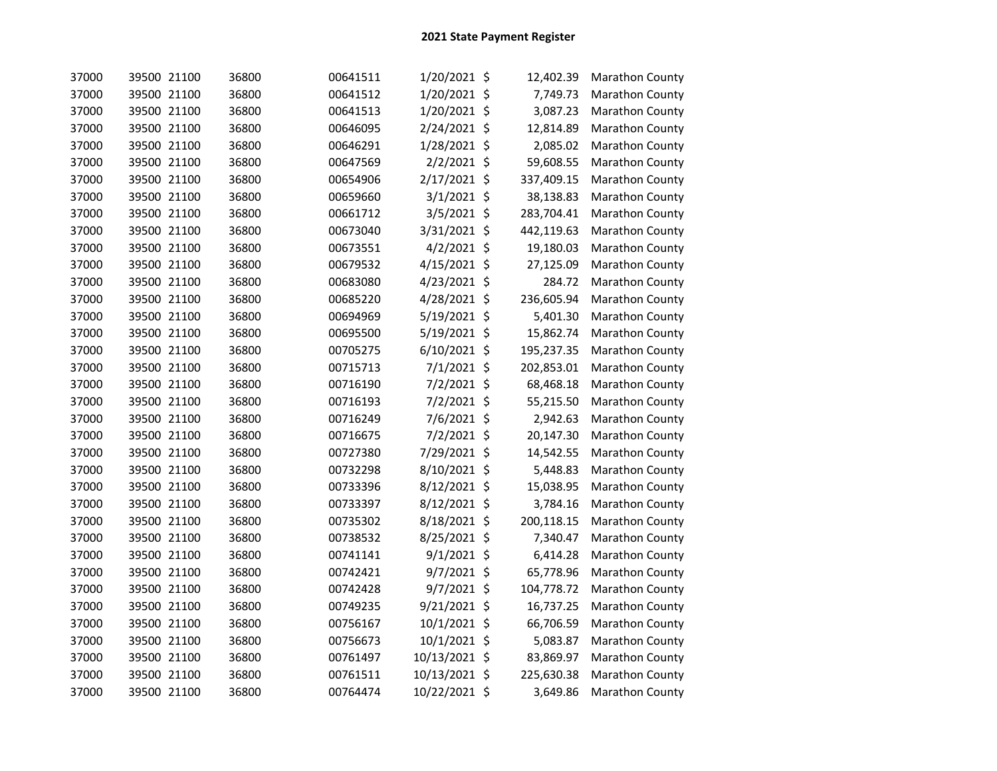| 37000 | 39500 21100 | 36800 | 00641511 | 1/20/2021 \$   | 12,402.39  | <b>Marathon County</b> |
|-------|-------------|-------|----------|----------------|------------|------------------------|
| 37000 | 39500 21100 | 36800 | 00641512 | 1/20/2021 \$   | 7,749.73   | Marathon County        |
| 37000 | 39500 21100 | 36800 | 00641513 | 1/20/2021 \$   | 3,087.23   | Marathon County        |
| 37000 | 39500 21100 | 36800 | 00646095 | 2/24/2021 \$   | 12,814.89  | Marathon County        |
| 37000 | 39500 21100 | 36800 | 00646291 | 1/28/2021 \$   | 2,085.02   | Marathon County        |
| 37000 | 39500 21100 | 36800 | 00647569 | 2/2/2021 \$    | 59,608.55  | Marathon County        |
| 37000 | 39500 21100 | 36800 | 00654906 | 2/17/2021 \$   | 337,409.15 | Marathon County        |
| 37000 | 39500 21100 | 36800 | 00659660 | $3/1/2021$ \$  | 38,138.83  | Marathon County        |
| 37000 | 39500 21100 | 36800 | 00661712 | 3/5/2021 \$    | 283,704.41 | Marathon County        |
| 37000 | 39500 21100 | 36800 | 00673040 | 3/31/2021 \$   | 442,119.63 | Marathon County        |
| 37000 | 39500 21100 | 36800 | 00673551 | $4/2/2021$ \$  | 19,180.03  | Marathon County        |
| 37000 | 39500 21100 | 36800 | 00679532 | 4/15/2021 \$   | 27,125.09  | Marathon County        |
| 37000 | 39500 21100 | 36800 | 00683080 | 4/23/2021 \$   | 284.72     | Marathon County        |
| 37000 | 39500 21100 | 36800 | 00685220 | 4/28/2021 \$   | 236,605.94 | Marathon County        |
| 37000 | 39500 21100 | 36800 | 00694969 | 5/19/2021 \$   | 5,401.30   | Marathon County        |
| 37000 | 39500 21100 | 36800 | 00695500 | 5/19/2021 \$   | 15,862.74  | Marathon County        |
| 37000 | 39500 21100 | 36800 | 00705275 | $6/10/2021$ \$ | 195,237.35 | Marathon County        |
| 37000 | 39500 21100 | 36800 | 00715713 | 7/1/2021 \$    | 202,853.01 | Marathon County        |
| 37000 | 39500 21100 | 36800 | 00716190 | 7/2/2021 \$    | 68,468.18  | Marathon County        |
| 37000 | 39500 21100 | 36800 | 00716193 | 7/2/2021 \$    | 55,215.50  | Marathon County        |
| 37000 | 39500 21100 | 36800 | 00716249 | 7/6/2021 \$    | 2,942.63   | Marathon County        |
| 37000 | 39500 21100 | 36800 | 00716675 | 7/2/2021 \$    | 20,147.30  | Marathon County        |
| 37000 | 39500 21100 | 36800 | 00727380 | 7/29/2021 \$   | 14,542.55  | Marathon County        |
| 37000 | 39500 21100 | 36800 | 00732298 | 8/10/2021 \$   | 5,448.83   | Marathon County        |
| 37000 | 39500 21100 | 36800 | 00733396 | 8/12/2021 \$   | 15,038.95  | Marathon County        |
| 37000 | 39500 21100 | 36800 | 00733397 | 8/12/2021 \$   | 3,784.16   | Marathon County        |
| 37000 | 39500 21100 | 36800 | 00735302 | 8/18/2021 \$   | 200,118.15 | Marathon County        |
| 37000 | 39500 21100 | 36800 | 00738532 | 8/25/2021 \$   | 7,340.47   | Marathon County        |
| 37000 | 39500 21100 | 36800 | 00741141 | $9/1/2021$ \$  | 6,414.28   | Marathon County        |
| 37000 | 39500 21100 | 36800 | 00742421 | 9/7/2021 \$    | 65,778.96  | Marathon County        |
| 37000 | 39500 21100 | 36800 | 00742428 | 9/7/2021 \$    | 104,778.72 | Marathon County        |
| 37000 | 39500 21100 | 36800 | 00749235 | 9/21/2021 \$   | 16,737.25  | Marathon County        |
| 37000 | 39500 21100 | 36800 | 00756167 | 10/1/2021 \$   | 66,706.59  | Marathon County        |
| 37000 | 39500 21100 | 36800 | 00756673 | 10/1/2021 \$   | 5,083.87   | Marathon County        |
| 37000 | 39500 21100 | 36800 | 00761497 | 10/13/2021 \$  | 83,869.97  | Marathon County        |
| 37000 | 39500 21100 | 36800 | 00761511 | 10/13/2021 \$  | 225,630.38 | Marathon County        |
| 37000 | 39500 21100 | 36800 | 00764474 | 10/22/2021 \$  | 3,649.86   | Marathon County        |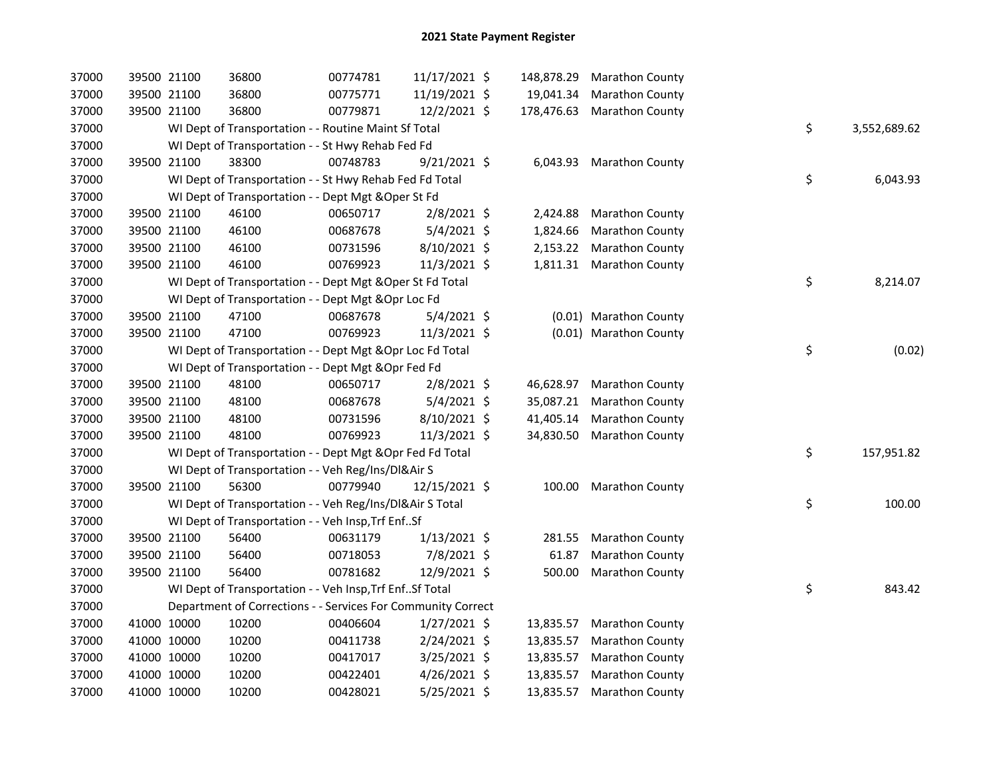| 37000 | 39500 21100 |             | 36800                                                        | 00774781 | 11/17/2021 \$  | 148,878.29 | <b>Marathon County</b>   |    |              |
|-------|-------------|-------------|--------------------------------------------------------------|----------|----------------|------------|--------------------------|----|--------------|
| 37000 | 39500 21100 |             | 36800                                                        | 00775771 | 11/19/2021 \$  | 19,041.34  | <b>Marathon County</b>   |    |              |
| 37000 | 39500 21100 |             | 36800                                                        | 00779871 | 12/2/2021 \$   | 178,476.63 | <b>Marathon County</b>   |    |              |
| 37000 |             |             | WI Dept of Transportation - - Routine Maint Sf Total         |          |                |            |                          | \$ | 3,552,689.62 |
| 37000 |             |             | WI Dept of Transportation - - St Hwy Rehab Fed Fd            |          |                |            |                          |    |              |
| 37000 | 39500 21100 |             | 38300                                                        | 00748783 | 9/21/2021 \$   | 6,043.93   | <b>Marathon County</b>   |    |              |
| 37000 |             |             | WI Dept of Transportation - - St Hwy Rehab Fed Fd Total      |          |                |            |                          | \$ | 6,043.93     |
| 37000 |             |             | WI Dept of Transportation - - Dept Mgt & Oper St Fd          |          |                |            |                          |    |              |
| 37000 |             | 39500 21100 | 46100                                                        | 00650717 | $2/8/2021$ \$  | 2,424.88   | <b>Marathon County</b>   |    |              |
| 37000 | 39500 21100 |             | 46100                                                        | 00687678 | 5/4/2021 \$    | 1,824.66   | <b>Marathon County</b>   |    |              |
| 37000 | 39500 21100 |             | 46100                                                        | 00731596 | 8/10/2021 \$   | 2,153.22   | <b>Marathon County</b>   |    |              |
| 37000 | 39500 21100 |             | 46100                                                        | 00769923 | 11/3/2021 \$   |            | 1,811.31 Marathon County |    |              |
| 37000 |             |             | WI Dept of Transportation - - Dept Mgt & Oper St Fd Total    |          |                |            |                          | \$ | 8,214.07     |
| 37000 |             |             | WI Dept of Transportation - - Dept Mgt & Opr Loc Fd          |          |                |            |                          |    |              |
| 37000 | 39500 21100 |             | 47100                                                        | 00687678 | 5/4/2021 \$    |            | (0.01) Marathon County   |    |              |
| 37000 | 39500 21100 |             | 47100                                                        | 00769923 | 11/3/2021 \$   |            | (0.01) Marathon County   |    |              |
| 37000 |             |             | WI Dept of Transportation - - Dept Mgt & Opr Loc Fd Total    |          |                |            |                          | \$ | (0.02)       |
| 37000 |             |             | WI Dept of Transportation - - Dept Mgt & Opr Fed Fd          |          |                |            |                          |    |              |
| 37000 | 39500 21100 |             | 48100                                                        | 00650717 | $2/8/2021$ \$  | 46,628.97  | <b>Marathon County</b>   |    |              |
| 37000 | 39500 21100 |             | 48100                                                        | 00687678 | $5/4/2021$ \$  | 35,087.21  | Marathon County          |    |              |
| 37000 | 39500 21100 |             | 48100                                                        | 00731596 | 8/10/2021 \$   | 41,405.14  | <b>Marathon County</b>   |    |              |
| 37000 | 39500 21100 |             | 48100                                                        | 00769923 | 11/3/2021 \$   | 34,830.50  | <b>Marathon County</b>   |    |              |
| 37000 |             |             | WI Dept of Transportation - - Dept Mgt & Opr Fed Fd Total    |          |                |            |                          | \$ | 157,951.82   |
| 37000 |             |             | WI Dept of Transportation - - Veh Reg/Ins/DI&Air S           |          |                |            |                          |    |              |
| 37000 | 39500 21100 |             | 56300                                                        | 00779940 | 12/15/2021 \$  | 100.00     | <b>Marathon County</b>   |    |              |
| 37000 |             |             | WI Dept of Transportation - - Veh Reg/Ins/DI&Air S Total     |          |                |            |                          | \$ | 100.00       |
| 37000 |             |             | WI Dept of Transportation - - Veh Insp, Trf EnfSf            |          |                |            |                          |    |              |
| 37000 | 39500 21100 |             | 56400                                                        | 00631179 | $1/13/2021$ \$ | 281.55     | <b>Marathon County</b>   |    |              |
| 37000 | 39500 21100 |             | 56400                                                        | 00718053 | 7/8/2021 \$    | 61.87      | Marathon County          |    |              |
| 37000 | 39500 21100 |             | 56400                                                        | 00781682 | 12/9/2021 \$   | 500.00     | <b>Marathon County</b>   |    |              |
| 37000 |             |             | WI Dept of Transportation - - Veh Insp, Trf Enf Sf Total     |          |                |            |                          | \$ | 843.42       |
| 37000 |             |             | Department of Corrections - - Services For Community Correct |          |                |            |                          |    |              |
| 37000 |             | 41000 10000 | 10200                                                        | 00406604 | $1/27/2021$ \$ | 13,835.57  | <b>Marathon County</b>   |    |              |
| 37000 |             | 41000 10000 | 10200                                                        | 00411738 | 2/24/2021 \$   | 13,835.57  | <b>Marathon County</b>   |    |              |
| 37000 | 41000 10000 |             | 10200                                                        | 00417017 | $3/25/2021$ \$ | 13,835.57  | <b>Marathon County</b>   |    |              |
| 37000 | 41000 10000 |             | 10200                                                        | 00422401 | $4/26/2021$ \$ | 13,835.57  | <b>Marathon County</b>   |    |              |
| 37000 |             | 41000 10000 | 10200                                                        | 00428021 | $5/25/2021$ \$ | 13,835.57  | <b>Marathon County</b>   |    |              |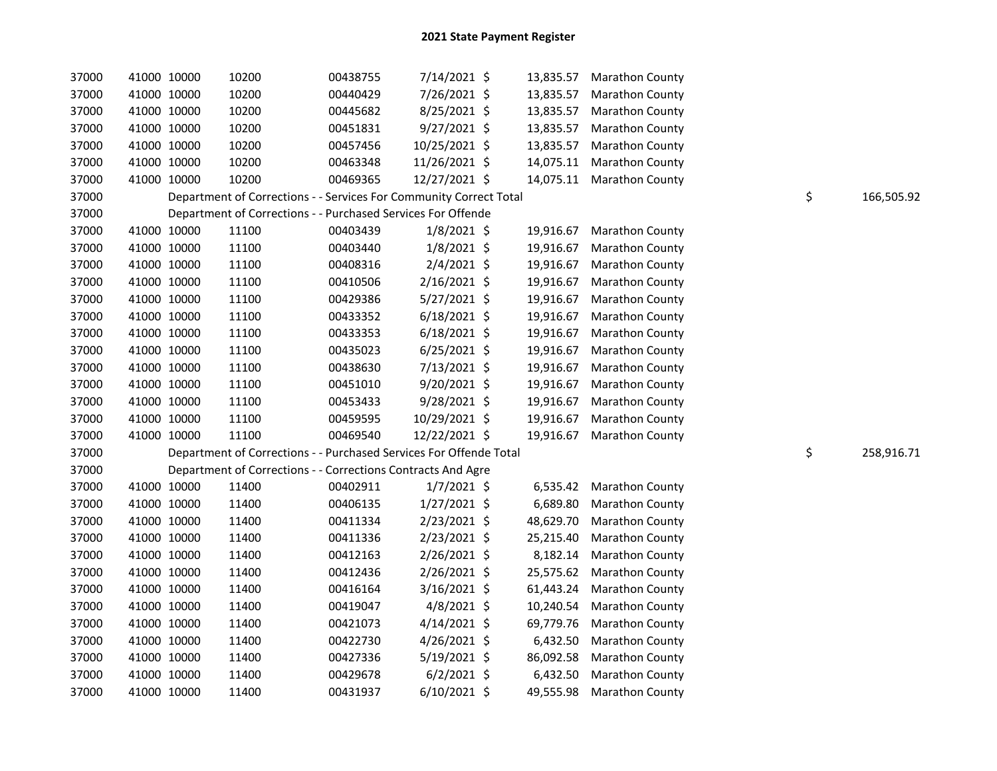| 37000 |             | 41000 10000 | 10200                                                              | 00438755 | 7/14/2021 \$   |           | 13,835.57 Marathon County |                  |
|-------|-------------|-------------|--------------------------------------------------------------------|----------|----------------|-----------|---------------------------|------------------|
| 37000 |             | 41000 10000 | 10200                                                              | 00440429 | 7/26/2021 \$   | 13,835.57 | <b>Marathon County</b>    |                  |
| 37000 | 41000 10000 |             | 10200                                                              | 00445682 | 8/25/2021 \$   | 13,835.57 | <b>Marathon County</b>    |                  |
| 37000 | 41000 10000 |             | 10200                                                              | 00451831 | 9/27/2021 \$   | 13,835.57 | <b>Marathon County</b>    |                  |
| 37000 | 41000 10000 |             | 10200                                                              | 00457456 | 10/25/2021 \$  | 13,835.57 | <b>Marathon County</b>    |                  |
| 37000 | 41000 10000 |             | 10200                                                              | 00463348 | 11/26/2021 \$  | 14,075.11 | <b>Marathon County</b>    |                  |
| 37000 |             | 41000 10000 | 10200                                                              | 00469365 | 12/27/2021 \$  |           | 14,075.11 Marathon County |                  |
| 37000 |             |             | Department of Corrections - - Services For Community Correct Total |          |                |           |                           | \$<br>166,505.92 |
| 37000 |             |             | Department of Corrections - - Purchased Services For Offende       |          |                |           |                           |                  |
| 37000 | 41000 10000 |             | 11100                                                              | 00403439 | $1/8/2021$ \$  | 19,916.67 | <b>Marathon County</b>    |                  |
| 37000 | 41000 10000 |             | 11100                                                              | 00403440 | $1/8/2021$ \$  | 19,916.67 | <b>Marathon County</b>    |                  |
| 37000 | 41000 10000 |             | 11100                                                              | 00408316 | 2/4/2021 \$    | 19,916.67 | <b>Marathon County</b>    |                  |
| 37000 | 41000 10000 |             | 11100                                                              | 00410506 | 2/16/2021 \$   | 19,916.67 | <b>Marathon County</b>    |                  |
| 37000 | 41000 10000 |             | 11100                                                              | 00429386 | 5/27/2021 \$   | 19,916.67 | <b>Marathon County</b>    |                  |
| 37000 | 41000 10000 |             | 11100                                                              | 00433352 | $6/18/2021$ \$ | 19,916.67 | <b>Marathon County</b>    |                  |
| 37000 |             | 41000 10000 | 11100                                                              | 00433353 | $6/18/2021$ \$ | 19,916.67 | <b>Marathon County</b>    |                  |
| 37000 |             | 41000 10000 | 11100                                                              | 00435023 | $6/25/2021$ \$ | 19,916.67 | <b>Marathon County</b>    |                  |
| 37000 | 41000 10000 |             | 11100                                                              | 00438630 | 7/13/2021 \$   | 19,916.67 | <b>Marathon County</b>    |                  |
| 37000 |             | 41000 10000 | 11100                                                              | 00451010 | 9/20/2021 \$   | 19,916.67 | <b>Marathon County</b>    |                  |
| 37000 | 41000 10000 |             | 11100                                                              | 00453433 | 9/28/2021 \$   | 19,916.67 | <b>Marathon County</b>    |                  |
| 37000 | 41000 10000 |             | 11100                                                              | 00459595 | 10/29/2021 \$  | 19,916.67 | <b>Marathon County</b>    |                  |
| 37000 | 41000 10000 |             | 11100                                                              | 00469540 | 12/22/2021 \$  | 19,916.67 | <b>Marathon County</b>    |                  |
| 37000 |             |             | Department of Corrections - - Purchased Services For Offende Total |          |                |           |                           | \$<br>258,916.71 |
| 37000 |             |             | Department of Corrections - - Corrections Contracts And Agre       |          |                |           |                           |                  |
| 37000 |             | 41000 10000 | 11400                                                              | 00402911 | $1/7/2021$ \$  | 6,535.42  | <b>Marathon County</b>    |                  |
| 37000 |             | 41000 10000 | 11400                                                              | 00406135 | $1/27/2021$ \$ | 6,689.80  | <b>Marathon County</b>    |                  |
| 37000 | 41000 10000 |             | 11400                                                              | 00411334 | 2/23/2021 \$   | 48,629.70 | <b>Marathon County</b>    |                  |
| 37000 | 41000 10000 |             | 11400                                                              | 00411336 | 2/23/2021 \$   | 25,215.40 | <b>Marathon County</b>    |                  |
| 37000 | 41000 10000 |             | 11400                                                              | 00412163 | 2/26/2021 \$   | 8,182.14  | <b>Marathon County</b>    |                  |
| 37000 |             | 41000 10000 | 11400                                                              | 00412436 | $2/26/2021$ \$ | 25,575.62 | <b>Marathon County</b>    |                  |
| 37000 | 41000 10000 |             | 11400                                                              | 00416164 | 3/16/2021 \$   | 61,443.24 | <b>Marathon County</b>    |                  |
| 37000 | 41000 10000 |             | 11400                                                              | 00419047 | $4/8/2021$ \$  | 10,240.54 | <b>Marathon County</b>    |                  |
| 37000 | 41000 10000 |             | 11400                                                              | 00421073 | $4/14/2021$ \$ | 69,779.76 | <b>Marathon County</b>    |                  |
| 37000 | 41000 10000 |             | 11400                                                              | 00422730 | 4/26/2021 \$   | 6,432.50  | <b>Marathon County</b>    |                  |
| 37000 |             | 41000 10000 | 11400                                                              | 00427336 | 5/19/2021 \$   | 86,092.58 | <b>Marathon County</b>    |                  |
| 37000 |             | 41000 10000 | 11400                                                              | 00429678 | $6/2/2021$ \$  | 6,432.50  | <b>Marathon County</b>    |                  |
| 37000 |             | 41000 10000 | 11400                                                              | 00431937 | $6/10/2021$ \$ | 49,555.98 | <b>Marathon County</b>    |                  |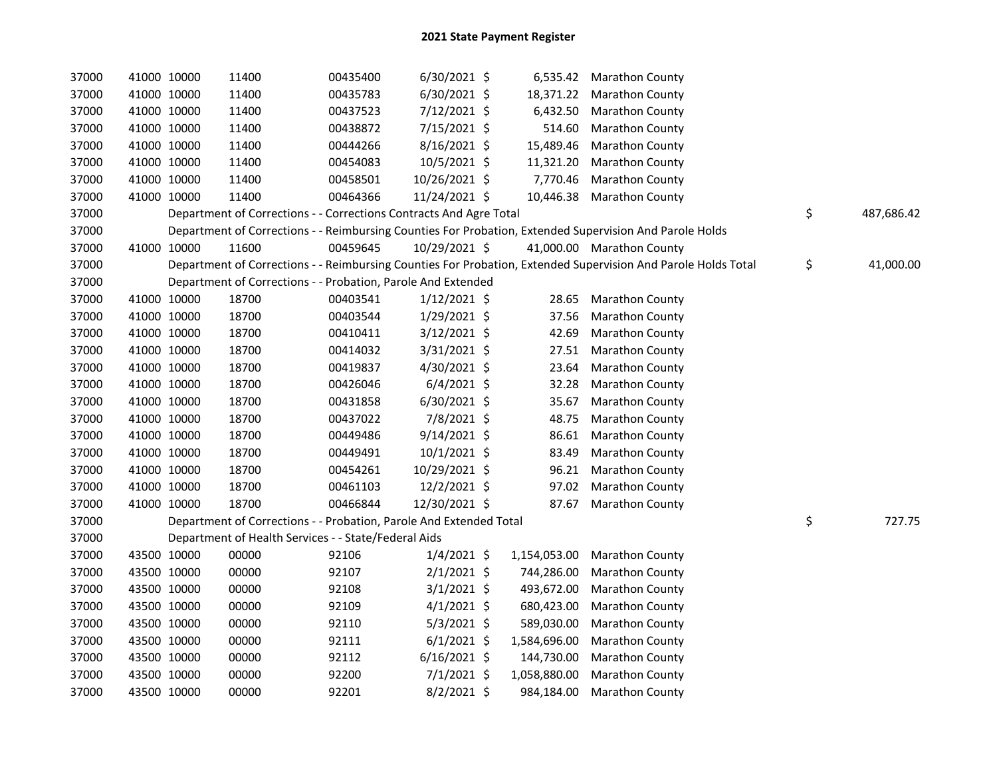| 37000 |             | 41000 10000 | 11400                                                              | 00435400 | $6/30/2021$ \$ |              | 6,535.42 Marathon County                                                                                      |                  |
|-------|-------------|-------------|--------------------------------------------------------------------|----------|----------------|--------------|---------------------------------------------------------------------------------------------------------------|------------------|
| 37000 |             | 41000 10000 | 11400                                                              | 00435783 | $6/30/2021$ \$ | 18,371.22    | <b>Marathon County</b>                                                                                        |                  |
| 37000 |             | 41000 10000 | 11400                                                              | 00437523 | 7/12/2021 \$   | 6,432.50     | <b>Marathon County</b>                                                                                        |                  |
| 37000 |             | 41000 10000 | 11400                                                              | 00438872 | 7/15/2021 \$   | 514.60       | <b>Marathon County</b>                                                                                        |                  |
| 37000 |             | 41000 10000 | 11400                                                              | 00444266 | 8/16/2021 \$   | 15,489.46    | Marathon County                                                                                               |                  |
| 37000 |             | 41000 10000 | 11400                                                              | 00454083 | 10/5/2021 \$   | 11,321.20    | <b>Marathon County</b>                                                                                        |                  |
| 37000 |             | 41000 10000 | 11400                                                              | 00458501 | 10/26/2021 \$  | 7,770.46     | <b>Marathon County</b>                                                                                        |                  |
| 37000 |             | 41000 10000 | 11400                                                              | 00464366 | 11/24/2021 \$  | 10,446.38    | <b>Marathon County</b>                                                                                        |                  |
| 37000 |             |             | Department of Corrections - - Corrections Contracts And Agre Total |          |                |              |                                                                                                               | \$<br>487,686.42 |
| 37000 |             |             |                                                                    |          |                |              | Department of Corrections - - Reimbursing Counties For Probation, Extended Supervision And Parole Holds       |                  |
| 37000 |             | 41000 10000 | 11600                                                              | 00459645 | 10/29/2021 \$  |              | 41,000.00 Marathon County                                                                                     |                  |
| 37000 |             |             |                                                                    |          |                |              | Department of Corrections - - Reimbursing Counties For Probation, Extended Supervision And Parole Holds Total | \$<br>41,000.00  |
| 37000 |             |             | Department of Corrections - - Probation, Parole And Extended       |          |                |              |                                                                                                               |                  |
| 37000 |             | 41000 10000 | 18700                                                              | 00403541 | $1/12/2021$ \$ |              | 28.65 Marathon County                                                                                         |                  |
| 37000 |             | 41000 10000 | 18700                                                              | 00403544 | 1/29/2021 \$   | 37.56        | <b>Marathon County</b>                                                                                        |                  |
| 37000 |             | 41000 10000 | 18700                                                              | 00410411 | $3/12/2021$ \$ | 42.69        | <b>Marathon County</b>                                                                                        |                  |
| 37000 |             | 41000 10000 | 18700                                                              | 00414032 | $3/31/2021$ \$ | 27.51        | <b>Marathon County</b>                                                                                        |                  |
| 37000 |             | 41000 10000 | 18700                                                              | 00419837 | 4/30/2021 \$   | 23.64        | <b>Marathon County</b>                                                                                        |                  |
| 37000 |             | 41000 10000 | 18700                                                              | 00426046 | $6/4/2021$ \$  | 32.28        | <b>Marathon County</b>                                                                                        |                  |
| 37000 |             | 41000 10000 | 18700                                                              | 00431858 | $6/30/2021$ \$ | 35.67        | Marathon County                                                                                               |                  |
| 37000 |             | 41000 10000 | 18700                                                              | 00437022 | 7/8/2021 \$    | 48.75        | <b>Marathon County</b>                                                                                        |                  |
| 37000 |             | 41000 10000 | 18700                                                              | 00449486 | $9/14/2021$ \$ | 86.61        | Marathon County                                                                                               |                  |
| 37000 |             | 41000 10000 | 18700                                                              | 00449491 | 10/1/2021 \$   | 83.49        | <b>Marathon County</b>                                                                                        |                  |
| 37000 |             | 41000 10000 | 18700                                                              | 00454261 | 10/29/2021 \$  | 96.21        | Marathon County                                                                                               |                  |
| 37000 |             | 41000 10000 | 18700                                                              | 00461103 | 12/2/2021 \$   | 97.02        | <b>Marathon County</b>                                                                                        |                  |
| 37000 |             | 41000 10000 | 18700                                                              | 00466844 | 12/30/2021 \$  | 87.67        | <b>Marathon County</b>                                                                                        |                  |
| 37000 |             |             | Department of Corrections - - Probation, Parole And Extended Total |          |                |              |                                                                                                               | \$<br>727.75     |
| 37000 |             |             | Department of Health Services - - State/Federal Aids               |          |                |              |                                                                                                               |                  |
| 37000 |             | 43500 10000 | 00000                                                              | 92106    | $1/4/2021$ \$  | 1,154,053.00 | Marathon County                                                                                               |                  |
| 37000 |             | 43500 10000 | 00000                                                              | 92107    | $2/1/2021$ \$  | 744,286.00   | Marathon County                                                                                               |                  |
| 37000 |             | 43500 10000 | 00000                                                              | 92108    | $3/1/2021$ \$  | 493,672.00   | Marathon County                                                                                               |                  |
| 37000 |             | 43500 10000 | 00000                                                              | 92109    | $4/1/2021$ \$  | 680,423.00   | Marathon County                                                                                               |                  |
| 37000 |             | 43500 10000 | 00000                                                              | 92110    | $5/3/2021$ \$  | 589,030.00   | Marathon County                                                                                               |                  |
| 37000 |             | 43500 10000 | 00000                                                              | 92111    | $6/1/2021$ \$  | 1,584,696.00 | <b>Marathon County</b>                                                                                        |                  |
| 37000 |             | 43500 10000 | 00000                                                              | 92112    | $6/16/2021$ \$ | 144,730.00   | Marathon County                                                                                               |                  |
| 37000 | 43500 10000 |             | 00000                                                              | 92200    | $7/1/2021$ \$  | 1,058,880.00 | Marathon County                                                                                               |                  |
| 37000 | 43500 10000 |             | 00000                                                              | 92201    | $8/2/2021$ \$  | 984,184.00   | <b>Marathon County</b>                                                                                        |                  |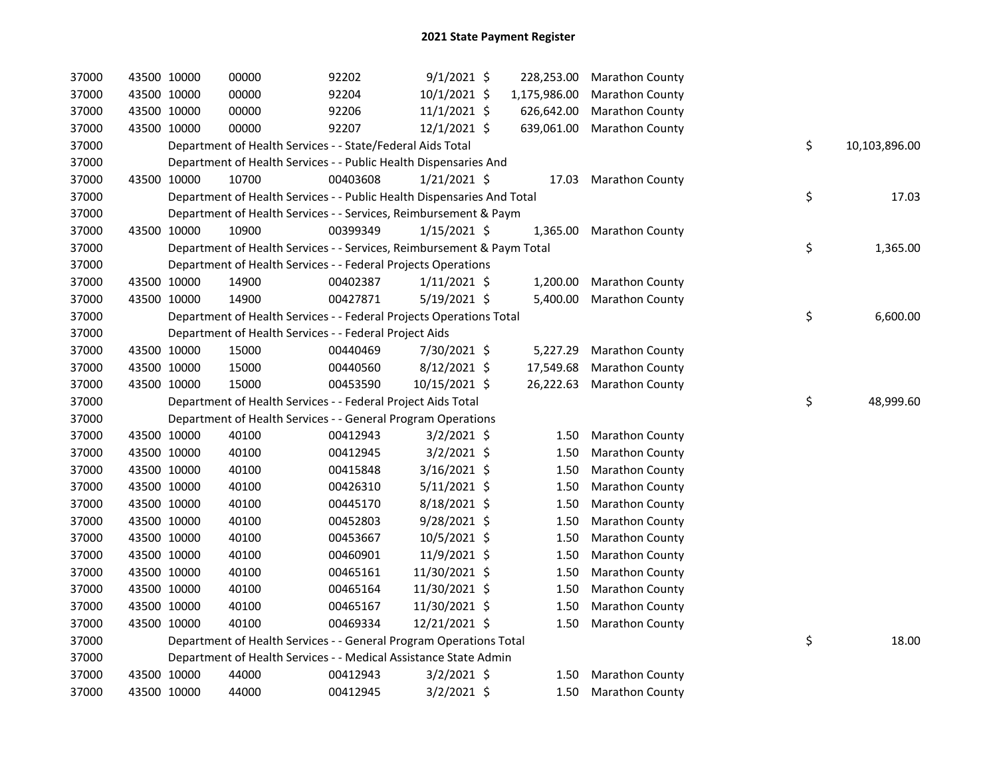| 37000 | 43500 10000 |             | 00000                                                                  | 92202    | $9/1/2021$ \$  | 228,253.00   | <b>Marathon County</b>    |    |               |
|-------|-------------|-------------|------------------------------------------------------------------------|----------|----------------|--------------|---------------------------|----|---------------|
| 37000 | 43500 10000 |             | 00000                                                                  | 92204    | 10/1/2021 \$   | 1,175,986.00 | Marathon County           |    |               |
| 37000 | 43500 10000 |             | 00000                                                                  | 92206    | $11/1/2021$ \$ | 626,642.00   | Marathon County           |    |               |
| 37000 | 43500 10000 |             | 00000                                                                  | 92207    | $12/1/2021$ \$ | 639,061.00   | <b>Marathon County</b>    |    |               |
| 37000 |             |             | Department of Health Services - - State/Federal Aids Total             |          |                |              |                           | \$ | 10,103,896.00 |
| 37000 |             |             | Department of Health Services - - Public Health Dispensaries And       |          |                |              |                           |    |               |
| 37000 | 43500 10000 |             | 10700                                                                  | 00403608 | $1/21/2021$ \$ | 17.03        | <b>Marathon County</b>    |    |               |
| 37000 |             |             | Department of Health Services - - Public Health Dispensaries And Total |          |                |              |                           | \$ | 17.03         |
| 37000 |             |             | Department of Health Services - - Services, Reimbursement & Paym       |          |                |              |                           |    |               |
| 37000 | 43500 10000 |             | 10900                                                                  | 00399349 | $1/15/2021$ \$ | 1,365.00     | <b>Marathon County</b>    |    |               |
| 37000 |             |             | Department of Health Services - - Services, Reimbursement & Paym Total |          |                |              |                           | \$ | 1,365.00      |
| 37000 |             |             | Department of Health Services - - Federal Projects Operations          |          |                |              |                           |    |               |
| 37000 |             | 43500 10000 | 14900                                                                  | 00402387 | $1/11/2021$ \$ | 1,200.00     | <b>Marathon County</b>    |    |               |
| 37000 |             | 43500 10000 | 14900                                                                  | 00427871 | 5/19/2021 \$   | 5,400.00     | <b>Marathon County</b>    |    |               |
| 37000 |             |             | Department of Health Services - - Federal Projects Operations Total    |          |                |              |                           | \$ | 6,600.00      |
| 37000 |             |             | Department of Health Services - - Federal Project Aids                 |          |                |              |                           |    |               |
| 37000 | 43500 10000 |             | 15000                                                                  | 00440469 | 7/30/2021 \$   | 5,227.29     | <b>Marathon County</b>    |    |               |
| 37000 | 43500 10000 |             | 15000                                                                  | 00440560 | $8/12/2021$ \$ | 17,549.68    | <b>Marathon County</b>    |    |               |
| 37000 | 43500 10000 |             | 15000                                                                  | 00453590 | 10/15/2021 \$  |              | 26,222.63 Marathon County |    |               |
| 37000 |             |             | Department of Health Services - - Federal Project Aids Total           |          |                |              |                           | \$ | 48,999.60     |
| 37000 |             |             | Department of Health Services - - General Program Operations           |          |                |              |                           |    |               |
| 37000 |             | 43500 10000 | 40100                                                                  | 00412943 | $3/2/2021$ \$  | 1.50         | <b>Marathon County</b>    |    |               |
| 37000 |             | 43500 10000 | 40100                                                                  | 00412945 | $3/2/2021$ \$  | 1.50         | <b>Marathon County</b>    |    |               |
| 37000 | 43500 10000 |             | 40100                                                                  | 00415848 | 3/16/2021 \$   | 1.50         | Marathon County           |    |               |
| 37000 | 43500 10000 |             | 40100                                                                  | 00426310 | $5/11/2021$ \$ | 1.50         | <b>Marathon County</b>    |    |               |
| 37000 | 43500 10000 |             | 40100                                                                  | 00445170 | 8/18/2021 \$   | 1.50         | Marathon County           |    |               |
| 37000 | 43500 10000 |             | 40100                                                                  | 00452803 | $9/28/2021$ \$ | 1.50         | <b>Marathon County</b>    |    |               |
| 37000 | 43500 10000 |             | 40100                                                                  | 00453667 | 10/5/2021 \$   | 1.50         | <b>Marathon County</b>    |    |               |
| 37000 | 43500 10000 |             | 40100                                                                  | 00460901 | 11/9/2021 \$   | 1.50         | Marathon County           |    |               |
| 37000 | 43500 10000 |             | 40100                                                                  | 00465161 | 11/30/2021 \$  | 1.50         | <b>Marathon County</b>    |    |               |
| 37000 | 43500 10000 |             | 40100                                                                  | 00465164 | 11/30/2021 \$  | 1.50         | <b>Marathon County</b>    |    |               |
| 37000 | 43500 10000 |             | 40100                                                                  | 00465167 | 11/30/2021 \$  | 1.50         | <b>Marathon County</b>    |    |               |
| 37000 | 43500 10000 |             | 40100                                                                  | 00469334 | 12/21/2021 \$  | 1.50         | <b>Marathon County</b>    |    |               |
| 37000 |             |             | Department of Health Services - - General Program Operations Total     |          |                |              |                           | \$ | 18.00         |
| 37000 |             |             | Department of Health Services - - Medical Assistance State Admin       |          |                |              |                           |    |               |
| 37000 |             | 43500 10000 | 44000                                                                  | 00412943 | $3/2/2021$ \$  | 1.50         | <b>Marathon County</b>    |    |               |
| 37000 | 43500 10000 |             | 44000                                                                  | 00412945 | $3/2/2021$ \$  | 1.50         | <b>Marathon County</b>    |    |               |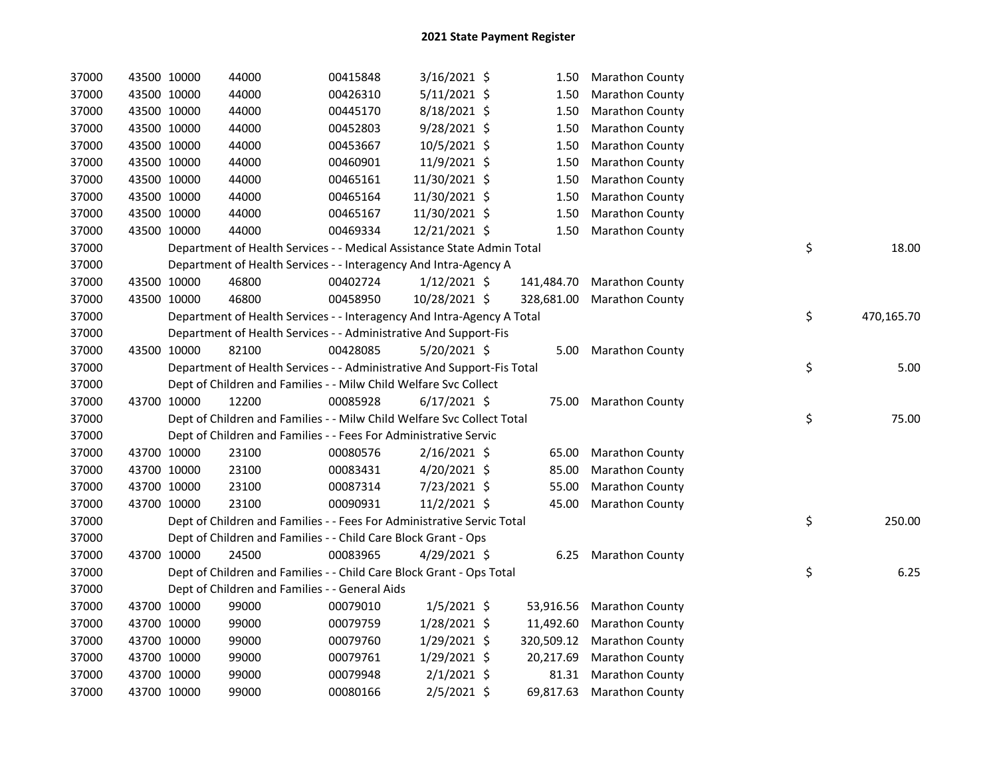| 37000 |             | 43500 10000 | 44000                                                                  | 00415848 | 3/16/2021 \$   | 1.50       | <b>Marathon County</b> |    |            |
|-------|-------------|-------------|------------------------------------------------------------------------|----------|----------------|------------|------------------------|----|------------|
| 37000 | 43500 10000 |             | 44000                                                                  | 00426310 | 5/11/2021 \$   | 1.50       | <b>Marathon County</b> |    |            |
| 37000 | 43500 10000 |             | 44000                                                                  | 00445170 | 8/18/2021 \$   | 1.50       | <b>Marathon County</b> |    |            |
| 37000 |             | 43500 10000 | 44000                                                                  | 00452803 | $9/28/2021$ \$ | 1.50       | <b>Marathon County</b> |    |            |
| 37000 |             | 43500 10000 | 44000                                                                  | 00453667 | 10/5/2021 \$   | 1.50       | <b>Marathon County</b> |    |            |
| 37000 |             | 43500 10000 | 44000                                                                  | 00460901 | 11/9/2021 \$   | 1.50       | <b>Marathon County</b> |    |            |
| 37000 | 43500 10000 |             | 44000                                                                  | 00465161 | 11/30/2021 \$  | 1.50       | <b>Marathon County</b> |    |            |
| 37000 |             | 43500 10000 | 44000                                                                  | 00465164 | 11/30/2021 \$  | 1.50       | <b>Marathon County</b> |    |            |
| 37000 |             | 43500 10000 | 44000                                                                  | 00465167 | 11/30/2021 \$  | 1.50       | <b>Marathon County</b> |    |            |
| 37000 |             | 43500 10000 | 44000                                                                  | 00469334 | 12/21/2021 \$  | 1.50       | <b>Marathon County</b> |    |            |
| 37000 |             |             | Department of Health Services - - Medical Assistance State Admin Total |          |                |            |                        | \$ | 18.00      |
| 37000 |             |             | Department of Health Services - - Interagency And Intra-Agency A       |          |                |            |                        |    |            |
| 37000 |             | 43500 10000 | 46800                                                                  | 00402724 | $1/12/2021$ \$ | 141,484.70 | <b>Marathon County</b> |    |            |
| 37000 |             | 43500 10000 | 46800                                                                  | 00458950 | 10/28/2021 \$  | 328,681.00 | <b>Marathon County</b> |    |            |
| 37000 |             |             | Department of Health Services - - Interagency And Intra-Agency A Total |          |                |            |                        | \$ | 470,165.70 |
| 37000 |             |             | Department of Health Services - - Administrative And Support-Fis       |          |                |            |                        |    |            |
| 37000 |             | 43500 10000 | 82100                                                                  | 00428085 | $5/20/2021$ \$ | 5.00       | <b>Marathon County</b> |    |            |
| 37000 |             |             | Department of Health Services - - Administrative And Support-Fis Total |          |                |            |                        | \$ | 5.00       |
| 37000 |             |             | Dept of Children and Families - - Milw Child Welfare Svc Collect       |          |                |            |                        |    |            |
| 37000 |             | 43700 10000 | 12200                                                                  | 00085928 | $6/17/2021$ \$ |            | 75.00 Marathon County  |    |            |
| 37000 |             |             | Dept of Children and Families - - Milw Child Welfare Svc Collect Total |          |                |            |                        | \$ | 75.00      |
| 37000 |             |             | Dept of Children and Families - - Fees For Administrative Servic       |          |                |            |                        |    |            |
| 37000 | 43700 10000 |             | 23100                                                                  | 00080576 | $2/16/2021$ \$ | 65.00      | Marathon County        |    |            |
| 37000 | 43700 10000 |             | 23100                                                                  | 00083431 | 4/20/2021 \$   | 85.00      | <b>Marathon County</b> |    |            |
| 37000 | 43700 10000 |             | 23100                                                                  | 00087314 | 7/23/2021 \$   | 55.00      | <b>Marathon County</b> |    |            |
| 37000 |             | 43700 10000 | 23100                                                                  | 00090931 | $11/2/2021$ \$ | 45.00      | <b>Marathon County</b> |    |            |
| 37000 |             |             | Dept of Children and Families - - Fees For Administrative Servic Total |          |                |            |                        | \$ | 250.00     |
| 37000 |             |             | Dept of Children and Families - - Child Care Block Grant - Ops         |          |                |            |                        |    |            |
| 37000 |             | 43700 10000 | 24500                                                                  | 00083965 | $4/29/2021$ \$ |            | 6.25 Marathon County   |    |            |
| 37000 |             |             | Dept of Children and Families - - Child Care Block Grant - Ops Total   |          |                |            |                        | \$ | 6.25       |
| 37000 |             |             | Dept of Children and Families - - General Aids                         |          |                |            |                        |    |            |
| 37000 |             | 43700 10000 | 99000                                                                  | 00079010 | $1/5/2021$ \$  | 53,916.56  | <b>Marathon County</b> |    |            |
| 37000 |             | 43700 10000 | 99000                                                                  | 00079759 | 1/28/2021 \$   | 11,492.60  | <b>Marathon County</b> |    |            |
| 37000 | 43700 10000 |             | 99000                                                                  | 00079760 | $1/29/2021$ \$ | 320,509.12 | <b>Marathon County</b> |    |            |
| 37000 | 43700 10000 |             | 99000                                                                  | 00079761 | 1/29/2021 \$   | 20,217.69  | <b>Marathon County</b> |    |            |
| 37000 |             | 43700 10000 | 99000                                                                  | 00079948 | $2/1/2021$ \$  | 81.31      | <b>Marathon County</b> |    |            |
| 37000 |             | 43700 10000 | 99000                                                                  | 00080166 | $2/5/2021$ \$  | 69,817.63  | <b>Marathon County</b> |    |            |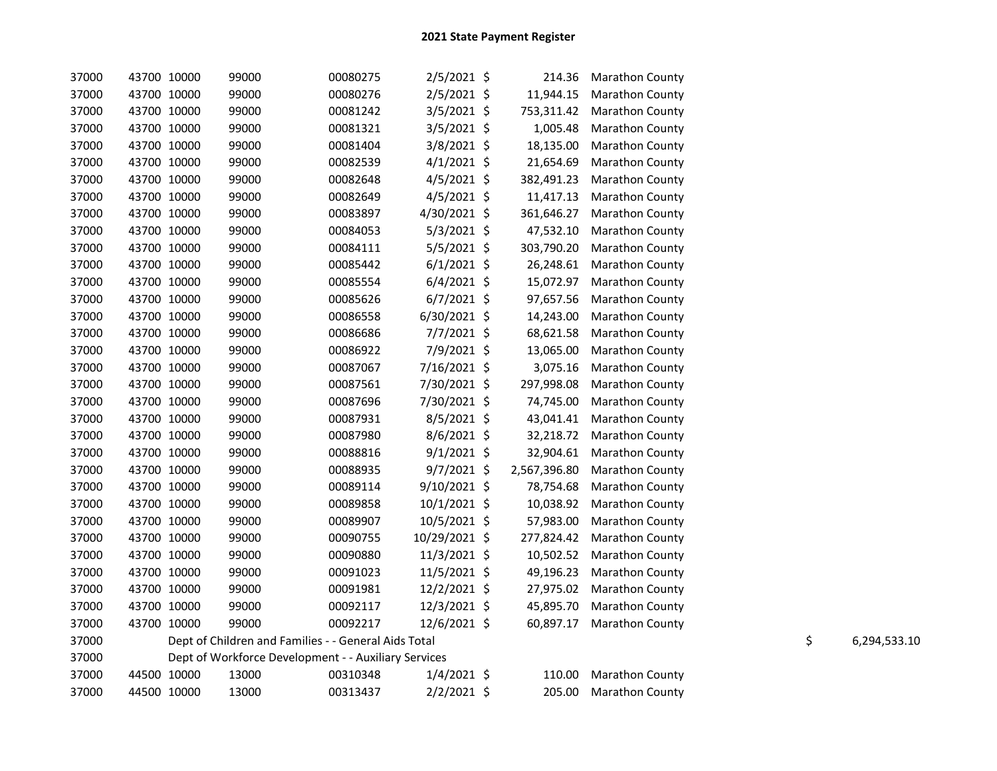| 37000 |             | 43700 10000 | 99000                                                | 00080275 | 2/5/2021 \$    | 214.36       | <b>Marathon County</b> |    |              |
|-------|-------------|-------------|------------------------------------------------------|----------|----------------|--------------|------------------------|----|--------------|
| 37000 |             | 43700 10000 | 99000                                                | 00080276 | 2/5/2021 \$    | 11,944.15    | Marathon County        |    |              |
| 37000 | 43700 10000 |             | 99000                                                | 00081242 | $3/5/2021$ \$  | 753,311.42   | Marathon County        |    |              |
| 37000 | 43700 10000 |             | 99000                                                | 00081321 | 3/5/2021 \$    | 1,005.48     | <b>Marathon County</b> |    |              |
| 37000 | 43700 10000 |             | 99000                                                | 00081404 | 3/8/2021 \$    | 18,135.00    | Marathon County        |    |              |
| 37000 | 43700 10000 |             | 99000                                                | 00082539 | $4/1/2021$ \$  | 21,654.69    | Marathon County        |    |              |
| 37000 | 43700 10000 |             | 99000                                                | 00082648 | $4/5/2021$ \$  | 382,491.23   | Marathon County        |    |              |
| 37000 | 43700 10000 |             | 99000                                                | 00082649 | $4/5/2021$ \$  | 11,417.13    | Marathon County        |    |              |
| 37000 | 43700 10000 |             | 99000                                                | 00083897 | 4/30/2021 \$   | 361,646.27   | Marathon County        |    |              |
| 37000 | 43700 10000 |             | 99000                                                | 00084053 | $5/3/2021$ \$  | 47,532.10    | Marathon County        |    |              |
| 37000 | 43700 10000 |             | 99000                                                | 00084111 | $5/5/2021$ \$  | 303,790.20   | Marathon County        |    |              |
| 37000 | 43700 10000 |             | 99000                                                | 00085442 | $6/1/2021$ \$  | 26,248.61    | Marathon County        |    |              |
| 37000 | 43700 10000 |             | 99000                                                | 00085554 | $6/4/2021$ \$  | 15,072.97    | Marathon County        |    |              |
| 37000 | 43700 10000 |             | 99000                                                | 00085626 | $6/7/2021$ \$  | 97,657.56    | Marathon County        |    |              |
| 37000 | 43700 10000 |             | 99000                                                | 00086558 | $6/30/2021$ \$ | 14,243.00    | Marathon County        |    |              |
| 37000 | 43700 10000 |             | 99000                                                | 00086686 | 7/7/2021 \$    | 68,621.58    | Marathon County        |    |              |
| 37000 | 43700 10000 |             | 99000                                                | 00086922 | 7/9/2021 \$    | 13,065.00    | Marathon County        |    |              |
| 37000 | 43700 10000 |             | 99000                                                | 00087067 | 7/16/2021 \$   | 3,075.16     | Marathon County        |    |              |
| 37000 | 43700 10000 |             | 99000                                                | 00087561 | 7/30/2021 \$   | 297,998.08   | Marathon County        |    |              |
| 37000 | 43700 10000 |             | 99000                                                | 00087696 | 7/30/2021 \$   | 74,745.00    | Marathon County        |    |              |
| 37000 | 43700 10000 |             | 99000                                                | 00087931 | 8/5/2021 \$    | 43,041.41    | Marathon County        |    |              |
| 37000 | 43700 10000 |             | 99000                                                | 00087980 | $8/6/2021$ \$  | 32,218.72    | Marathon County        |    |              |
| 37000 | 43700 10000 |             | 99000                                                | 00088816 | $9/1/2021$ \$  | 32,904.61    | Marathon County        |    |              |
| 37000 | 43700 10000 |             | 99000                                                | 00088935 | 9/7/2021 \$    | 2,567,396.80 | Marathon County        |    |              |
| 37000 | 43700 10000 |             | 99000                                                | 00089114 | $9/10/2021$ \$ | 78,754.68    | Marathon County        |    |              |
| 37000 | 43700 10000 |             | 99000                                                | 00089858 | $10/1/2021$ \$ | 10,038.92    | Marathon County        |    |              |
| 37000 | 43700 10000 |             | 99000                                                | 00089907 | 10/5/2021 \$   | 57,983.00    | Marathon County        |    |              |
| 37000 | 43700 10000 |             | 99000                                                | 00090755 | 10/29/2021 \$  | 277,824.42   | Marathon County        |    |              |
| 37000 | 43700 10000 |             | 99000                                                | 00090880 | 11/3/2021 \$   | 10,502.52    | Marathon County        |    |              |
| 37000 |             | 43700 10000 | 99000                                                | 00091023 | 11/5/2021 \$   | 49,196.23    | Marathon County        |    |              |
| 37000 | 43700 10000 |             | 99000                                                | 00091981 | 12/2/2021 \$   | 27,975.02    | Marathon County        |    |              |
| 37000 | 43700 10000 |             | 99000                                                | 00092117 | 12/3/2021 \$   | 45,895.70    | Marathon County        |    |              |
| 37000 |             | 43700 10000 | 99000                                                | 00092217 | 12/6/2021 \$   | 60,897.17    | Marathon County        |    |              |
| 37000 |             |             | Dept of Children and Families - - General Aids Total |          |                |              |                        | \$ | 6,294,533.10 |
| 37000 |             |             | Dept of Workforce Development - - Auxiliary Services |          |                |              |                        |    |              |
| 37000 |             | 44500 10000 | 13000                                                | 00310348 | $1/4/2021$ \$  | 110.00       | Marathon County        |    |              |
| 37000 |             | 44500 10000 | 13000                                                | 00313437 | $2/2/2021$ \$  | 205.00       | <b>Marathon County</b> |    |              |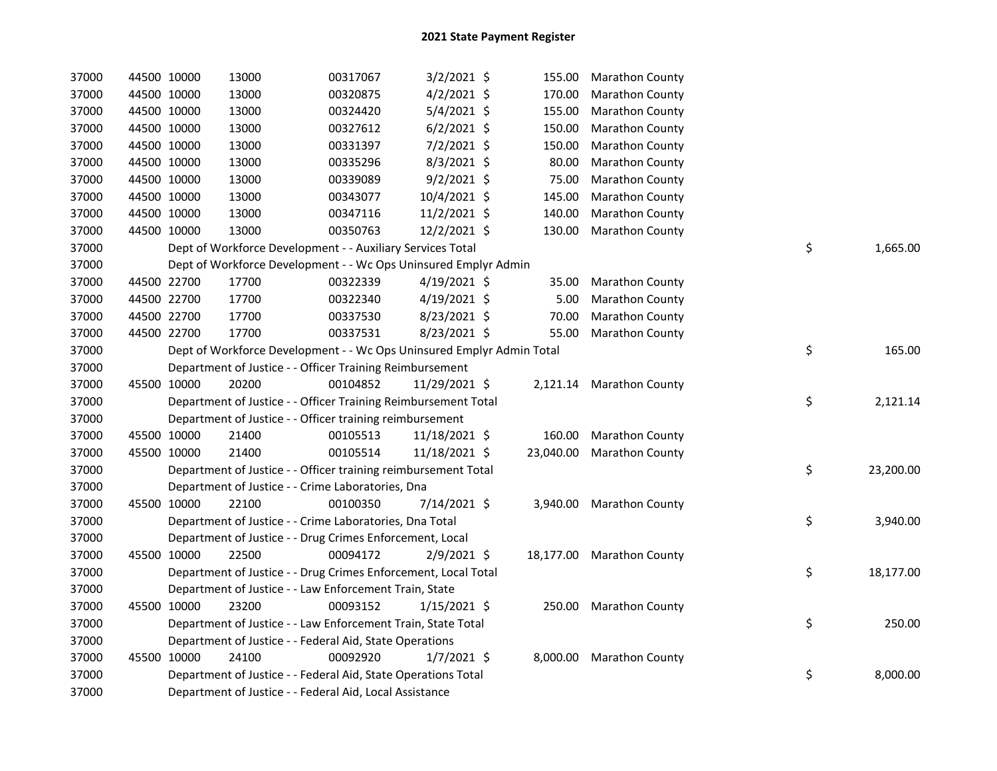|  | 13000                                                                                                                                                                                                                                                                                                                   | 00317067 |                                                                                                                                                                                                                                                                                                                                                                                                                                                                                                                                                | 155.00                                                                                                                                                                                                                                                                                                                                                                                                                                                                                                                                                                                                                                                                                            | <b>Marathon County</b>                                                                                                                                |                                                                                   |                 |
|--|-------------------------------------------------------------------------------------------------------------------------------------------------------------------------------------------------------------------------------------------------------------------------------------------------------------------------|----------|------------------------------------------------------------------------------------------------------------------------------------------------------------------------------------------------------------------------------------------------------------------------------------------------------------------------------------------------------------------------------------------------------------------------------------------------------------------------------------------------------------------------------------------------|---------------------------------------------------------------------------------------------------------------------------------------------------------------------------------------------------------------------------------------------------------------------------------------------------------------------------------------------------------------------------------------------------------------------------------------------------------------------------------------------------------------------------------------------------------------------------------------------------------------------------------------------------------------------------------------------------|-------------------------------------------------------------------------------------------------------------------------------------------------------|-----------------------------------------------------------------------------------|-----------------|
|  | 13000                                                                                                                                                                                                                                                                                                                   | 00320875 |                                                                                                                                                                                                                                                                                                                                                                                                                                                                                                                                                | 170.00                                                                                                                                                                                                                                                                                                                                                                                                                                                                                                                                                                                                                                                                                            | Marathon County                                                                                                                                       |                                                                                   |                 |
|  | 13000                                                                                                                                                                                                                                                                                                                   | 00324420 |                                                                                                                                                                                                                                                                                                                                                                                                                                                                                                                                                | 155.00                                                                                                                                                                                                                                                                                                                                                                                                                                                                                                                                                                                                                                                                                            | Marathon County                                                                                                                                       |                                                                                   |                 |
|  | 13000                                                                                                                                                                                                                                                                                                                   | 00327612 |                                                                                                                                                                                                                                                                                                                                                                                                                                                                                                                                                | 150.00                                                                                                                                                                                                                                                                                                                                                                                                                                                                                                                                                                                                                                                                                            | Marathon County                                                                                                                                       |                                                                                   |                 |
|  | 13000                                                                                                                                                                                                                                                                                                                   | 00331397 |                                                                                                                                                                                                                                                                                                                                                                                                                                                                                                                                                | 150.00                                                                                                                                                                                                                                                                                                                                                                                                                                                                                                                                                                                                                                                                                            | <b>Marathon County</b>                                                                                                                                |                                                                                   |                 |
|  | 13000                                                                                                                                                                                                                                                                                                                   | 00335296 |                                                                                                                                                                                                                                                                                                                                                                                                                                                                                                                                                | 80.00                                                                                                                                                                                                                                                                                                                                                                                                                                                                                                                                                                                                                                                                                             | <b>Marathon County</b>                                                                                                                                |                                                                                   |                 |
|  | 13000                                                                                                                                                                                                                                                                                                                   | 00339089 |                                                                                                                                                                                                                                                                                                                                                                                                                                                                                                                                                | 75.00                                                                                                                                                                                                                                                                                                                                                                                                                                                                                                                                                                                                                                                                                             | <b>Marathon County</b>                                                                                                                                |                                                                                   |                 |
|  | 13000                                                                                                                                                                                                                                                                                                                   | 00343077 |                                                                                                                                                                                                                                                                                                                                                                                                                                                                                                                                                | 145.00                                                                                                                                                                                                                                                                                                                                                                                                                                                                                                                                                                                                                                                                                            | Marathon County                                                                                                                                       |                                                                                   |                 |
|  | 13000                                                                                                                                                                                                                                                                                                                   | 00347116 |                                                                                                                                                                                                                                                                                                                                                                                                                                                                                                                                                | 140.00                                                                                                                                                                                                                                                                                                                                                                                                                                                                                                                                                                                                                                                                                            | <b>Marathon County</b>                                                                                                                                |                                                                                   |                 |
|  | 13000                                                                                                                                                                                                                                                                                                                   | 00350763 |                                                                                                                                                                                                                                                                                                                                                                                                                                                                                                                                                | 130.00                                                                                                                                                                                                                                                                                                                                                                                                                                                                                                                                                                                                                                                                                            | Marathon County                                                                                                                                       |                                                                                   |                 |
|  |                                                                                                                                                                                                                                                                                                                         |          |                                                                                                                                                                                                                                                                                                                                                                                                                                                                                                                                                |                                                                                                                                                                                                                                                                                                                                                                                                                                                                                                                                                                                                                                                                                                   |                                                                                                                                                       |                                                                                   | \$<br>1,665.00  |
|  |                                                                                                                                                                                                                                                                                                                         |          |                                                                                                                                                                                                                                                                                                                                                                                                                                                                                                                                                |                                                                                                                                                                                                                                                                                                                                                                                                                                                                                                                                                                                                                                                                                                   |                                                                                                                                                       |                                                                                   |                 |
|  | 17700                                                                                                                                                                                                                                                                                                                   | 00322339 |                                                                                                                                                                                                                                                                                                                                                                                                                                                                                                                                                | 35.00                                                                                                                                                                                                                                                                                                                                                                                                                                                                                                                                                                                                                                                                                             | <b>Marathon County</b>                                                                                                                                |                                                                                   |                 |
|  | 17700                                                                                                                                                                                                                                                                                                                   | 00322340 |                                                                                                                                                                                                                                                                                                                                                                                                                                                                                                                                                | 5.00                                                                                                                                                                                                                                                                                                                                                                                                                                                                                                                                                                                                                                                                                              | <b>Marathon County</b>                                                                                                                                |                                                                                   |                 |
|  | 17700                                                                                                                                                                                                                                                                                                                   | 00337530 |                                                                                                                                                                                                                                                                                                                                                                                                                                                                                                                                                | 70.00                                                                                                                                                                                                                                                                                                                                                                                                                                                                                                                                                                                                                                                                                             | <b>Marathon County</b>                                                                                                                                |                                                                                   |                 |
|  | 17700                                                                                                                                                                                                                                                                                                                   | 00337531 |                                                                                                                                                                                                                                                                                                                                                                                                                                                                                                                                                | 55.00                                                                                                                                                                                                                                                                                                                                                                                                                                                                                                                                                                                                                                                                                             | <b>Marathon County</b>                                                                                                                                |                                                                                   |                 |
|  |                                                                                                                                                                                                                                                                                                                         |          |                                                                                                                                                                                                                                                                                                                                                                                                                                                                                                                                                |                                                                                                                                                                                                                                                                                                                                                                                                                                                                                                                                                                                                                                                                                                   |                                                                                                                                                       |                                                                                   | \$<br>165.00    |
|  |                                                                                                                                                                                                                                                                                                                         |          |                                                                                                                                                                                                                                                                                                                                                                                                                                                                                                                                                |                                                                                                                                                                                                                                                                                                                                                                                                                                                                                                                                                                                                                                                                                                   |                                                                                                                                                       |                                                                                   |                 |
|  | 20200                                                                                                                                                                                                                                                                                                                   | 00104852 |                                                                                                                                                                                                                                                                                                                                                                                                                                                                                                                                                |                                                                                                                                                                                                                                                                                                                                                                                                                                                                                                                                                                                                                                                                                                   |                                                                                                                                                       |                                                                                   |                 |
|  |                                                                                                                                                                                                                                                                                                                         |          |                                                                                                                                                                                                                                                                                                                                                                                                                                                                                                                                                |                                                                                                                                                                                                                                                                                                                                                                                                                                                                                                                                                                                                                                                                                                   |                                                                                                                                                       |                                                                                   | \$<br>2,121.14  |
|  |                                                                                                                                                                                                                                                                                                                         |          |                                                                                                                                                                                                                                                                                                                                                                                                                                                                                                                                                |                                                                                                                                                                                                                                                                                                                                                                                                                                                                                                                                                                                                                                                                                                   |                                                                                                                                                       |                                                                                   |                 |
|  | 21400                                                                                                                                                                                                                                                                                                                   | 00105513 |                                                                                                                                                                                                                                                                                                                                                                                                                                                                                                                                                | 160.00                                                                                                                                                                                                                                                                                                                                                                                                                                                                                                                                                                                                                                                                                            | <b>Marathon County</b>                                                                                                                                |                                                                                   |                 |
|  | 21400                                                                                                                                                                                                                                                                                                                   | 00105514 |                                                                                                                                                                                                                                                                                                                                                                                                                                                                                                                                                |                                                                                                                                                                                                                                                                                                                                                                                                                                                                                                                                                                                                                                                                                                   | <b>Marathon County</b>                                                                                                                                |                                                                                   |                 |
|  |                                                                                                                                                                                                                                                                                                                         |          |                                                                                                                                                                                                                                                                                                                                                                                                                                                                                                                                                |                                                                                                                                                                                                                                                                                                                                                                                                                                                                                                                                                                                                                                                                                                   |                                                                                                                                                       |                                                                                   | \$<br>23,200.00 |
|  |                                                                                                                                                                                                                                                                                                                         |          |                                                                                                                                                                                                                                                                                                                                                                                                                                                                                                                                                |                                                                                                                                                                                                                                                                                                                                                                                                                                                                                                                                                                                                                                                                                                   |                                                                                                                                                       |                                                                                   |                 |
|  | 22100                                                                                                                                                                                                                                                                                                                   | 00100350 |                                                                                                                                                                                                                                                                                                                                                                                                                                                                                                                                                |                                                                                                                                                                                                                                                                                                                                                                                                                                                                                                                                                                                                                                                                                                   |                                                                                                                                                       |                                                                                   |                 |
|  |                                                                                                                                                                                                                                                                                                                         |          |                                                                                                                                                                                                                                                                                                                                                                                                                                                                                                                                                |                                                                                                                                                                                                                                                                                                                                                                                                                                                                                                                                                                                                                                                                                                   |                                                                                                                                                       |                                                                                   | \$<br>3,940.00  |
|  |                                                                                                                                                                                                                                                                                                                         |          |                                                                                                                                                                                                                                                                                                                                                                                                                                                                                                                                                |                                                                                                                                                                                                                                                                                                                                                                                                                                                                                                                                                                                                                                                                                                   |                                                                                                                                                       |                                                                                   |                 |
|  | 22500                                                                                                                                                                                                                                                                                                                   | 00094172 |                                                                                                                                                                                                                                                                                                                                                                                                                                                                                                                                                |                                                                                                                                                                                                                                                                                                                                                                                                                                                                                                                                                                                                                                                                                                   |                                                                                                                                                       |                                                                                   |                 |
|  |                                                                                                                                                                                                                                                                                                                         |          |                                                                                                                                                                                                                                                                                                                                                                                                                                                                                                                                                |                                                                                                                                                                                                                                                                                                                                                                                                                                                                                                                                                                                                                                                                                                   |                                                                                                                                                       |                                                                                   | \$<br>18,177.00 |
|  |                                                                                                                                                                                                                                                                                                                         |          |                                                                                                                                                                                                                                                                                                                                                                                                                                                                                                                                                |                                                                                                                                                                                                                                                                                                                                                                                                                                                                                                                                                                                                                                                                                                   |                                                                                                                                                       |                                                                                   |                 |
|  | 23200                                                                                                                                                                                                                                                                                                                   | 00093152 |                                                                                                                                                                                                                                                                                                                                                                                                                                                                                                                                                | 250.00                                                                                                                                                                                                                                                                                                                                                                                                                                                                                                                                                                                                                                                                                            | <b>Marathon County</b>                                                                                                                                |                                                                                   |                 |
|  |                                                                                                                                                                                                                                                                                                                         |          |                                                                                                                                                                                                                                                                                                                                                                                                                                                                                                                                                |                                                                                                                                                                                                                                                                                                                                                                                                                                                                                                                                                                                                                                                                                                   |                                                                                                                                                       |                                                                                   | \$<br>250.00    |
|  |                                                                                                                                                                                                                                                                                                                         |          |                                                                                                                                                                                                                                                                                                                                                                                                                                                                                                                                                |                                                                                                                                                                                                                                                                                                                                                                                                                                                                                                                                                                                                                                                                                                   |                                                                                                                                                       |                                                                                   |                 |
|  | 24100                                                                                                                                                                                                                                                                                                                   | 00092920 |                                                                                                                                                                                                                                                                                                                                                                                                                                                                                                                                                | 8,000.00                                                                                                                                                                                                                                                                                                                                                                                                                                                                                                                                                                                                                                                                                          | <b>Marathon County</b>                                                                                                                                |                                                                                   |                 |
|  |                                                                                                                                                                                                                                                                                                                         |          |                                                                                                                                                                                                                                                                                                                                                                                                                                                                                                                                                |                                                                                                                                                                                                                                                                                                                                                                                                                                                                                                                                                                                                                                                                                                   |                                                                                                                                                       |                                                                                   | \$<br>8,000.00  |
|  |                                                                                                                                                                                                                                                                                                                         |          |                                                                                                                                                                                                                                                                                                                                                                                                                                                                                                                                                |                                                                                                                                                                                                                                                                                                                                                                                                                                                                                                                                                                                                                                                                                                   |                                                                                                                                                       |                                                                                   |                 |
|  | 44500 10000<br>44500 10000<br>44500 10000<br>44500 10000<br>44500 10000<br>44500 10000<br>44500 10000<br>44500 10000<br>44500 10000<br>44500 10000<br>44500 22700<br>44500 22700<br>44500 22700<br>44500 22700<br>45500 10000<br>45500 10000<br>45500 10000<br>45500 10000<br>45500 10000<br>45500 10000<br>45500 10000 |          | Dept of Workforce Development - - Auxiliary Services Total<br>Department of Justice - - Officer Training Reimbursement<br>Department of Justice - - Officer training reimbursement<br>Department of Justice - - Crime Laboratories, Dna<br>Department of Justice - - Crime Laboratories, Dna Total<br>Department of Justice - - Drug Crimes Enforcement, Local<br>Department of Justice - - Law Enforcement Train, State<br>Department of Justice - - Federal Aid, State Operations<br>Department of Justice - - Federal Aid, Local Assistance | $3/2/2021$ \$<br>$4/2/2021$ \$<br>5/4/2021 \$<br>$6/2/2021$ \$<br>$7/2/2021$ \$<br>8/3/2021 \$<br>$9/2/2021$ \$<br>10/4/2021 \$<br>11/2/2021 \$<br>12/2/2021 \$<br>$4/19/2021$ \$<br>$4/19/2021$ \$<br>8/23/2021 \$<br>8/23/2021 \$<br>11/29/2021 \$<br>Department of Justice - - Officer Training Reimbursement Total<br>11/18/2021 \$<br>11/18/2021 \$<br>Department of Justice - - Officer training reimbursement Total<br>7/14/2021 \$<br>$2/9/2021$ \$<br>Department of Justice - - Drug Crimes Enforcement, Local Total<br>$1/15/2021$ \$<br>Department of Justice - - Law Enforcement Train, State Total<br>$1/7/2021$ \$<br>Department of Justice - - Federal Aid, State Operations Total | Dept of Workforce Development - - Wc Ops Uninsured Emplyr Admin<br>Dept of Workforce Development - - Wc Ops Uninsured Emplyr Admin Total<br>23,040.00 | 2,121.14 Marathon County<br>3,940.00 Marathon County<br>18,177.00 Marathon County |                 |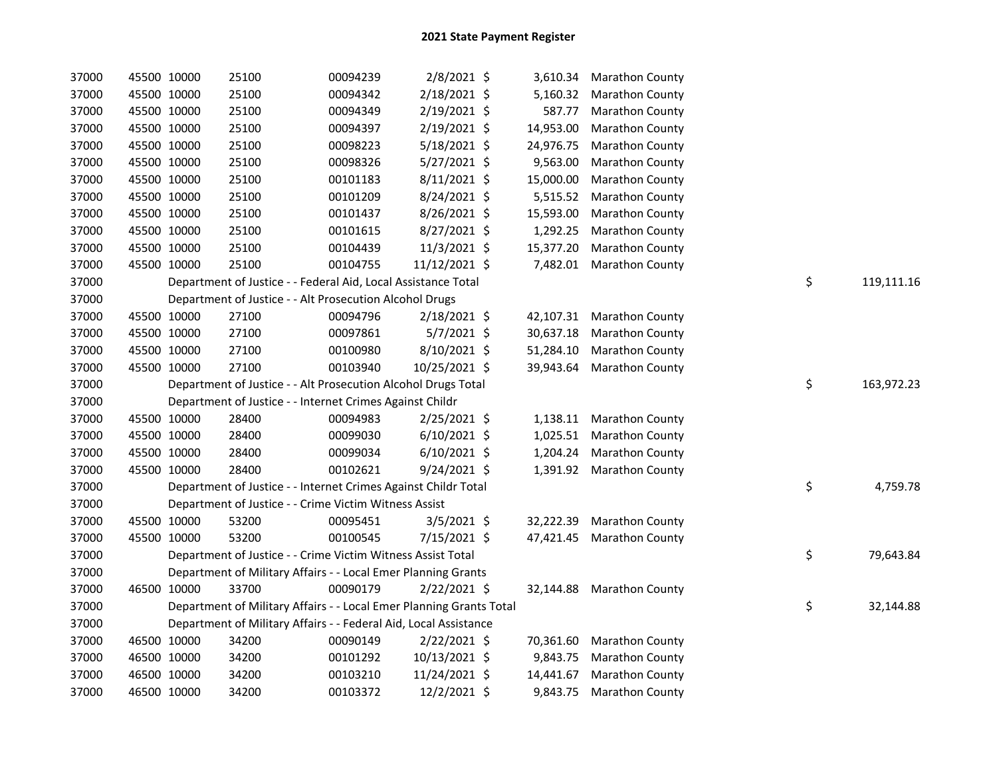| 37000 |             | 45500 10000 | 25100                                                               | 00094239 | 2/8/2021 \$    | 3,610.34  | <b>Marathon County</b> |    |            |
|-------|-------------|-------------|---------------------------------------------------------------------|----------|----------------|-----------|------------------------|----|------------|
| 37000 |             | 45500 10000 | 25100                                                               | 00094342 | 2/18/2021 \$   | 5,160.32  | <b>Marathon County</b> |    |            |
| 37000 |             | 45500 10000 | 25100                                                               | 00094349 | 2/19/2021 \$   | 587.77    | <b>Marathon County</b> |    |            |
| 37000 |             | 45500 10000 | 25100                                                               | 00094397 | 2/19/2021 \$   | 14,953.00 | <b>Marathon County</b> |    |            |
| 37000 |             | 45500 10000 | 25100                                                               | 00098223 | 5/18/2021 \$   | 24,976.75 | Marathon County        |    |            |
| 37000 |             | 45500 10000 | 25100                                                               | 00098326 | 5/27/2021 \$   | 9,563.00  | <b>Marathon County</b> |    |            |
| 37000 |             | 45500 10000 | 25100                                                               | 00101183 | 8/11/2021 \$   | 15,000.00 | <b>Marathon County</b> |    |            |
| 37000 |             | 45500 10000 | 25100                                                               | 00101209 | 8/24/2021 \$   | 5,515.52  | <b>Marathon County</b> |    |            |
| 37000 |             | 45500 10000 | 25100                                                               | 00101437 | 8/26/2021 \$   | 15,593.00 | Marathon County        |    |            |
| 37000 |             | 45500 10000 | 25100                                                               | 00101615 | 8/27/2021 \$   | 1,292.25  | <b>Marathon County</b> |    |            |
| 37000 |             | 45500 10000 | 25100                                                               | 00104439 | 11/3/2021 \$   | 15,377.20 | <b>Marathon County</b> |    |            |
| 37000 |             | 45500 10000 | 25100                                                               | 00104755 | 11/12/2021 \$  | 7,482.01  | <b>Marathon County</b> |    |            |
| 37000 |             |             | Department of Justice - - Federal Aid, Local Assistance Total       |          |                |           |                        | \$ | 119,111.16 |
| 37000 |             |             | Department of Justice - - Alt Prosecution Alcohol Drugs             |          |                |           |                        |    |            |
| 37000 |             | 45500 10000 | 27100                                                               | 00094796 | 2/18/2021 \$   | 42,107.31 | <b>Marathon County</b> |    |            |
| 37000 |             | 45500 10000 | 27100                                                               | 00097861 | 5/7/2021 \$    | 30,637.18 | Marathon County        |    |            |
| 37000 |             | 45500 10000 | 27100                                                               | 00100980 | 8/10/2021 \$   | 51,284.10 | <b>Marathon County</b> |    |            |
| 37000 |             | 45500 10000 | 27100                                                               | 00103940 | 10/25/2021 \$  | 39,943.64 | <b>Marathon County</b> |    |            |
| 37000 |             |             | Department of Justice - - Alt Prosecution Alcohol Drugs Total       |          |                |           |                        | \$ | 163,972.23 |
| 37000 |             |             | Department of Justice - - Internet Crimes Against Childr            |          |                |           |                        |    |            |
| 37000 |             | 45500 10000 | 28400                                                               | 00094983 | $2/25/2021$ \$ | 1,138.11  | <b>Marathon County</b> |    |            |
| 37000 |             | 45500 10000 | 28400                                                               | 00099030 | $6/10/2021$ \$ | 1,025.51  | <b>Marathon County</b> |    |            |
| 37000 |             | 45500 10000 | 28400                                                               | 00099034 | $6/10/2021$ \$ | 1,204.24  | <b>Marathon County</b> |    |            |
| 37000 |             | 45500 10000 | 28400                                                               | 00102621 | 9/24/2021 \$   | 1,391.92  | <b>Marathon County</b> |    |            |
| 37000 |             |             | Department of Justice - - Internet Crimes Against Childr Total      |          |                |           |                        | \$ | 4,759.78   |
| 37000 |             |             | Department of Justice - - Crime Victim Witness Assist               |          |                |           |                        |    |            |
| 37000 |             | 45500 10000 | 53200                                                               | 00095451 | $3/5/2021$ \$  | 32,222.39 | Marathon County        |    |            |
| 37000 |             | 45500 10000 | 53200                                                               | 00100545 | 7/15/2021 \$   | 47,421.45 | <b>Marathon County</b> |    |            |
| 37000 |             |             | Department of Justice - - Crime Victim Witness Assist Total         |          |                |           |                        | \$ | 79,643.84  |
| 37000 |             |             | Department of Military Affairs - - Local Emer Planning Grants       |          |                |           |                        |    |            |
| 37000 |             | 46500 10000 | 33700                                                               | 00090179 | 2/22/2021 \$   | 32,144.88 | <b>Marathon County</b> |    |            |
| 37000 |             |             | Department of Military Affairs - - Local Emer Planning Grants Total |          |                |           |                        | \$ | 32,144.88  |
| 37000 |             |             | Department of Military Affairs - - Federal Aid, Local Assistance    |          |                |           |                        |    |            |
| 37000 |             | 46500 10000 | 34200                                                               | 00090149 | $2/22/2021$ \$ | 70,361.60 | <b>Marathon County</b> |    |            |
| 37000 |             | 46500 10000 | 34200                                                               | 00101292 | 10/13/2021 \$  | 9,843.75  | <b>Marathon County</b> |    |            |
| 37000 | 46500 10000 |             | 34200                                                               | 00103210 | 11/24/2021 \$  | 14,441.67 | <b>Marathon County</b> |    |            |
| 37000 | 46500 10000 |             | 34200                                                               | 00103372 | 12/2/2021 \$   | 9,843.75  | <b>Marathon County</b> |    |            |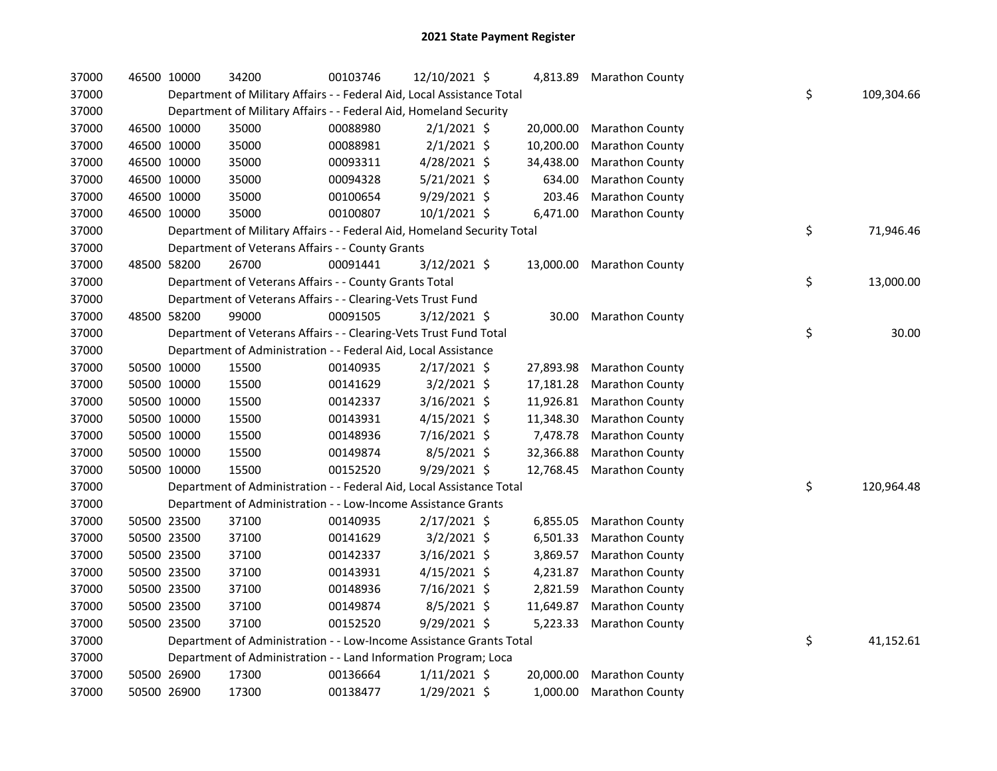| 37000 | 46500 10000 |             | 34200                                                                   | 00103746 | 12/10/2021 \$  |           | 4,813.89 Marathon County  |    |            |
|-------|-------------|-------------|-------------------------------------------------------------------------|----------|----------------|-----------|---------------------------|----|------------|
| 37000 |             |             | Department of Military Affairs - - Federal Aid, Local Assistance Total  |          |                |           |                           | \$ | 109,304.66 |
| 37000 |             |             | Department of Military Affairs - - Federal Aid, Homeland Security       |          |                |           |                           |    |            |
| 37000 |             | 46500 10000 | 35000                                                                   | 00088980 | $2/1/2021$ \$  | 20,000.00 | <b>Marathon County</b>    |    |            |
| 37000 |             | 46500 10000 | 35000                                                                   | 00088981 | $2/1/2021$ \$  | 10,200.00 | Marathon County           |    |            |
| 37000 |             | 46500 10000 | 35000                                                                   | 00093311 | 4/28/2021 \$   | 34,438.00 | Marathon County           |    |            |
| 37000 |             | 46500 10000 | 35000                                                                   | 00094328 | $5/21/2021$ \$ | 634.00    | Marathon County           |    |            |
| 37000 |             | 46500 10000 | 35000                                                                   | 00100654 | 9/29/2021 \$   | 203.46    | Marathon County           |    |            |
| 37000 | 46500 10000 |             | 35000                                                                   | 00100807 | 10/1/2021 \$   | 6,471.00  | Marathon County           |    |            |
| 37000 |             |             | Department of Military Affairs - - Federal Aid, Homeland Security Total |          |                |           |                           | \$ | 71,946.46  |
| 37000 |             |             | Department of Veterans Affairs - - County Grants                        |          |                |           |                           |    |            |
| 37000 |             | 48500 58200 | 26700                                                                   | 00091441 | 3/12/2021 \$   |           | 13,000.00 Marathon County |    |            |
| 37000 |             |             | Department of Veterans Affairs - - County Grants Total                  |          |                |           |                           | \$ | 13,000.00  |
| 37000 |             |             | Department of Veterans Affairs - - Clearing-Vets Trust Fund             |          |                |           |                           |    |            |
| 37000 |             | 48500 58200 | 99000                                                                   | 00091505 | $3/12/2021$ \$ |           | 30.00 Marathon County     |    |            |
| 37000 |             |             | Department of Veterans Affairs - - Clearing-Vets Trust Fund Total       |          |                |           |                           | \$ | 30.00      |
| 37000 |             |             | Department of Administration - - Federal Aid, Local Assistance          |          |                |           |                           |    |            |
| 37000 |             | 50500 10000 | 15500                                                                   | 00140935 | $2/17/2021$ \$ | 27,893.98 | Marathon County           |    |            |
| 37000 |             | 50500 10000 | 15500                                                                   | 00141629 | $3/2/2021$ \$  | 17,181.28 | Marathon County           |    |            |
| 37000 |             | 50500 10000 | 15500                                                                   | 00142337 | 3/16/2021 \$   | 11,926.81 | Marathon County           |    |            |
| 37000 |             | 50500 10000 | 15500                                                                   | 00143931 | $4/15/2021$ \$ | 11,348.30 | Marathon County           |    |            |
| 37000 |             | 50500 10000 | 15500                                                                   | 00148936 | 7/16/2021 \$   | 7,478.78  | Marathon County           |    |            |
| 37000 |             | 50500 10000 | 15500                                                                   | 00149874 | 8/5/2021 \$    | 32,366.88 | Marathon County           |    |            |
| 37000 |             | 50500 10000 | 15500                                                                   | 00152520 | 9/29/2021 \$   | 12,768.45 | Marathon County           |    |            |
| 37000 |             |             | Department of Administration - - Federal Aid, Local Assistance Total    |          |                |           |                           | \$ | 120,964.48 |
| 37000 |             |             | Department of Administration - - Low-Income Assistance Grants           |          |                |           |                           |    |            |
| 37000 |             | 50500 23500 | 37100                                                                   | 00140935 | 2/17/2021 \$   | 6,855.05  | Marathon County           |    |            |
| 37000 |             | 50500 23500 | 37100                                                                   | 00141629 | $3/2/2021$ \$  | 6,501.33  | Marathon County           |    |            |
| 37000 |             | 50500 23500 | 37100                                                                   | 00142337 | $3/16/2021$ \$ | 3,869.57  | Marathon County           |    |            |
| 37000 |             | 50500 23500 | 37100                                                                   | 00143931 | $4/15/2021$ \$ | 4,231.87  | <b>Marathon County</b>    |    |            |
| 37000 |             | 50500 23500 | 37100                                                                   | 00148936 | 7/16/2021 \$   | 2,821.59  | Marathon County           |    |            |
| 37000 |             | 50500 23500 | 37100                                                                   | 00149874 | 8/5/2021 \$    | 11,649.87 | Marathon County           |    |            |
| 37000 |             | 50500 23500 | 37100                                                                   | 00152520 | $9/29/2021$ \$ | 5,223.33  | Marathon County           |    |            |
| 37000 |             |             | Department of Administration - - Low-Income Assistance Grants Total     |          |                |           |                           | \$ | 41,152.61  |
| 37000 |             |             | Department of Administration - - Land Information Program; Loca         |          |                |           |                           |    |            |
| 37000 |             | 50500 26900 | 17300                                                                   | 00136664 | $1/11/2021$ \$ | 20,000.00 | Marathon County           |    |            |
| 37000 | 50500 26900 |             | 17300                                                                   | 00138477 | 1/29/2021 \$   | 1,000.00  | <b>Marathon County</b>    |    |            |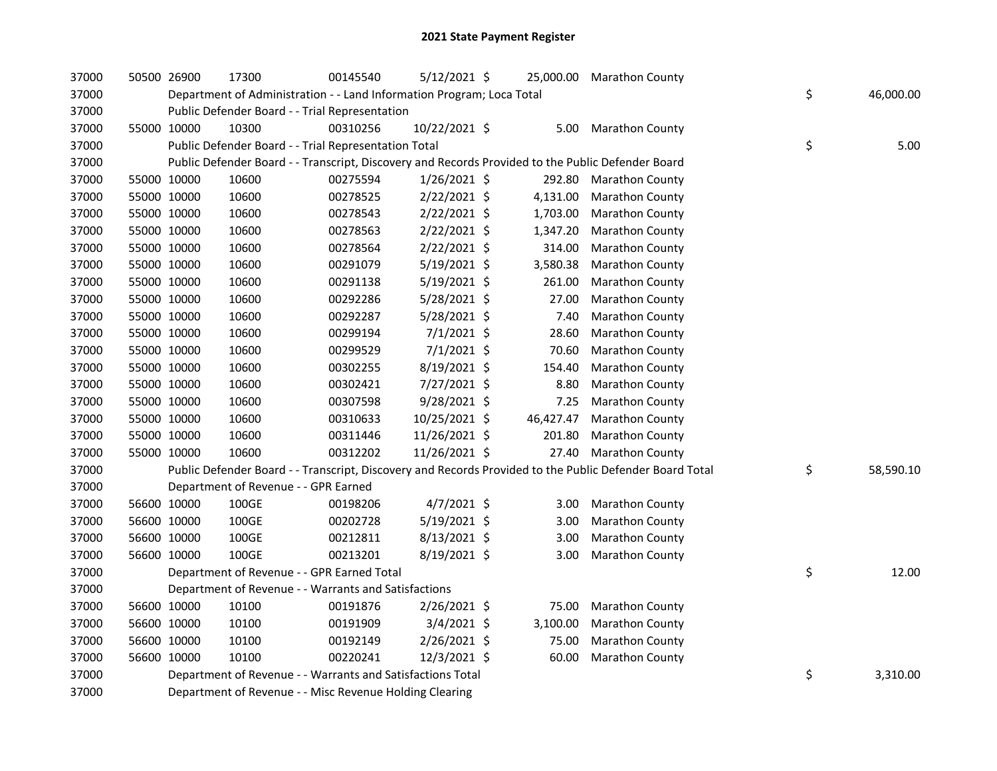| 37000 |             | 50500 26900 | 17300                                                                 | 00145540 | $5/12/2021$ \$ |           | 25,000.00 Marathon County                                                                               |                 |
|-------|-------------|-------------|-----------------------------------------------------------------------|----------|----------------|-----------|---------------------------------------------------------------------------------------------------------|-----------------|
| 37000 |             |             | Department of Administration - - Land Information Program; Loca Total |          |                |           |                                                                                                         | \$<br>46,000.00 |
| 37000 |             |             | Public Defender Board - - Trial Representation                        |          |                |           |                                                                                                         |                 |
| 37000 |             | 55000 10000 | 10300                                                                 | 00310256 | 10/22/2021 \$  | 5.00      | <b>Marathon County</b>                                                                                  |                 |
| 37000 |             |             | Public Defender Board - - Trial Representation Total                  |          |                |           |                                                                                                         | \$<br>5.00      |
| 37000 |             |             |                                                                       |          |                |           | Public Defender Board - - Transcript, Discovery and Records Provided to the Public Defender Board       |                 |
| 37000 |             | 55000 10000 | 10600                                                                 | 00275594 | $1/26/2021$ \$ | 292.80    | <b>Marathon County</b>                                                                                  |                 |
| 37000 |             | 55000 10000 | 10600                                                                 | 00278525 | 2/22/2021 \$   | 4,131.00  | Marathon County                                                                                         |                 |
| 37000 |             | 55000 10000 | 10600                                                                 | 00278543 | $2/22/2021$ \$ | 1,703.00  | Marathon County                                                                                         |                 |
| 37000 | 55000 10000 |             | 10600                                                                 | 00278563 | 2/22/2021 \$   | 1,347.20  | Marathon County                                                                                         |                 |
| 37000 | 55000 10000 |             | 10600                                                                 | 00278564 | 2/22/2021 \$   | 314.00    | <b>Marathon County</b>                                                                                  |                 |
| 37000 | 55000 10000 |             | 10600                                                                 | 00291079 | $5/19/2021$ \$ | 3,580.38  | Marathon County                                                                                         |                 |
| 37000 |             | 55000 10000 | 10600                                                                 | 00291138 | 5/19/2021 \$   | 261.00    | <b>Marathon County</b>                                                                                  |                 |
| 37000 |             | 55000 10000 | 10600                                                                 | 00292286 | 5/28/2021 \$   | 27.00     | Marathon County                                                                                         |                 |
| 37000 |             | 55000 10000 | 10600                                                                 | 00292287 | 5/28/2021 \$   | 7.40      | <b>Marathon County</b>                                                                                  |                 |
| 37000 |             | 55000 10000 | 10600                                                                 | 00299194 | $7/1/2021$ \$  | 28.60     | Marathon County                                                                                         |                 |
| 37000 |             | 55000 10000 | 10600                                                                 | 00299529 | $7/1/2021$ \$  | 70.60     | <b>Marathon County</b>                                                                                  |                 |
| 37000 |             | 55000 10000 | 10600                                                                 | 00302255 | 8/19/2021 \$   | 154.40    | <b>Marathon County</b>                                                                                  |                 |
| 37000 |             | 55000 10000 | 10600                                                                 | 00302421 | 7/27/2021 \$   | 8.80      | Marathon County                                                                                         |                 |
| 37000 |             | 55000 10000 | 10600                                                                 | 00307598 | 9/28/2021 \$   | 7.25      | Marathon County                                                                                         |                 |
| 37000 |             | 55000 10000 | 10600                                                                 | 00310633 | 10/25/2021 \$  | 46,427.47 | Marathon County                                                                                         |                 |
| 37000 |             | 55000 10000 | 10600                                                                 | 00311446 | 11/26/2021 \$  | 201.80    | <b>Marathon County</b>                                                                                  |                 |
| 37000 | 55000 10000 |             | 10600                                                                 | 00312202 | 11/26/2021 \$  | 27.40     | <b>Marathon County</b>                                                                                  |                 |
| 37000 |             |             |                                                                       |          |                |           | Public Defender Board - - Transcript, Discovery and Records Provided to the Public Defender Board Total | \$<br>58,590.10 |
| 37000 |             |             | Department of Revenue - - GPR Earned                                  |          |                |           |                                                                                                         |                 |
| 37000 |             | 56600 10000 | 100GE                                                                 | 00198206 | $4/7/2021$ \$  | 3.00      | <b>Marathon County</b>                                                                                  |                 |
| 37000 |             | 56600 10000 | 100GE                                                                 | 00202728 | 5/19/2021 \$   | 3.00      | <b>Marathon County</b>                                                                                  |                 |
| 37000 |             | 56600 10000 | 100GE                                                                 | 00212811 | 8/13/2021 \$   | 3.00      | <b>Marathon County</b>                                                                                  |                 |
| 37000 | 56600 10000 |             | 100GE                                                                 | 00213201 | $8/19/2021$ \$ | 3.00      | <b>Marathon County</b>                                                                                  |                 |
| 37000 |             |             | Department of Revenue - - GPR Earned Total                            |          |                |           |                                                                                                         | \$<br>12.00     |
| 37000 |             |             | Department of Revenue - - Warrants and Satisfactions                  |          |                |           |                                                                                                         |                 |
| 37000 |             | 56600 10000 | 10100                                                                 | 00191876 | 2/26/2021 \$   | 75.00     | <b>Marathon County</b>                                                                                  |                 |
| 37000 |             | 56600 10000 | 10100                                                                 | 00191909 | $3/4/2021$ \$  | 3,100.00  | Marathon County                                                                                         |                 |
| 37000 | 56600 10000 |             | 10100                                                                 | 00192149 | 2/26/2021 \$   | 75.00     | <b>Marathon County</b>                                                                                  |                 |
| 37000 | 56600 10000 |             | 10100                                                                 | 00220241 | 12/3/2021 \$   | 60.00     | <b>Marathon County</b>                                                                                  |                 |
| 37000 |             |             | Department of Revenue - - Warrants and Satisfactions Total            |          |                |           |                                                                                                         | \$<br>3,310.00  |
| 37000 |             |             | Department of Revenue - - Misc Revenue Holding Clearing               |          |                |           |                                                                                                         |                 |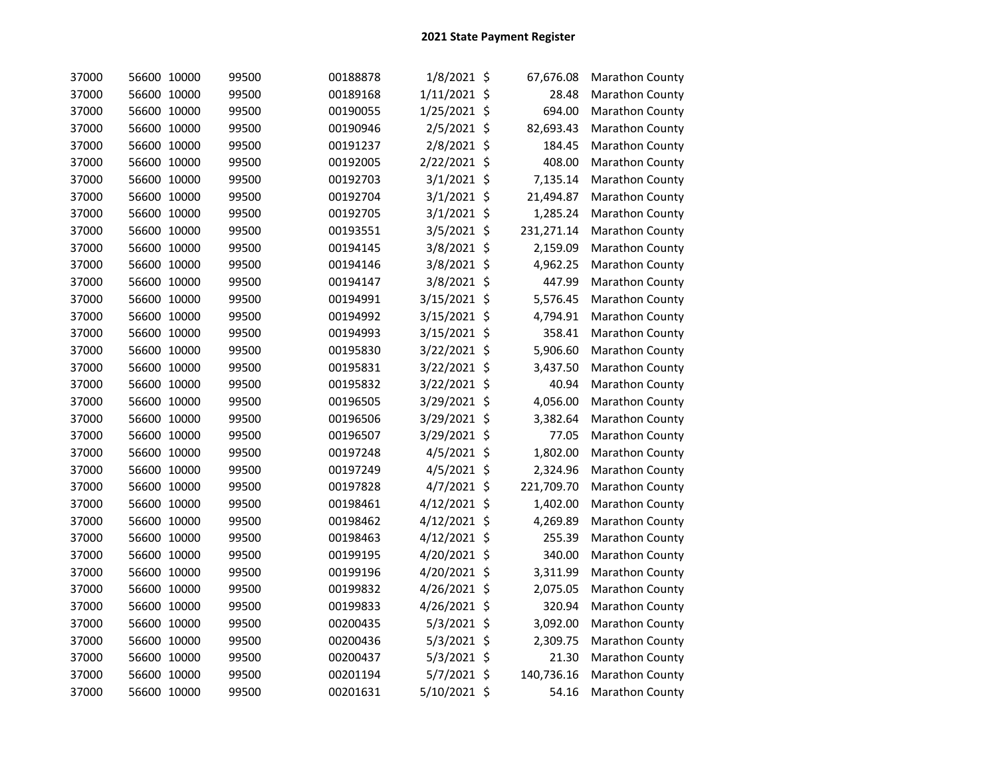| 37000 | 56600 10000 | 99500 | 00188878 | $1/8/2021$ \$ | 67,676.08  | Marathon County |
|-------|-------------|-------|----------|---------------|------------|-----------------|
| 37000 | 56600 10000 | 99500 | 00189168 | 1/11/2021 \$  | 28.48      | Marathon County |
| 37000 | 56600 10000 | 99500 | 00190055 | 1/25/2021 \$  | 694.00     | Marathon County |
| 37000 | 56600 10000 | 99500 | 00190946 | 2/5/2021 \$   | 82,693.43  | Marathon County |
| 37000 | 56600 10000 | 99500 | 00191237 | 2/8/2021 \$   | 184.45     | Marathon County |
| 37000 | 56600 10000 | 99500 | 00192005 | 2/22/2021 \$  | 408.00     | Marathon County |
| 37000 | 56600 10000 | 99500 | 00192703 | $3/1/2021$ \$ | 7,135.14   | Marathon County |
| 37000 | 56600 10000 | 99500 | 00192704 | $3/1/2021$ \$ | 21,494.87  | Marathon County |
| 37000 | 56600 10000 | 99500 | 00192705 | 3/1/2021 \$   | 1,285.24   | Marathon County |
| 37000 | 56600 10000 | 99500 | 00193551 | 3/5/2021 \$   | 231,271.14 | Marathon County |
| 37000 | 56600 10000 | 99500 | 00194145 | 3/8/2021 \$   | 2,159.09   | Marathon County |
| 37000 | 56600 10000 | 99500 | 00194146 | 3/8/2021 \$   | 4,962.25   | Marathon County |
| 37000 | 56600 10000 | 99500 | 00194147 | 3/8/2021 \$   | 447.99     | Marathon County |
| 37000 | 56600 10000 | 99500 | 00194991 | 3/15/2021 \$  | 5,576.45   | Marathon County |
| 37000 | 56600 10000 | 99500 | 00194992 | 3/15/2021 \$  | 4,794.91   | Marathon County |
| 37000 | 56600 10000 | 99500 | 00194993 | 3/15/2021 \$  | 358.41     | Marathon County |
| 37000 | 56600 10000 | 99500 | 00195830 | 3/22/2021 \$  | 5,906.60   | Marathon County |
| 37000 | 56600 10000 | 99500 | 00195831 | 3/22/2021 \$  | 3,437.50   | Marathon County |
| 37000 | 56600 10000 | 99500 | 00195832 | 3/22/2021 \$  | 40.94      | Marathon County |
| 37000 | 56600 10000 | 99500 | 00196505 | 3/29/2021 \$  | 4,056.00   | Marathon County |
| 37000 | 56600 10000 | 99500 | 00196506 | 3/29/2021 \$  | 3,382.64   | Marathon County |
| 37000 | 56600 10000 | 99500 | 00196507 | 3/29/2021 \$  | 77.05      | Marathon County |
| 37000 | 56600 10000 | 99500 | 00197248 | 4/5/2021 \$   | 1,802.00   | Marathon County |
| 37000 | 56600 10000 | 99500 | 00197249 | 4/5/2021 \$   | 2,324.96   | Marathon County |
| 37000 | 56600 10000 | 99500 | 00197828 | 4/7/2021 \$   | 221,709.70 | Marathon County |
| 37000 | 56600 10000 | 99500 | 00198461 | 4/12/2021 \$  | 1,402.00   | Marathon County |
| 37000 | 56600 10000 | 99500 | 00198462 | 4/12/2021 \$  | 4,269.89   | Marathon County |
| 37000 | 56600 10000 | 99500 | 00198463 | 4/12/2021 \$  | 255.39     | Marathon County |
| 37000 | 56600 10000 | 99500 | 00199195 | 4/20/2021 \$  | 340.00     | Marathon County |
| 37000 | 56600 10000 | 99500 | 00199196 | 4/20/2021 \$  | 3,311.99   | Marathon County |
| 37000 | 56600 10000 | 99500 | 00199832 | 4/26/2021 \$  | 2,075.05   | Marathon County |
| 37000 | 56600 10000 | 99500 | 00199833 | 4/26/2021 \$  | 320.94     | Marathon County |
| 37000 | 56600 10000 | 99500 | 00200435 | 5/3/2021 \$   | 3,092.00   | Marathon County |
| 37000 | 56600 10000 | 99500 | 00200436 | 5/3/2021 \$   | 2,309.75   | Marathon County |
| 37000 | 56600 10000 | 99500 | 00200437 | 5/3/2021 \$   | 21.30      | Marathon County |
| 37000 | 56600 10000 | 99500 | 00201194 | 5/7/2021 \$   | 140,736.16 | Marathon County |
| 37000 | 56600 10000 | 99500 | 00201631 | 5/10/2021 \$  | 54.16      | Marathon County |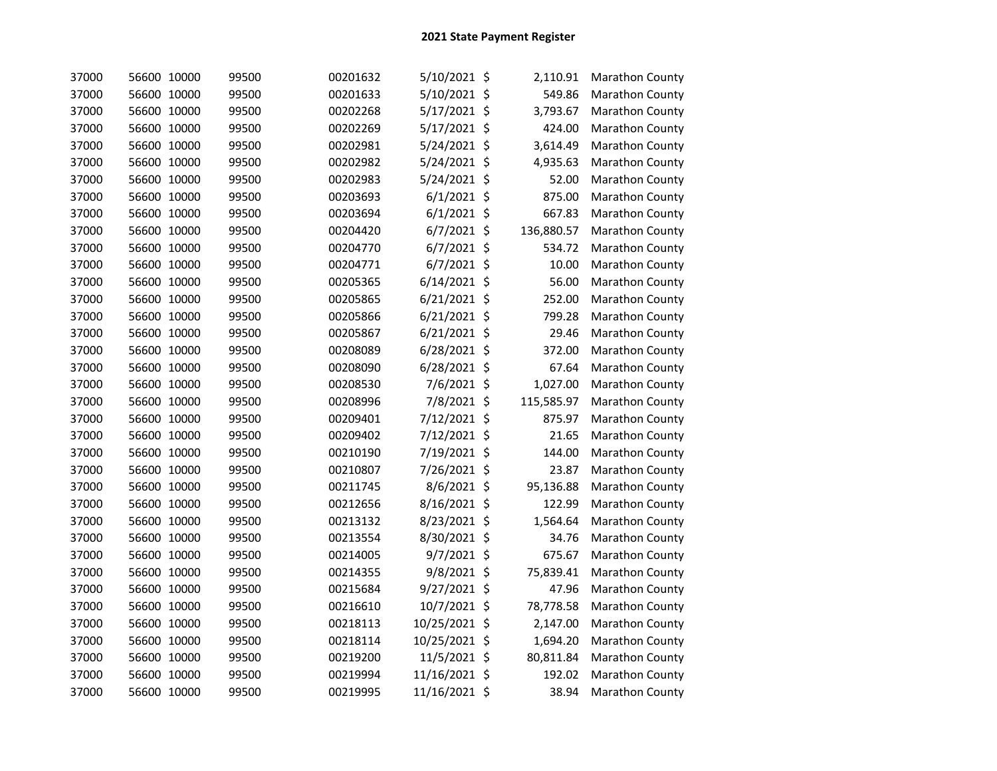| 37000 | 56600 10000 | 99500 | 00201632 | 5/10/2021 \$   | 2,110.91   | <b>Marathon County</b> |
|-------|-------------|-------|----------|----------------|------------|------------------------|
| 37000 | 56600 10000 | 99500 | 00201633 | 5/10/2021 \$   | 549.86     | Marathon County        |
| 37000 | 56600 10000 | 99500 | 00202268 | 5/17/2021 \$   | 3,793.67   | Marathon County        |
| 37000 | 56600 10000 | 99500 | 00202269 | 5/17/2021 \$   | 424.00     | Marathon County        |
| 37000 | 56600 10000 | 99500 | 00202981 | 5/24/2021 \$   | 3,614.49   | Marathon County        |
| 37000 | 56600 10000 | 99500 | 00202982 | 5/24/2021 \$   | 4,935.63   | Marathon County        |
| 37000 | 56600 10000 | 99500 | 00202983 | 5/24/2021 \$   | 52.00      | Marathon County        |
| 37000 | 56600 10000 | 99500 | 00203693 | $6/1/2021$ \$  | 875.00     | Marathon County        |
| 37000 | 56600 10000 | 99500 | 00203694 | $6/1/2021$ \$  | 667.83     | Marathon County        |
| 37000 | 56600 10000 | 99500 | 00204420 | $6/7/2021$ \$  | 136,880.57 | Marathon County        |
| 37000 | 56600 10000 | 99500 | 00204770 | $6/7/2021$ \$  | 534.72     | Marathon County        |
| 37000 | 56600 10000 | 99500 | 00204771 | $6/7/2021$ \$  | 10.00      | Marathon County        |
| 37000 | 56600 10000 | 99500 | 00205365 | $6/14/2021$ \$ | 56.00      | Marathon County        |
| 37000 | 56600 10000 | 99500 | 00205865 | $6/21/2021$ \$ | 252.00     | Marathon County        |
| 37000 | 56600 10000 | 99500 | 00205866 | $6/21/2021$ \$ | 799.28     | Marathon County        |
| 37000 | 56600 10000 | 99500 | 00205867 | $6/21/2021$ \$ | 29.46      | Marathon County        |
| 37000 | 56600 10000 | 99500 | 00208089 | $6/28/2021$ \$ | 372.00     | Marathon County        |
| 37000 | 56600 10000 | 99500 | 00208090 | 6/28/2021 \$   | 67.64      | Marathon County        |
| 37000 | 56600 10000 | 99500 | 00208530 | 7/6/2021 \$    | 1,027.00   | Marathon County        |
| 37000 | 56600 10000 | 99500 | 00208996 | 7/8/2021 \$    | 115,585.97 | Marathon County        |
| 37000 | 56600 10000 | 99500 | 00209401 | 7/12/2021 \$   | 875.97     | Marathon County        |
| 37000 | 56600 10000 | 99500 | 00209402 | 7/12/2021 \$   | 21.65      | Marathon County        |
| 37000 | 56600 10000 | 99500 | 00210190 | 7/19/2021 \$   | 144.00     | Marathon County        |
| 37000 | 56600 10000 | 99500 | 00210807 | 7/26/2021 \$   | 23.87      | Marathon County        |
| 37000 | 56600 10000 | 99500 | 00211745 | 8/6/2021 \$    | 95,136.88  | Marathon County        |
| 37000 | 56600 10000 | 99500 | 00212656 | 8/16/2021 \$   | 122.99     | Marathon County        |
| 37000 | 56600 10000 | 99500 | 00213132 | 8/23/2021 \$   | 1,564.64   | Marathon County        |
| 37000 | 56600 10000 | 99500 | 00213554 | 8/30/2021 \$   | 34.76      | Marathon County        |
| 37000 | 56600 10000 | 99500 | 00214005 | 9/7/2021 \$    | 675.67     | Marathon County        |
| 37000 | 56600 10000 | 99500 | 00214355 | 9/8/2021 \$    | 75,839.41  | Marathon County        |
| 37000 | 56600 10000 | 99500 | 00215684 | 9/27/2021 \$   | 47.96      | Marathon County        |
| 37000 | 56600 10000 | 99500 | 00216610 | 10/7/2021 \$   | 78,778.58  | Marathon County        |
| 37000 | 56600 10000 | 99500 | 00218113 | 10/25/2021 \$  | 2,147.00   | Marathon County        |
| 37000 | 56600 10000 | 99500 | 00218114 | 10/25/2021 \$  | 1,694.20   | Marathon County        |
| 37000 | 56600 10000 | 99500 | 00219200 | 11/5/2021 \$   | 80,811.84  | Marathon County        |
| 37000 | 56600 10000 | 99500 | 00219994 | 11/16/2021 \$  | 192.02     | Marathon County        |
| 37000 | 56600 10000 | 99500 | 00219995 | 11/16/2021 \$  | 38.94      | Marathon County        |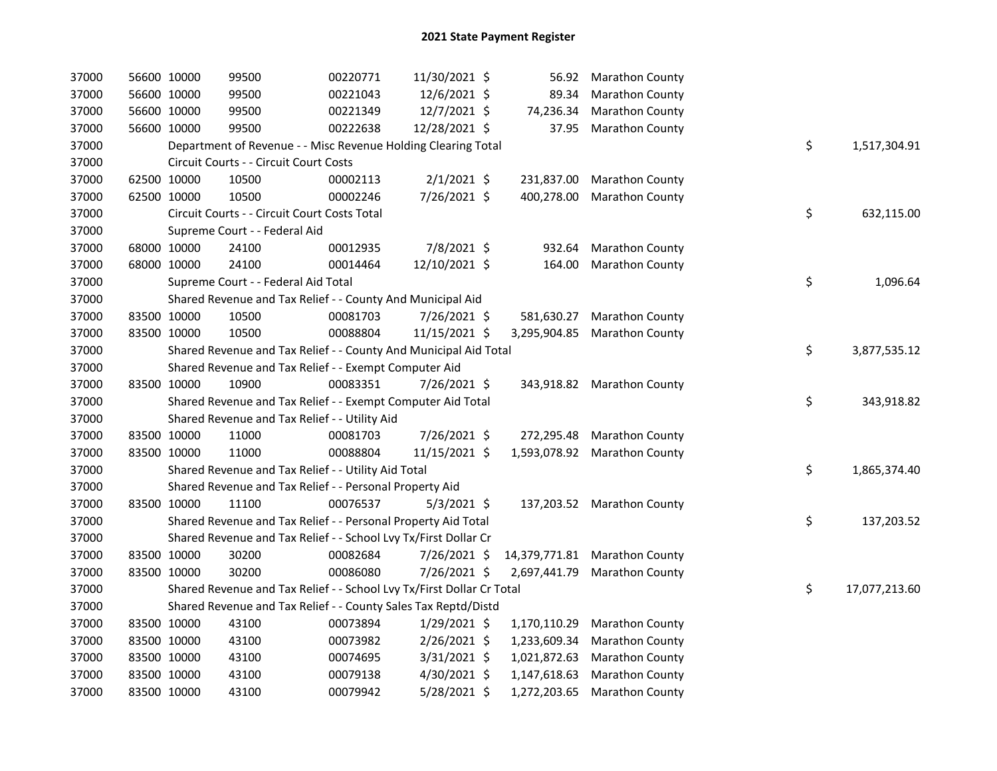| 37000 | 56600 10000 | 99500                                                                 | 00220771 | 11/30/2021 \$  |              | 56.92 Marathon County         |    |               |
|-------|-------------|-----------------------------------------------------------------------|----------|----------------|--------------|-------------------------------|----|---------------|
| 37000 | 56600 10000 | 99500                                                                 | 00221043 | 12/6/2021 \$   | 89.34        | <b>Marathon County</b>        |    |               |
| 37000 | 56600 10000 | 99500                                                                 | 00221349 | 12/7/2021 \$   | 74,236.34    | <b>Marathon County</b>        |    |               |
| 37000 | 56600 10000 | 99500                                                                 | 00222638 | 12/28/2021 \$  | 37.95        | <b>Marathon County</b>        |    |               |
| 37000 |             | Department of Revenue - - Misc Revenue Holding Clearing Total         |          |                |              |                               | \$ | 1,517,304.91  |
| 37000 |             | Circuit Courts - - Circuit Court Costs                                |          |                |              |                               |    |               |
| 37000 | 62500 10000 | 10500                                                                 | 00002113 | $2/1/2021$ \$  | 231,837.00   | <b>Marathon County</b>        |    |               |
| 37000 | 62500 10000 | 10500                                                                 | 00002246 | 7/26/2021 \$   | 400,278.00   | <b>Marathon County</b>        |    |               |
| 37000 |             | Circuit Courts - - Circuit Court Costs Total                          |          |                |              |                               | \$ | 632,115.00    |
| 37000 |             | Supreme Court - - Federal Aid                                         |          |                |              |                               |    |               |
| 37000 | 68000 10000 | 24100                                                                 | 00012935 | 7/8/2021 \$    | 932.64       | <b>Marathon County</b>        |    |               |
| 37000 | 68000 10000 | 24100                                                                 | 00014464 | 12/10/2021 \$  | 164.00       | <b>Marathon County</b>        |    |               |
| 37000 |             | Supreme Court - - Federal Aid Total                                   |          |                |              |                               | \$ | 1,096.64      |
| 37000 |             | Shared Revenue and Tax Relief - - County And Municipal Aid            |          |                |              |                               |    |               |
| 37000 | 83500 10000 | 10500                                                                 | 00081703 | 7/26/2021 \$   |              | 581,630.27 Marathon County    |    |               |
| 37000 | 83500 10000 | 10500                                                                 | 00088804 | 11/15/2021 \$  |              | 3,295,904.85 Marathon County  |    |               |
| 37000 |             | Shared Revenue and Tax Relief - - County And Municipal Aid Total      |          |                |              |                               | \$ | 3,877,535.12  |
| 37000 |             | Shared Revenue and Tax Relief - - Exempt Computer Aid                 |          |                |              |                               |    |               |
| 37000 | 83500 10000 | 10900                                                                 | 00083351 | 7/26/2021 \$   |              | 343,918.82 Marathon County    |    |               |
| 37000 |             | Shared Revenue and Tax Relief - - Exempt Computer Aid Total           |          |                |              |                               | \$ | 343,918.82    |
| 37000 |             | Shared Revenue and Tax Relief - - Utility Aid                         |          |                |              |                               |    |               |
| 37000 | 83500 10000 | 11000                                                                 | 00081703 | 7/26/2021 \$   |              | 272,295.48 Marathon County    |    |               |
| 37000 | 83500 10000 | 11000                                                                 | 00088804 | 11/15/2021 \$  |              | 1,593,078.92 Marathon County  |    |               |
| 37000 |             | Shared Revenue and Tax Relief - - Utility Aid Total                   |          |                |              |                               | \$ | 1,865,374.40  |
| 37000 |             | Shared Revenue and Tax Relief - - Personal Property Aid               |          |                |              |                               |    |               |
| 37000 | 83500 10000 | 11100                                                                 | 00076537 | $5/3/2021$ \$  |              | 137,203.52 Marathon County    |    |               |
| 37000 |             | Shared Revenue and Tax Relief - - Personal Property Aid Total         |          |                |              |                               | \$ | 137,203.52    |
| 37000 |             | Shared Revenue and Tax Relief - - School Lvy Tx/First Dollar Cr       |          |                |              |                               |    |               |
| 37000 | 83500 10000 | 30200                                                                 | 00082684 | 7/26/2021 \$   |              | 14,379,771.81 Marathon County |    |               |
| 37000 | 83500 10000 | 30200                                                                 | 00086080 | 7/26/2021 \$   |              | 2,697,441.79 Marathon County  |    |               |
| 37000 |             | Shared Revenue and Tax Relief - - School Lvy Tx/First Dollar Cr Total |          |                |              |                               | \$ | 17,077,213.60 |
| 37000 |             | Shared Revenue and Tax Relief - - County Sales Tax Reptd/Distd        |          |                |              |                               |    |               |
| 37000 | 83500 10000 | 43100                                                                 | 00073894 | $1/29/2021$ \$ | 1,170,110.29 | <b>Marathon County</b>        |    |               |
| 37000 | 83500 10000 | 43100                                                                 | 00073982 | 2/26/2021 \$   | 1,233,609.34 | <b>Marathon County</b>        |    |               |
| 37000 | 83500 10000 | 43100                                                                 | 00074695 | 3/31/2021 \$   | 1,021,872.63 | <b>Marathon County</b>        |    |               |
| 37000 | 83500 10000 | 43100                                                                 | 00079138 | 4/30/2021 \$   | 1,147,618.63 | <b>Marathon County</b>        |    |               |
| 37000 | 83500 10000 | 43100                                                                 | 00079942 | 5/28/2021 \$   | 1,272,203.65 | <b>Marathon County</b>        |    |               |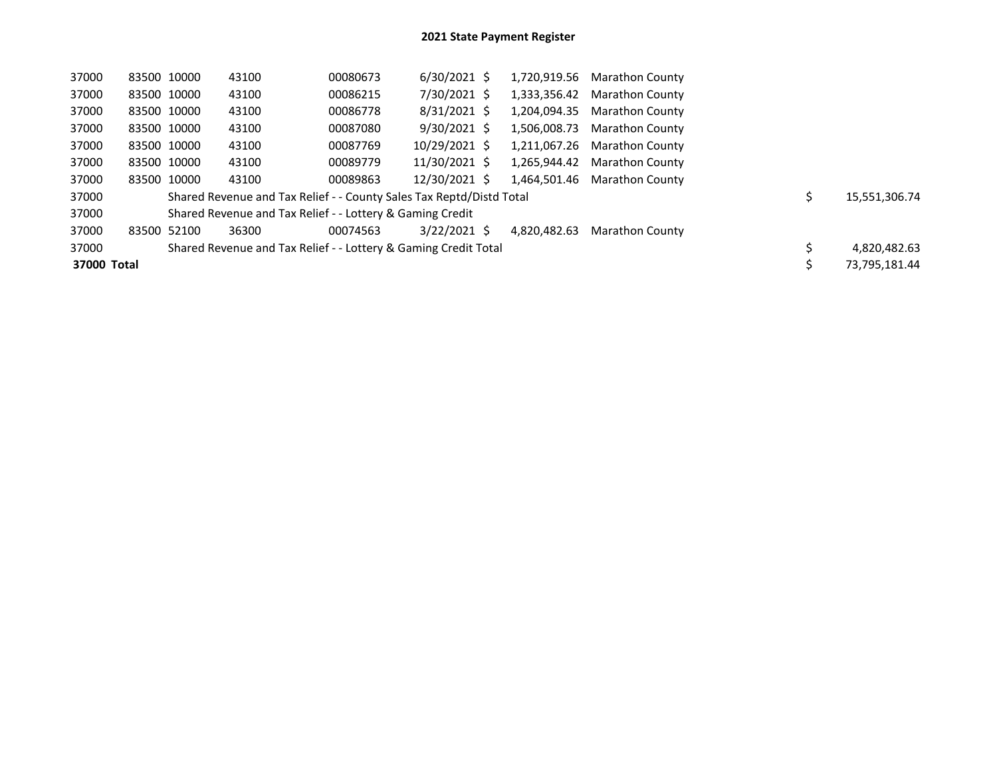| 37000       | 83500 10000 |             | 43100                                                                | 00080673 | $6/30/2021$ \$ | 1,720,919.56 | <b>Marathon County</b> |               |
|-------------|-------------|-------------|----------------------------------------------------------------------|----------|----------------|--------------|------------------------|---------------|
| 37000       | 83500 10000 |             | 43100                                                                | 00086215 | 7/30/2021 \$   | 1.333.356.42 | <b>Marathon County</b> |               |
| 37000       | 83500 10000 |             | 43100                                                                | 00086778 | $8/31/2021$ \$ | 1.204.094.35 | <b>Marathon County</b> |               |
| 37000       | 83500 10000 |             | 43100                                                                | 00087080 | $9/30/2021$ \$ | 1.506.008.73 | <b>Marathon County</b> |               |
| 37000       | 83500 10000 |             | 43100                                                                | 00087769 | 10/29/2021 \$  | 1.211.067.26 | <b>Marathon County</b> |               |
| 37000       |             | 83500 10000 | 43100                                                                | 00089779 | 11/30/2021 \$  | 1.265.944.42 | <b>Marathon County</b> |               |
| 37000       |             | 83500 10000 | 43100                                                                | 00089863 | 12/30/2021 \$  | 1.464.501.46 | <b>Marathon County</b> |               |
| 37000       |             |             | Shared Revenue and Tax Relief - - County Sales Tax Reptd/Distd Total |          |                |              |                        | 15,551,306.74 |
| 37000       |             |             | Shared Revenue and Tax Relief - - Lottery & Gaming Credit            |          |                |              |                        |               |
| 37000       | 83500 52100 |             | 36300                                                                | 00074563 | $3/22/2021$ \$ | 4.820.482.63 | <b>Marathon County</b> |               |
| 37000       |             |             | Shared Revenue and Tax Relief - - Lottery & Gaming Credit Total      |          |                |              |                        | 4,820,482.63  |
| 37000 Total |             |             |                                                                      |          |                |              |                        | 73,795,181.44 |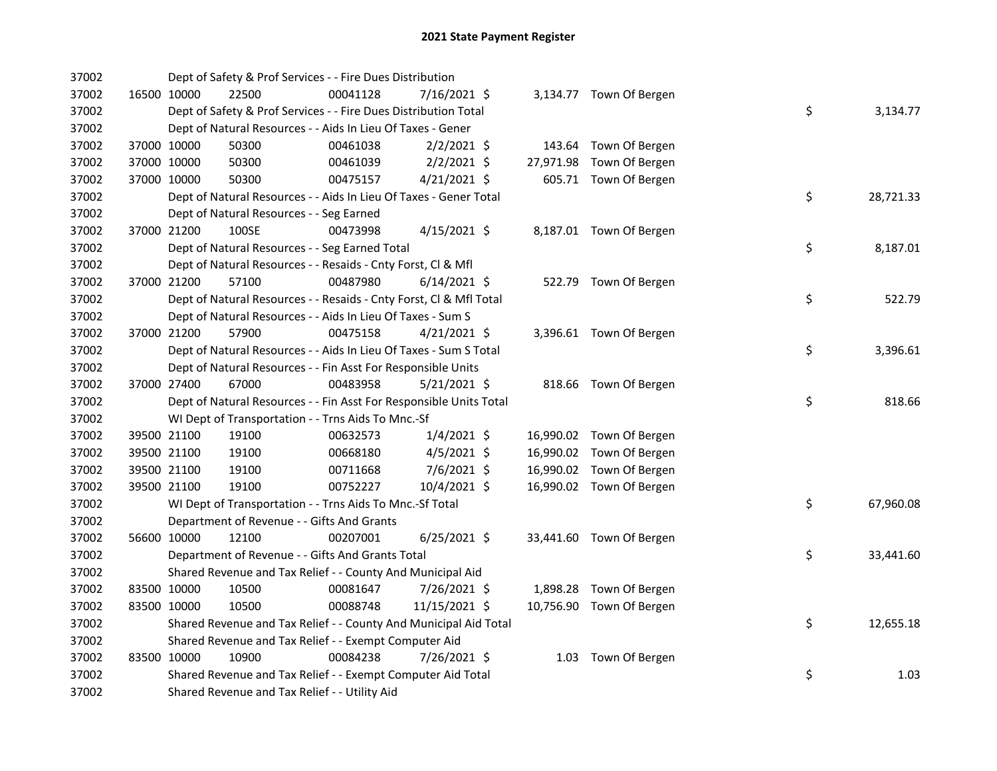| 37002 |             |             | Dept of Safety & Prof Services - - Fire Dues Distribution          |          |                |  |                          |    |           |
|-------|-------------|-------------|--------------------------------------------------------------------|----------|----------------|--|--------------------------|----|-----------|
| 37002 |             | 16500 10000 | 22500                                                              | 00041128 | 7/16/2021 \$   |  | 3,134.77 Town Of Bergen  |    |           |
| 37002 |             |             | Dept of Safety & Prof Services - - Fire Dues Distribution Total    |          |                |  |                          | \$ | 3,134.77  |
| 37002 |             |             | Dept of Natural Resources - - Aids In Lieu Of Taxes - Gener        |          |                |  |                          |    |           |
| 37002 |             | 37000 10000 | 50300                                                              | 00461038 | $2/2/2021$ \$  |  | 143.64 Town Of Bergen    |    |           |
| 37002 |             | 37000 10000 | 50300                                                              | 00461039 | $2/2/2021$ \$  |  | 27,971.98 Town Of Bergen |    |           |
| 37002 | 37000 10000 |             | 50300                                                              | 00475157 | $4/21/2021$ \$ |  | 605.71 Town Of Bergen    |    |           |
| 37002 |             |             | Dept of Natural Resources - - Aids In Lieu Of Taxes - Gener Total  |          |                |  |                          | \$ | 28,721.33 |
| 37002 |             |             | Dept of Natural Resources - - Seg Earned                           |          |                |  |                          |    |           |
| 37002 | 37000 21200 |             | 100SE                                                              | 00473998 | $4/15/2021$ \$ |  | 8,187.01 Town Of Bergen  |    |           |
| 37002 |             |             | Dept of Natural Resources - - Seg Earned Total                     |          |                |  |                          | \$ | 8,187.01  |
| 37002 |             |             | Dept of Natural Resources - - Resaids - Cnty Forst, Cl & Mfl       |          |                |  |                          |    |           |
| 37002 |             | 37000 21200 | 57100                                                              | 00487980 | $6/14/2021$ \$ |  | 522.79 Town Of Bergen    |    |           |
| 37002 |             |             | Dept of Natural Resources - - Resaids - Cnty Forst, Cl & Mfl Total |          |                |  |                          | \$ | 522.79    |
| 37002 |             |             | Dept of Natural Resources - - Aids In Lieu Of Taxes - Sum S        |          |                |  |                          |    |           |
| 37002 | 37000 21200 |             | 57900                                                              | 00475158 | $4/21/2021$ \$ |  | 3,396.61 Town Of Bergen  |    |           |
| 37002 |             |             | Dept of Natural Resources - - Aids In Lieu Of Taxes - Sum S Total  |          |                |  |                          | \$ | 3,396.61  |
| 37002 |             |             | Dept of Natural Resources - - Fin Asst For Responsible Units       |          |                |  |                          |    |           |
| 37002 |             | 37000 27400 | 67000                                                              | 00483958 | $5/21/2021$ \$ |  | 818.66 Town Of Bergen    |    |           |
| 37002 |             |             | Dept of Natural Resources - - Fin Asst For Responsible Units Total |          |                |  |                          | \$ | 818.66    |
| 37002 |             |             | WI Dept of Transportation - - Trns Aids To Mnc.-Sf                 |          |                |  |                          |    |           |
| 37002 |             | 39500 21100 | 19100                                                              | 00632573 | $1/4/2021$ \$  |  | 16,990.02 Town Of Bergen |    |           |
| 37002 |             | 39500 21100 | 19100                                                              | 00668180 | $4/5/2021$ \$  |  | 16,990.02 Town Of Bergen |    |           |
| 37002 |             | 39500 21100 | 19100                                                              | 00711668 | 7/6/2021 \$    |  | 16,990.02 Town Of Bergen |    |           |
| 37002 |             | 39500 21100 | 19100                                                              | 00752227 | 10/4/2021 \$   |  | 16,990.02 Town Of Bergen |    |           |
| 37002 |             |             | WI Dept of Transportation - - Trns Aids To Mnc.-Sf Total           |          |                |  |                          | \$ | 67,960.08 |
| 37002 |             |             | Department of Revenue - - Gifts And Grants                         |          |                |  |                          |    |           |
| 37002 |             | 56600 10000 | 12100                                                              | 00207001 | $6/25/2021$ \$ |  | 33,441.60 Town Of Bergen |    |           |
| 37002 |             |             | Department of Revenue - - Gifts And Grants Total                   |          |                |  |                          | \$ | 33,441.60 |
| 37002 |             |             | Shared Revenue and Tax Relief - - County And Municipal Aid         |          |                |  |                          |    |           |
| 37002 |             | 83500 10000 | 10500                                                              | 00081647 | 7/26/2021 \$   |  | 1,898.28 Town Of Bergen  |    |           |
| 37002 |             | 83500 10000 | 10500                                                              | 00088748 | 11/15/2021 \$  |  | 10,756.90 Town Of Bergen |    |           |
| 37002 |             |             | Shared Revenue and Tax Relief - - County And Municipal Aid Total   |          |                |  |                          | \$ | 12,655.18 |
| 37002 |             |             | Shared Revenue and Tax Relief - - Exempt Computer Aid              |          |                |  |                          |    |           |
| 37002 |             | 83500 10000 | 10900                                                              | 00084238 | 7/26/2021 \$   |  | 1.03 Town Of Bergen      |    |           |
| 37002 |             |             | Shared Revenue and Tax Relief - - Exempt Computer Aid Total        |          |                |  |                          | \$ | 1.03      |
| 37002 |             |             | Shared Revenue and Tax Relief - - Utility Aid                      |          |                |  |                          |    |           |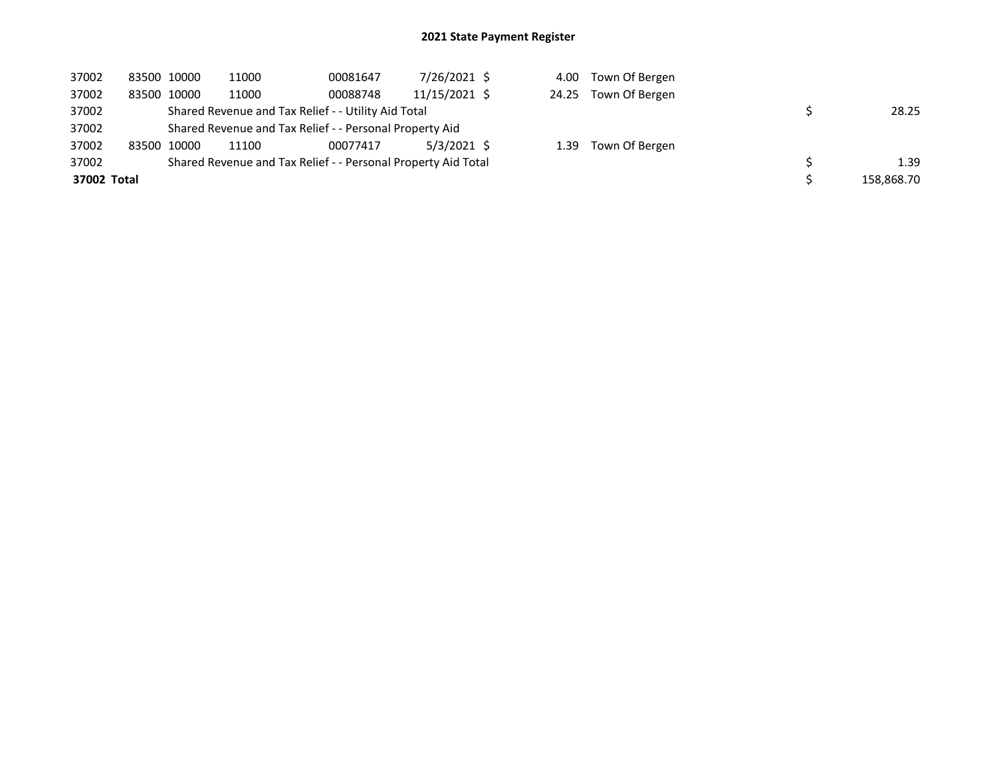## 2021 State Payment Register

| 37002       | 83500 10000 |             | 11000                                                         | 00081647 | 7/26/2021 \$  |  | 4.00 Town Of Bergen  |            |
|-------------|-------------|-------------|---------------------------------------------------------------|----------|---------------|--|----------------------|------------|
| 37002       |             | 83500 10000 | 11000                                                         | 00088748 | 11/15/2021 \$ |  | 24.25 Town Of Bergen |            |
| 37002       |             |             | Shared Revenue and Tax Relief - - Utility Aid Total           |          |               |  |                      | 28.25      |
| 37002       |             |             | Shared Revenue and Tax Relief - - Personal Property Aid       |          |               |  |                      |            |
| 37002       |             | 83500 10000 | 11100                                                         | 00077417 | $5/3/2021$ \$ |  | 1.39 Town Of Bergen  |            |
| 37002       |             |             | Shared Revenue and Tax Relief - - Personal Property Aid Total |          |               |  |                      | 1.39       |
| 37002 Total |             |             |                                                               |          |               |  |                      | 158,868.70 |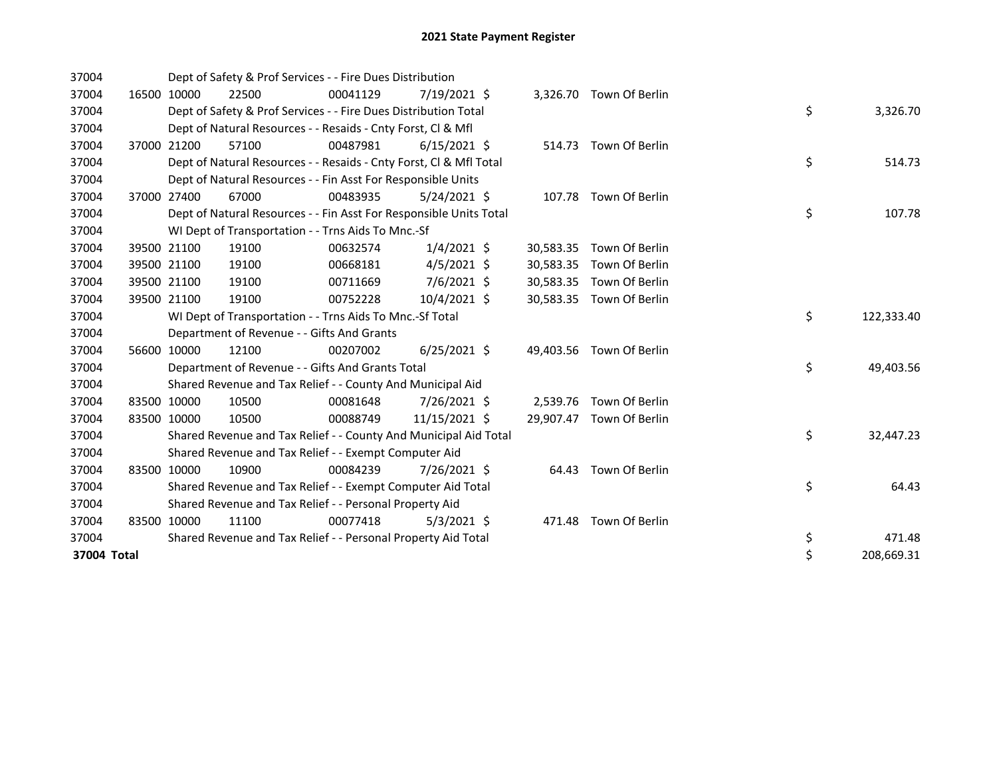| 37004       |       |             | Dept of Safety & Prof Services - - Fire Dues Distribution          |          |                |           |                          |    |            |
|-------------|-------|-------------|--------------------------------------------------------------------|----------|----------------|-----------|--------------------------|----|------------|
| 37004       |       | 16500 10000 | 22500                                                              | 00041129 | 7/19/2021 \$   |           | 3,326.70 Town Of Berlin  |    |            |
| 37004       |       |             | Dept of Safety & Prof Services - - Fire Dues Distribution Total    |          |                |           |                          | \$ | 3,326.70   |
| 37004       |       |             | Dept of Natural Resources - - Resaids - Cnty Forst, CI & Mfl       |          |                |           |                          |    |            |
| 37004       | 37000 | 21200       | 57100                                                              | 00487981 | $6/15/2021$ \$ |           | 514.73 Town Of Berlin    |    |            |
| 37004       |       |             | Dept of Natural Resources - - Resaids - Cnty Forst, CI & Mfl Total |          |                |           |                          | \$ | 514.73     |
| 37004       |       |             | Dept of Natural Resources - - Fin Asst For Responsible Units       |          |                |           |                          |    |            |
| 37004       |       | 37000 27400 | 67000                                                              | 00483935 | $5/24/2021$ \$ |           | 107.78 Town Of Berlin    |    |            |
| 37004       |       |             | Dept of Natural Resources - - Fin Asst For Responsible Units Total |          |                |           |                          | \$ | 107.78     |
| 37004       |       |             | WI Dept of Transportation - - Trns Aids To Mnc.-Sf                 |          |                |           |                          |    |            |
| 37004       |       | 39500 21100 | 19100                                                              | 00632574 | $1/4/2021$ \$  | 30,583.35 | Town Of Berlin           |    |            |
| 37004       |       | 39500 21100 | 19100                                                              | 00668181 | $4/5/2021$ \$  | 30,583.35 | Town Of Berlin           |    |            |
| 37004       |       | 39500 21100 | 19100                                                              | 00711669 | 7/6/2021 \$    | 30,583.35 | Town Of Berlin           |    |            |
| 37004       |       | 39500 21100 | 19100                                                              | 00752228 | 10/4/2021 \$   |           | 30,583.35 Town Of Berlin |    |            |
| 37004       |       |             | WI Dept of Transportation - - Trns Aids To Mnc.-Sf Total           |          |                |           |                          | \$ | 122,333.40 |
| 37004       |       |             | Department of Revenue - - Gifts And Grants                         |          |                |           |                          |    |            |
| 37004       |       | 56600 10000 | 12100                                                              | 00207002 | $6/25/2021$ \$ |           | 49,403.56 Town Of Berlin |    |            |
| 37004       |       |             | Department of Revenue - - Gifts And Grants Total                   |          |                |           |                          | \$ | 49,403.56  |
| 37004       |       |             | Shared Revenue and Tax Relief - - County And Municipal Aid         |          |                |           |                          |    |            |
| 37004       |       | 83500 10000 | 10500                                                              | 00081648 | 7/26/2021 \$   |           | 2,539.76 Town Of Berlin  |    |            |
| 37004       |       | 83500 10000 | 10500                                                              | 00088749 | 11/15/2021 \$  |           | 29,907.47 Town Of Berlin |    |            |
| 37004       |       |             | Shared Revenue and Tax Relief - - County And Municipal Aid Total   |          |                |           |                          | \$ | 32,447.23  |
| 37004       |       |             | Shared Revenue and Tax Relief - - Exempt Computer Aid              |          |                |           |                          |    |            |
| 37004       |       | 83500 10000 | 10900                                                              | 00084239 | 7/26/2021 \$   | 64.43     | Town Of Berlin           |    |            |
| 37004       |       |             | Shared Revenue and Tax Relief - - Exempt Computer Aid Total        |          |                |           |                          | \$ | 64.43      |
| 37004       |       |             | Shared Revenue and Tax Relief - - Personal Property Aid            |          |                |           |                          |    |            |
| 37004       |       | 83500 10000 | 11100                                                              | 00077418 | $5/3/2021$ \$  | 471.48    | Town Of Berlin           |    |            |
| 37004       |       |             | Shared Revenue and Tax Relief - - Personal Property Aid Total      |          |                |           |                          | \$ | 471.48     |
| 37004 Total |       |             |                                                                    |          |                |           |                          | \$ | 208,669.31 |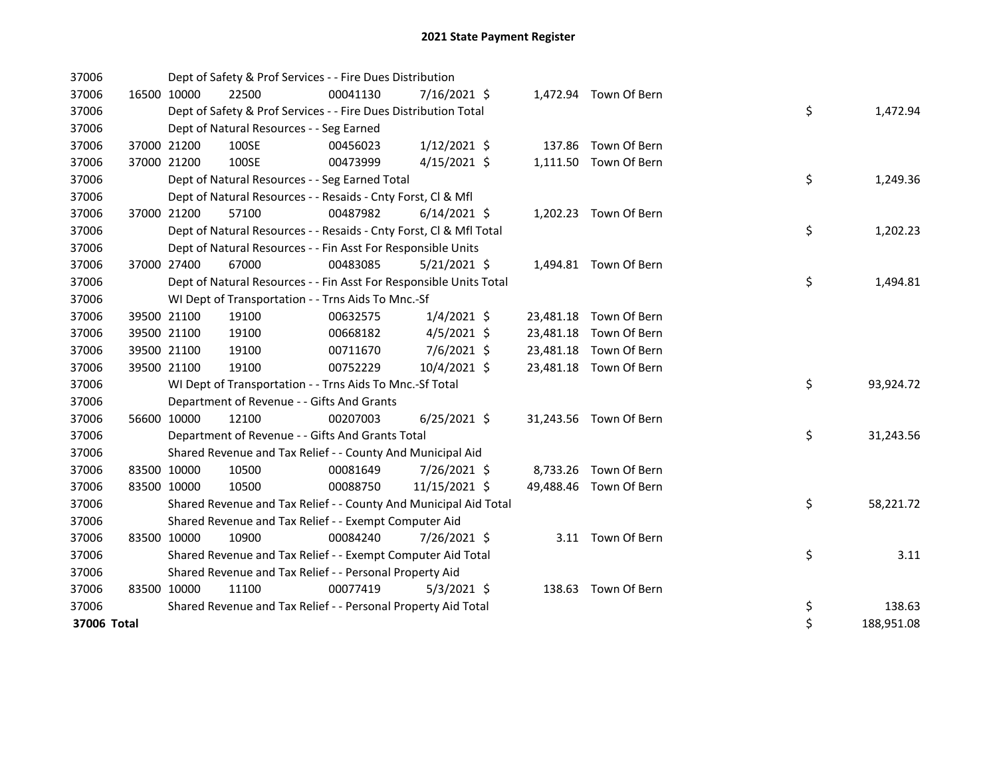| 37006       |             | Dept of Safety & Prof Services - - Fire Dues Distribution          |          |                |  |                        |    |            |
|-------------|-------------|--------------------------------------------------------------------|----------|----------------|--|------------------------|----|------------|
| 37006       | 16500 10000 | 22500                                                              | 00041130 | 7/16/2021 \$   |  | 1,472.94 Town Of Bern  |    |            |
| 37006       |             | Dept of Safety & Prof Services - - Fire Dues Distribution Total    |          |                |  |                        | \$ | 1,472.94   |
| 37006       |             | Dept of Natural Resources - - Seg Earned                           |          |                |  |                        |    |            |
| 37006       | 37000 21200 | 100SE                                                              | 00456023 | $1/12/2021$ \$ |  | 137.86 Town Of Bern    |    |            |
| 37006       | 37000 21200 | 100SE                                                              | 00473999 | $4/15/2021$ \$ |  | 1,111.50 Town Of Bern  |    |            |
| 37006       |             | Dept of Natural Resources - - Seg Earned Total                     |          |                |  |                        | \$ | 1,249.36   |
| 37006       |             | Dept of Natural Resources - - Resaids - Cnty Forst, Cl & Mfl       |          |                |  |                        |    |            |
| 37006       | 37000 21200 | 57100                                                              | 00487982 | $6/14/2021$ \$ |  | 1,202.23 Town Of Bern  |    |            |
| 37006       |             | Dept of Natural Resources - - Resaids - Cnty Forst, CI & Mfl Total |          |                |  |                        | \$ | 1,202.23   |
| 37006       |             | Dept of Natural Resources - - Fin Asst For Responsible Units       |          |                |  |                        |    |            |
| 37006       | 37000 27400 | 67000                                                              | 00483085 | $5/21/2021$ \$ |  | 1,494.81 Town Of Bern  |    |            |
| 37006       |             | Dept of Natural Resources - - Fin Asst For Responsible Units Total |          |                |  |                        | \$ | 1,494.81   |
| 37006       |             | WI Dept of Transportation - - Trns Aids To Mnc.-Sf                 |          |                |  |                        |    |            |
| 37006       | 39500 21100 | 19100                                                              | 00632575 | $1/4/2021$ \$  |  | 23,481.18 Town Of Bern |    |            |
| 37006       | 39500 21100 | 19100                                                              | 00668182 | $4/5/2021$ \$  |  | 23,481.18 Town Of Bern |    |            |
| 37006       | 39500 21100 | 19100                                                              | 00711670 | 7/6/2021 \$    |  | 23,481.18 Town Of Bern |    |            |
| 37006       | 39500 21100 | 19100                                                              | 00752229 | 10/4/2021 \$   |  | 23,481.18 Town Of Bern |    |            |
| 37006       |             | WI Dept of Transportation - - Trns Aids To Mnc.-Sf Total           |          |                |  |                        | \$ | 93,924.72  |
| 37006       |             | Department of Revenue - - Gifts And Grants                         |          |                |  |                        |    |            |
| 37006       | 56600 10000 | 12100                                                              | 00207003 | $6/25/2021$ \$ |  | 31,243.56 Town Of Bern |    |            |
| 37006       |             | Department of Revenue - - Gifts And Grants Total                   |          |                |  |                        | \$ | 31,243.56  |
| 37006       |             | Shared Revenue and Tax Relief - - County And Municipal Aid         |          |                |  |                        |    |            |
| 37006       | 83500 10000 | 10500                                                              | 00081649 | 7/26/2021 \$   |  | 8,733.26 Town Of Bern  |    |            |
| 37006       | 83500 10000 | 10500                                                              | 00088750 | 11/15/2021 \$  |  | 49,488.46 Town Of Bern |    |            |
| 37006       |             | Shared Revenue and Tax Relief - - County And Municipal Aid Total   |          |                |  |                        | \$ | 58,221.72  |
| 37006       |             | Shared Revenue and Tax Relief - - Exempt Computer Aid              |          |                |  |                        |    |            |
| 37006       | 83500 10000 | 10900                                                              | 00084240 | 7/26/2021 \$   |  | 3.11 Town Of Bern      |    |            |
| 37006       |             | Shared Revenue and Tax Relief - - Exempt Computer Aid Total        |          |                |  |                        | \$ | 3.11       |
| 37006       |             | Shared Revenue and Tax Relief - - Personal Property Aid            |          |                |  |                        |    |            |
| 37006       | 83500 10000 | 11100                                                              | 00077419 | $5/3/2021$ \$  |  | 138.63 Town Of Bern    |    |            |
| 37006       |             | Shared Revenue and Tax Relief - - Personal Property Aid Total      |          |                |  |                        | \$ | 138.63     |
| 37006 Total |             |                                                                    |          |                |  |                        | \$ | 188,951.08 |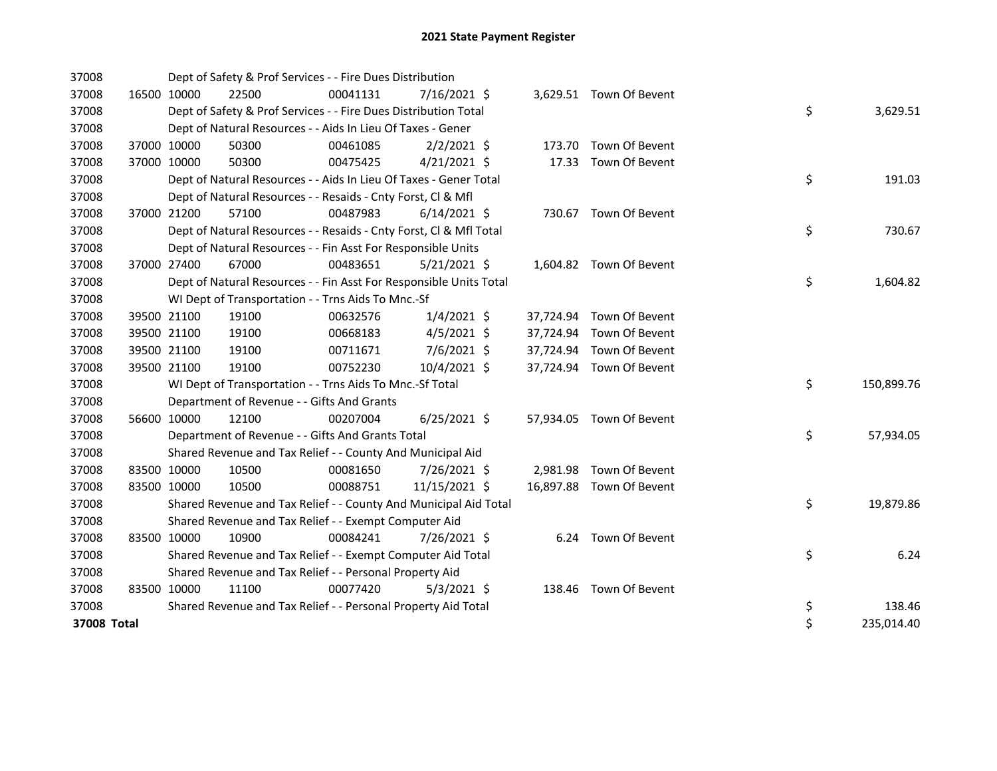| 37008       |             |                                                                          | Dept of Safety & Prof Services - - Fire Dues Distribution          |          |                |  |  |                          |  |    |            |  |
|-------------|-------------|--------------------------------------------------------------------------|--------------------------------------------------------------------|----------|----------------|--|--|--------------------------|--|----|------------|--|
| 37008       | 16500 10000 |                                                                          | 22500                                                              | 00041131 | 7/16/2021 \$   |  |  | 3,629.51 Town Of Bevent  |  |    |            |  |
| 37008       |             |                                                                          | Dept of Safety & Prof Services - - Fire Dues Distribution Total    |          |                |  |  |                          |  | \$ | 3,629.51   |  |
| 37008       |             |                                                                          | Dept of Natural Resources - - Aids In Lieu Of Taxes - Gener        |          |                |  |  |                          |  |    |            |  |
| 37008       |             | 37000 10000                                                              | 50300                                                              | 00461085 | $2/2/2021$ \$  |  |  | 173.70 Town Of Bevent    |  |    |            |  |
| 37008       | 37000 10000 |                                                                          | 50300                                                              | 00475425 | $4/21/2021$ \$ |  |  | 17.33 Town Of Bevent     |  |    |            |  |
| 37008       |             |                                                                          | Dept of Natural Resources - - Aids In Lieu Of Taxes - Gener Total  |          |                |  |  |                          |  | \$ | 191.03     |  |
| 37008       |             |                                                                          | Dept of Natural Resources - - Resaids - Cnty Forst, CI & Mfl       |          |                |  |  |                          |  |    |            |  |
| 37008       | 37000 21200 |                                                                          | 57100                                                              | 00487983 | $6/14/2021$ \$ |  |  | 730.67 Town Of Bevent    |  |    |            |  |
| 37008       |             | \$<br>Dept of Natural Resources - - Resaids - Cnty Forst, CI & Mfl Total |                                                                    |          |                |  |  |                          |  |    |            |  |
| 37008       |             | Dept of Natural Resources - - Fin Asst For Responsible Units             |                                                                    |          |                |  |  |                          |  |    |            |  |
| 37008       | 37000 27400 |                                                                          | 67000                                                              | 00483651 | $5/21/2021$ \$ |  |  | 1,604.82 Town Of Bevent  |  |    |            |  |
| 37008       |             |                                                                          | Dept of Natural Resources - - Fin Asst For Responsible Units Total |          |                |  |  |                          |  | \$ | 1,604.82   |  |
| 37008       |             |                                                                          | WI Dept of Transportation - - Trns Aids To Mnc.-Sf                 |          |                |  |  |                          |  |    |            |  |
| 37008       | 39500 21100 |                                                                          | 19100                                                              | 00632576 | $1/4/2021$ \$  |  |  | 37,724.94 Town Of Bevent |  |    |            |  |
| 37008       | 39500 21100 |                                                                          | 19100                                                              | 00668183 | $4/5/2021$ \$  |  |  | 37,724.94 Town Of Bevent |  |    |            |  |
| 37008       | 39500 21100 |                                                                          | 19100                                                              | 00711671 | $7/6/2021$ \$  |  |  | 37,724.94 Town Of Bevent |  |    |            |  |
| 37008       | 39500 21100 |                                                                          | 19100                                                              | 00752230 | 10/4/2021 \$   |  |  | 37,724.94 Town Of Bevent |  |    |            |  |
| 37008       |             |                                                                          | WI Dept of Transportation - - Trns Aids To Mnc.-Sf Total           |          |                |  |  |                          |  | \$ | 150,899.76 |  |
| 37008       |             |                                                                          | Department of Revenue - - Gifts And Grants                         |          |                |  |  |                          |  |    |            |  |
| 37008       | 56600 10000 |                                                                          | 12100                                                              | 00207004 | $6/25/2021$ \$ |  |  | 57,934.05 Town Of Bevent |  |    |            |  |
| 37008       |             |                                                                          | Department of Revenue - - Gifts And Grants Total                   |          |                |  |  |                          |  | \$ | 57,934.05  |  |
| 37008       |             |                                                                          | Shared Revenue and Tax Relief - - County And Municipal Aid         |          |                |  |  |                          |  |    |            |  |
| 37008       | 83500 10000 |                                                                          | 10500                                                              | 00081650 | 7/26/2021 \$   |  |  | 2,981.98 Town Of Bevent  |  |    |            |  |
| 37008       | 83500 10000 |                                                                          | 10500                                                              | 00088751 | 11/15/2021 \$  |  |  | 16,897.88 Town Of Bevent |  |    |            |  |
| 37008       |             |                                                                          | Shared Revenue and Tax Relief - - County And Municipal Aid Total   |          |                |  |  |                          |  | \$ | 19,879.86  |  |
| 37008       |             |                                                                          | Shared Revenue and Tax Relief - - Exempt Computer Aid              |          |                |  |  |                          |  |    |            |  |
| 37008       | 83500 10000 |                                                                          | 10900                                                              | 00084241 | 7/26/2021 \$   |  |  | 6.24 Town Of Bevent      |  |    |            |  |
| 37008       |             |                                                                          | Shared Revenue and Tax Relief - - Exempt Computer Aid Total        |          |                |  |  |                          |  | \$ | 6.24       |  |
| 37008       |             |                                                                          | Shared Revenue and Tax Relief - - Personal Property Aid            |          |                |  |  |                          |  |    |            |  |
| 37008       | 83500 10000 |                                                                          | 11100                                                              | 00077420 | $5/3/2021$ \$  |  |  | 138.46 Town Of Bevent    |  |    |            |  |
| 37008       |             |                                                                          | Shared Revenue and Tax Relief - - Personal Property Aid Total      |          |                |  |  |                          |  | \$ | 138.46     |  |
| 37008 Total |             |                                                                          |                                                                    |          |                |  |  |                          |  | \$ | 235,014.40 |  |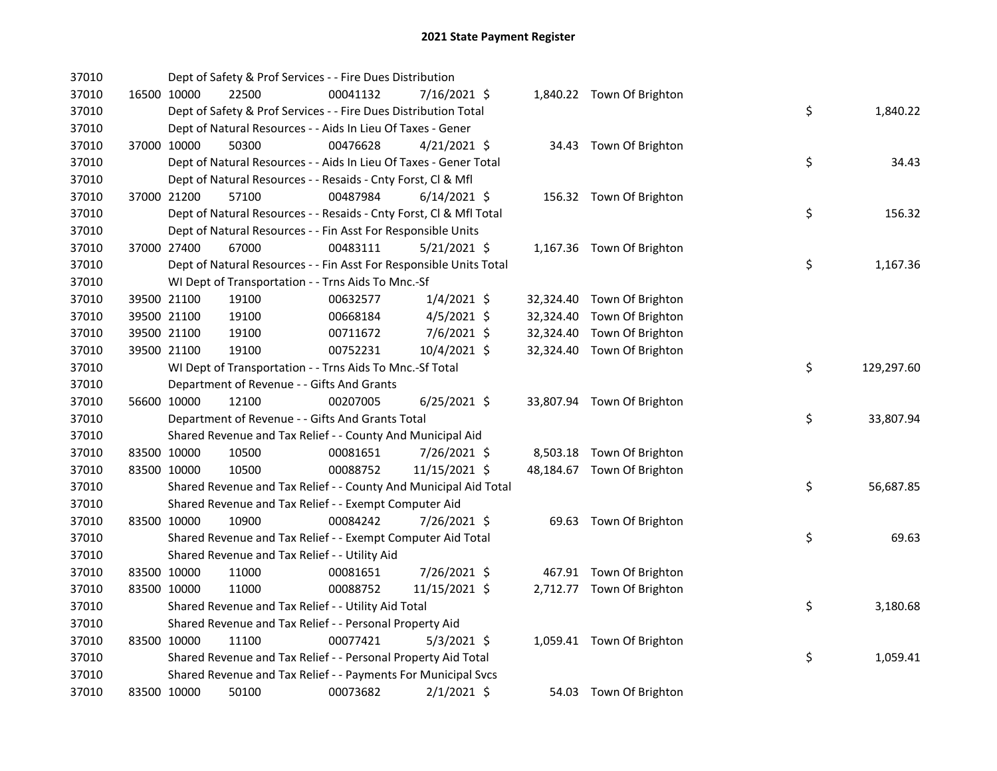| 37010 |             | Dept of Safety & Prof Services - - Fire Dues Distribution          |          |                |  |                            |    |            |
|-------|-------------|--------------------------------------------------------------------|----------|----------------|--|----------------------------|----|------------|
| 37010 | 16500 10000 | 22500                                                              | 00041132 | 7/16/2021 \$   |  | 1,840.22 Town Of Brighton  |    |            |
| 37010 |             | Dept of Safety & Prof Services - - Fire Dues Distribution Total    |          |                |  |                            | \$ | 1,840.22   |
| 37010 |             | Dept of Natural Resources - - Aids In Lieu Of Taxes - Gener        |          |                |  |                            |    |            |
| 37010 | 37000 10000 | 50300                                                              | 00476628 | $4/21/2021$ \$ |  | 34.43 Town Of Brighton     |    |            |
| 37010 |             | Dept of Natural Resources - - Aids In Lieu Of Taxes - Gener Total  |          |                |  |                            | \$ | 34.43      |
| 37010 |             | Dept of Natural Resources - - Resaids - Cnty Forst, Cl & Mfl       |          |                |  |                            |    |            |
| 37010 | 37000 21200 | 57100                                                              | 00487984 | $6/14/2021$ \$ |  | 156.32 Town Of Brighton    |    |            |
| 37010 |             | Dept of Natural Resources - - Resaids - Cnty Forst, Cl & Mfl Total |          |                |  |                            | \$ | 156.32     |
| 37010 |             | Dept of Natural Resources - - Fin Asst For Responsible Units       |          |                |  |                            |    |            |
| 37010 | 37000 27400 | 67000                                                              | 00483111 | $5/21/2021$ \$ |  | 1,167.36 Town Of Brighton  |    |            |
| 37010 |             | Dept of Natural Resources - - Fin Asst For Responsible Units Total |          |                |  |                            | \$ | 1,167.36   |
| 37010 |             | WI Dept of Transportation - - Trns Aids To Mnc.-Sf                 |          |                |  |                            |    |            |
| 37010 | 39500 21100 | 19100                                                              | 00632577 | $1/4/2021$ \$  |  | 32,324.40 Town Of Brighton |    |            |
| 37010 | 39500 21100 | 19100                                                              | 00668184 | $4/5/2021$ \$  |  | 32,324.40 Town Of Brighton |    |            |
| 37010 | 39500 21100 | 19100                                                              | 00711672 | 7/6/2021 \$    |  | 32,324.40 Town Of Brighton |    |            |
| 37010 | 39500 21100 | 19100                                                              | 00752231 | 10/4/2021 \$   |  | 32,324.40 Town Of Brighton |    |            |
| 37010 |             | WI Dept of Transportation - - Trns Aids To Mnc.-Sf Total           |          |                |  |                            | \$ | 129,297.60 |
| 37010 |             | Department of Revenue - - Gifts And Grants                         |          |                |  |                            |    |            |
| 37010 | 56600 10000 | 12100                                                              | 00207005 | $6/25/2021$ \$ |  | 33,807.94 Town Of Brighton |    |            |
| 37010 |             | Department of Revenue - - Gifts And Grants Total                   |          |                |  |                            | \$ | 33,807.94  |
| 37010 |             | Shared Revenue and Tax Relief - - County And Municipal Aid         |          |                |  |                            |    |            |
| 37010 | 83500 10000 | 10500                                                              | 00081651 | 7/26/2021 \$   |  | 8,503.18 Town Of Brighton  |    |            |
| 37010 | 83500 10000 | 10500                                                              | 00088752 | 11/15/2021 \$  |  | 48,184.67 Town Of Brighton |    |            |
| 37010 |             | Shared Revenue and Tax Relief - - County And Municipal Aid Total   |          |                |  |                            | \$ | 56,687.85  |
| 37010 |             | Shared Revenue and Tax Relief - - Exempt Computer Aid              |          |                |  |                            |    |            |
| 37010 | 83500 10000 | 10900                                                              | 00084242 | 7/26/2021 \$   |  | 69.63 Town Of Brighton     |    |            |
| 37010 |             | Shared Revenue and Tax Relief - - Exempt Computer Aid Total        |          |                |  |                            | \$ | 69.63      |
| 37010 |             | Shared Revenue and Tax Relief - - Utility Aid                      |          |                |  |                            |    |            |
| 37010 | 83500 10000 | 11000                                                              | 00081651 | 7/26/2021 \$   |  | 467.91 Town Of Brighton    |    |            |
| 37010 | 83500 10000 | 11000                                                              | 00088752 | 11/15/2021 \$  |  | 2,712.77 Town Of Brighton  |    |            |
| 37010 |             | Shared Revenue and Tax Relief - - Utility Aid Total                |          |                |  |                            | \$ | 3,180.68   |
| 37010 |             | Shared Revenue and Tax Relief - - Personal Property Aid            |          |                |  |                            |    |            |
| 37010 | 83500 10000 | 11100                                                              | 00077421 | $5/3/2021$ \$  |  | 1,059.41 Town Of Brighton  |    |            |
| 37010 |             | Shared Revenue and Tax Relief - - Personal Property Aid Total      |          |                |  |                            | \$ | 1,059.41   |
| 37010 |             | Shared Revenue and Tax Relief - - Payments For Municipal Svcs      |          |                |  |                            |    |            |
| 37010 | 83500 10000 | 50100                                                              | 00073682 | $2/1/2021$ \$  |  | 54.03 Town Of Brighton     |    |            |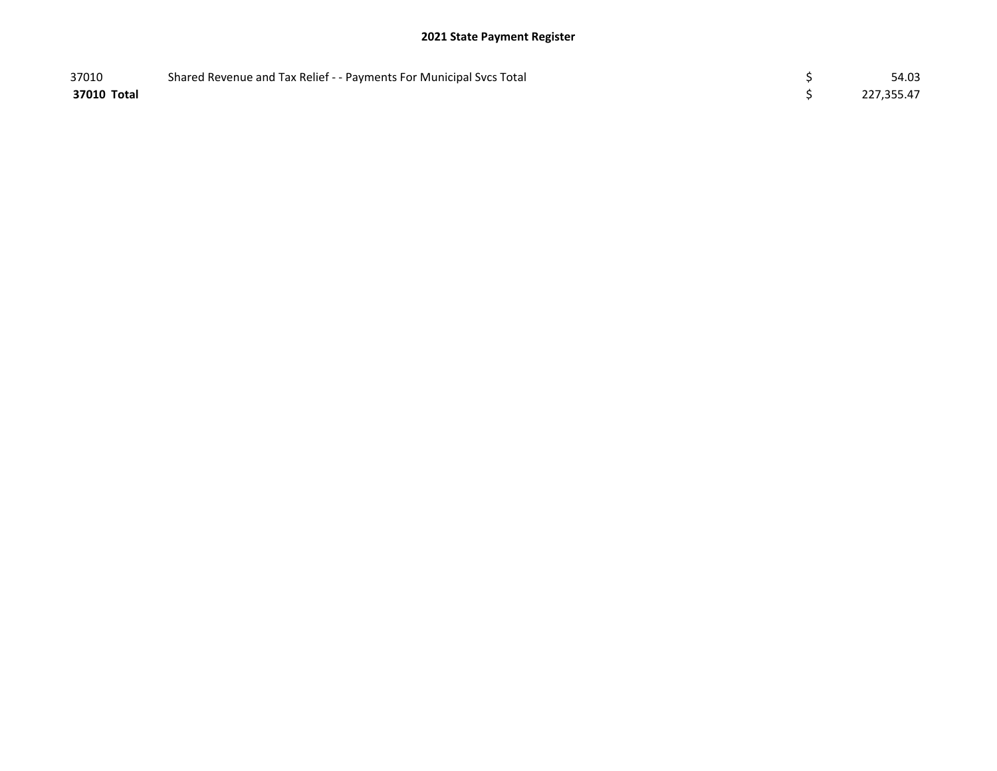## 2021 State Payment Register

| 37010       | Shared Revenue and Tax Relief - - Payments For Municipal Svcs Total | 54.03      |
|-------------|---------------------------------------------------------------------|------------|
| 37010 Total |                                                                     | 227,355.47 |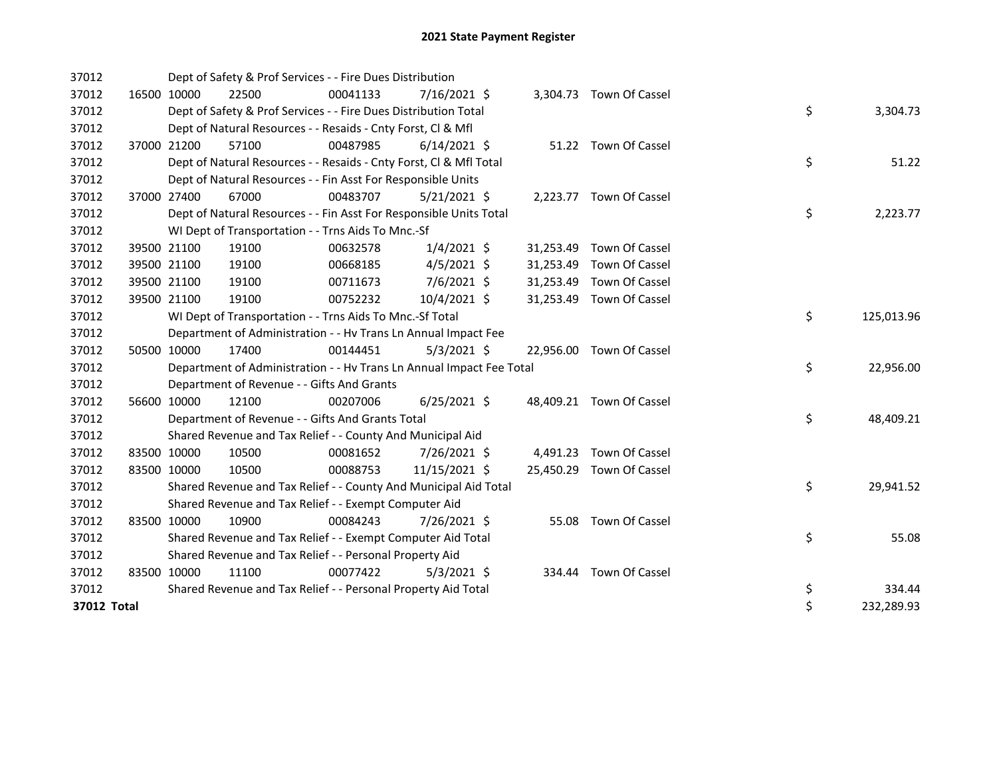| 37012       |             | Dept of Safety & Prof Services - - Fire Dues Distribution            |          |                |            |                          |    |            |
|-------------|-------------|----------------------------------------------------------------------|----------|----------------|------------|--------------------------|----|------------|
| 37012       | 16500 10000 | 22500                                                                | 00041133 | 7/16/2021 \$   |            | 3,304.73 Town Of Cassel  |    |            |
| 37012       |             | Dept of Safety & Prof Services - - Fire Dues Distribution Total      |          |                |            |                          | \$ | 3,304.73   |
| 37012       |             | Dept of Natural Resources - - Resaids - Cnty Forst, CI & Mfl         |          |                |            |                          |    |            |
| 37012       | 37000 21200 | 57100                                                                | 00487985 | $6/14/2021$ \$ |            | 51.22 Town Of Cassel     |    |            |
| 37012       |             | Dept of Natural Resources - - Resaids - Cnty Forst, CI & Mfl Total   |          |                |            |                          | \$ | 51.22      |
| 37012       |             | Dept of Natural Resources - - Fin Asst For Responsible Units         |          |                |            |                          |    |            |
| 37012       | 37000 27400 | 67000                                                                | 00483707 | $5/21/2021$ \$ |            | 2,223.77 Town Of Cassel  |    |            |
| 37012       |             | Dept of Natural Resources - - Fin Asst For Responsible Units Total   |          |                |            |                          | \$ | 2,223.77   |
| 37012       |             | WI Dept of Transportation - - Trns Aids To Mnc.-Sf                   |          |                |            |                          |    |            |
| 37012       | 39500 21100 | 19100                                                                | 00632578 | $1/4/2021$ \$  |            | 31,253.49 Town Of Cassel |    |            |
| 37012       | 39500 21100 | 19100                                                                | 00668185 | $4/5/2021$ \$  |            | 31,253.49 Town Of Cassel |    |            |
| 37012       | 39500 21100 | 19100                                                                | 00711673 | 7/6/2021 \$    |            | 31,253.49 Town Of Cassel |    |            |
| 37012       | 39500 21100 | 19100                                                                | 00752232 | 10/4/2021 \$   |            | 31,253.49 Town Of Cassel |    |            |
| 37012       |             | WI Dept of Transportation - - Trns Aids To Mnc.-Sf Total             |          | \$             | 125,013.96 |                          |    |            |
| 37012       |             | Department of Administration - - Hv Trans Ln Annual Impact Fee       |          |                |            |                          |    |            |
| 37012       | 50500 10000 | 17400                                                                | 00144451 | $5/3/2021$ \$  |            | 22,956.00 Town Of Cassel |    |            |
| 37012       |             | Department of Administration - - Hv Trans Ln Annual Impact Fee Total |          |                |            |                          | \$ | 22,956.00  |
| 37012       |             | Department of Revenue - - Gifts And Grants                           |          |                |            |                          |    |            |
| 37012       | 56600 10000 | 12100                                                                | 00207006 | $6/25/2021$ \$ |            | 48,409.21 Town Of Cassel |    |            |
| 37012       |             | Department of Revenue - - Gifts And Grants Total                     |          |                |            |                          | \$ | 48,409.21  |
| 37012       |             | Shared Revenue and Tax Relief - - County And Municipal Aid           |          |                |            |                          |    |            |
| 37012       | 83500 10000 | 10500                                                                | 00081652 | 7/26/2021 \$   |            | 4,491.23 Town Of Cassel  |    |            |
| 37012       | 83500 10000 | 10500                                                                | 00088753 | 11/15/2021 \$  |            | 25,450.29 Town Of Cassel |    |            |
| 37012       |             | Shared Revenue and Tax Relief - - County And Municipal Aid Total     |          |                |            |                          | \$ | 29,941.52  |
| 37012       |             | Shared Revenue and Tax Relief - - Exempt Computer Aid                |          |                |            |                          |    |            |
| 37012       | 83500 10000 | 10900                                                                | 00084243 | 7/26/2021 \$   |            | 55.08 Town Of Cassel     |    |            |
| 37012       |             | Shared Revenue and Tax Relief - - Exempt Computer Aid Total          |          |                |            |                          | \$ | 55.08      |
| 37012       |             | Shared Revenue and Tax Relief - - Personal Property Aid              |          |                |            |                          |    |            |
| 37012       | 83500 10000 | 11100                                                                | 00077422 | $5/3/2021$ \$  |            | 334.44 Town Of Cassel    |    |            |
| 37012       |             | Shared Revenue and Tax Relief - - Personal Property Aid Total        |          |                |            |                          | \$ | 334.44     |
| 37012 Total |             |                                                                      |          |                |            |                          | \$ | 232,289.93 |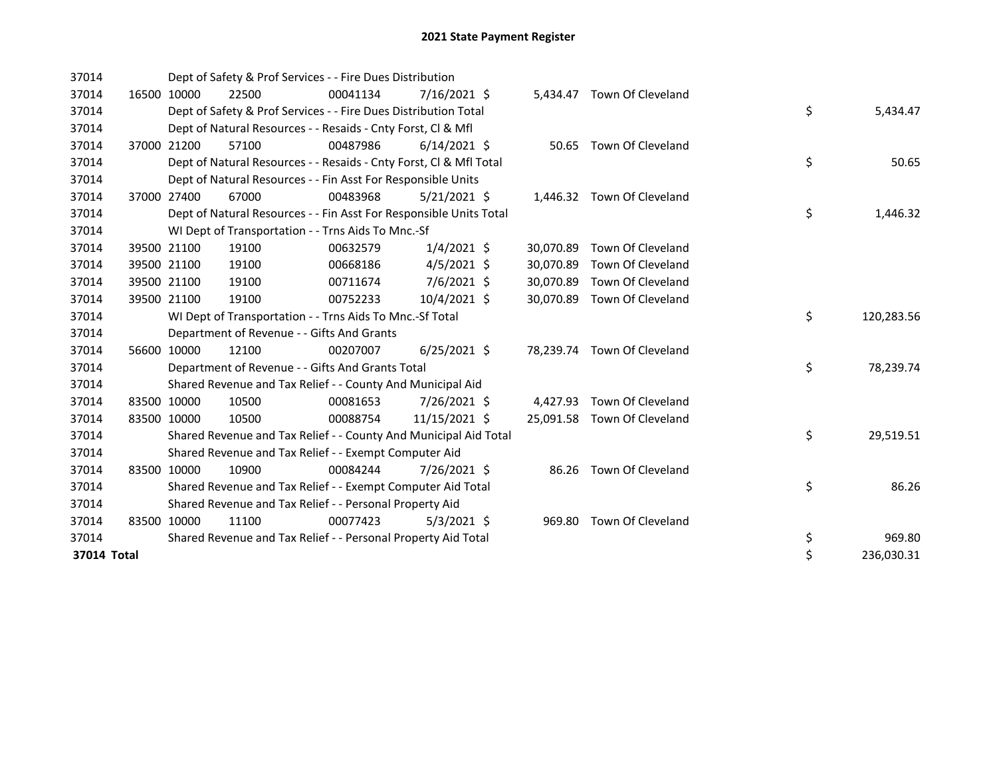| 37014       |       |             | Dept of Safety & Prof Services - - Fire Dues Distribution          |          |                |          |           |                             |  |    |            |  |
|-------------|-------|-------------|--------------------------------------------------------------------|----------|----------------|----------|-----------|-----------------------------|--|----|------------|--|
| 37014       |       | 16500 10000 | 22500                                                              | 00041134 | $7/16/2021$ \$ |          |           | 5.434.47 Town Of Cleveland  |  |    |            |  |
| 37014       |       |             | Dept of Safety & Prof Services - - Fire Dues Distribution Total    |          |                |          |           |                             |  | \$ | 5,434.47   |  |
| 37014       |       |             | Dept of Natural Resources - - Resaids - Cnty Forst, CI & Mfl       |          |                |          |           |                             |  |    |            |  |
| 37014       | 37000 | 21200       | 57100                                                              | 00487986 | $6/14/2021$ \$ |          |           | 50.65 Town Of Cleveland     |  |    |            |  |
| 37014       |       |             | Dept of Natural Resources - - Resaids - Cnty Forst, Cl & Mfl Total |          |                |          |           |                             |  | \$ | 50.65      |  |
| 37014       |       |             | Dept of Natural Resources - - Fin Asst For Responsible Units       |          |                |          |           |                             |  |    |            |  |
| 37014       |       | 37000 27400 | 67000                                                              | 00483968 | $5/21/2021$ \$ |          |           | 1,446.32 Town Of Cleveland  |  |    |            |  |
| 37014       |       |             | Dept of Natural Resources - - Fin Asst For Responsible Units Total |          | \$             | 1,446.32 |           |                             |  |    |            |  |
| 37014       |       |             | WI Dept of Transportation - - Trns Aids To Mnc.-Sf                 |          |                |          |           |                             |  |    |            |  |
| 37014       |       | 39500 21100 | 19100                                                              | 00632579 | $1/4/2021$ \$  |          | 30,070.89 | Town Of Cleveland           |  |    |            |  |
| 37014       |       | 39500 21100 | 19100                                                              | 00668186 | $4/5/2021$ \$  |          | 30,070.89 | Town Of Cleveland           |  |    |            |  |
| 37014       |       | 39500 21100 | 19100                                                              | 00711674 | 7/6/2021 \$    |          | 30,070.89 | Town Of Cleveland           |  |    |            |  |
| 37014       |       | 39500 21100 | 19100                                                              | 00752233 | 10/4/2021 \$   |          | 30.070.89 | Town Of Cleveland           |  |    |            |  |
| 37014       |       |             | WI Dept of Transportation - - Trns Aids To Mnc.-Sf Total           |          |                |          |           |                             |  | \$ | 120,283.56 |  |
| 37014       |       |             | Department of Revenue - - Gifts And Grants                         |          |                |          |           |                             |  |    |            |  |
| 37014       |       | 56600 10000 | 12100                                                              | 00207007 | $6/25/2021$ \$ |          |           | 78,239.74 Town Of Cleveland |  |    |            |  |
| 37014       |       |             | Department of Revenue - - Gifts And Grants Total                   |          |                |          |           |                             |  | \$ | 78,239.74  |  |
| 37014       |       |             | Shared Revenue and Tax Relief - - County And Municipal Aid         |          |                |          |           |                             |  |    |            |  |
| 37014       |       | 83500 10000 | 10500                                                              | 00081653 | 7/26/2021 \$   |          | 4,427.93  | Town Of Cleveland           |  |    |            |  |
| 37014       |       | 83500 10000 | 10500                                                              | 00088754 | 11/15/2021 \$  |          |           | 25,091.58 Town Of Cleveland |  |    |            |  |
| 37014       |       |             | Shared Revenue and Tax Relief - - County And Municipal Aid Total   |          |                |          |           |                             |  | \$ | 29,519.51  |  |
| 37014       |       |             | Shared Revenue and Tax Relief - - Exempt Computer Aid              |          |                |          |           |                             |  |    |            |  |
| 37014       |       | 83500 10000 | 10900                                                              | 00084244 | 7/26/2021 \$   |          |           | 86.26 Town Of Cleveland     |  |    |            |  |
| 37014       |       |             | Shared Revenue and Tax Relief - - Exempt Computer Aid Total        |          |                |          |           |                             |  | \$ | 86.26      |  |
| 37014       |       |             | Shared Revenue and Tax Relief - - Personal Property Aid            |          |                |          |           |                             |  |    |            |  |
| 37014       |       | 83500 10000 | 11100                                                              | 00077423 | $5/3/2021$ \$  |          | 969.80    | Town Of Cleveland           |  |    |            |  |
| 37014       |       |             | Shared Revenue and Tax Relief - - Personal Property Aid Total      |          |                |          |           |                             |  | \$ | 969.80     |  |
| 37014 Total |       |             |                                                                    |          |                |          |           |                             |  | \$ | 236,030.31 |  |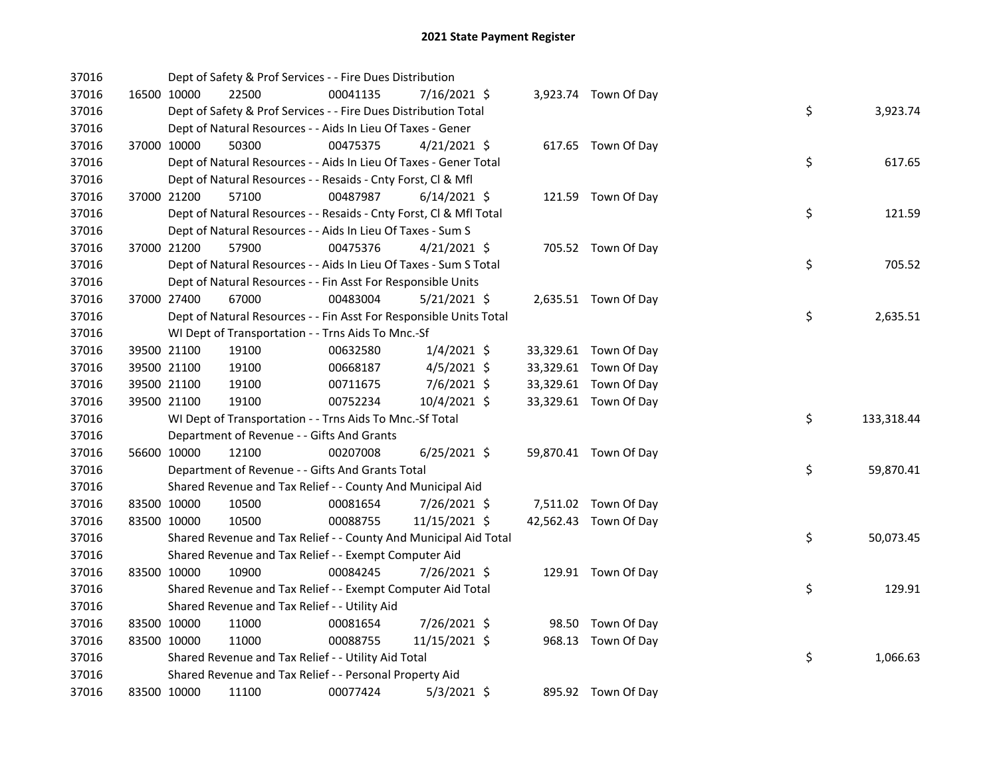| 37016 |             | Dept of Safety & Prof Services - - Fire Dues Distribution          |          |                |  |                       |    |            |
|-------|-------------|--------------------------------------------------------------------|----------|----------------|--|-----------------------|----|------------|
| 37016 | 16500 10000 | 22500                                                              | 00041135 | 7/16/2021 \$   |  | 3,923.74 Town Of Day  |    |            |
| 37016 |             | Dept of Safety & Prof Services - - Fire Dues Distribution Total    |          |                |  |                       | \$ | 3,923.74   |
| 37016 |             | Dept of Natural Resources - - Aids In Lieu Of Taxes - Gener        |          |                |  |                       |    |            |
| 37016 | 37000 10000 | 50300                                                              | 00475375 | $4/21/2021$ \$ |  | 617.65 Town Of Day    |    |            |
| 37016 |             | Dept of Natural Resources - - Aids In Lieu Of Taxes - Gener Total  |          |                |  |                       | \$ | 617.65     |
| 37016 |             | Dept of Natural Resources - - Resaids - Cnty Forst, Cl & Mfl       |          |                |  |                       |    |            |
| 37016 | 37000 21200 | 57100                                                              | 00487987 | $6/14/2021$ \$ |  | 121.59 Town Of Day    |    |            |
| 37016 |             | Dept of Natural Resources - - Resaids - Cnty Forst, CI & Mfl Total |          |                |  |                       | \$ | 121.59     |
| 37016 |             | Dept of Natural Resources - - Aids In Lieu Of Taxes - Sum S        |          |                |  |                       |    |            |
| 37016 | 37000 21200 | 57900                                                              | 00475376 | $4/21/2021$ \$ |  | 705.52 Town Of Day    |    |            |
| 37016 |             | Dept of Natural Resources - - Aids In Lieu Of Taxes - Sum S Total  |          |                |  |                       | \$ | 705.52     |
| 37016 |             | Dept of Natural Resources - - Fin Asst For Responsible Units       |          |                |  |                       |    |            |
| 37016 | 37000 27400 | 67000                                                              | 00483004 | $5/21/2021$ \$ |  | 2,635.51 Town Of Day  |    |            |
| 37016 |             | Dept of Natural Resources - - Fin Asst For Responsible Units Total |          |                |  |                       | \$ | 2,635.51   |
| 37016 |             | WI Dept of Transportation - - Trns Aids To Mnc.-Sf                 |          |                |  |                       |    |            |
| 37016 | 39500 21100 | 19100                                                              | 00632580 | $1/4/2021$ \$  |  | 33,329.61 Town Of Day |    |            |
| 37016 | 39500 21100 | 19100                                                              | 00668187 | $4/5/2021$ \$  |  | 33,329.61 Town Of Day |    |            |
| 37016 | 39500 21100 | 19100                                                              | 00711675 | 7/6/2021 \$    |  | 33,329.61 Town Of Day |    |            |
| 37016 | 39500 21100 | 19100                                                              | 00752234 | 10/4/2021 \$   |  | 33,329.61 Town Of Day |    |            |
| 37016 |             | WI Dept of Transportation - - Trns Aids To Mnc.-Sf Total           |          |                |  |                       | \$ | 133,318.44 |
| 37016 |             | Department of Revenue - - Gifts And Grants                         |          |                |  |                       |    |            |
| 37016 | 56600 10000 | 12100                                                              | 00207008 | $6/25/2021$ \$ |  | 59,870.41 Town Of Day |    |            |
| 37016 |             | Department of Revenue - - Gifts And Grants Total                   |          |                |  |                       | \$ | 59,870.41  |
| 37016 |             | Shared Revenue and Tax Relief - - County And Municipal Aid         |          |                |  |                       |    |            |
| 37016 | 83500 10000 | 10500                                                              | 00081654 | 7/26/2021 \$   |  | 7,511.02 Town Of Day  |    |            |
| 37016 | 83500 10000 | 10500                                                              | 00088755 | 11/15/2021 \$  |  | 42,562.43 Town Of Day |    |            |
| 37016 |             | Shared Revenue and Tax Relief - - County And Municipal Aid Total   |          |                |  |                       | \$ | 50,073.45  |
| 37016 |             | Shared Revenue and Tax Relief - - Exempt Computer Aid              |          |                |  |                       |    |            |
| 37016 | 83500 10000 | 10900                                                              | 00084245 | 7/26/2021 \$   |  | 129.91 Town Of Day    |    |            |
| 37016 |             | Shared Revenue and Tax Relief - - Exempt Computer Aid Total        |          |                |  |                       | \$ | 129.91     |
| 37016 |             | Shared Revenue and Tax Relief - - Utility Aid                      |          |                |  |                       |    |            |
| 37016 | 83500 10000 | 11000                                                              | 00081654 | 7/26/2021 \$   |  | 98.50 Town Of Day     |    |            |
| 37016 | 83500 10000 | 11000                                                              | 00088755 | 11/15/2021 \$  |  | 968.13 Town Of Day    |    |            |
| 37016 |             | Shared Revenue and Tax Relief - - Utility Aid Total                |          |                |  |                       | \$ | 1,066.63   |
| 37016 |             | Shared Revenue and Tax Relief - - Personal Property Aid            |          |                |  |                       |    |            |
| 37016 | 83500 10000 | 11100                                                              | 00077424 | $5/3/2021$ \$  |  | 895.92 Town Of Day    |    |            |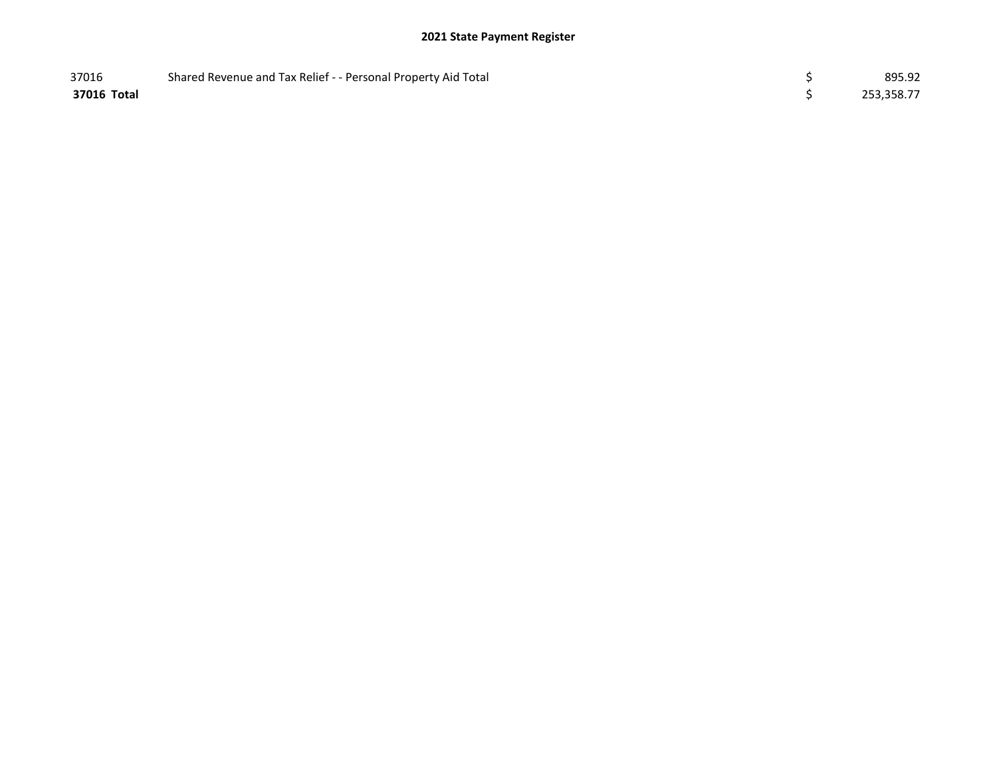## 2021 State Payment Register

| 37016       | Shared Revenue and Tax Relief - - Personal Property Aid Total | 895.92     |
|-------------|---------------------------------------------------------------|------------|
| 37016 Total |                                                               | 253,358.77 |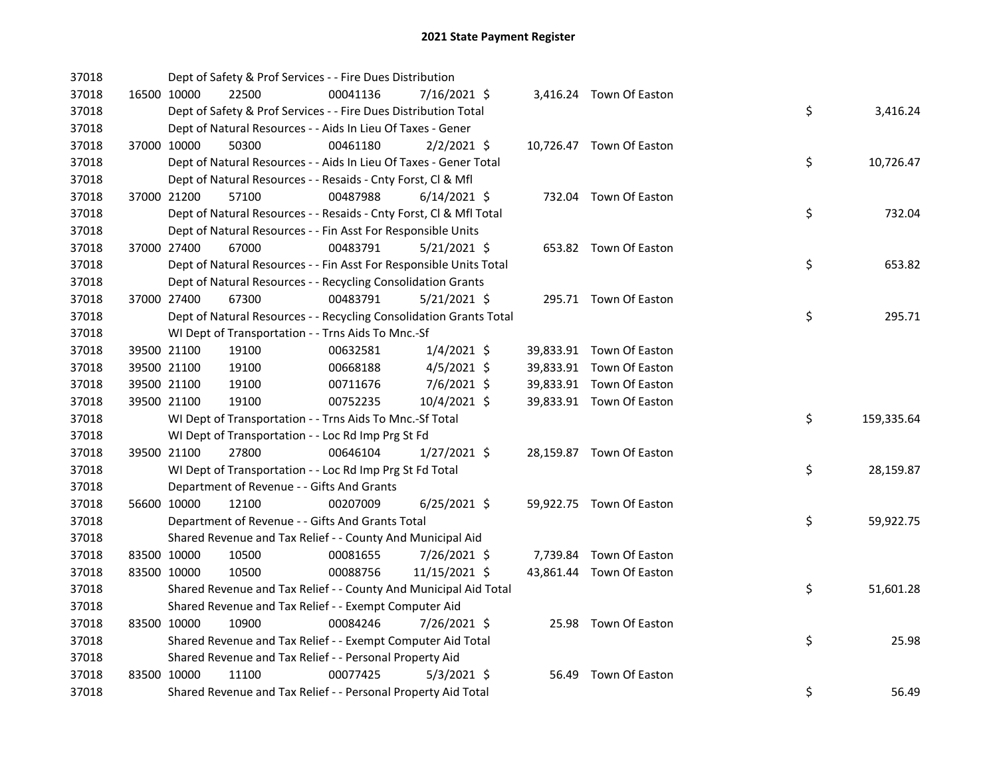| 37018 |             | Dept of Safety & Prof Services - - Fire Dues Distribution          |          |                |  |                          |    |            |
|-------|-------------|--------------------------------------------------------------------|----------|----------------|--|--------------------------|----|------------|
| 37018 | 16500 10000 | 22500                                                              | 00041136 | 7/16/2021 \$   |  | 3,416.24 Town Of Easton  |    |            |
| 37018 |             | Dept of Safety & Prof Services - - Fire Dues Distribution Total    |          |                |  |                          | \$ | 3,416.24   |
| 37018 |             | Dept of Natural Resources - - Aids In Lieu Of Taxes - Gener        |          |                |  |                          |    |            |
| 37018 | 37000 10000 | 50300                                                              | 00461180 | $2/2/2021$ \$  |  | 10,726.47 Town Of Easton |    |            |
| 37018 |             | Dept of Natural Resources - - Aids In Lieu Of Taxes - Gener Total  |          |                |  |                          | \$ | 10,726.47  |
| 37018 |             | Dept of Natural Resources - - Resaids - Cnty Forst, Cl & Mfl       |          |                |  |                          |    |            |
| 37018 | 37000 21200 | 57100                                                              | 00487988 | $6/14/2021$ \$ |  | 732.04 Town Of Easton    |    |            |
| 37018 |             | Dept of Natural Resources - - Resaids - Cnty Forst, Cl & Mfl Total |          |                |  |                          | \$ | 732.04     |
| 37018 |             | Dept of Natural Resources - - Fin Asst For Responsible Units       |          |                |  |                          |    |            |
| 37018 | 37000 27400 | 67000                                                              | 00483791 | $5/21/2021$ \$ |  | 653.82 Town Of Easton    |    |            |
| 37018 |             | Dept of Natural Resources - - Fin Asst For Responsible Units Total |          |                |  |                          | \$ | 653.82     |
| 37018 |             | Dept of Natural Resources - - Recycling Consolidation Grants       |          |                |  |                          |    |            |
| 37018 | 37000 27400 | 67300                                                              | 00483791 | $5/21/2021$ \$ |  | 295.71 Town Of Easton    |    |            |
| 37018 |             | Dept of Natural Resources - - Recycling Consolidation Grants Total |          |                |  |                          | \$ | 295.71     |
| 37018 |             | WI Dept of Transportation - - Trns Aids To Mnc.-Sf                 |          |                |  |                          |    |            |
| 37018 | 39500 21100 | 19100                                                              | 00632581 | $1/4/2021$ \$  |  | 39,833.91 Town Of Easton |    |            |
| 37018 | 39500 21100 | 19100                                                              | 00668188 | $4/5/2021$ \$  |  | 39,833.91 Town Of Easton |    |            |
| 37018 | 39500 21100 | 19100                                                              | 00711676 | 7/6/2021 \$    |  | 39,833.91 Town Of Easton |    |            |
| 37018 | 39500 21100 | 19100                                                              | 00752235 | 10/4/2021 \$   |  | 39,833.91 Town Of Easton |    |            |
| 37018 |             | WI Dept of Transportation - - Trns Aids To Mnc.-Sf Total           |          |                |  |                          | \$ | 159,335.64 |
| 37018 |             | WI Dept of Transportation - - Loc Rd Imp Prg St Fd                 |          |                |  |                          |    |            |
| 37018 | 39500 21100 | 27800                                                              | 00646104 | 1/27/2021 \$   |  | 28,159.87 Town Of Easton |    |            |
| 37018 |             | WI Dept of Transportation - - Loc Rd Imp Prg St Fd Total           |          |                |  |                          | \$ | 28,159.87  |
| 37018 |             | Department of Revenue - - Gifts And Grants                         |          |                |  |                          |    |            |
| 37018 | 56600 10000 | 12100                                                              | 00207009 | $6/25/2021$ \$ |  | 59,922.75 Town Of Easton |    |            |
| 37018 |             | Department of Revenue - - Gifts And Grants Total                   |          |                |  |                          | \$ | 59,922.75  |
| 37018 |             | Shared Revenue and Tax Relief - - County And Municipal Aid         |          |                |  |                          |    |            |
| 37018 | 83500 10000 | 10500                                                              | 00081655 | 7/26/2021 \$   |  | 7,739.84 Town Of Easton  |    |            |
| 37018 | 83500 10000 | 10500                                                              | 00088756 | 11/15/2021 \$  |  | 43,861.44 Town Of Easton |    |            |
| 37018 |             | Shared Revenue and Tax Relief - - County And Municipal Aid Total   |          |                |  |                          | \$ | 51,601.28  |
| 37018 |             | Shared Revenue and Tax Relief - - Exempt Computer Aid              |          |                |  |                          |    |            |
| 37018 | 83500 10000 | 10900                                                              | 00084246 | 7/26/2021 \$   |  | 25.98 Town Of Easton     |    |            |
| 37018 |             | Shared Revenue and Tax Relief - - Exempt Computer Aid Total        |          |                |  |                          | \$ | 25.98      |
| 37018 |             | Shared Revenue and Tax Relief - - Personal Property Aid            |          |                |  |                          |    |            |
| 37018 | 83500 10000 | 11100                                                              | 00077425 | $5/3/2021$ \$  |  | 56.49 Town Of Easton     |    |            |
| 37018 |             | Shared Revenue and Tax Relief - - Personal Property Aid Total      |          |                |  |                          | \$ | 56.49      |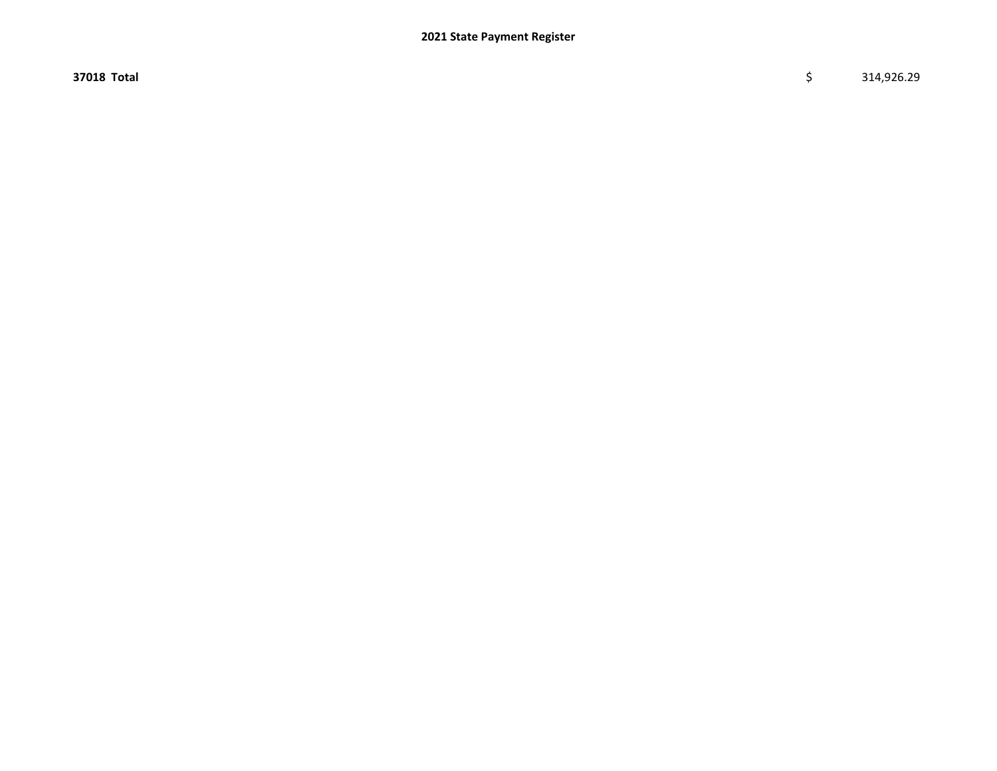$37018$  Total  $\zeta$   $314,926.29$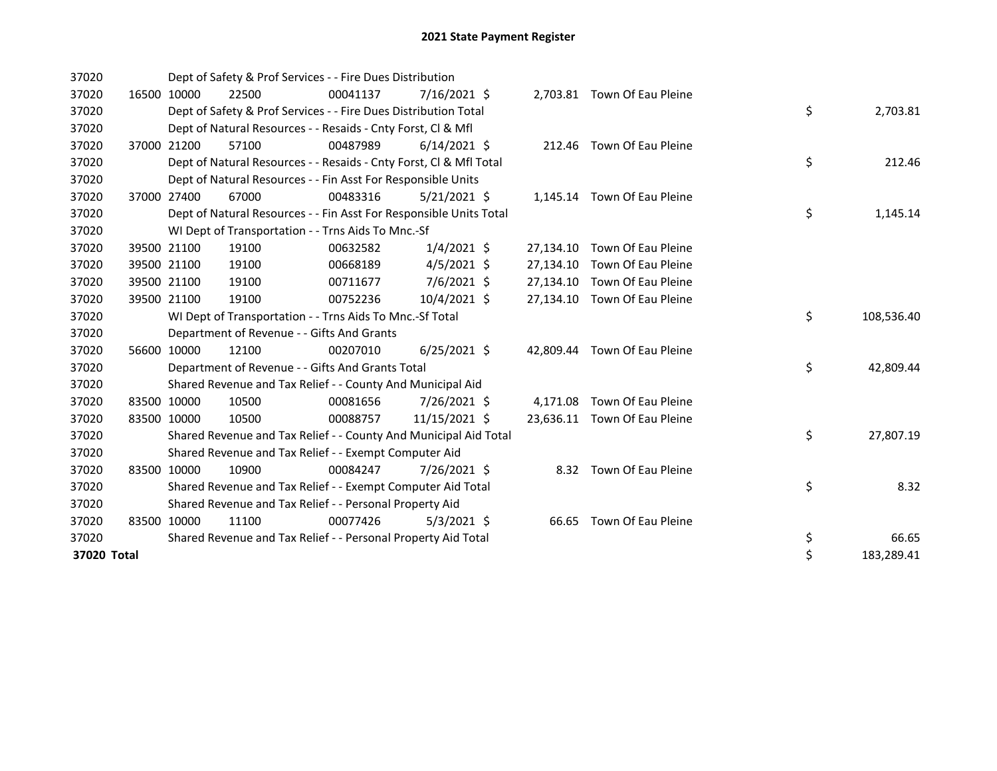| 37020       |       |                                                          | Dept of Safety & Prof Services - - Fire Dues Distribution          |          |                |  |           |                              |  |    |            |  |  |
|-------------|-------|----------------------------------------------------------|--------------------------------------------------------------------|----------|----------------|--|-----------|------------------------------|--|----|------------|--|--|
| 37020       |       | 16500 10000                                              | 22500                                                              | 00041137 | $7/16/2021$ \$ |  |           | 2,703.81 Town Of Eau Pleine  |  |    |            |  |  |
| 37020       |       |                                                          | Dept of Safety & Prof Services - - Fire Dues Distribution Total    |          |                |  |           |                              |  | \$ | 2,703.81   |  |  |
| 37020       |       |                                                          | Dept of Natural Resources - - Resaids - Cnty Forst, CI & Mfl       |          |                |  |           |                              |  |    |            |  |  |
| 37020       | 37000 | 21200                                                    | 57100                                                              | 00487989 | $6/14/2021$ \$ |  |           | 212.46 Town Of Eau Pleine    |  |    |            |  |  |
| 37020       |       |                                                          | Dept of Natural Resources - - Resaids - Cnty Forst, CI & Mfl Total |          |                |  |           |                              |  | \$ | 212.46     |  |  |
| 37020       |       |                                                          | Dept of Natural Resources - - Fin Asst For Responsible Units       |          |                |  |           |                              |  |    |            |  |  |
| 37020       |       | 37000 27400                                              | 67000                                                              | 00483316 | $5/21/2021$ \$ |  |           | 1,145.14 Town Of Eau Pleine  |  |    |            |  |  |
| 37020       |       |                                                          | Dept of Natural Resources - - Fin Asst For Responsible Units Total |          |                |  |           |                              |  | \$ | 1,145.14   |  |  |
| 37020       |       |                                                          | WI Dept of Transportation - - Trns Aids To Mnc.-Sf                 |          |                |  |           |                              |  |    |            |  |  |
| 37020       |       | 39500 21100                                              | 19100                                                              | 00632582 | $1/4/2021$ \$  |  | 27,134.10 | Town Of Eau Pleine           |  |    |            |  |  |
| 37020       |       | 39500 21100                                              | 19100                                                              | 00668189 | $4/5/2021$ \$  |  | 27,134.10 | Town Of Eau Pleine           |  |    |            |  |  |
| 37020       |       | 39500 21100                                              | 19100                                                              | 00711677 | $7/6/2021$ \$  |  | 27,134.10 | Town Of Eau Pleine           |  |    |            |  |  |
| 37020       |       | 39500 21100                                              | 19100                                                              | 00752236 | 10/4/2021 \$   |  |           | 27,134.10 Town Of Eau Pleine |  |    |            |  |  |
| 37020       |       | WI Dept of Transportation - - Trns Aids To Mnc.-Sf Total |                                                                    | \$       | 108,536.40     |  |           |                              |  |    |            |  |  |
| 37020       |       |                                                          | Department of Revenue - - Gifts And Grants                         |          |                |  |           |                              |  |    |            |  |  |
| 37020       |       | 56600 10000                                              | 12100                                                              | 00207010 | $6/25/2021$ \$ |  |           | 42,809.44 Town Of Eau Pleine |  |    |            |  |  |
| 37020       |       |                                                          | Department of Revenue - - Gifts And Grants Total                   |          |                |  |           |                              |  | \$ | 42,809.44  |  |  |
| 37020       |       |                                                          | Shared Revenue and Tax Relief - - County And Municipal Aid         |          |                |  |           |                              |  |    |            |  |  |
| 37020       |       | 83500 10000                                              | 10500                                                              | 00081656 | 7/26/2021 \$   |  | 4,171.08  | Town Of Eau Pleine           |  |    |            |  |  |
| 37020       |       | 83500 10000                                              | 10500                                                              | 00088757 | 11/15/2021 \$  |  |           | 23,636.11 Town Of Eau Pleine |  |    |            |  |  |
| 37020       |       |                                                          | Shared Revenue and Tax Relief - - County And Municipal Aid Total   |          |                |  |           |                              |  | \$ | 27,807.19  |  |  |
| 37020       |       |                                                          | Shared Revenue and Tax Relief - - Exempt Computer Aid              |          |                |  |           |                              |  |    |            |  |  |
| 37020       |       | 83500 10000                                              | 10900                                                              | 00084247 | 7/26/2021 \$   |  |           | 8.32 Town Of Eau Pleine      |  |    |            |  |  |
| 37020       |       |                                                          | Shared Revenue and Tax Relief - - Exempt Computer Aid Total        |          |                |  |           |                              |  | \$ | 8.32       |  |  |
| 37020       |       | Shared Revenue and Tax Relief - - Personal Property Aid  |                                                                    |          |                |  |           |                              |  |    |            |  |  |
| 37020       |       | 83500 10000                                              | 11100                                                              | 00077426 | $5/3/2021$ \$  |  | 66.65     | Town Of Eau Pleine           |  |    |            |  |  |
| 37020       |       |                                                          | Shared Revenue and Tax Relief - - Personal Property Aid Total      |          |                |  |           |                              |  | \$ | 66.65      |  |  |
| 37020 Total |       |                                                          |                                                                    |          |                |  |           |                              |  | \$ | 183,289.41 |  |  |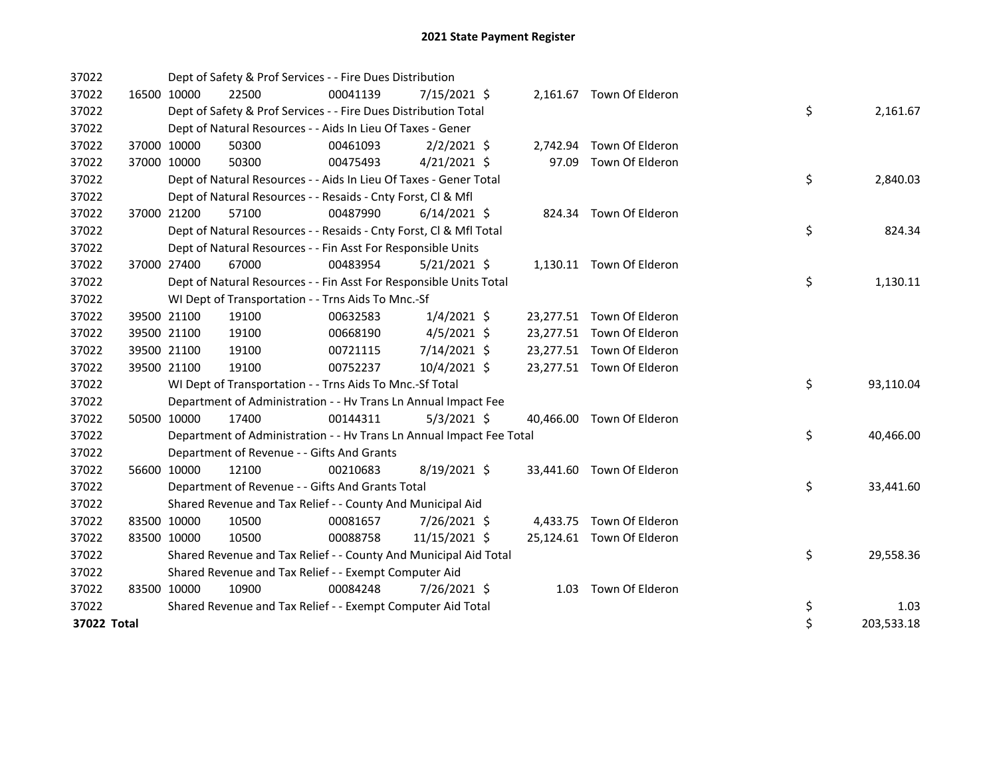| 37022       |             |             | Dept of Safety & Prof Services - - Fire Dues Distribution            |          |                |          |                           |    |            |
|-------------|-------------|-------------|----------------------------------------------------------------------|----------|----------------|----------|---------------------------|----|------------|
| 37022       | 16500 10000 |             | 22500                                                                | 00041139 | 7/15/2021 \$   |          | 2,161.67 Town Of Elderon  |    |            |
| 37022       |             |             | Dept of Safety & Prof Services - - Fire Dues Distribution Total      |          |                |          |                           | \$ | 2,161.67   |
| 37022       |             |             | Dept of Natural Resources - - Aids In Lieu Of Taxes - Gener          |          |                |          |                           |    |            |
| 37022       |             | 37000 10000 | 50300                                                                | 00461093 | $2/2/2021$ \$  | 2,742.94 | Town Of Elderon           |    |            |
| 37022       |             | 37000 10000 | 50300                                                                | 00475493 | $4/21/2021$ \$ |          | 97.09 Town Of Elderon     |    |            |
| 37022       |             |             | Dept of Natural Resources - - Aids In Lieu Of Taxes - Gener Total    |          |                |          |                           | \$ | 2,840.03   |
| 37022       |             |             | Dept of Natural Resources - - Resaids - Cnty Forst, Cl & Mfl         |          |                |          |                           |    |            |
| 37022       | 37000 21200 |             | 57100                                                                | 00487990 | $6/14/2021$ \$ |          | 824.34 Town Of Elderon    |    |            |
| 37022       |             |             | Dept of Natural Resources - - Resaids - Cnty Forst, CI & Mfl Total   | \$       | 824.34         |          |                           |    |            |
| 37022       |             |             | Dept of Natural Resources - - Fin Asst For Responsible Units         |          |                |          |                           |    |            |
| 37022       |             | 37000 27400 | 67000                                                                | 00483954 | $5/21/2021$ \$ |          | 1,130.11 Town Of Elderon  |    |            |
| 37022       |             |             | Dept of Natural Resources - - Fin Asst For Responsible Units Total   |          |                |          |                           | \$ | 1,130.11   |
| 37022       |             |             | WI Dept of Transportation - - Trns Aids To Mnc.-Sf                   |          |                |          |                           |    |            |
| 37022       |             | 39500 21100 | 19100                                                                | 00632583 | $1/4/2021$ \$  |          | 23,277.51 Town Of Elderon |    |            |
| 37022       |             | 39500 21100 | 19100                                                                | 00668190 | $4/5/2021$ \$  |          | 23,277.51 Town Of Elderon |    |            |
| 37022       |             | 39500 21100 | 19100                                                                | 00721115 | 7/14/2021 \$   |          | 23,277.51 Town Of Elderon |    |            |
| 37022       |             | 39500 21100 | 19100                                                                | 00752237 | 10/4/2021 \$   |          | 23,277.51 Town Of Elderon |    |            |
| 37022       |             |             | WI Dept of Transportation - - Trns Aids To Mnc.-Sf Total             |          |                |          |                           | \$ | 93,110.04  |
| 37022       |             |             | Department of Administration - - Hv Trans Ln Annual Impact Fee       |          |                |          |                           |    |            |
| 37022       |             | 50500 10000 | 17400                                                                | 00144311 | $5/3/2021$ \$  |          | 40,466.00 Town Of Elderon |    |            |
| 37022       |             |             | Department of Administration - - Hv Trans Ln Annual Impact Fee Total |          |                |          |                           | \$ | 40,466.00  |
| 37022       |             |             | Department of Revenue - - Gifts And Grants                           |          |                |          |                           |    |            |
| 37022       | 56600 10000 |             | 12100                                                                | 00210683 | 8/19/2021 \$   |          | 33,441.60 Town Of Elderon |    |            |
| 37022       |             |             | Department of Revenue - - Gifts And Grants Total                     |          |                |          |                           | \$ | 33,441.60  |
| 37022       |             |             | Shared Revenue and Tax Relief - - County And Municipal Aid           |          |                |          |                           |    |            |
| 37022       |             | 83500 10000 | 10500                                                                | 00081657 | $7/26/2021$ \$ |          | 4,433.75 Town Of Elderon  |    |            |
| 37022       | 83500 10000 |             | 10500                                                                | 00088758 | 11/15/2021 \$  |          | 25,124.61 Town Of Elderon |    |            |
| 37022       |             |             | Shared Revenue and Tax Relief - - County And Municipal Aid Total     |          |                |          |                           | \$ | 29,558.36  |
| 37022       |             |             | Shared Revenue and Tax Relief - - Exempt Computer Aid                |          |                |          |                           |    |            |
| 37022       |             | 83500 10000 | 10900                                                                | 00084248 | 7/26/2021 \$   |          | 1.03 Town Of Elderon      |    |            |
| 37022       |             |             | Shared Revenue and Tax Relief - - Exempt Computer Aid Total          |          |                |          |                           | \$ | 1.03       |
| 37022 Total |             |             |                                                                      |          |                |          |                           | \$ | 203,533.18 |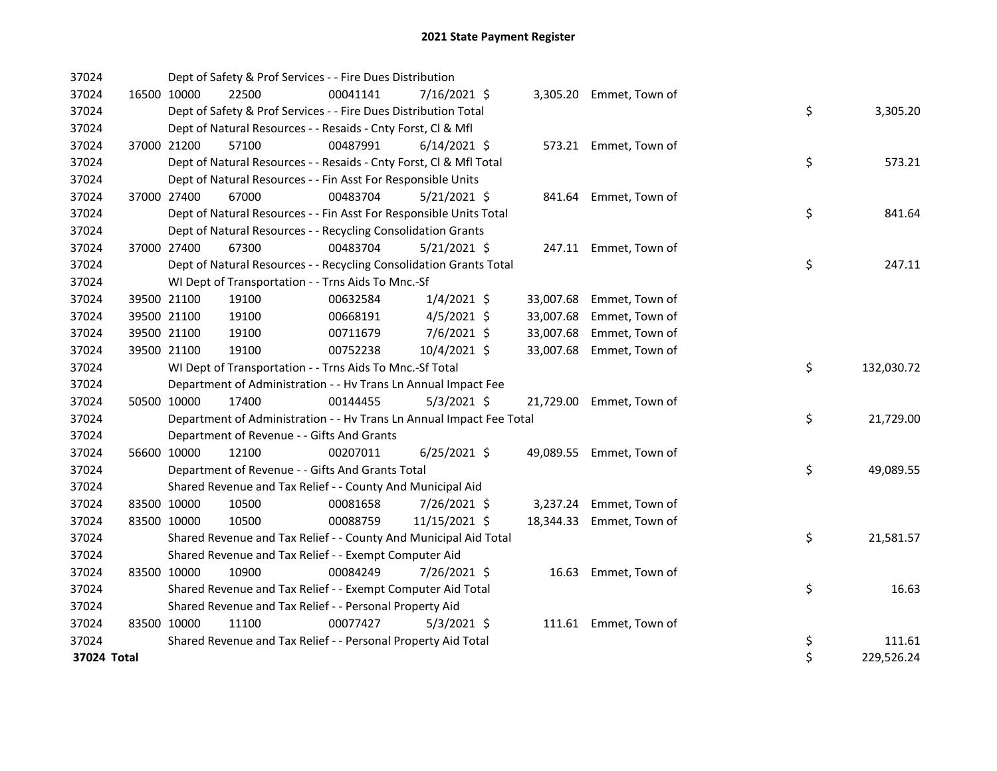| 37024       |             | Dept of Safety & Prof Services - - Fire Dues Distribution            |          |                |           |                         |    |            |
|-------------|-------------|----------------------------------------------------------------------|----------|----------------|-----------|-------------------------|----|------------|
| 37024       | 16500 10000 | 22500                                                                | 00041141 | $7/16/2021$ \$ |           | 3,305.20 Emmet, Town of |    |            |
| 37024       |             | Dept of Safety & Prof Services - - Fire Dues Distribution Total      |          |                |           |                         | \$ | 3,305.20   |
| 37024       |             | Dept of Natural Resources - - Resaids - Cnty Forst, Cl & Mfl         |          |                |           |                         |    |            |
| 37024       | 37000 21200 | 57100                                                                | 00487991 | $6/14/2021$ \$ |           | 573.21 Emmet, Town of   |    |            |
| 37024       |             | Dept of Natural Resources - - Resaids - Cnty Forst, Cl & Mfl Total   |          |                |           |                         | \$ | 573.21     |
| 37024       |             | Dept of Natural Resources - - Fin Asst For Responsible Units         |          |                |           |                         |    |            |
| 37024       | 37000 27400 | 67000                                                                | 00483704 | $5/21/2021$ \$ |           | 841.64 Emmet, Town of   |    |            |
| 37024       |             | Dept of Natural Resources - - Fin Asst For Responsible Units Total   |          |                |           |                         | \$ | 841.64     |
| 37024       |             | Dept of Natural Resources - - Recycling Consolidation Grants         |          |                |           |                         |    |            |
| 37024       | 37000 27400 | 67300                                                                | 00483704 | $5/21/2021$ \$ |           | 247.11 Emmet, Town of   |    |            |
| 37024       |             | Dept of Natural Resources - - Recycling Consolidation Grants Total   |          |                |           |                         | \$ | 247.11     |
| 37024       |             | WI Dept of Transportation - - Trns Aids To Mnc.-Sf                   |          |                |           |                         |    |            |
| 37024       | 39500 21100 | 19100                                                                | 00632584 | $1/4/2021$ \$  | 33,007.68 | Emmet, Town of          |    |            |
| 37024       | 39500 21100 | 19100                                                                | 00668191 | 4/5/2021 \$    | 33,007.68 | Emmet, Town of          |    |            |
| 37024       | 39500 21100 | 19100                                                                | 00711679 | 7/6/2021 \$    | 33,007.68 | Emmet, Town of          |    |            |
| 37024       | 39500 21100 | 19100                                                                | 00752238 | 10/4/2021 \$   | 33,007.68 | Emmet, Town of          |    |            |
| 37024       |             | WI Dept of Transportation - - Trns Aids To Mnc.-Sf Total             |          |                |           |                         | \$ | 132,030.72 |
| 37024       |             | Department of Administration - - Hv Trans Ln Annual Impact Fee       |          |                |           |                         |    |            |
| 37024       | 50500 10000 | 17400                                                                | 00144455 | $5/3/2021$ \$  | 21,729.00 | Emmet, Town of          |    |            |
| 37024       |             | Department of Administration - - Hv Trans Ln Annual Impact Fee Total |          |                |           |                         | \$ | 21,729.00  |
| 37024       |             | Department of Revenue - - Gifts And Grants                           |          |                |           |                         |    |            |
| 37024       | 56600 10000 | 12100                                                                | 00207011 | $6/25/2021$ \$ | 49,089.55 | Emmet, Town of          |    |            |
| 37024       |             | Department of Revenue - - Gifts And Grants Total                     |          |                |           |                         | \$ | 49,089.55  |
| 37024       |             | Shared Revenue and Tax Relief - - County And Municipal Aid           |          |                |           |                         |    |            |
| 37024       | 83500 10000 | 10500                                                                | 00081658 | 7/26/2021 \$   |           | 3,237.24 Emmet, Town of |    |            |
| 37024       | 83500 10000 | 10500                                                                | 00088759 | 11/15/2021 \$  | 18,344.33 | Emmet, Town of          |    |            |
| 37024       |             | Shared Revenue and Tax Relief - - County And Municipal Aid Total     |          |                |           |                         | \$ | 21,581.57  |
| 37024       |             | Shared Revenue and Tax Relief - - Exempt Computer Aid                |          |                |           |                         |    |            |
| 37024       | 83500 10000 | 10900                                                                | 00084249 | 7/26/2021 \$   | 16.63     | Emmet, Town of          |    |            |
| 37024       |             | Shared Revenue and Tax Relief - - Exempt Computer Aid Total          |          |                |           |                         | \$ | 16.63      |
| 37024       |             | Shared Revenue and Tax Relief - - Personal Property Aid              |          |                |           |                         |    |            |
| 37024       | 83500 10000 | 11100                                                                | 00077427 | $5/3/2021$ \$  |           | 111.61 Emmet, Town of   |    |            |
| 37024       |             | Shared Revenue and Tax Relief - - Personal Property Aid Total        |          |                |           |                         | \$ | 111.61     |
| 37024 Total |             |                                                                      |          |                |           |                         | \$ | 229,526.24 |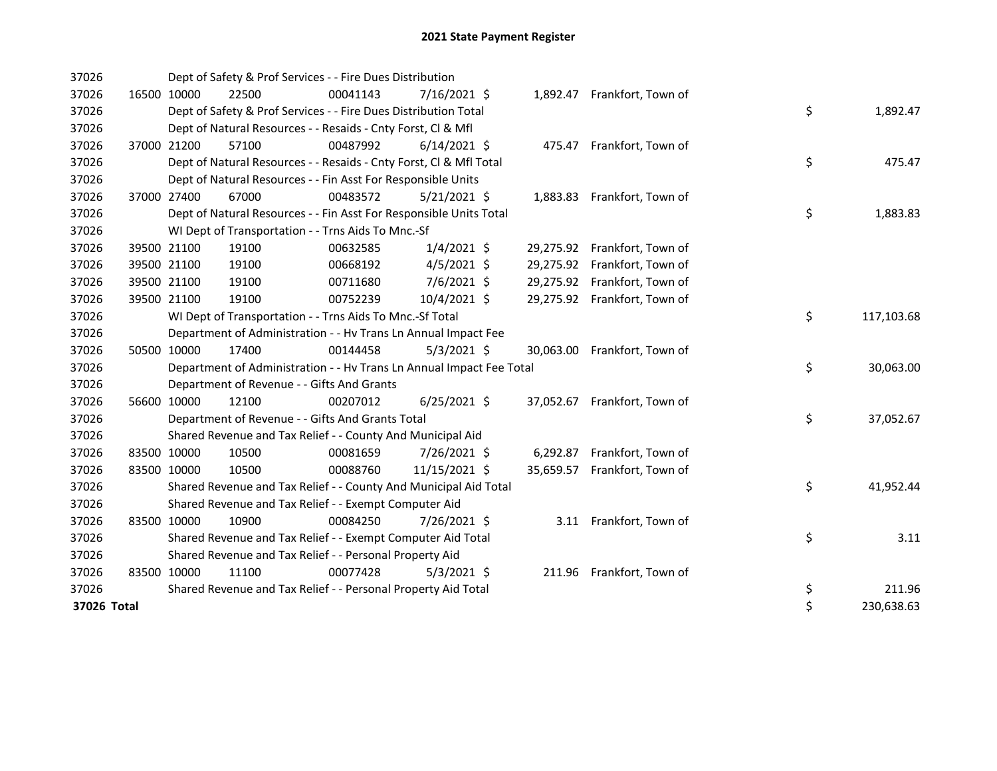| 37026       |             | Dept of Safety & Prof Services - - Fire Dues Distribution            |          |                |           |                              |    |            |
|-------------|-------------|----------------------------------------------------------------------|----------|----------------|-----------|------------------------------|----|------------|
| 37026       | 16500 10000 | 22500                                                                | 00041143 | $7/16/2021$ \$ |           | 1,892.47 Frankfort, Town of  |    |            |
| 37026       |             | Dept of Safety & Prof Services - - Fire Dues Distribution Total      |          |                |           |                              | \$ | 1,892.47   |
| 37026       |             | Dept of Natural Resources - - Resaids - Cnty Forst, CI & Mfl         |          |                |           |                              |    |            |
| 37026       | 37000 21200 | 57100                                                                | 00487992 | $6/14/2021$ \$ |           | 475.47 Frankfort, Town of    |    |            |
| 37026       |             | Dept of Natural Resources - - Resaids - Cnty Forst, Cl & Mfl Total   |          |                |           |                              | \$ | 475.47     |
| 37026       |             | Dept of Natural Resources - - Fin Asst For Responsible Units         |          |                |           |                              |    |            |
| 37026       | 37000 27400 | 67000                                                                | 00483572 | $5/21/2021$ \$ |           | 1,883.83 Frankfort, Town of  |    |            |
| 37026       |             | Dept of Natural Resources - - Fin Asst For Responsible Units Total   |          |                |           |                              | \$ | 1,883.83   |
| 37026       |             | WI Dept of Transportation - - Trns Aids To Mnc.-Sf                   |          |                |           |                              |    |            |
| 37026       | 39500 21100 | 19100                                                                | 00632585 | $1/4/2021$ \$  |           | 29,275.92 Frankfort, Town of |    |            |
| 37026       | 39500 21100 | 19100                                                                | 00668192 | $4/5/2021$ \$  |           | 29,275.92 Frankfort, Town of |    |            |
| 37026       | 39500 21100 | 19100                                                                | 00711680 | 7/6/2021 \$    | 29,275.92 | Frankfort, Town of           |    |            |
| 37026       | 39500 21100 | 19100                                                                | 00752239 | 10/4/2021 \$   |           | 29,275.92 Frankfort, Town of |    |            |
| 37026       |             | WI Dept of Transportation - - Trns Aids To Mnc.-Sf Total             |          |                |           |                              | \$ | 117,103.68 |
| 37026       |             | Department of Administration - - Hv Trans Ln Annual Impact Fee       |          |                |           |                              |    |            |
| 37026       | 50500 10000 | 17400                                                                | 00144458 | $5/3/2021$ \$  | 30,063.00 | Frankfort, Town of           |    |            |
| 37026       |             | Department of Administration - - Hv Trans Ln Annual Impact Fee Total |          |                |           |                              | \$ | 30,063.00  |
| 37026       |             | Department of Revenue - - Gifts And Grants                           |          |                |           |                              |    |            |
| 37026       | 56600 10000 | 12100                                                                | 00207012 | $6/25/2021$ \$ |           | 37,052.67 Frankfort, Town of |    |            |
| 37026       |             | Department of Revenue - - Gifts And Grants Total                     |          |                |           |                              | \$ | 37,052.67  |
| 37026       |             | Shared Revenue and Tax Relief - - County And Municipal Aid           |          |                |           |                              |    |            |
| 37026       | 83500 10000 | 10500                                                                | 00081659 | 7/26/2021 \$   | 6,292.87  | Frankfort, Town of           |    |            |
| 37026       | 83500 10000 | 10500                                                                | 00088760 | 11/15/2021 \$  | 35,659.57 | Frankfort, Town of           |    |            |
| 37026       |             | Shared Revenue and Tax Relief - - County And Municipal Aid Total     |          |                |           |                              | \$ | 41,952.44  |
| 37026       |             | Shared Revenue and Tax Relief - - Exempt Computer Aid                |          |                |           |                              |    |            |
| 37026       | 83500 10000 | 10900                                                                | 00084250 | 7/26/2021 \$   |           | 3.11 Frankfort, Town of      |    |            |
| 37026       |             | Shared Revenue and Tax Relief - - Exempt Computer Aid Total          |          |                |           |                              | \$ | 3.11       |
| 37026       |             | Shared Revenue and Tax Relief - - Personal Property Aid              |          |                |           |                              |    |            |
| 37026       | 83500 10000 | 11100                                                                | 00077428 | $5/3/2021$ \$  |           | 211.96 Frankfort, Town of    |    |            |
| 37026       |             | Shared Revenue and Tax Relief - - Personal Property Aid Total        |          |                |           |                              | \$ | 211.96     |
| 37026 Total |             |                                                                      |          |                |           |                              | \$ | 230,638.63 |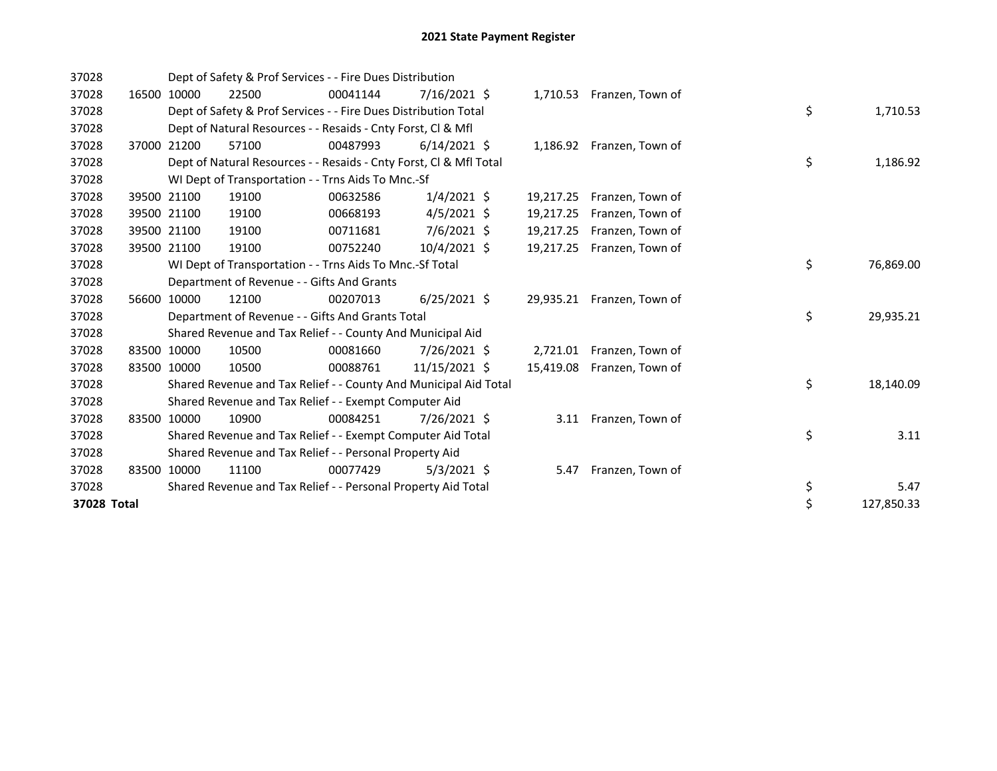| 37028       |       |             | Dept of Safety & Prof Services - - Fire Dues Distribution          |          |                |           |                            |    |            |
|-------------|-------|-------------|--------------------------------------------------------------------|----------|----------------|-----------|----------------------------|----|------------|
| 37028       | 16500 | 10000       | 22500                                                              | 00041144 | 7/16/2021 \$   | 1,710.53  | Franzen, Town of           |    |            |
| 37028       |       |             | Dept of Safety & Prof Services - - Fire Dues Distribution Total    |          |                |           |                            | \$ | 1,710.53   |
| 37028       |       |             | Dept of Natural Resources - - Resaids - Cnty Forst, CI & Mfl       |          |                |           |                            |    |            |
| 37028       |       | 37000 21200 | 57100                                                              | 00487993 | $6/14/2021$ \$ |           | 1,186.92 Franzen, Town of  |    |            |
| 37028       |       |             | Dept of Natural Resources - - Resaids - Cnty Forst, CI & Mfl Total |          |                |           |                            | \$ | 1,186.92   |
| 37028       |       |             | WI Dept of Transportation - - Trns Aids To Mnc.-Sf                 |          |                |           |                            |    |            |
| 37028       | 39500 | 21100       | 19100                                                              | 00632586 | $1/4/2021$ \$  | 19,217.25 | Franzen, Town of           |    |            |
| 37028       |       | 39500 21100 | 19100                                                              | 00668193 | $4/5/2021$ \$  | 19,217.25 | Franzen, Town of           |    |            |
| 37028       |       | 39500 21100 | 19100                                                              | 00711681 | $7/6/2021$ \$  | 19,217.25 | Franzen, Town of           |    |            |
| 37028       |       | 39500 21100 | 19100                                                              | 00752240 | $10/4/2021$ \$ | 19,217.25 | Franzen, Town of           |    |            |
| 37028       |       |             | WI Dept of Transportation - - Trns Aids To Mnc.-Sf Total           |          |                | \$        | 76,869.00                  |    |            |
| 37028       |       |             | Department of Revenue - - Gifts And Grants                         |          |                |           |                            |    |            |
| 37028       |       | 56600 10000 | 12100                                                              | 00207013 | $6/25/2021$ \$ |           | 29,935.21 Franzen, Town of |    |            |
| 37028       |       |             | Department of Revenue - - Gifts And Grants Total                   |          |                |           |                            | \$ | 29,935.21  |
| 37028       |       |             | Shared Revenue and Tax Relief - - County And Municipal Aid         |          |                |           |                            |    |            |
| 37028       |       | 83500 10000 | 10500                                                              | 00081660 | 7/26/2021 \$   | 2,721.01  | Franzen, Town of           |    |            |
| 37028       |       | 83500 10000 | 10500                                                              | 00088761 | 11/15/2021 \$  | 15,419.08 | Franzen, Town of           |    |            |
| 37028       |       |             | Shared Revenue and Tax Relief - - County And Municipal Aid Total   |          |                |           |                            | \$ | 18,140.09  |
| 37028       |       |             | Shared Revenue and Tax Relief - - Exempt Computer Aid              |          |                |           |                            |    |            |
| 37028       |       | 83500 10000 | 10900                                                              | 00084251 | 7/26/2021 \$   |           | 3.11 Franzen, Town of      |    |            |
| 37028       |       |             | Shared Revenue and Tax Relief - - Exempt Computer Aid Total        |          |                |           |                            | \$ | 3.11       |
| 37028       |       |             | Shared Revenue and Tax Relief - - Personal Property Aid            |          |                |           |                            |    |            |
| 37028       | 83500 | 10000       | 11100                                                              | 00077429 | $5/3/2021$ \$  | 5.47      | Franzen, Town of           |    |            |
| 37028       |       |             | Shared Revenue and Tax Relief - - Personal Property Aid Total      |          |                |           |                            | \$ | 5.47       |
| 37028 Total |       |             |                                                                    |          |                |           |                            | \$ | 127,850.33 |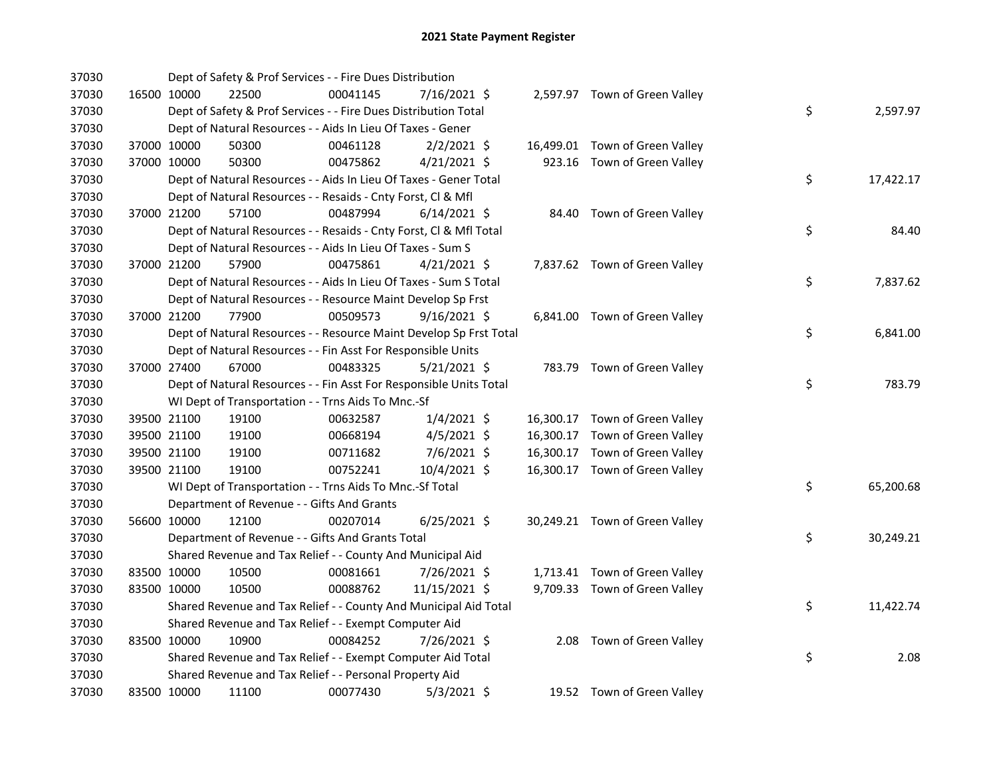| 37030 |             |             | Dept of Safety & Prof Services - - Fire Dues Distribution          |          |                |  |                                |    |           |
|-------|-------------|-------------|--------------------------------------------------------------------|----------|----------------|--|--------------------------------|----|-----------|
| 37030 |             | 16500 10000 | 22500                                                              | 00041145 | 7/16/2021 \$   |  | 2,597.97 Town of Green Valley  |    |           |
| 37030 |             |             | Dept of Safety & Prof Services - - Fire Dues Distribution Total    |          |                |  |                                | \$ | 2,597.97  |
| 37030 |             |             | Dept of Natural Resources - - Aids In Lieu Of Taxes - Gener        |          |                |  |                                |    |           |
| 37030 |             | 37000 10000 | 50300                                                              | 00461128 | $2/2/2021$ \$  |  | 16,499.01 Town of Green Valley |    |           |
| 37030 | 37000 10000 |             | 50300                                                              | 00475862 | $4/21/2021$ \$ |  | 923.16 Town of Green Valley    |    |           |
| 37030 |             |             | Dept of Natural Resources - - Aids In Lieu Of Taxes - Gener Total  |          |                |  |                                | \$ | 17,422.17 |
| 37030 |             |             | Dept of Natural Resources - - Resaids - Cnty Forst, Cl & Mfl       |          |                |  |                                |    |           |
| 37030 |             | 37000 21200 | 57100                                                              | 00487994 | $6/14/2021$ \$ |  | 84.40 Town of Green Valley     |    |           |
| 37030 |             |             | Dept of Natural Resources - - Resaids - Cnty Forst, Cl & Mfl Total |          |                |  |                                | \$ | 84.40     |
| 37030 |             |             | Dept of Natural Resources - - Aids In Lieu Of Taxes - Sum S        |          |                |  |                                |    |           |
| 37030 |             | 37000 21200 | 57900                                                              | 00475861 | $4/21/2021$ \$ |  | 7,837.62 Town of Green Valley  |    |           |
| 37030 |             |             | Dept of Natural Resources - - Aids In Lieu Of Taxes - Sum S Total  |          |                |  |                                | \$ | 7,837.62  |
| 37030 |             |             | Dept of Natural Resources - - Resource Maint Develop Sp Frst       |          |                |  |                                |    |           |
| 37030 |             | 37000 21200 | 77900                                                              | 00509573 | $9/16/2021$ \$ |  | 6,841.00 Town of Green Valley  |    |           |
| 37030 |             |             | Dept of Natural Resources - - Resource Maint Develop Sp Frst Total |          |                |  |                                | \$ | 6,841.00  |
| 37030 |             |             | Dept of Natural Resources - - Fin Asst For Responsible Units       |          |                |  |                                |    |           |
| 37030 |             | 37000 27400 | 67000                                                              | 00483325 | $5/21/2021$ \$ |  | 783.79 Town of Green Valley    |    |           |
| 37030 |             |             | Dept of Natural Resources - - Fin Asst For Responsible Units Total |          |                |  |                                | \$ | 783.79    |
| 37030 |             |             | WI Dept of Transportation - - Trns Aids To Mnc.-Sf                 |          |                |  |                                |    |           |
| 37030 |             | 39500 21100 | 19100                                                              | 00632587 | $1/4/2021$ \$  |  | 16,300.17 Town of Green Valley |    |           |
| 37030 |             | 39500 21100 | 19100                                                              | 00668194 | $4/5/2021$ \$  |  | 16,300.17 Town of Green Valley |    |           |
| 37030 |             | 39500 21100 | 19100                                                              | 00711682 | $7/6/2021$ \$  |  | 16,300.17 Town of Green Valley |    |           |
| 37030 | 39500 21100 |             | 19100                                                              | 00752241 | 10/4/2021 \$   |  | 16,300.17 Town of Green Valley |    |           |
| 37030 |             |             | WI Dept of Transportation - - Trns Aids To Mnc.-Sf Total           |          |                |  |                                | \$ | 65,200.68 |
| 37030 |             |             | Department of Revenue - - Gifts And Grants                         |          |                |  |                                |    |           |
| 37030 |             | 56600 10000 | 12100                                                              | 00207014 | $6/25/2021$ \$ |  | 30,249.21 Town of Green Valley |    |           |
| 37030 |             |             | Department of Revenue - - Gifts And Grants Total                   |          |                |  |                                | \$ | 30,249.21 |
| 37030 |             |             | Shared Revenue and Tax Relief - - County And Municipal Aid         |          |                |  |                                |    |           |
| 37030 |             | 83500 10000 | 10500                                                              | 00081661 | 7/26/2021 \$   |  | 1,713.41 Town of Green Valley  |    |           |
| 37030 |             | 83500 10000 | 10500                                                              | 00088762 | 11/15/2021 \$  |  | 9,709.33 Town of Green Valley  |    |           |
| 37030 |             |             | Shared Revenue and Tax Relief - - County And Municipal Aid Total   |          |                |  |                                | \$ | 11,422.74 |
| 37030 |             |             | Shared Revenue and Tax Relief - - Exempt Computer Aid              |          |                |  |                                |    |           |
| 37030 | 83500 10000 |             | 10900                                                              | 00084252 | 7/26/2021 \$   |  | 2.08 Town of Green Valley      |    |           |
| 37030 |             |             | Shared Revenue and Tax Relief - - Exempt Computer Aid Total        |          |                |  |                                | \$ | 2.08      |
| 37030 |             |             | Shared Revenue and Tax Relief - - Personal Property Aid            |          |                |  |                                |    |           |
| 37030 |             | 83500 10000 | 11100                                                              | 00077430 | $5/3/2021$ \$  |  | 19.52 Town of Green Valley     |    |           |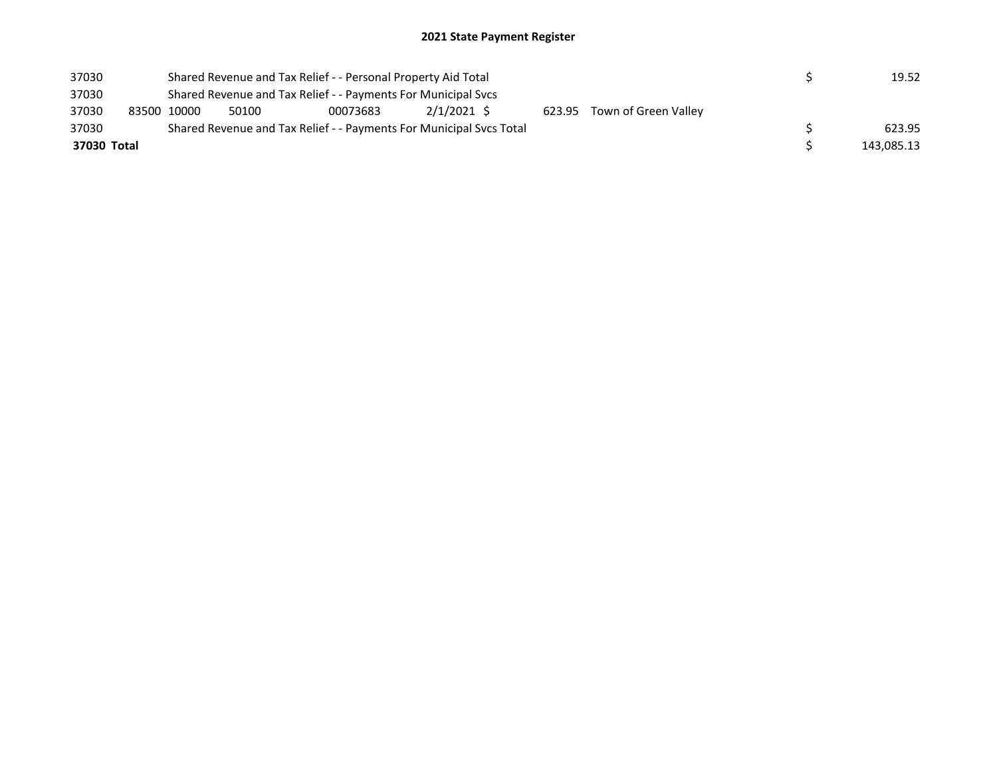| 37030 |             |                                                                     | Shared Revenue and Tax Relief - - Personal Property Aid Total |          | 19.52       |  |  |                             |            |        |
|-------|-------------|---------------------------------------------------------------------|---------------------------------------------------------------|----------|-------------|--|--|-----------------------------|------------|--------|
| 37030 |             | Shared Revenue and Tax Relief - - Payments For Municipal Svcs       |                                                               |          |             |  |  |                             |            |        |
| 37030 |             | 83500 10000                                                         | 50100                                                         | 00073683 | 2/1/2021 \$ |  |  | 623.95 Town of Green Valley |            |        |
| 37030 |             | Shared Revenue and Tax Relief - - Payments For Municipal Svcs Total |                                                               |          |             |  |  |                             |            | 623.95 |
|       | 37030 Total |                                                                     |                                                               |          |             |  |  |                             | 143,085.13 |        |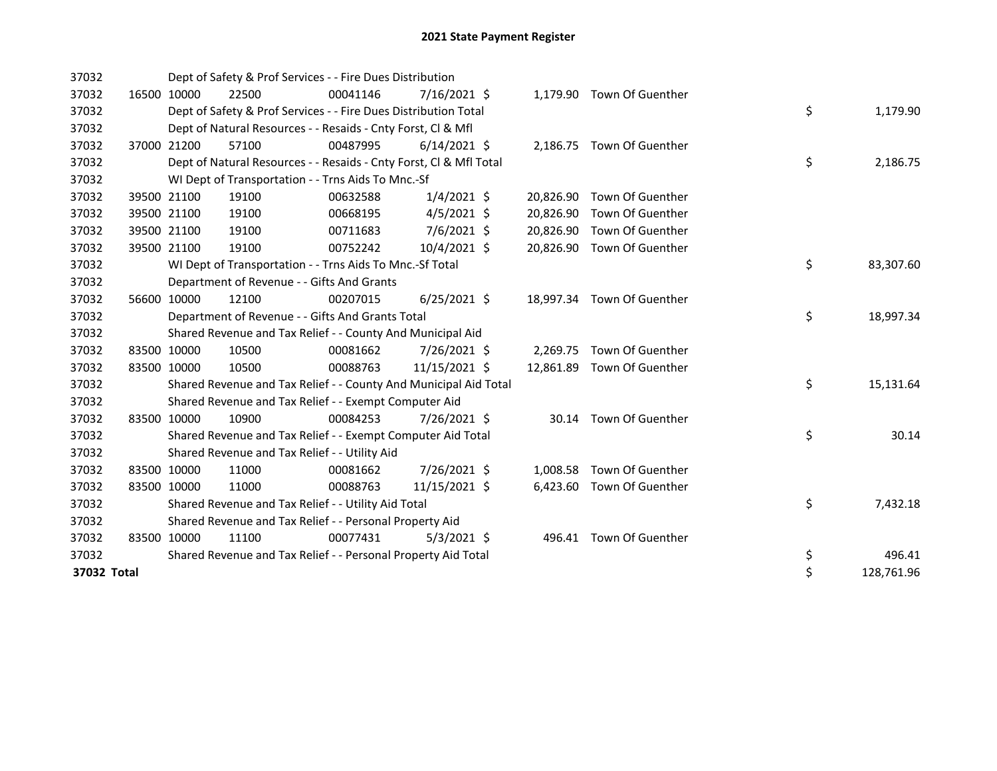| 37032       |             | Dept of Safety & Prof Services - - Fire Dues Distribution          |          |                |           |                            |    |            |
|-------------|-------------|--------------------------------------------------------------------|----------|----------------|-----------|----------------------------|----|------------|
| 37032       | 16500 10000 | 22500                                                              | 00041146 | $7/16/2021$ \$ |           | 1,179.90 Town Of Guenther  |    |            |
| 37032       |             | Dept of Safety & Prof Services - - Fire Dues Distribution Total    |          |                |           |                            | \$ | 1,179.90   |
| 37032       |             | Dept of Natural Resources - - Resaids - Cnty Forst, Cl & Mfl       |          |                |           |                            |    |            |
| 37032       | 37000 21200 | 57100                                                              | 00487995 | $6/14/2021$ \$ |           | 2,186.75 Town Of Guenther  |    |            |
| 37032       |             | Dept of Natural Resources - - Resaids - Cnty Forst, Cl & Mfl Total |          |                |           |                            | \$ | 2,186.75   |
| 37032       |             | WI Dept of Transportation - - Trns Aids To Mnc.-Sf                 |          |                |           |                            |    |            |
| 37032       | 39500 21100 | 19100                                                              | 00632588 | $1/4/2021$ \$  |           | 20,826.90 Town Of Guenther |    |            |
| 37032       | 39500 21100 | 19100                                                              | 00668195 | $4/5/2021$ \$  | 20,826.90 | Town Of Guenther           |    |            |
| 37032       | 39500 21100 | 19100                                                              | 00711683 | 7/6/2021 \$    |           | 20,826.90 Town Of Guenther |    |            |
| 37032       | 39500 21100 | 19100                                                              | 00752242 | 10/4/2021 \$   | 20,826.90 | Town Of Guenther           |    |            |
| 37032       |             | WI Dept of Transportation - - Trns Aids To Mnc.-Sf Total           |          |                |           |                            | \$ | 83,307.60  |
| 37032       |             | Department of Revenue - - Gifts And Grants                         |          |                |           |                            |    |            |
| 37032       | 56600 10000 | 12100                                                              | 00207015 | $6/25/2021$ \$ |           | 18,997.34 Town Of Guenther |    |            |
| 37032       |             | Department of Revenue - - Gifts And Grants Total                   |          |                |           |                            | \$ | 18,997.34  |
| 37032       |             | Shared Revenue and Tax Relief - - County And Municipal Aid         |          |                |           |                            |    |            |
| 37032       | 83500 10000 | 10500                                                              | 00081662 | 7/26/2021 \$   |           | 2,269.75 Town Of Guenther  |    |            |
| 37032       | 83500 10000 | 10500                                                              | 00088763 | 11/15/2021 \$  |           | 12,861.89 Town Of Guenther |    |            |
| 37032       |             | Shared Revenue and Tax Relief - - County And Municipal Aid Total   |          |                |           |                            | \$ | 15,131.64  |
| 37032       |             | Shared Revenue and Tax Relief - - Exempt Computer Aid              |          |                |           |                            |    |            |
| 37032       | 83500 10000 | 10900                                                              | 00084253 | 7/26/2021 \$   |           | 30.14 Town Of Guenther     |    |            |
| 37032       |             | Shared Revenue and Tax Relief - - Exempt Computer Aid Total        |          |                |           |                            | \$ | 30.14      |
| 37032       |             | Shared Revenue and Tax Relief - - Utility Aid                      |          |                |           |                            |    |            |
| 37032       | 83500 10000 | 11000                                                              | 00081662 | 7/26/2021 \$   |           | 1,008.58 Town Of Guenther  |    |            |
| 37032       | 83500 10000 | 11000                                                              | 00088763 | 11/15/2021 \$  |           | 6,423.60 Town Of Guenther  |    |            |
| 37032       |             | Shared Revenue and Tax Relief - - Utility Aid Total                |          |                |           |                            | \$ | 7,432.18   |
| 37032       |             | Shared Revenue and Tax Relief - - Personal Property Aid            |          |                |           |                            |    |            |
| 37032       | 83500 10000 | 11100                                                              | 00077431 | $5/3/2021$ \$  |           | 496.41 Town Of Guenther    |    |            |
| 37032       |             | Shared Revenue and Tax Relief - - Personal Property Aid Total      |          |                | \$        | 496.41                     |    |            |
| 37032 Total |             |                                                                    |          |                |           |                            | \$ | 128,761.96 |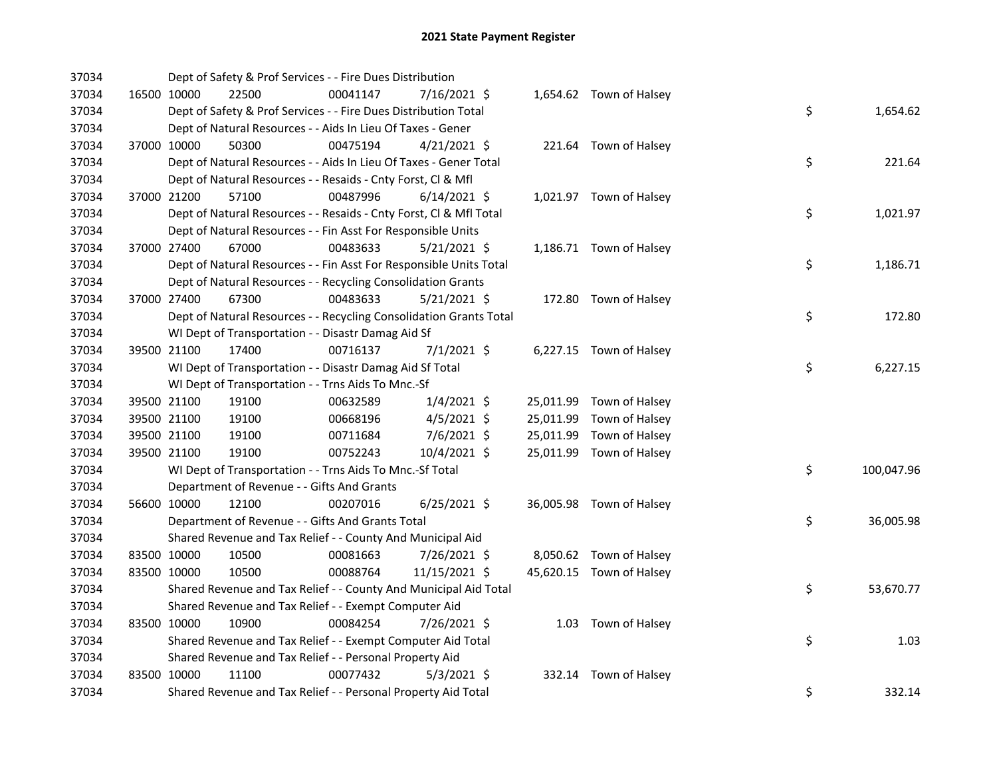| 37034 |             |                                            | Dept of Safety & Prof Services - - Fire Dues Distribution          |                |  |                          |    |            |
|-------|-------------|--------------------------------------------|--------------------------------------------------------------------|----------------|--|--------------------------|----|------------|
| 37034 | 16500 10000 | 22500                                      | 00041147                                                           | 7/16/2021 \$   |  | 1,654.62 Town of Halsey  |    |            |
| 37034 |             |                                            | Dept of Safety & Prof Services - - Fire Dues Distribution Total    |                |  |                          | \$ | 1,654.62   |
| 37034 |             |                                            | Dept of Natural Resources - - Aids In Lieu Of Taxes - Gener        |                |  |                          |    |            |
| 37034 | 37000 10000 | 50300                                      | 00475194                                                           | $4/21/2021$ \$ |  | 221.64 Town of Halsey    |    |            |
| 37034 |             |                                            | Dept of Natural Resources - - Aids In Lieu Of Taxes - Gener Total  |                |  |                          | \$ | 221.64     |
| 37034 |             |                                            | Dept of Natural Resources - - Resaids - Cnty Forst, Cl & Mfl       |                |  |                          |    |            |
| 37034 | 37000 21200 | 57100                                      | 00487996                                                           | $6/14/2021$ \$ |  | 1,021.97 Town of Halsey  |    |            |
| 37034 |             |                                            | Dept of Natural Resources - - Resaids - Cnty Forst, Cl & Mfl Total |                |  |                          | \$ | 1,021.97   |
| 37034 |             |                                            | Dept of Natural Resources - - Fin Asst For Responsible Units       |                |  |                          |    |            |
| 37034 | 37000 27400 | 67000                                      | 00483633                                                           | $5/21/2021$ \$ |  | 1,186.71 Town of Halsey  |    |            |
| 37034 |             |                                            | Dept of Natural Resources - - Fin Asst For Responsible Units Total |                |  |                          | \$ | 1,186.71   |
| 37034 |             |                                            | Dept of Natural Resources - - Recycling Consolidation Grants       |                |  |                          |    |            |
| 37034 | 37000 27400 | 67300                                      | 00483633                                                           | 5/21/2021 \$   |  | 172.80 Town of Halsey    |    |            |
| 37034 |             |                                            | Dept of Natural Resources - - Recycling Consolidation Grants Total |                |  |                          | \$ | 172.80     |
| 37034 |             |                                            | WI Dept of Transportation - - Disastr Damag Aid Sf                 |                |  |                          |    |            |
| 37034 | 39500 21100 | 17400                                      | 00716137                                                           | $7/1/2021$ \$  |  | 6,227.15 Town of Halsey  |    |            |
| 37034 |             |                                            | WI Dept of Transportation - - Disastr Damag Aid Sf Total           |                |  |                          | \$ | 6,227.15   |
| 37034 |             |                                            | WI Dept of Transportation - - Trns Aids To Mnc.-Sf                 |                |  |                          |    |            |
| 37034 | 39500 21100 | 19100                                      | 00632589                                                           | $1/4/2021$ \$  |  | 25,011.99 Town of Halsey |    |            |
| 37034 | 39500 21100 | 19100                                      | 00668196                                                           | $4/5/2021$ \$  |  | 25,011.99 Town of Halsey |    |            |
| 37034 | 39500 21100 | 19100                                      | 00711684                                                           | 7/6/2021 \$    |  | 25,011.99 Town of Halsey |    |            |
| 37034 | 39500 21100 | 19100                                      | 00752243                                                           | 10/4/2021 \$   |  | 25,011.99 Town of Halsey |    |            |
| 37034 |             |                                            | WI Dept of Transportation - - Trns Aids To Mnc.-Sf Total           |                |  |                          | \$ | 100,047.96 |
| 37034 |             | Department of Revenue - - Gifts And Grants |                                                                    |                |  |                          |    |            |
| 37034 | 56600 10000 | 12100                                      | 00207016                                                           | $6/25/2021$ \$ |  | 36,005.98 Town of Halsey |    |            |
| 37034 |             |                                            | Department of Revenue - - Gifts And Grants Total                   |                |  |                          | \$ | 36,005.98  |
| 37034 |             |                                            | Shared Revenue and Tax Relief - - County And Municipal Aid         |                |  |                          |    |            |
| 37034 | 83500 10000 | 10500                                      | 00081663                                                           | 7/26/2021 \$   |  | 8,050.62 Town of Halsey  |    |            |
| 37034 | 83500 10000 | 10500                                      | 00088764                                                           | 11/15/2021 \$  |  | 45,620.15 Town of Halsey |    |            |
| 37034 |             |                                            | Shared Revenue and Tax Relief - - County And Municipal Aid Total   |                |  |                          | \$ | 53,670.77  |
| 37034 |             |                                            | Shared Revenue and Tax Relief - - Exempt Computer Aid              |                |  |                          |    |            |
| 37034 | 83500 10000 | 10900                                      | 00084254                                                           | 7/26/2021 \$   |  | 1.03 Town of Halsey      |    |            |
| 37034 |             |                                            | Shared Revenue and Tax Relief - - Exempt Computer Aid Total        |                |  |                          | \$ | 1.03       |
| 37034 |             |                                            | Shared Revenue and Tax Relief - - Personal Property Aid            |                |  |                          |    |            |
| 37034 | 83500 10000 | 11100                                      | 00077432                                                           | $5/3/2021$ \$  |  | 332.14 Town of Halsey    |    |            |
| 37034 |             |                                            | Shared Revenue and Tax Relief - - Personal Property Aid Total      |                |  |                          | \$ | 332.14     |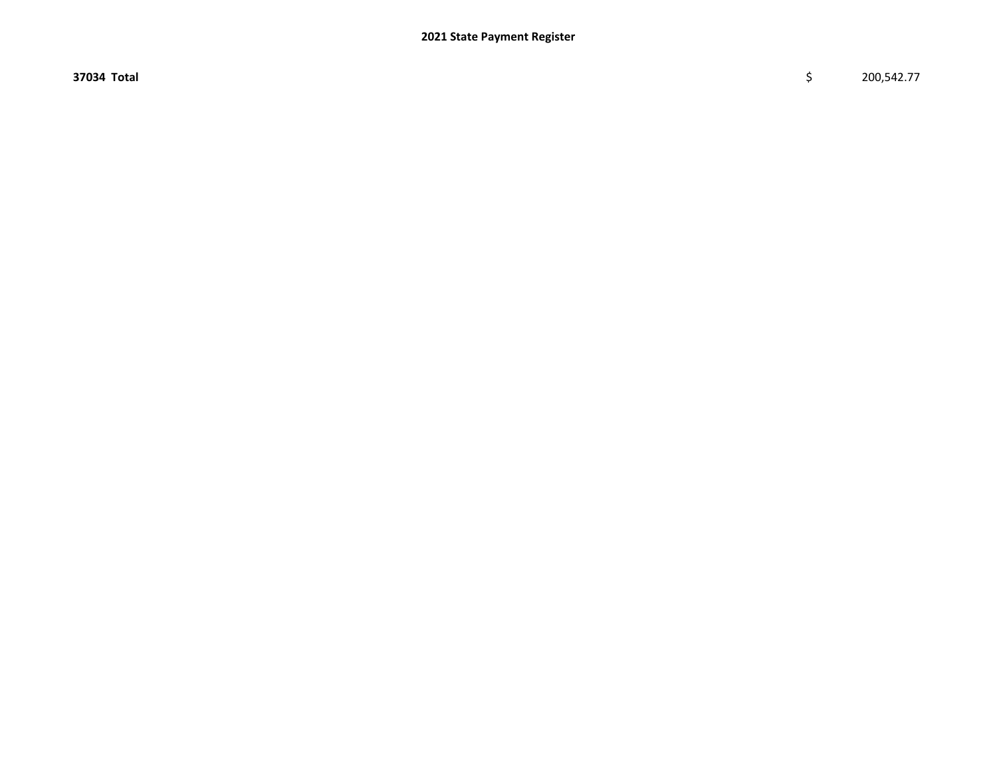$37034$  Total  $\zeta$  200,542.77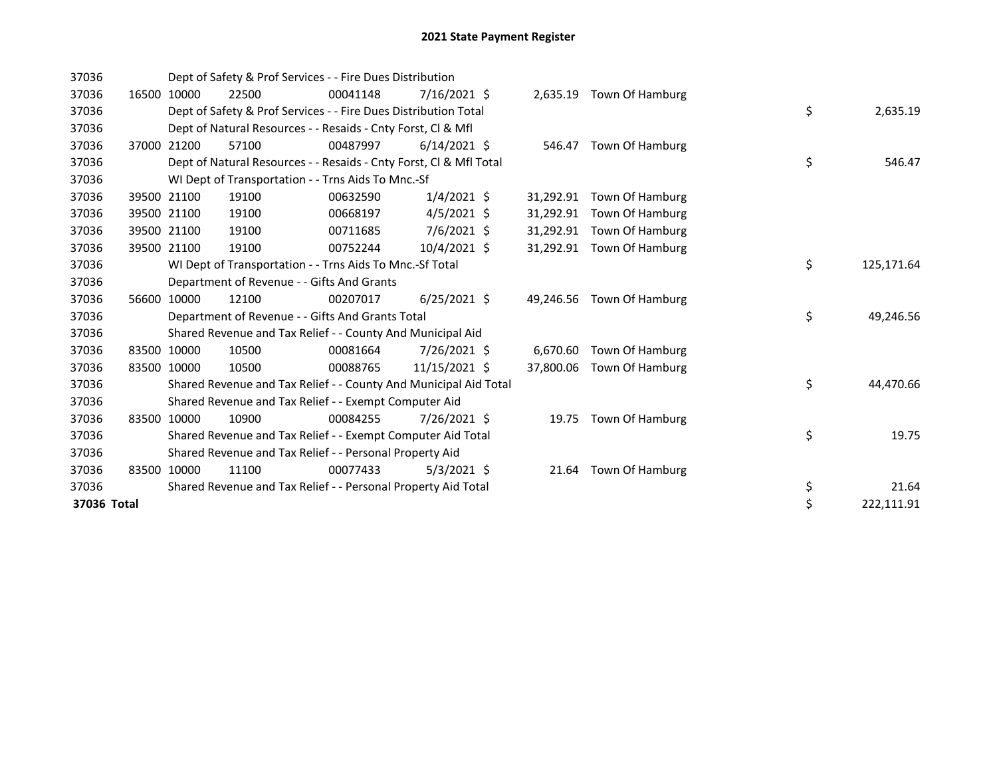| 37036       |       |             | Dept of Safety & Prof Services - - Fire Dues Distribution          |          |                |           |                           |            |            |
|-------------|-------|-------------|--------------------------------------------------------------------|----------|----------------|-----------|---------------------------|------------|------------|
| 37036       | 16500 | 10000       | 22500                                                              | 00041148 | $7/16/2021$ \$ |           | 2,635.19 Town Of Hamburg  |            |            |
| 37036       |       |             | Dept of Safety & Prof Services - - Fire Dues Distribution Total    |          |                |           |                           | \$         | 2,635.19   |
| 37036       |       |             | Dept of Natural Resources - - Resaids - Cnty Forst, CI & Mfl       |          |                |           |                           |            |            |
| 37036       | 37000 | 21200       | 57100                                                              | 00487997 | $6/14/2021$ \$ |           | 546.47 Town Of Hamburg    |            |            |
| 37036       |       |             | Dept of Natural Resources - - Resaids - Cnty Forst, Cl & Mfl Total |          |                |           |                           | \$         | 546.47     |
| 37036       |       |             | WI Dept of Transportation - - Trns Aids To Mnc.-Sf                 |          |                |           |                           |            |            |
| 37036       | 39500 | 21100       | 19100                                                              | 00632590 | $1/4/2021$ \$  | 31,292.91 | Town Of Hamburg           |            |            |
| 37036       | 39500 | 21100       | 19100                                                              | 00668197 | $4/5/2021$ \$  | 31,292.91 | Town Of Hamburg           |            |            |
| 37036       |       | 39500 21100 | 19100                                                              | 00711685 | $7/6/2021$ \$  | 31,292.91 | Town Of Hamburg           |            |            |
| 37036       |       | 39500 21100 | 19100                                                              | 00752244 | $10/4/2021$ \$ | 31,292.91 | Town Of Hamburg           |            |            |
| 37036       |       |             | WI Dept of Transportation - - Trns Aids To Mnc.-Sf Total           |          |                |           | \$                        | 125,171.64 |            |
| 37036       |       |             | Department of Revenue - - Gifts And Grants                         |          |                |           |                           |            |            |
| 37036       |       | 56600 10000 | 12100                                                              | 00207017 | $6/25/2021$ \$ | 49,246.56 | Town Of Hamburg           |            |            |
| 37036       |       |             | Department of Revenue - - Gifts And Grants Total                   |          |                |           |                           | \$         | 49,246.56  |
| 37036       |       |             | Shared Revenue and Tax Relief - - County And Municipal Aid         |          |                |           |                           |            |            |
| 37036       | 83500 | 10000       | 10500                                                              | 00081664 | 7/26/2021 \$   | 6,670.60  | Town Of Hamburg           |            |            |
| 37036       |       | 83500 10000 | 10500                                                              | 00088765 | 11/15/2021 \$  |           | 37,800.06 Town Of Hamburg |            |            |
| 37036       |       |             | Shared Revenue and Tax Relief - - County And Municipal Aid Total   |          |                |           |                           | \$         | 44,470.66  |
| 37036       |       |             | Shared Revenue and Tax Relief - - Exempt Computer Aid              |          |                |           |                           |            |            |
| 37036       |       | 83500 10000 | 10900                                                              | 00084255 | 7/26/2021 \$   |           | 19.75 Town Of Hamburg     |            |            |
| 37036       |       |             | Shared Revenue and Tax Relief - - Exempt Computer Aid Total        |          |                |           |                           | \$         | 19.75      |
| 37036       |       |             | Shared Revenue and Tax Relief - - Personal Property Aid            |          |                |           |                           |            |            |
| 37036       |       | 83500 10000 | 11100                                                              | 00077433 | $5/3/2021$ \$  | 21.64     | Town Of Hamburg           |            |            |
| 37036       |       |             | Shared Revenue and Tax Relief - - Personal Property Aid Total      |          |                |           |                           | \$         | 21.64      |
| 37036 Total |       |             |                                                                    |          |                |           |                           | \$         | 222,111.91 |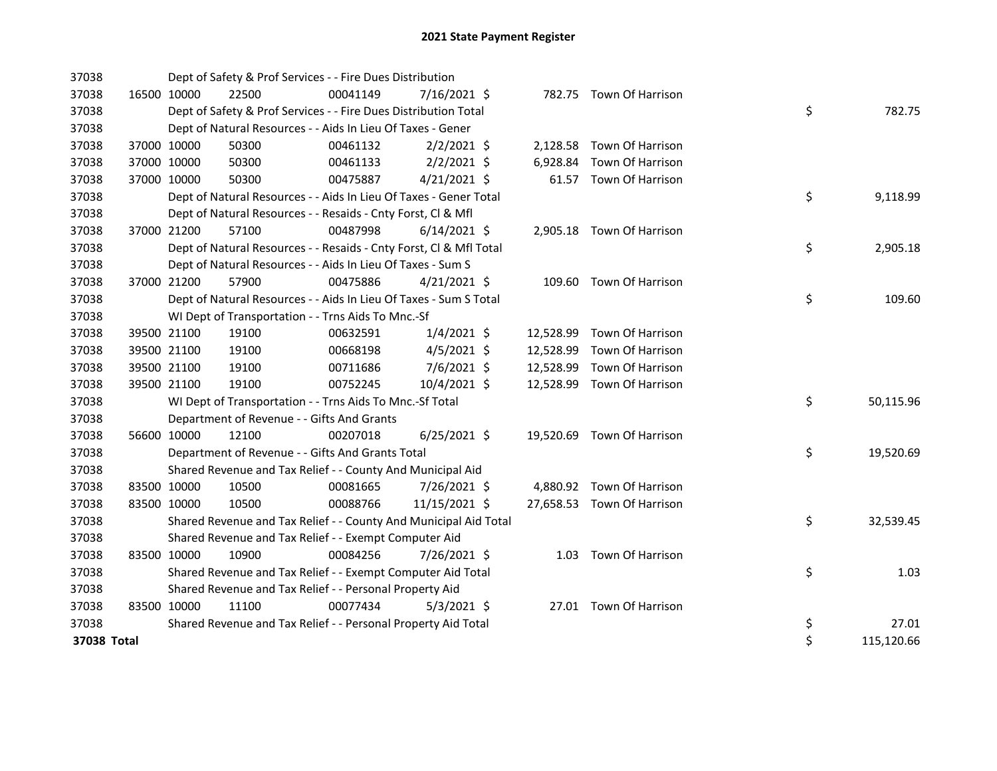| 37038       |             |             | Dept of Safety & Prof Services - - Fire Dues Distribution          |          |                |           |                            |    |            |
|-------------|-------------|-------------|--------------------------------------------------------------------|----------|----------------|-----------|----------------------------|----|------------|
| 37038       | 16500 10000 |             | 22500                                                              | 00041149 | $7/16/2021$ \$ |           | 782.75 Town Of Harrison    |    |            |
| 37038       |             |             | Dept of Safety & Prof Services - - Fire Dues Distribution Total    |          |                |           |                            | \$ | 782.75     |
| 37038       |             |             | Dept of Natural Resources - - Aids In Lieu Of Taxes - Gener        |          |                |           |                            |    |            |
| 37038       |             | 37000 10000 | 50300                                                              | 00461132 | $2/2/2021$ \$  |           | 2,128.58 Town Of Harrison  |    |            |
| 37038       |             | 37000 10000 | 50300                                                              | 00461133 | $2/2/2021$ \$  |           | 6,928.84 Town Of Harrison  |    |            |
| 37038       |             | 37000 10000 | 50300                                                              | 00475887 | $4/21/2021$ \$ |           | 61.57 Town Of Harrison     |    |            |
| 37038       |             |             | Dept of Natural Resources - - Aids In Lieu Of Taxes - Gener Total  |          |                |           |                            | \$ | 9,118.99   |
| 37038       |             |             | Dept of Natural Resources - - Resaids - Cnty Forst, Cl & Mfl       |          |                |           |                            |    |            |
| 37038       |             | 37000 21200 | 57100                                                              | 00487998 | $6/14/2021$ \$ |           | 2,905.18 Town Of Harrison  |    |            |
| 37038       |             |             | Dept of Natural Resources - - Resaids - Cnty Forst, Cl & Mfl Total |          |                |           |                            | \$ | 2,905.18   |
| 37038       |             |             | Dept of Natural Resources - - Aids In Lieu Of Taxes - Sum S        |          |                |           |                            |    |            |
| 37038       |             | 37000 21200 | 57900                                                              | 00475886 | $4/21/2021$ \$ |           | 109.60 Town Of Harrison    |    |            |
| 37038       |             |             | Dept of Natural Resources - - Aids In Lieu Of Taxes - Sum S Total  |          |                |           |                            | \$ | 109.60     |
| 37038       |             |             | WI Dept of Transportation - - Trns Aids To Mnc.-Sf                 |          |                |           |                            |    |            |
| 37038       |             | 39500 21100 | 19100                                                              | 00632591 | $1/4/2021$ \$  |           | 12,528.99 Town Of Harrison |    |            |
| 37038       |             | 39500 21100 | 19100                                                              | 00668198 | $4/5/2021$ \$  |           | 12,528.99 Town Of Harrison |    |            |
| 37038       |             | 39500 21100 | 19100                                                              | 00711686 | 7/6/2021 \$    | 12,528.99 | Town Of Harrison           |    |            |
| 37038       |             | 39500 21100 | 19100                                                              | 00752245 | 10/4/2021 \$   |           | 12,528.99 Town Of Harrison |    |            |
| 37038       |             |             | WI Dept of Transportation - - Trns Aids To Mnc.-Sf Total           |          |                |           |                            | \$ | 50,115.96  |
| 37038       |             |             | Department of Revenue - - Gifts And Grants                         |          |                |           |                            |    |            |
| 37038       |             | 56600 10000 | 12100                                                              | 00207018 | $6/25/2021$ \$ |           | 19,520.69 Town Of Harrison |    |            |
| 37038       |             |             | Department of Revenue - - Gifts And Grants Total                   |          |                |           |                            | \$ | 19,520.69  |
| 37038       |             |             | Shared Revenue and Tax Relief - - County And Municipal Aid         |          |                |           |                            |    |            |
| 37038       | 83500 10000 |             | 10500                                                              | 00081665 | 7/26/2021 \$   |           | 4,880.92 Town Of Harrison  |    |            |
| 37038       |             | 83500 10000 | 10500                                                              | 00088766 | 11/15/2021 \$  |           | 27,658.53 Town Of Harrison |    |            |
| 37038       |             |             | Shared Revenue and Tax Relief - - County And Municipal Aid Total   |          |                |           |                            | \$ | 32,539.45  |
| 37038       |             |             | Shared Revenue and Tax Relief - - Exempt Computer Aid              |          |                |           |                            |    |            |
| 37038       |             | 83500 10000 | 10900                                                              | 00084256 | 7/26/2021 \$   |           | 1.03 Town Of Harrison      |    |            |
| 37038       |             |             | Shared Revenue and Tax Relief - - Exempt Computer Aid Total        |          |                |           |                            | \$ | 1.03       |
| 37038       |             |             | Shared Revenue and Tax Relief - - Personal Property Aid            |          |                |           |                            |    |            |
| 37038       | 83500 10000 |             | 11100                                                              | 00077434 | $5/3/2021$ \$  |           | 27.01 Town Of Harrison     |    |            |
| 37038       |             |             | Shared Revenue and Tax Relief - - Personal Property Aid Total      |          |                |           |                            | \$ | 27.01      |
| 37038 Total |             |             |                                                                    |          |                |           |                            | \$ | 115,120.66 |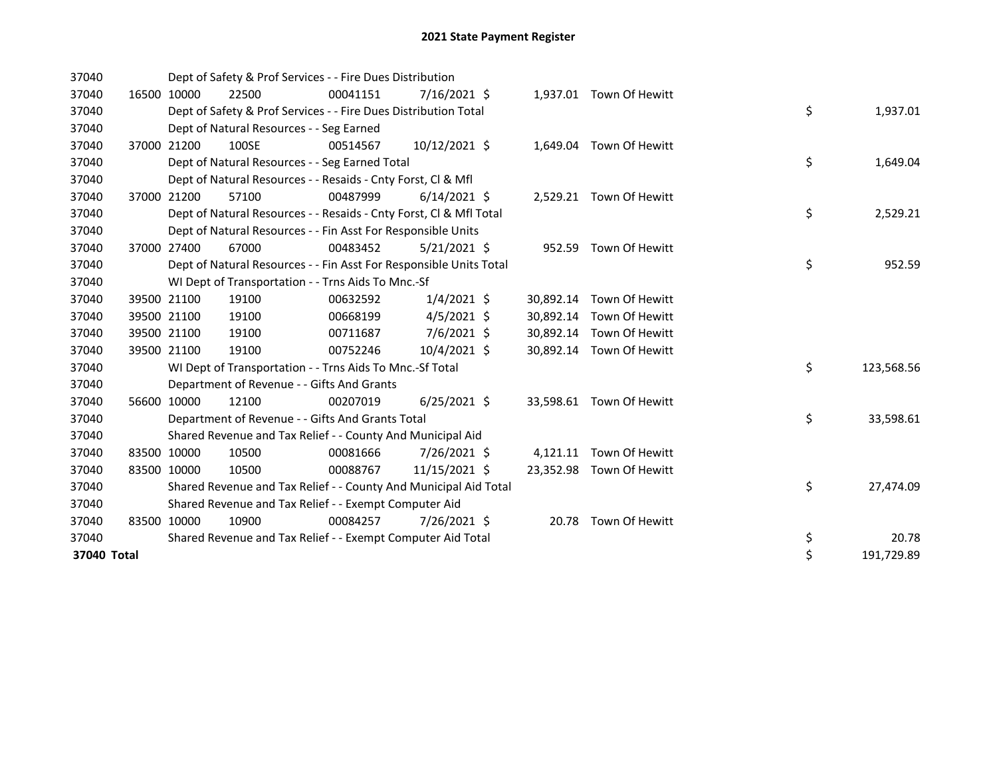| 37040       |       |             | Dept of Safety & Prof Services - - Fire Dues Distribution          |          |                |       |                          |                  |
|-------------|-------|-------------|--------------------------------------------------------------------|----------|----------------|-------|--------------------------|------------------|
| 37040       |       | 16500 10000 | 22500                                                              | 00041151 | 7/16/2021 \$   |       | 1,937.01 Town Of Hewitt  |                  |
| 37040       |       |             | Dept of Safety & Prof Services - - Fire Dues Distribution Total    |          |                |       |                          | \$<br>1,937.01   |
| 37040       |       |             | Dept of Natural Resources - - Seg Earned                           |          |                |       |                          |                  |
| 37040       | 37000 | 21200       | 100SE                                                              | 00514567 | 10/12/2021 \$  |       | 1,649.04 Town Of Hewitt  |                  |
| 37040       |       |             | Dept of Natural Resources - - Seg Earned Total                     |          |                |       |                          | \$<br>1,649.04   |
| 37040       |       |             | Dept of Natural Resources - - Resaids - Cnty Forst, Cl & Mfl       |          |                |       |                          |                  |
| 37040       |       | 37000 21200 | 57100                                                              | 00487999 | $6/14/2021$ \$ |       | 2,529.21 Town Of Hewitt  |                  |
| 37040       |       |             | Dept of Natural Resources - - Resaids - Cnty Forst, CI & Mfl Total |          |                |       |                          | \$<br>2,529.21   |
| 37040       |       |             | Dept of Natural Resources - - Fin Asst For Responsible Units       |          |                |       |                          |                  |
| 37040       |       | 37000 27400 | 67000                                                              | 00483452 | $5/21/2021$ \$ |       | 952.59 Town Of Hewitt    |                  |
| 37040       |       |             | Dept of Natural Resources - - Fin Asst For Responsible Units Total |          |                |       |                          | \$<br>952.59     |
| 37040       |       |             | WI Dept of Transportation - - Trns Aids To Mnc.-Sf                 |          |                |       |                          |                  |
| 37040       |       | 39500 21100 | 19100                                                              | 00632592 | $1/4/2021$ \$  |       | 30,892.14 Town Of Hewitt |                  |
| 37040       |       | 39500 21100 | 19100                                                              | 00668199 | $4/5/2021$ \$  |       | 30,892.14 Town Of Hewitt |                  |
| 37040       |       | 39500 21100 | 19100                                                              | 00711687 | $7/6/2021$ \$  |       | 30,892.14 Town Of Hewitt |                  |
| 37040       |       | 39500 21100 | 19100                                                              | 00752246 | 10/4/2021 \$   |       | 30,892.14 Town Of Hewitt |                  |
| 37040       |       |             | WI Dept of Transportation - - Trns Aids To Mnc.-Sf Total           |          |                |       |                          | \$<br>123,568.56 |
| 37040       |       |             | Department of Revenue - - Gifts And Grants                         |          |                |       |                          |                  |
| 37040       |       | 56600 10000 | 12100                                                              | 00207019 | $6/25/2021$ \$ |       | 33,598.61 Town Of Hewitt |                  |
| 37040       |       |             | Department of Revenue - - Gifts And Grants Total                   |          |                |       |                          | \$<br>33,598.61  |
| 37040       |       |             | Shared Revenue and Tax Relief - - County And Municipal Aid         |          |                |       |                          |                  |
| 37040       |       | 83500 10000 | 10500                                                              | 00081666 | 7/26/2021 \$   |       | 4,121.11 Town Of Hewitt  |                  |
| 37040       |       | 83500 10000 | 10500                                                              | 00088767 | 11/15/2021 \$  |       | 23,352.98 Town Of Hewitt |                  |
| 37040       |       |             | Shared Revenue and Tax Relief - - County And Municipal Aid Total   |          |                |       |                          | \$<br>27,474.09  |
| 37040       |       |             | Shared Revenue and Tax Relief - - Exempt Computer Aid              |          |                |       |                          |                  |
| 37040       |       | 83500 10000 | 10900                                                              | 00084257 | 7/26/2021 \$   | 20.78 | Town Of Hewitt           |                  |
| 37040       |       |             | Shared Revenue and Tax Relief - - Exempt Computer Aid Total        |          |                |       |                          | \$<br>20.78      |
| 37040 Total |       |             |                                                                    |          |                |       |                          | \$<br>191,729.89 |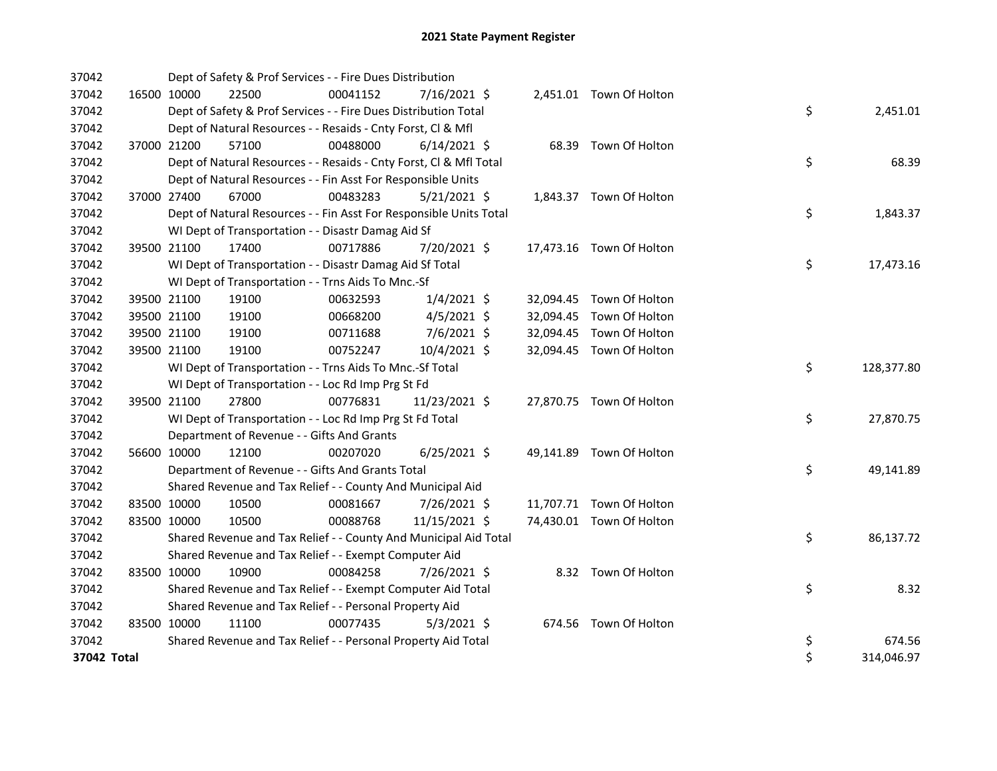| 37042       |             | Dept of Safety & Prof Services - - Fire Dues Distribution          |          |                |  |                          |    |            |
|-------------|-------------|--------------------------------------------------------------------|----------|----------------|--|--------------------------|----|------------|
| 37042       | 16500 10000 | 22500                                                              | 00041152 | 7/16/2021 \$   |  | 2,451.01 Town Of Holton  |    |            |
| 37042       |             | Dept of Safety & Prof Services - - Fire Dues Distribution Total    |          |                |  |                          | \$ | 2,451.01   |
| 37042       |             | Dept of Natural Resources - - Resaids - Cnty Forst, Cl & Mfl       |          |                |  |                          |    |            |
| 37042       | 37000 21200 | 57100                                                              | 00488000 | $6/14/2021$ \$ |  | 68.39 Town Of Holton     |    |            |
| 37042       |             | Dept of Natural Resources - - Resaids - Cnty Forst, Cl & Mfl Total |          |                |  |                          | \$ | 68.39      |
| 37042       |             | Dept of Natural Resources - - Fin Asst For Responsible Units       |          |                |  |                          |    |            |
| 37042       | 37000 27400 | 67000                                                              | 00483283 | $5/21/2021$ \$ |  | 1,843.37 Town Of Holton  |    |            |
| 37042       |             | Dept of Natural Resources - - Fin Asst For Responsible Units Total |          |                |  |                          | \$ | 1,843.37   |
| 37042       |             | WI Dept of Transportation - - Disastr Damag Aid Sf                 |          |                |  |                          |    |            |
| 37042       | 39500 21100 | 17400                                                              | 00717886 | 7/20/2021 \$   |  | 17,473.16 Town Of Holton |    |            |
| 37042       |             | WI Dept of Transportation - - Disastr Damag Aid Sf Total           |          |                |  |                          | \$ | 17,473.16  |
| 37042       |             | WI Dept of Transportation - - Trns Aids To Mnc.-Sf                 |          |                |  |                          |    |            |
| 37042       | 39500 21100 | 19100                                                              | 00632593 | $1/4/2021$ \$  |  | 32,094.45 Town Of Holton |    |            |
| 37042       | 39500 21100 | 19100                                                              | 00668200 | $4/5/2021$ \$  |  | 32,094.45 Town Of Holton |    |            |
| 37042       | 39500 21100 | 19100                                                              | 00711688 | 7/6/2021 \$    |  | 32,094.45 Town Of Holton |    |            |
| 37042       | 39500 21100 | 19100                                                              | 00752247 | 10/4/2021 \$   |  | 32,094.45 Town Of Holton |    |            |
| 37042       |             | WI Dept of Transportation - - Trns Aids To Mnc.-Sf Total           |          |                |  |                          | \$ | 128,377.80 |
| 37042       |             | WI Dept of Transportation - - Loc Rd Imp Prg St Fd                 |          |                |  |                          |    |            |
| 37042       | 39500 21100 | 27800                                                              | 00776831 | 11/23/2021 \$  |  | 27,870.75 Town Of Holton |    |            |
| 37042       |             | WI Dept of Transportation - - Loc Rd Imp Prg St Fd Total           |          |                |  |                          | \$ | 27,870.75  |
| 37042       |             | Department of Revenue - - Gifts And Grants                         |          |                |  |                          |    |            |
| 37042       | 56600 10000 | 12100                                                              | 00207020 | $6/25/2021$ \$ |  | 49,141.89 Town Of Holton |    |            |
| 37042       |             | Department of Revenue - - Gifts And Grants Total                   |          |                |  |                          | \$ | 49,141.89  |
| 37042       |             | Shared Revenue and Tax Relief - - County And Municipal Aid         |          |                |  |                          |    |            |
| 37042       | 83500 10000 | 10500                                                              | 00081667 | 7/26/2021 \$   |  | 11,707.71 Town Of Holton |    |            |
| 37042       | 83500 10000 | 10500                                                              | 00088768 | 11/15/2021 \$  |  | 74,430.01 Town Of Holton |    |            |
| 37042       |             | Shared Revenue and Tax Relief - - County And Municipal Aid Total   |          |                |  |                          | \$ | 86,137.72  |
| 37042       |             | Shared Revenue and Tax Relief - - Exempt Computer Aid              |          |                |  |                          |    |            |
| 37042       | 83500 10000 | 10900                                                              | 00084258 | 7/26/2021 \$   |  | 8.32 Town Of Holton      |    |            |
| 37042       |             | Shared Revenue and Tax Relief - - Exempt Computer Aid Total        |          |                |  |                          | \$ | 8.32       |
| 37042       |             | Shared Revenue and Tax Relief - - Personal Property Aid            |          |                |  |                          |    |            |
| 37042       | 83500 10000 | 11100                                                              | 00077435 | $5/3/2021$ \$  |  | 674.56 Town Of Holton    |    |            |
| 37042       |             | Shared Revenue and Tax Relief - - Personal Property Aid Total      |          |                |  |                          | \$ | 674.56     |
| 37042 Total |             |                                                                    |          |                |  |                          | \$ | 314,046.97 |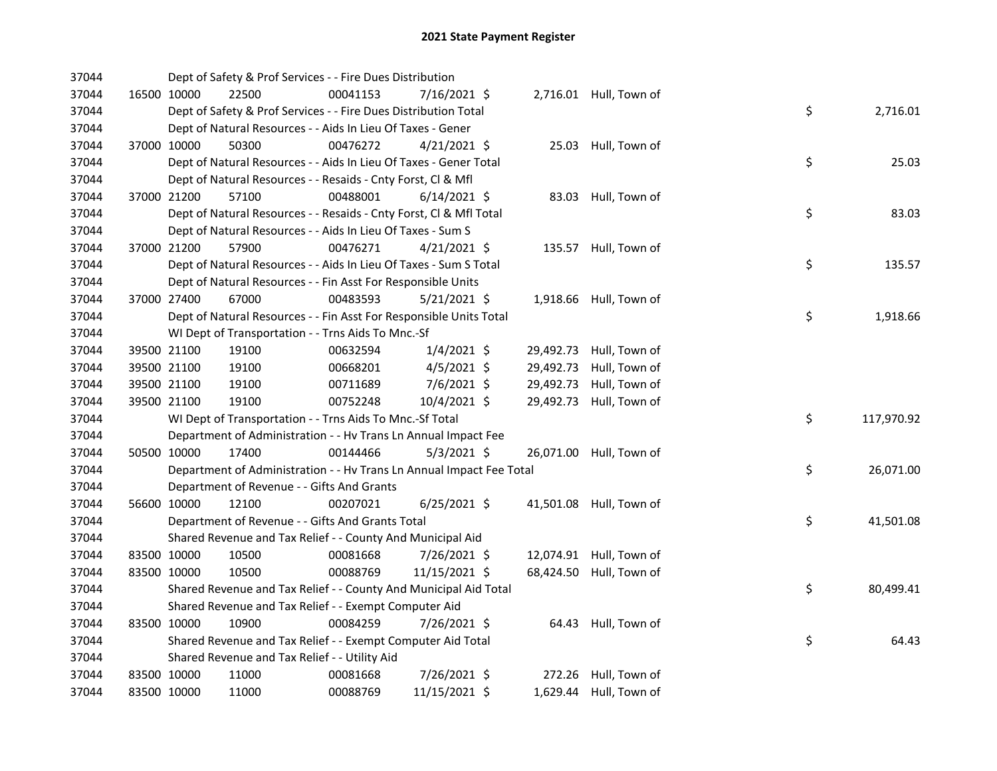| 37044 |             | Dept of Safety & Prof Services - - Fire Dues Distribution            |          |                |           |                         |    |            |
|-------|-------------|----------------------------------------------------------------------|----------|----------------|-----------|-------------------------|----|------------|
| 37044 | 16500 10000 | 22500                                                                | 00041153 | 7/16/2021 \$   |           | 2,716.01 Hull, Town of  |    |            |
| 37044 |             | Dept of Safety & Prof Services - - Fire Dues Distribution Total      |          |                |           |                         | \$ | 2,716.01   |
| 37044 |             | Dept of Natural Resources - - Aids In Lieu Of Taxes - Gener          |          |                |           |                         |    |            |
| 37044 | 37000 10000 | 50300                                                                | 00476272 | $4/21/2021$ \$ |           | 25.03 Hull, Town of     |    |            |
| 37044 |             | Dept of Natural Resources - - Aids In Lieu Of Taxes - Gener Total    |          |                |           |                         | \$ | 25.03      |
| 37044 |             | Dept of Natural Resources - - Resaids - Cnty Forst, Cl & Mfl         |          |                |           |                         |    |            |
| 37044 | 37000 21200 | 57100                                                                | 00488001 | $6/14/2021$ \$ |           | 83.03 Hull, Town of     |    |            |
| 37044 |             | Dept of Natural Resources - - Resaids - Cnty Forst, Cl & Mfl Total   |          |                |           |                         | \$ | 83.03      |
| 37044 |             | Dept of Natural Resources - - Aids In Lieu Of Taxes - Sum S          |          |                |           |                         |    |            |
| 37044 | 37000 21200 | 57900                                                                | 00476271 | $4/21/2021$ \$ |           | 135.57 Hull, Town of    |    |            |
| 37044 |             | Dept of Natural Resources - - Aids In Lieu Of Taxes - Sum S Total    |          |                |           |                         | \$ | 135.57     |
| 37044 |             | Dept of Natural Resources - - Fin Asst For Responsible Units         |          |                |           |                         |    |            |
| 37044 | 37000 27400 | 67000                                                                | 00483593 | $5/21/2021$ \$ |           | 1,918.66 Hull, Town of  |    |            |
| 37044 |             | Dept of Natural Resources - - Fin Asst For Responsible Units Total   |          |                |           |                         | \$ | 1,918.66   |
| 37044 |             | WI Dept of Transportation - - Trns Aids To Mnc.-Sf                   |          |                |           |                         |    |            |
| 37044 | 39500 21100 | 19100                                                                | 00632594 | $1/4/2021$ \$  |           | 29,492.73 Hull, Town of |    |            |
| 37044 | 39500 21100 | 19100                                                                | 00668201 | $4/5/2021$ \$  | 29,492.73 | Hull, Town of           |    |            |
| 37044 | 39500 21100 | 19100                                                                | 00711689 | 7/6/2021 \$    | 29,492.73 | Hull, Town of           |    |            |
| 37044 | 39500 21100 | 19100                                                                | 00752248 | 10/4/2021 \$   |           | 29,492.73 Hull, Town of |    |            |
| 37044 |             | WI Dept of Transportation - - Trns Aids To Mnc.-Sf Total             |          |                |           |                         | \$ | 117,970.92 |
| 37044 |             | Department of Administration - - Hv Trans Ln Annual Impact Fee       |          |                |           |                         |    |            |
| 37044 | 50500 10000 | 17400                                                                | 00144466 | $5/3/2021$ \$  |           | 26,071.00 Hull, Town of |    |            |
| 37044 |             | Department of Administration - - Hv Trans Ln Annual Impact Fee Total |          |                |           |                         | \$ | 26,071.00  |
| 37044 |             | Department of Revenue - - Gifts And Grants                           |          |                |           |                         |    |            |
| 37044 | 56600 10000 | 12100                                                                | 00207021 | $6/25/2021$ \$ |           | 41,501.08 Hull, Town of |    |            |
| 37044 |             | Department of Revenue - - Gifts And Grants Total                     |          |                |           |                         | \$ | 41,501.08  |
| 37044 |             | Shared Revenue and Tax Relief - - County And Municipal Aid           |          |                |           |                         |    |            |
| 37044 | 83500 10000 | 10500                                                                | 00081668 | 7/26/2021 \$   |           | 12,074.91 Hull, Town of |    |            |
| 37044 | 83500 10000 | 10500                                                                | 00088769 | 11/15/2021 \$  |           | 68,424.50 Hull, Town of |    |            |
| 37044 |             | Shared Revenue and Tax Relief - - County And Municipal Aid Total     |          |                |           |                         | \$ | 80,499.41  |
| 37044 |             | Shared Revenue and Tax Relief - - Exempt Computer Aid                |          |                |           |                         |    |            |
| 37044 | 83500 10000 | 10900                                                                | 00084259 | 7/26/2021 \$   |           | 64.43 Hull, Town of     |    |            |
| 37044 |             | Shared Revenue and Tax Relief - - Exempt Computer Aid Total          |          |                |           |                         | \$ | 64.43      |
| 37044 |             | Shared Revenue and Tax Relief - - Utility Aid                        |          |                |           |                         |    |            |
| 37044 | 83500 10000 | 11000                                                                | 00081668 | 7/26/2021 \$   |           | 272.26 Hull, Town of    |    |            |
| 37044 | 83500 10000 | 11000                                                                | 00088769 | 11/15/2021 \$  |           | 1,629.44 Hull, Town of  |    |            |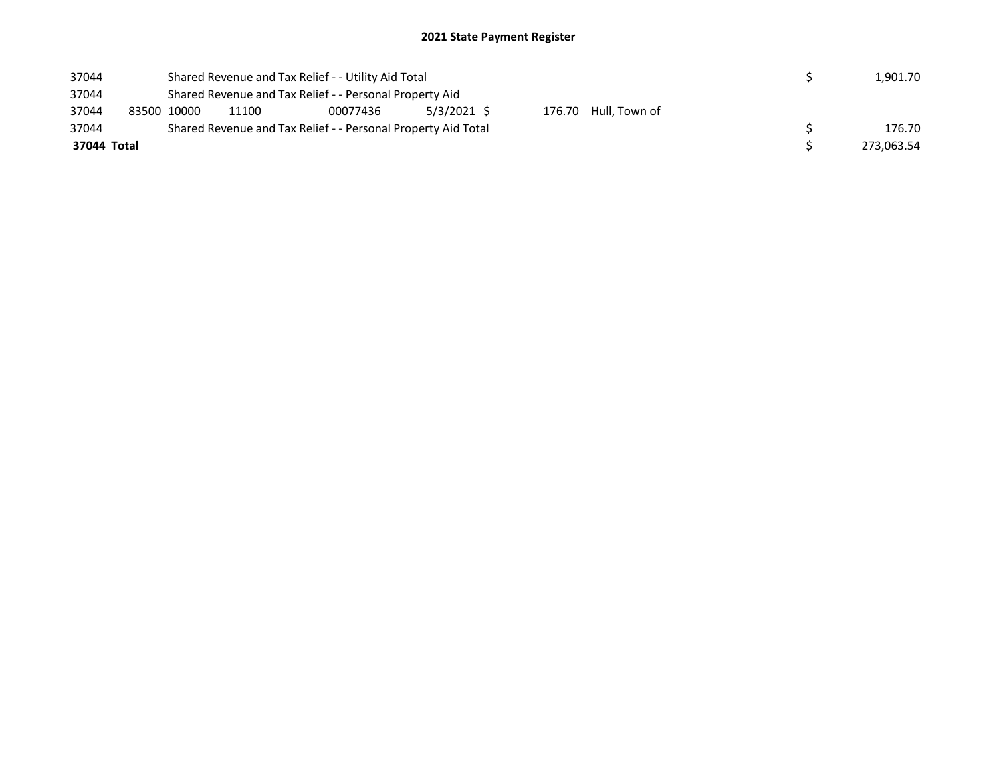| 37044 |             |                                                               | Shared Revenue and Tax Relief - - Utility Aid Total      |  |  | 1.901.70 |  |  |  |            |  |
|-------|-------------|---------------------------------------------------------------|----------------------------------------------------------|--|--|----------|--|--|--|------------|--|
| 37044 |             | Shared Revenue and Tax Relief - - Personal Property Aid       |                                                          |  |  |          |  |  |  |            |  |
| 37044 |             | 83500 10000                                                   | 5/3/2021 \$<br>176.70 Hull, Town of<br>11100<br>00077436 |  |  |          |  |  |  |            |  |
| 37044 |             | Shared Revenue and Tax Relief - - Personal Property Aid Total |                                                          |  |  |          |  |  |  | 176.70     |  |
|       | 37044 Total |                                                               |                                                          |  |  |          |  |  |  | 273,063.54 |  |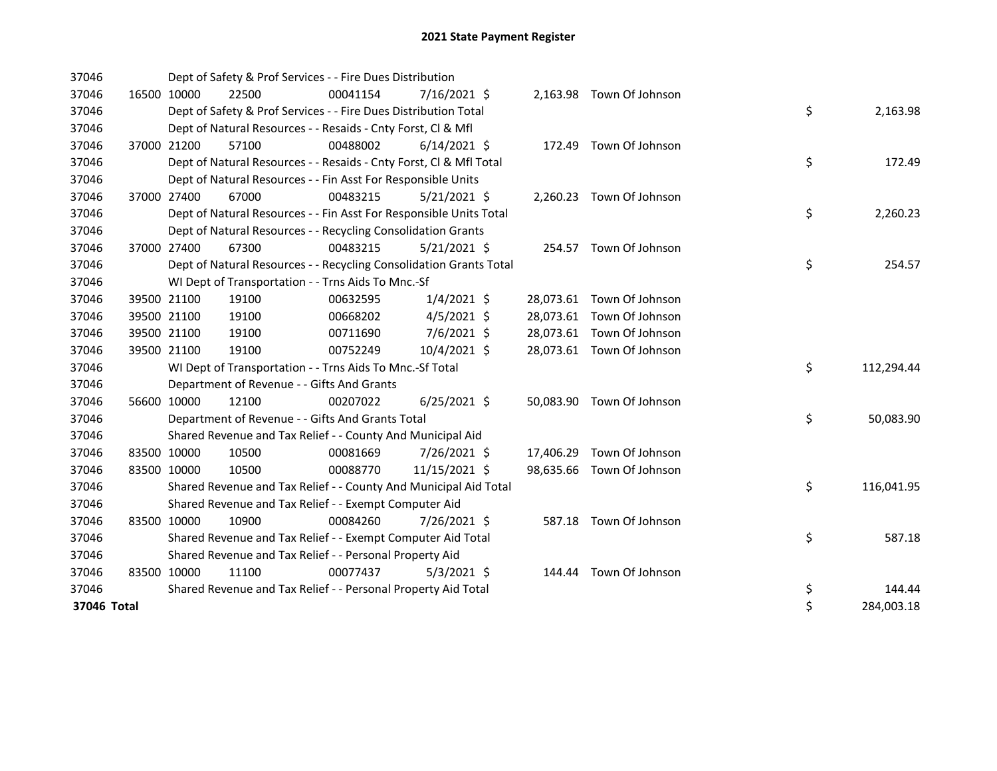| 37046       |             | Dept of Safety & Prof Services - - Fire Dues Distribution          |          |                |  |                           |    |            |
|-------------|-------------|--------------------------------------------------------------------|----------|----------------|--|---------------------------|----|------------|
| 37046       | 16500 10000 | 22500                                                              | 00041154 | $7/16/2021$ \$ |  | 2,163.98 Town Of Johnson  |    |            |
| 37046       |             | Dept of Safety & Prof Services - - Fire Dues Distribution Total    |          |                |  |                           | \$ | 2,163.98   |
| 37046       |             | Dept of Natural Resources - - Resaids - Cnty Forst, CI & Mfl       |          |                |  |                           |    |            |
| 37046       | 37000 21200 | 57100                                                              | 00488002 | $6/14/2021$ \$ |  | 172.49 Town Of Johnson    |    |            |
| 37046       |             | Dept of Natural Resources - - Resaids - Cnty Forst, Cl & Mfl Total |          |                |  |                           | \$ | 172.49     |
| 37046       |             | Dept of Natural Resources - - Fin Asst For Responsible Units       |          |                |  |                           |    |            |
| 37046       | 37000 27400 | 67000                                                              | 00483215 | $5/21/2021$ \$ |  | 2,260.23 Town Of Johnson  |    |            |
| 37046       |             | Dept of Natural Resources - - Fin Asst For Responsible Units Total |          |                |  |                           | \$ | 2,260.23   |
| 37046       |             | Dept of Natural Resources - - Recycling Consolidation Grants       |          |                |  |                           |    |            |
| 37046       | 37000 27400 | 67300                                                              | 00483215 | $5/21/2021$ \$ |  | 254.57 Town Of Johnson    |    |            |
| 37046       |             | Dept of Natural Resources - - Recycling Consolidation Grants Total |          |                |  |                           | \$ | 254.57     |
| 37046       |             | WI Dept of Transportation - - Trns Aids To Mnc.-Sf                 |          |                |  |                           |    |            |
| 37046       | 39500 21100 | 19100                                                              | 00632595 | $1/4/2021$ \$  |  | 28,073.61 Town Of Johnson |    |            |
| 37046       | 39500 21100 | 19100                                                              | 00668202 | $4/5/2021$ \$  |  | 28,073.61 Town Of Johnson |    |            |
| 37046       | 39500 21100 | 19100                                                              | 00711690 | 7/6/2021 \$    |  | 28,073.61 Town Of Johnson |    |            |
| 37046       | 39500 21100 | 19100                                                              | 00752249 | 10/4/2021 \$   |  | 28,073.61 Town Of Johnson |    |            |
| 37046       |             | WI Dept of Transportation - - Trns Aids To Mnc.-Sf Total           |          |                |  |                           | \$ | 112,294.44 |
| 37046       |             | Department of Revenue - - Gifts And Grants                         |          |                |  |                           |    |            |
| 37046       | 56600 10000 | 12100                                                              | 00207022 | $6/25/2021$ \$ |  | 50,083.90 Town Of Johnson |    |            |
| 37046       |             | Department of Revenue - - Gifts And Grants Total                   |          |                |  |                           | \$ | 50,083.90  |
| 37046       |             | Shared Revenue and Tax Relief - - County And Municipal Aid         |          |                |  |                           |    |            |
| 37046       | 83500 10000 | 10500                                                              | 00081669 | 7/26/2021 \$   |  | 17,406.29 Town Of Johnson |    |            |
| 37046       | 83500 10000 | 10500                                                              | 00088770 | 11/15/2021 \$  |  | 98,635.66 Town Of Johnson |    |            |
| 37046       |             | Shared Revenue and Tax Relief - - County And Municipal Aid Total   |          |                |  |                           | \$ | 116,041.95 |
| 37046       |             | Shared Revenue and Tax Relief - - Exempt Computer Aid              |          |                |  |                           |    |            |
| 37046       | 83500 10000 | 10900                                                              | 00084260 | 7/26/2021 \$   |  | 587.18 Town Of Johnson    |    |            |
| 37046       |             | Shared Revenue and Tax Relief - - Exempt Computer Aid Total        |          |                |  |                           | \$ | 587.18     |
| 37046       |             | Shared Revenue and Tax Relief - - Personal Property Aid            |          |                |  |                           |    |            |
| 37046       | 83500 10000 | 11100                                                              | 00077437 | $5/3/2021$ \$  |  | 144.44 Town Of Johnson    |    |            |
| 37046       |             | Shared Revenue and Tax Relief - - Personal Property Aid Total      |          |                |  |                           | \$ | 144.44     |
| 37046 Total |             |                                                                    |          |                |  |                           | \$ | 284,003.18 |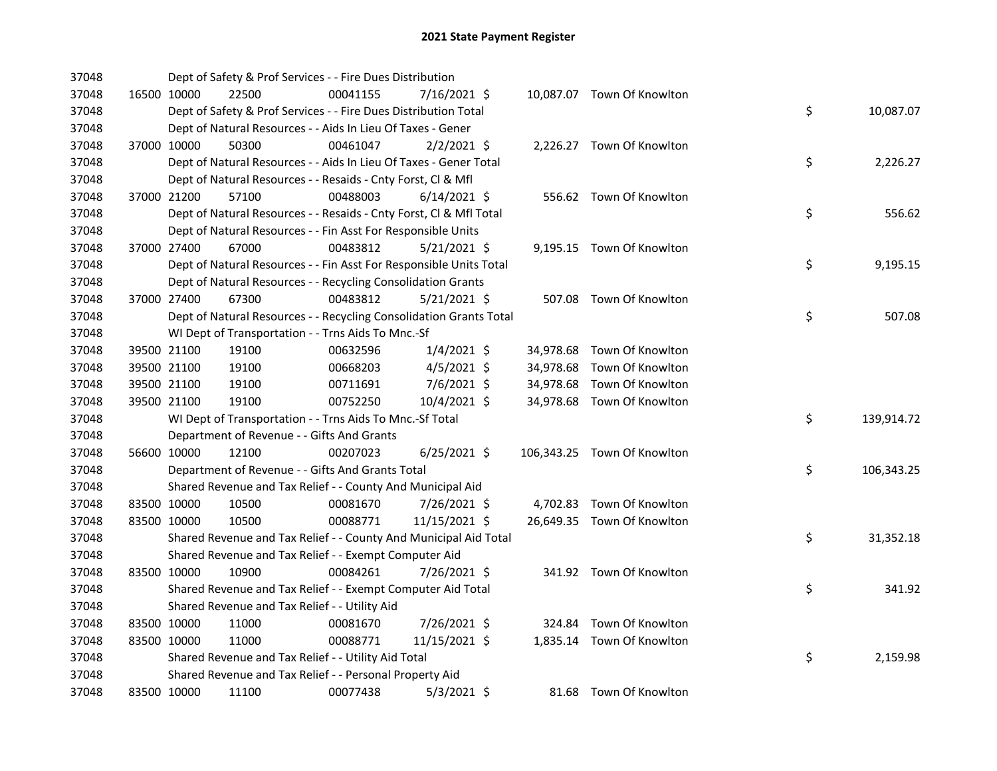| 37048 |             | Dept of Safety & Prof Services - - Fire Dues Distribution          |          |                |  |                             |    |            |
|-------|-------------|--------------------------------------------------------------------|----------|----------------|--|-----------------------------|----|------------|
| 37048 | 16500 10000 | 22500                                                              | 00041155 | 7/16/2021 \$   |  | 10,087.07 Town Of Knowlton  |    |            |
| 37048 |             | Dept of Safety & Prof Services - - Fire Dues Distribution Total    |          |                |  |                             | \$ | 10,087.07  |
| 37048 |             | Dept of Natural Resources - - Aids In Lieu Of Taxes - Gener        |          |                |  |                             |    |            |
| 37048 | 37000 10000 | 50300                                                              | 00461047 | $2/2/2021$ \$  |  | 2,226.27 Town Of Knowlton   |    |            |
| 37048 |             | Dept of Natural Resources - - Aids In Lieu Of Taxes - Gener Total  |          |                |  |                             | \$ | 2,226.27   |
| 37048 |             | Dept of Natural Resources - - Resaids - Cnty Forst, Cl & Mfl       |          |                |  |                             |    |            |
| 37048 | 37000 21200 | 57100                                                              | 00488003 | $6/14/2021$ \$ |  | 556.62 Town Of Knowlton     |    |            |
| 37048 |             | Dept of Natural Resources - - Resaids - Cnty Forst, CI & Mfl Total |          |                |  |                             | \$ | 556.62     |
| 37048 |             | Dept of Natural Resources - - Fin Asst For Responsible Units       |          |                |  |                             |    |            |
| 37048 | 37000 27400 | 67000                                                              | 00483812 | $5/21/2021$ \$ |  | 9,195.15 Town Of Knowlton   |    |            |
| 37048 |             | Dept of Natural Resources - - Fin Asst For Responsible Units Total |          |                |  |                             | \$ | 9,195.15   |
| 37048 |             | Dept of Natural Resources - - Recycling Consolidation Grants       |          |                |  |                             |    |            |
| 37048 | 37000 27400 | 67300                                                              | 00483812 | $5/21/2021$ \$ |  | 507.08 Town Of Knowlton     |    |            |
| 37048 |             | Dept of Natural Resources - - Recycling Consolidation Grants Total |          |                |  |                             | \$ | 507.08     |
| 37048 |             | WI Dept of Transportation - - Trns Aids To Mnc.-Sf                 |          |                |  |                             |    |            |
| 37048 | 39500 21100 | 19100                                                              | 00632596 | $1/4/2021$ \$  |  | 34,978.68 Town Of Knowlton  |    |            |
| 37048 | 39500 21100 | 19100                                                              | 00668203 | $4/5/2021$ \$  |  | 34,978.68 Town Of Knowlton  |    |            |
| 37048 | 39500 21100 | 19100                                                              | 00711691 | 7/6/2021 \$    |  | 34,978.68 Town Of Knowlton  |    |            |
| 37048 | 39500 21100 | 19100                                                              | 00752250 | 10/4/2021 \$   |  | 34,978.68 Town Of Knowlton  |    |            |
| 37048 |             | WI Dept of Transportation - - Trns Aids To Mnc.-Sf Total           |          |                |  |                             | \$ | 139,914.72 |
| 37048 |             | Department of Revenue - - Gifts And Grants                         |          |                |  |                             |    |            |
| 37048 | 56600 10000 | 12100                                                              | 00207023 | $6/25/2021$ \$ |  | 106,343.25 Town Of Knowlton |    |            |
| 37048 |             | Department of Revenue - - Gifts And Grants Total                   |          |                |  |                             | \$ | 106,343.25 |
| 37048 |             | Shared Revenue and Tax Relief - - County And Municipal Aid         |          |                |  |                             |    |            |
| 37048 | 83500 10000 | 10500                                                              | 00081670 | 7/26/2021 \$   |  | 4,702.83 Town Of Knowlton   |    |            |
| 37048 | 83500 10000 | 10500                                                              | 00088771 | 11/15/2021 \$  |  | 26,649.35 Town Of Knowlton  |    |            |
| 37048 |             | Shared Revenue and Tax Relief - - County And Municipal Aid Total   |          |                |  |                             | \$ | 31,352.18  |
| 37048 |             | Shared Revenue and Tax Relief - - Exempt Computer Aid              |          |                |  |                             |    |            |
| 37048 | 83500 10000 | 10900                                                              | 00084261 | 7/26/2021 \$   |  | 341.92 Town Of Knowlton     |    |            |
| 37048 |             | Shared Revenue and Tax Relief - - Exempt Computer Aid Total        |          |                |  |                             | \$ | 341.92     |
| 37048 |             | Shared Revenue and Tax Relief - - Utility Aid                      |          |                |  |                             |    |            |
| 37048 | 83500 10000 | 11000                                                              | 00081670 | 7/26/2021 \$   |  | 324.84 Town Of Knowlton     |    |            |
| 37048 | 83500 10000 | 11000                                                              | 00088771 | 11/15/2021 \$  |  | 1,835.14 Town Of Knowlton   |    |            |
| 37048 |             | Shared Revenue and Tax Relief - - Utility Aid Total                |          |                |  |                             | \$ | 2,159.98   |
| 37048 |             | Shared Revenue and Tax Relief - - Personal Property Aid            |          |                |  |                             |    |            |
| 37048 | 83500 10000 | 11100                                                              | 00077438 | $5/3/2021$ \$  |  | 81.68 Town Of Knowlton      |    |            |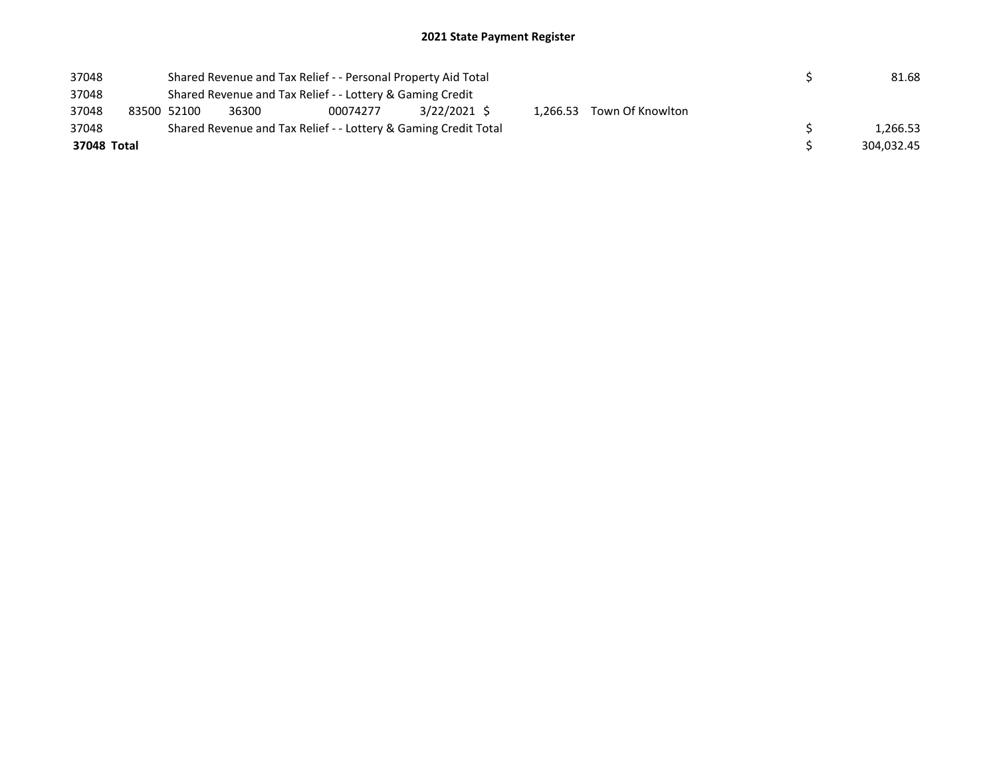| 37048       |                                                                 |                                                                                                                      | Shared Revenue and Tax Relief - - Personal Property Aid Total |  |  |  | 81.68 |  |  |            |  |  |
|-------------|-----------------------------------------------------------------|----------------------------------------------------------------------------------------------------------------------|---------------------------------------------------------------|--|--|--|-------|--|--|------------|--|--|
| 37048       |                                                                 | Shared Revenue and Tax Relief - - Lottery & Gaming Credit<br>$3/22/2021$ \$<br>1,266.53 Town Of Knowlton<br>00074277 |                                                               |  |  |  |       |  |  |            |  |  |
| 37048       | 83500 52100                                                     | 36300                                                                                                                |                                                               |  |  |  |       |  |  |            |  |  |
| 37048       | Shared Revenue and Tax Relief - - Lottery & Gaming Credit Total |                                                                                                                      |                                                               |  |  |  |       |  |  | 1.266.53   |  |  |
| 37048 Total |                                                                 |                                                                                                                      |                                                               |  |  |  |       |  |  | 304.032.45 |  |  |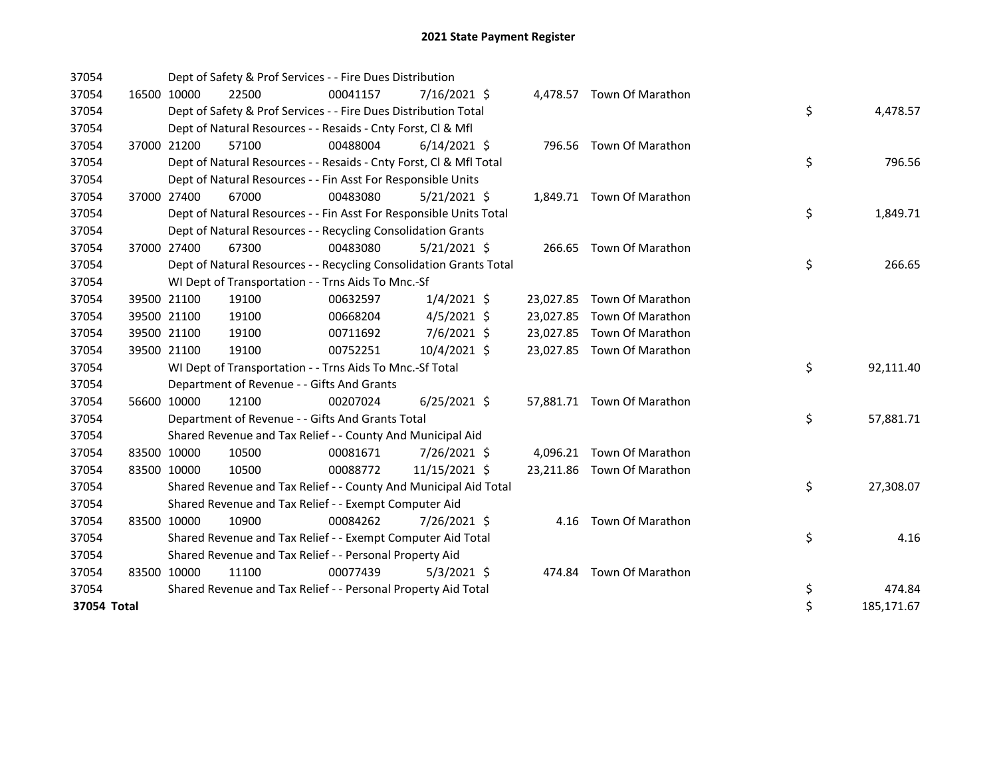| 37054       |             | Dept of Safety & Prof Services - - Fire Dues Distribution          |          |                |  |                            |    |            |
|-------------|-------------|--------------------------------------------------------------------|----------|----------------|--|----------------------------|----|------------|
| 37054       | 16500 10000 | 22500                                                              | 00041157 | $7/16/2021$ \$ |  | 4,478.57 Town Of Marathon  |    |            |
| 37054       |             | Dept of Safety & Prof Services - - Fire Dues Distribution Total    |          |                |  |                            | \$ | 4,478.57   |
| 37054       |             | Dept of Natural Resources - - Resaids - Cnty Forst, CI & Mfl       |          |                |  |                            |    |            |
| 37054       | 37000 21200 | 57100                                                              | 00488004 | $6/14/2021$ \$ |  | 796.56 Town Of Marathon    |    |            |
| 37054       |             | Dept of Natural Resources - - Resaids - Cnty Forst, Cl & Mfl Total |          |                |  |                            | \$ | 796.56     |
| 37054       |             | Dept of Natural Resources - - Fin Asst For Responsible Units       |          |                |  |                            |    |            |
| 37054       | 37000 27400 | 67000                                                              | 00483080 | $5/21/2021$ \$ |  | 1,849.71 Town Of Marathon  |    |            |
| 37054       |             | Dept of Natural Resources - - Fin Asst For Responsible Units Total |          |                |  |                            | \$ | 1,849.71   |
| 37054       |             | Dept of Natural Resources - - Recycling Consolidation Grants       |          |                |  |                            |    |            |
| 37054       | 37000 27400 | 67300                                                              | 00483080 | $5/21/2021$ \$ |  | 266.65 Town Of Marathon    |    |            |
| 37054       |             | Dept of Natural Resources - - Recycling Consolidation Grants Total |          |                |  |                            | \$ | 266.65     |
| 37054       |             | WI Dept of Transportation - - Trns Aids To Mnc.-Sf                 |          |                |  |                            |    |            |
| 37054       | 39500 21100 | 19100                                                              | 00632597 | $1/4/2021$ \$  |  | 23,027.85 Town Of Marathon |    |            |
| 37054       | 39500 21100 | 19100                                                              | 00668204 | $4/5/2021$ \$  |  | 23,027.85 Town Of Marathon |    |            |
| 37054       | 39500 21100 | 19100                                                              | 00711692 | 7/6/2021 \$    |  | 23,027.85 Town Of Marathon |    |            |
| 37054       | 39500 21100 | 19100                                                              | 00752251 | 10/4/2021 \$   |  | 23,027.85 Town Of Marathon |    |            |
| 37054       |             | WI Dept of Transportation - - Trns Aids To Mnc.-Sf Total           |          |                |  |                            | \$ | 92,111.40  |
| 37054       |             | Department of Revenue - - Gifts And Grants                         |          |                |  |                            |    |            |
| 37054       | 56600 10000 | 12100                                                              | 00207024 | $6/25/2021$ \$ |  | 57,881.71 Town Of Marathon |    |            |
| 37054       |             | Department of Revenue - - Gifts And Grants Total                   |          |                |  |                            | \$ | 57,881.71  |
| 37054       |             | Shared Revenue and Tax Relief - - County And Municipal Aid         |          |                |  |                            |    |            |
| 37054       | 83500 10000 | 10500                                                              | 00081671 | 7/26/2021 \$   |  | 4,096.21 Town Of Marathon  |    |            |
| 37054       | 83500 10000 | 10500                                                              | 00088772 | 11/15/2021 \$  |  | 23,211.86 Town Of Marathon |    |            |
| 37054       |             | Shared Revenue and Tax Relief - - County And Municipal Aid Total   |          |                |  |                            | \$ | 27,308.07  |
| 37054       |             | Shared Revenue and Tax Relief - - Exempt Computer Aid              |          |                |  |                            |    |            |
| 37054       | 83500 10000 | 10900                                                              | 00084262 | 7/26/2021 \$   |  | 4.16 Town Of Marathon      |    |            |
| 37054       |             | Shared Revenue and Tax Relief - - Exempt Computer Aid Total        |          |                |  |                            | \$ | 4.16       |
| 37054       |             | Shared Revenue and Tax Relief - - Personal Property Aid            |          |                |  |                            |    |            |
| 37054       | 83500 10000 | 11100                                                              | 00077439 | $5/3/2021$ \$  |  | 474.84 Town Of Marathon    |    |            |
| 37054       |             | Shared Revenue and Tax Relief - - Personal Property Aid Total      |          |                |  |                            | \$ | 474.84     |
| 37054 Total |             |                                                                    |          |                |  |                            | \$ | 185,171.67 |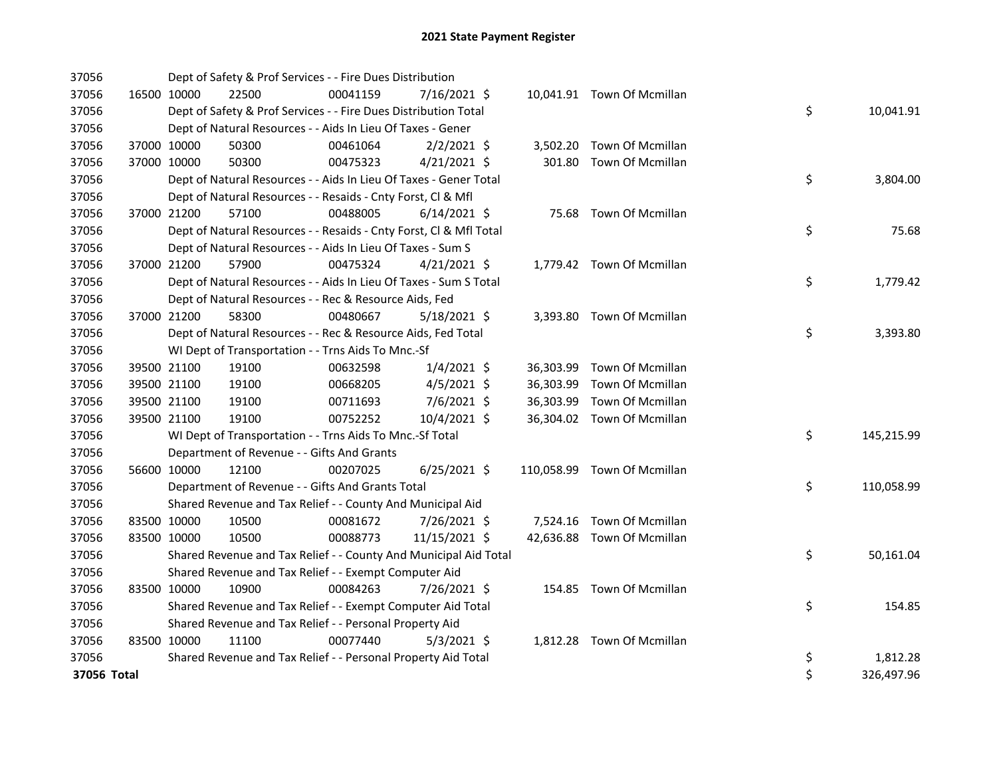| 37056       |             |             | Dept of Safety & Prof Services - - Fire Dues Distribution          |          |                |  |                             |    |            |
|-------------|-------------|-------------|--------------------------------------------------------------------|----------|----------------|--|-----------------------------|----|------------|
| 37056       |             | 16500 10000 | 22500                                                              | 00041159 | 7/16/2021 \$   |  | 10,041.91 Town Of Mcmillan  |    |            |
| 37056       |             |             | Dept of Safety & Prof Services - - Fire Dues Distribution Total    |          |                |  |                             | \$ | 10,041.91  |
| 37056       |             |             | Dept of Natural Resources - - Aids In Lieu Of Taxes - Gener        |          |                |  |                             |    |            |
| 37056       |             | 37000 10000 | 50300                                                              | 00461064 | $2/2/2021$ \$  |  | 3,502.20 Town Of Mcmillan   |    |            |
| 37056       |             | 37000 10000 | 50300                                                              | 00475323 | $4/21/2021$ \$ |  | 301.80 Town Of Mcmillan     |    |            |
| 37056       |             |             | Dept of Natural Resources - - Aids In Lieu Of Taxes - Gener Total  |          |                |  |                             | \$ | 3,804.00   |
| 37056       |             |             | Dept of Natural Resources - - Resaids - Cnty Forst, Cl & Mfl       |          |                |  |                             |    |            |
| 37056       |             | 37000 21200 | 57100                                                              | 00488005 | $6/14/2021$ \$ |  | 75.68 Town Of Mcmillan      |    |            |
| 37056       |             |             | Dept of Natural Resources - - Resaids - Cnty Forst, Cl & Mfl Total |          |                |  |                             | \$ | 75.68      |
| 37056       |             |             | Dept of Natural Resources - - Aids In Lieu Of Taxes - Sum S        |          |                |  |                             |    |            |
| 37056       |             | 37000 21200 | 57900                                                              | 00475324 | $4/21/2021$ \$ |  | 1,779.42 Town Of Mcmillan   |    |            |
| 37056       |             |             | Dept of Natural Resources - - Aids In Lieu Of Taxes - Sum S Total  |          |                |  |                             | \$ | 1,779.42   |
| 37056       |             |             | Dept of Natural Resources - - Rec & Resource Aids, Fed             |          |                |  |                             |    |            |
| 37056       |             | 37000 21200 | 58300                                                              | 00480667 | $5/18/2021$ \$ |  | 3,393.80 Town Of Mcmillan   |    |            |
| 37056       |             |             | Dept of Natural Resources - - Rec & Resource Aids, Fed Total       |          |                |  |                             | \$ | 3,393.80   |
| 37056       |             |             | WI Dept of Transportation - - Trns Aids To Mnc.-Sf                 |          |                |  |                             |    |            |
| 37056       |             | 39500 21100 | 19100                                                              | 00632598 | $1/4/2021$ \$  |  | 36,303.99 Town Of Mcmillan  |    |            |
| 37056       |             | 39500 21100 | 19100                                                              | 00668205 | $4/5/2021$ \$  |  | 36,303.99 Town Of Mcmillan  |    |            |
| 37056       |             | 39500 21100 | 19100                                                              | 00711693 | 7/6/2021 \$    |  | 36,303.99 Town Of Mcmillan  |    |            |
| 37056       |             | 39500 21100 | 19100                                                              | 00752252 | 10/4/2021 \$   |  | 36,304.02 Town Of Mcmillan  |    |            |
| 37056       |             |             | WI Dept of Transportation - - Trns Aids To Mnc.-Sf Total           |          |                |  |                             | \$ | 145,215.99 |
| 37056       |             |             | Department of Revenue - - Gifts And Grants                         |          |                |  |                             |    |            |
| 37056       |             | 56600 10000 | 12100                                                              | 00207025 | $6/25/2021$ \$ |  | 110,058.99 Town Of Mcmillan |    |            |
| 37056       |             |             | Department of Revenue - - Gifts And Grants Total                   |          |                |  |                             | \$ | 110,058.99 |
| 37056       |             |             | Shared Revenue and Tax Relief - - County And Municipal Aid         |          |                |  |                             |    |            |
| 37056       | 83500 10000 |             | 10500                                                              | 00081672 | 7/26/2021 \$   |  | 7,524.16 Town Of Mcmillan   |    |            |
| 37056       | 83500 10000 |             | 10500                                                              | 00088773 | 11/15/2021 \$  |  | 42,636.88 Town Of Mcmillan  |    |            |
| 37056       |             |             | Shared Revenue and Tax Relief - - County And Municipal Aid Total   |          |                |  |                             | \$ | 50,161.04  |
| 37056       |             |             | Shared Revenue and Tax Relief - - Exempt Computer Aid              |          |                |  |                             |    |            |
| 37056       | 83500 10000 |             | 10900                                                              | 00084263 | 7/26/2021 \$   |  | 154.85 Town Of Mcmillan     |    |            |
| 37056       |             |             | Shared Revenue and Tax Relief - - Exempt Computer Aid Total        |          |                |  |                             | \$ | 154.85     |
| 37056       |             |             | Shared Revenue and Tax Relief - - Personal Property Aid            |          |                |  |                             |    |            |
| 37056       | 83500 10000 |             | 11100                                                              | 00077440 | $5/3/2021$ \$  |  | 1,812.28 Town Of Mcmillan   |    |            |
| 37056       |             |             | Shared Revenue and Tax Relief - - Personal Property Aid Total      |          |                |  |                             | \$ | 1,812.28   |
| 37056 Total |             |             |                                                                    |          |                |  |                             | \$ | 326,497.96 |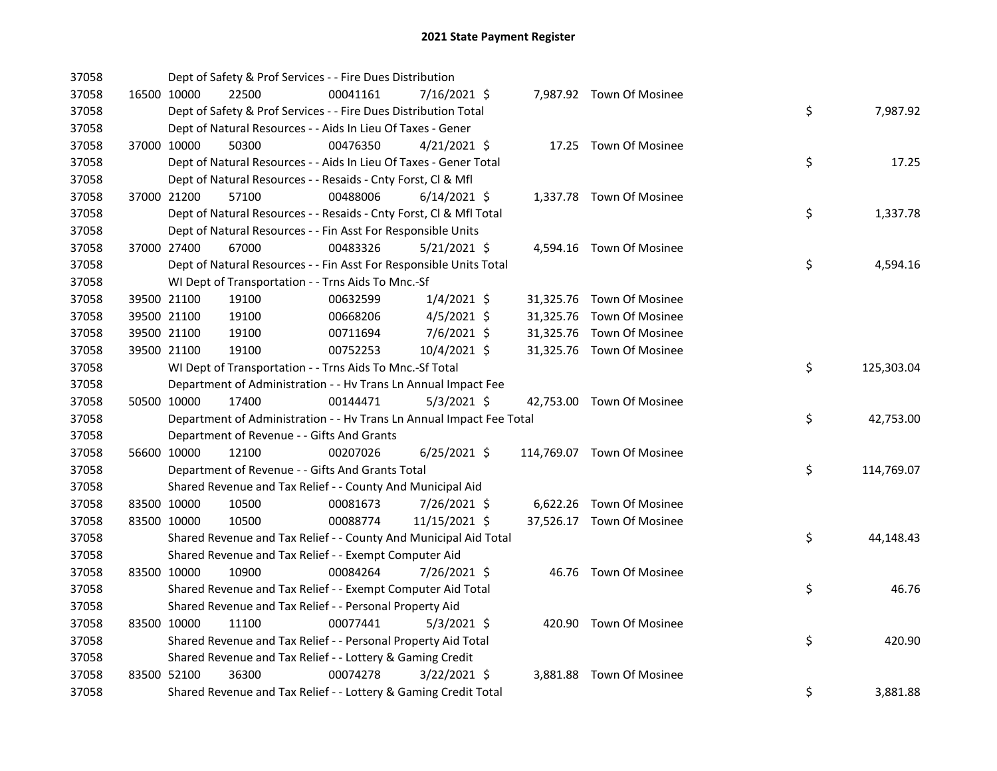| 37058 |             |                                            | Dept of Safety & Prof Services - - Fire Dues Distribution            |                |  |                            |    |            |
|-------|-------------|--------------------------------------------|----------------------------------------------------------------------|----------------|--|----------------------------|----|------------|
| 37058 | 16500 10000 | 22500                                      | 00041161                                                             | 7/16/2021 \$   |  | 7,987.92 Town Of Mosinee   |    |            |
| 37058 |             |                                            | Dept of Safety & Prof Services - - Fire Dues Distribution Total      |                |  |                            | \$ | 7,987.92   |
| 37058 |             |                                            | Dept of Natural Resources - - Aids In Lieu Of Taxes - Gener          |                |  |                            |    |            |
| 37058 | 37000 10000 | 50300                                      | 00476350                                                             | $4/21/2021$ \$ |  | 17.25 Town Of Mosinee      |    |            |
| 37058 |             |                                            | Dept of Natural Resources - - Aids In Lieu Of Taxes - Gener Total    |                |  |                            | \$ | 17.25      |
| 37058 |             |                                            | Dept of Natural Resources - - Resaids - Cnty Forst, Cl & Mfl         |                |  |                            |    |            |
| 37058 | 37000 21200 | 57100                                      | 00488006                                                             | $6/14/2021$ \$ |  | 1,337.78 Town Of Mosinee   |    |            |
| 37058 |             |                                            | Dept of Natural Resources - - Resaids - Cnty Forst, Cl & Mfl Total   |                |  |                            | \$ | 1,337.78   |
| 37058 |             |                                            | Dept of Natural Resources - - Fin Asst For Responsible Units         |                |  |                            |    |            |
| 37058 | 37000 27400 | 67000                                      | 00483326                                                             | $5/21/2021$ \$ |  | 4,594.16 Town Of Mosinee   |    |            |
| 37058 |             |                                            | Dept of Natural Resources - - Fin Asst For Responsible Units Total   |                |  |                            | \$ | 4,594.16   |
| 37058 |             |                                            | WI Dept of Transportation - - Trns Aids To Mnc.-Sf                   |                |  |                            |    |            |
| 37058 | 39500 21100 | 19100                                      | 00632599                                                             | $1/4/2021$ \$  |  | 31,325.76 Town Of Mosinee  |    |            |
| 37058 | 39500 21100 | 19100                                      | 00668206                                                             | $4/5/2021$ \$  |  | 31,325.76 Town Of Mosinee  |    |            |
| 37058 | 39500 21100 | 19100                                      | 00711694                                                             | 7/6/2021 \$    |  | 31,325.76 Town Of Mosinee  |    |            |
| 37058 | 39500 21100 | 19100                                      | 00752253                                                             | 10/4/2021 \$   |  | 31,325.76 Town Of Mosinee  |    |            |
| 37058 |             |                                            | WI Dept of Transportation - - Trns Aids To Mnc.-Sf Total             |                |  |                            | \$ | 125,303.04 |
| 37058 |             |                                            | Department of Administration - - Hv Trans Ln Annual Impact Fee       |                |  |                            |    |            |
| 37058 | 50500 10000 | 17400                                      | 00144471                                                             | $5/3/2021$ \$  |  | 42,753.00 Town Of Mosinee  |    |            |
| 37058 |             |                                            | Department of Administration - - Hv Trans Ln Annual Impact Fee Total |                |  |                            | \$ | 42,753.00  |
| 37058 |             | Department of Revenue - - Gifts And Grants |                                                                      |                |  |                            |    |            |
| 37058 | 56600 10000 | 12100                                      | 00207026                                                             | $6/25/2021$ \$ |  | 114,769.07 Town Of Mosinee |    |            |
| 37058 |             |                                            | Department of Revenue - - Gifts And Grants Total                     |                |  |                            | \$ | 114,769.07 |
| 37058 |             |                                            | Shared Revenue and Tax Relief - - County And Municipal Aid           |                |  |                            |    |            |
| 37058 | 83500 10000 | 10500                                      | 00081673                                                             | 7/26/2021 \$   |  | 6,622.26 Town Of Mosinee   |    |            |
| 37058 | 83500 10000 | 10500                                      | 00088774                                                             | 11/15/2021 \$  |  | 37,526.17 Town Of Mosinee  |    |            |
| 37058 |             |                                            | Shared Revenue and Tax Relief - - County And Municipal Aid Total     |                |  |                            | \$ | 44,148.43  |
| 37058 |             |                                            | Shared Revenue and Tax Relief - - Exempt Computer Aid                |                |  |                            |    |            |
| 37058 | 83500 10000 | 10900                                      | 00084264                                                             | 7/26/2021 \$   |  | 46.76 Town Of Mosinee      |    |            |
| 37058 |             |                                            | Shared Revenue and Tax Relief - - Exempt Computer Aid Total          |                |  |                            | \$ | 46.76      |
| 37058 |             |                                            | Shared Revenue and Tax Relief - - Personal Property Aid              |                |  |                            |    |            |
| 37058 | 83500 10000 | 11100                                      | 00077441                                                             | $5/3/2021$ \$  |  | 420.90 Town Of Mosinee     |    |            |
| 37058 |             |                                            | Shared Revenue and Tax Relief - - Personal Property Aid Total        |                |  |                            | \$ | 420.90     |
| 37058 |             |                                            | Shared Revenue and Tax Relief - - Lottery & Gaming Credit            |                |  |                            |    |            |
| 37058 | 83500 52100 | 36300                                      | 00074278                                                             | $3/22/2021$ \$ |  | 3,881.88 Town Of Mosinee   |    |            |
| 37058 |             |                                            | Shared Revenue and Tax Relief - - Lottery & Gaming Credit Total      |                |  |                            | \$ | 3,881.88   |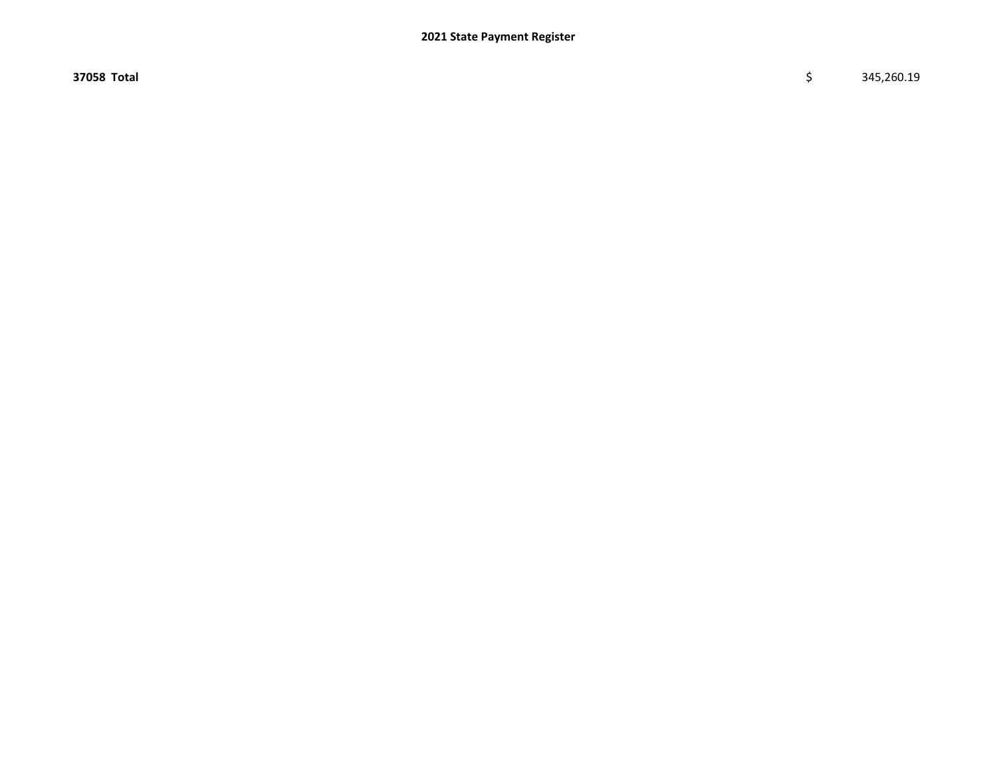$37058$  Total  $\zeta$  345,260.19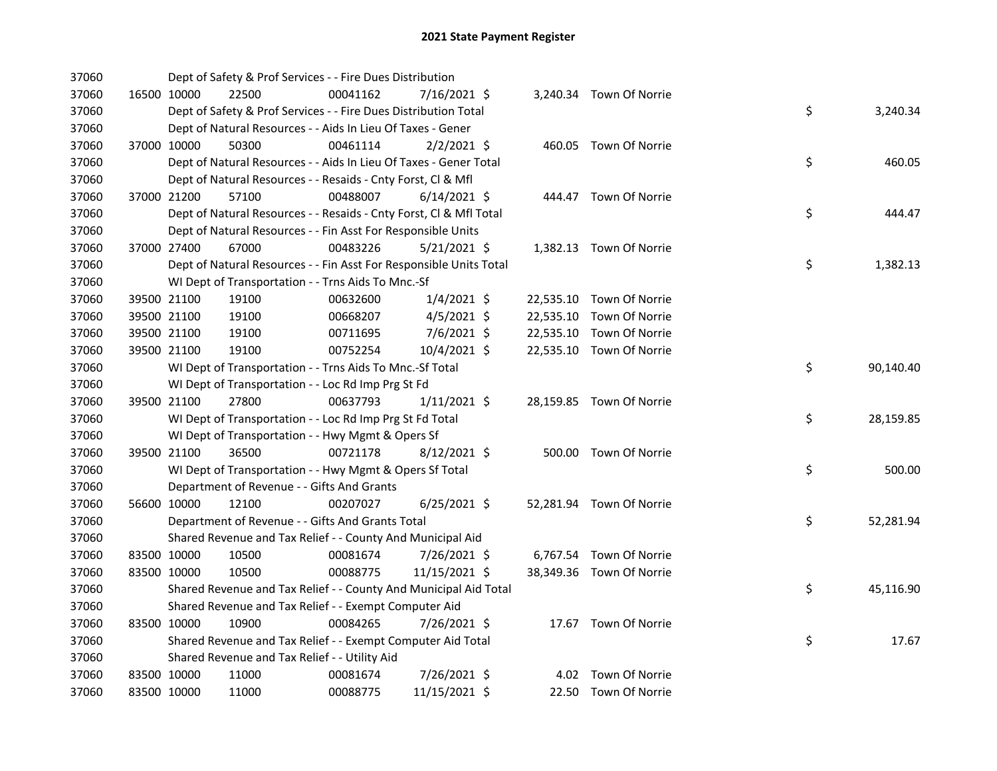| 37060 |             | Dept of Safety & Prof Services - - Fire Dues Distribution          |          |                |           |                          |    |           |
|-------|-------------|--------------------------------------------------------------------|----------|----------------|-----------|--------------------------|----|-----------|
| 37060 | 16500 10000 | 22500                                                              | 00041162 | 7/16/2021 \$   |           | 3,240.34 Town Of Norrie  |    |           |
| 37060 |             | Dept of Safety & Prof Services - - Fire Dues Distribution Total    |          |                |           |                          | \$ | 3,240.34  |
| 37060 |             | Dept of Natural Resources - - Aids In Lieu Of Taxes - Gener        |          |                |           |                          |    |           |
| 37060 | 37000 10000 | 50300                                                              | 00461114 | $2/2/2021$ \$  |           | 460.05 Town Of Norrie    |    |           |
| 37060 |             | Dept of Natural Resources - - Aids In Lieu Of Taxes - Gener Total  |          |                |           |                          | \$ | 460.05    |
| 37060 |             | Dept of Natural Resources - - Resaids - Cnty Forst, Cl & Mfl       |          |                |           |                          |    |           |
| 37060 | 37000 21200 | 57100                                                              | 00488007 | $6/14/2021$ \$ |           | 444.47 Town Of Norrie    |    |           |
| 37060 |             | Dept of Natural Resources - - Resaids - Cnty Forst, Cl & Mfl Total |          |                |           |                          | \$ | 444.47    |
| 37060 |             | Dept of Natural Resources - - Fin Asst For Responsible Units       |          |                |           |                          |    |           |
| 37060 | 37000 27400 | 67000                                                              | 00483226 | $5/21/2021$ \$ |           | 1,382.13 Town Of Norrie  |    |           |
| 37060 |             | Dept of Natural Resources - - Fin Asst For Responsible Units Total |          |                |           |                          | \$ | 1,382.13  |
| 37060 |             | WI Dept of Transportation - - Trns Aids To Mnc.-Sf                 |          |                |           |                          |    |           |
| 37060 | 39500 21100 | 19100                                                              | 00632600 | $1/4/2021$ \$  |           | 22,535.10 Town Of Norrie |    |           |
| 37060 | 39500 21100 | 19100                                                              | 00668207 | $4/5/2021$ \$  | 22,535.10 | Town Of Norrie           |    |           |
| 37060 | 39500 21100 | 19100                                                              | 00711695 | 7/6/2021 \$    | 22,535.10 | Town Of Norrie           |    |           |
| 37060 | 39500 21100 | 19100                                                              | 00752254 | 10/4/2021 \$   |           | 22,535.10 Town Of Norrie |    |           |
| 37060 |             | WI Dept of Transportation - - Trns Aids To Mnc.-Sf Total           |          |                |           |                          | \$ | 90,140.40 |
| 37060 |             | WI Dept of Transportation - - Loc Rd Imp Prg St Fd                 |          |                |           |                          |    |           |
| 37060 | 39500 21100 | 27800                                                              | 00637793 | $1/11/2021$ \$ |           | 28,159.85 Town Of Norrie |    |           |
| 37060 |             | WI Dept of Transportation - - Loc Rd Imp Prg St Fd Total           |          |                |           |                          | \$ | 28,159.85 |
| 37060 |             | WI Dept of Transportation - - Hwy Mgmt & Opers Sf                  |          |                |           |                          |    |           |
| 37060 | 39500 21100 | 36500                                                              | 00721178 | $8/12/2021$ \$ |           | 500.00 Town Of Norrie    |    |           |
| 37060 |             | WI Dept of Transportation - - Hwy Mgmt & Opers Sf Total            |          |                |           |                          | \$ | 500.00    |
| 37060 |             | Department of Revenue - - Gifts And Grants                         |          |                |           |                          |    |           |
| 37060 | 56600 10000 | 12100                                                              | 00207027 | $6/25/2021$ \$ |           | 52,281.94 Town Of Norrie |    |           |
| 37060 |             | Department of Revenue - - Gifts And Grants Total                   |          |                |           |                          | \$ | 52,281.94 |
| 37060 |             | Shared Revenue and Tax Relief - - County And Municipal Aid         |          |                |           |                          |    |           |
| 37060 | 83500 10000 | 10500                                                              | 00081674 | 7/26/2021 \$   |           | 6,767.54 Town Of Norrie  |    |           |
| 37060 | 83500 10000 | 10500                                                              | 00088775 | 11/15/2021 \$  |           | 38,349.36 Town Of Norrie |    |           |
| 37060 |             | Shared Revenue and Tax Relief - - County And Municipal Aid Total   |          |                |           |                          | \$ | 45,116.90 |
| 37060 |             | Shared Revenue and Tax Relief - - Exempt Computer Aid              |          |                |           |                          |    |           |
| 37060 | 83500 10000 | 10900                                                              | 00084265 | 7/26/2021 \$   |           | 17.67 Town Of Norrie     |    |           |
| 37060 |             | Shared Revenue and Tax Relief - - Exempt Computer Aid Total        |          |                |           |                          | \$ | 17.67     |
| 37060 |             | Shared Revenue and Tax Relief - - Utility Aid                      |          |                |           |                          |    |           |
| 37060 | 83500 10000 | 11000                                                              | 00081674 | 7/26/2021 \$   |           | 4.02 Town Of Norrie      |    |           |
| 37060 | 83500 10000 | 11000                                                              | 00088775 | 11/15/2021 \$  |           | 22.50 Town Of Norrie     |    |           |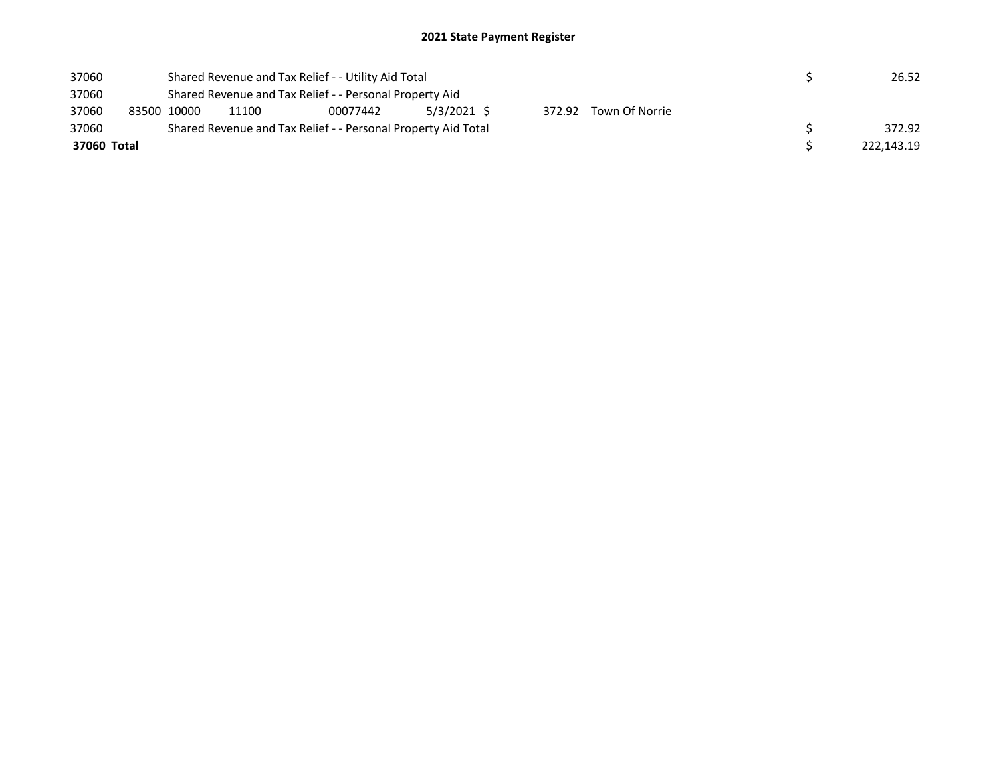| 37060 |             |                                                         | Shared Revenue and Tax Relief - - Utility Aid Total           |  |  | 26.52  |  |  |  |            |  |
|-------|-------------|---------------------------------------------------------|---------------------------------------------------------------|--|--|--------|--|--|--|------------|--|
| 37060 |             | Shared Revenue and Tax Relief - - Personal Property Aid |                                                               |  |  |        |  |  |  |            |  |
| 37060 |             | 83500 10000                                             | 5/3/2021 \$<br>372.92 Town Of Norrie<br>11100<br>00077442     |  |  |        |  |  |  |            |  |
| 37060 |             |                                                         | Shared Revenue and Tax Relief - - Personal Property Aid Total |  |  | 372.92 |  |  |  |            |  |
|       | 37060 Total |                                                         |                                                               |  |  |        |  |  |  | 222.143.19 |  |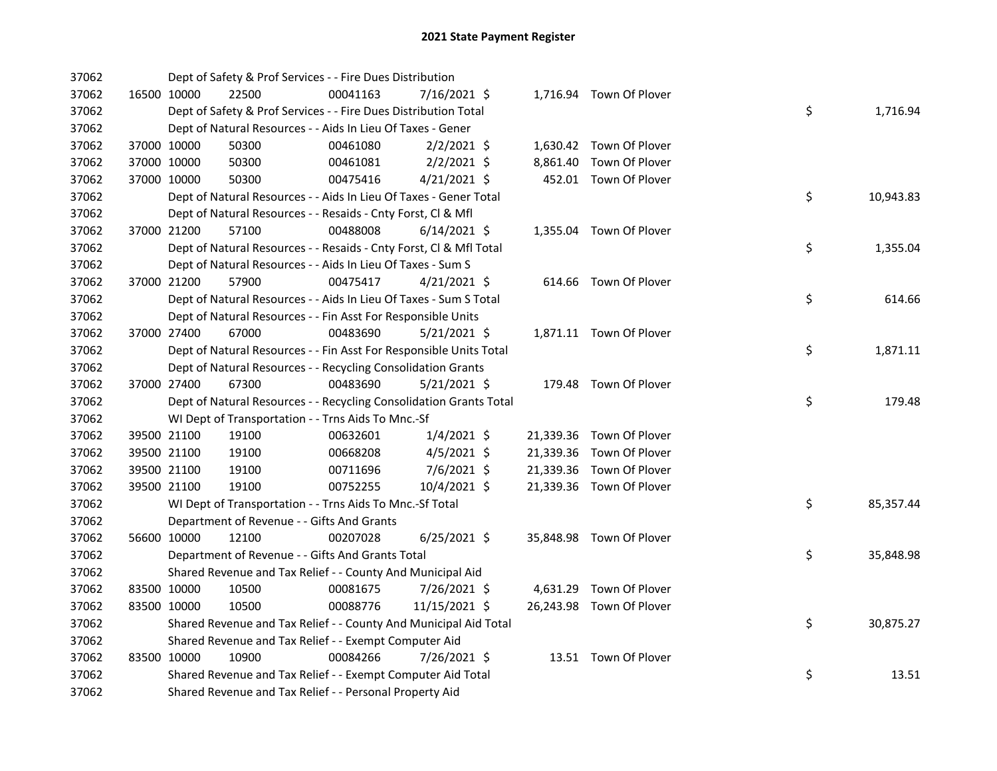| 37062 |             |             | Dept of Safety & Prof Services - - Fire Dues Distribution          |          |                |  |                          |    |           |
|-------|-------------|-------------|--------------------------------------------------------------------|----------|----------------|--|--------------------------|----|-----------|
| 37062 |             | 16500 10000 | 22500                                                              | 00041163 | 7/16/2021 \$   |  | 1,716.94 Town Of Plover  |    |           |
| 37062 |             |             | Dept of Safety & Prof Services - - Fire Dues Distribution Total    |          |                |  |                          | \$ | 1,716.94  |
| 37062 |             |             | Dept of Natural Resources - - Aids In Lieu Of Taxes - Gener        |          |                |  |                          |    |           |
| 37062 | 37000 10000 |             | 50300                                                              | 00461080 | $2/2/2021$ \$  |  | 1,630.42 Town Of Plover  |    |           |
| 37062 | 37000 10000 |             | 50300                                                              | 00461081 | $2/2/2021$ \$  |  | 8,861.40 Town Of Plover  |    |           |
| 37062 | 37000 10000 |             | 50300                                                              | 00475416 | $4/21/2021$ \$ |  | 452.01 Town Of Plover    |    |           |
| 37062 |             |             | Dept of Natural Resources - - Aids In Lieu Of Taxes - Gener Total  |          |                |  |                          | \$ | 10,943.83 |
| 37062 |             |             | Dept of Natural Resources - - Resaids - Cnty Forst, Cl & Mfl       |          |                |  |                          |    |           |
| 37062 |             | 37000 21200 | 57100                                                              | 00488008 | $6/14/2021$ \$ |  | 1,355.04 Town Of Plover  |    |           |
| 37062 |             |             | Dept of Natural Resources - - Resaids - Cnty Forst, CI & Mfl Total |          |                |  |                          | \$ | 1,355.04  |
| 37062 |             |             | Dept of Natural Resources - - Aids In Lieu Of Taxes - Sum S        |          |                |  |                          |    |           |
| 37062 |             | 37000 21200 | 57900                                                              | 00475417 | $4/21/2021$ \$ |  | 614.66 Town Of Plover    |    |           |
| 37062 |             |             | Dept of Natural Resources - - Aids In Lieu Of Taxes - Sum S Total  |          |                |  |                          | \$ | 614.66    |
| 37062 |             |             | Dept of Natural Resources - - Fin Asst For Responsible Units       |          |                |  |                          |    |           |
| 37062 |             | 37000 27400 | 67000                                                              | 00483690 | $5/21/2021$ \$ |  | 1,871.11 Town Of Plover  |    |           |
| 37062 |             |             | Dept of Natural Resources - - Fin Asst For Responsible Units Total |          |                |  |                          | \$ | 1,871.11  |
| 37062 |             |             | Dept of Natural Resources - - Recycling Consolidation Grants       |          |                |  |                          |    |           |
| 37062 | 37000 27400 |             | 67300                                                              | 00483690 | $5/21/2021$ \$ |  | 179.48 Town Of Plover    |    |           |
| 37062 |             |             | Dept of Natural Resources - - Recycling Consolidation Grants Total |          |                |  |                          | \$ | 179.48    |
| 37062 |             |             | WI Dept of Transportation - - Trns Aids To Mnc.-Sf                 |          |                |  |                          |    |           |
| 37062 |             | 39500 21100 | 19100                                                              | 00632601 | $1/4/2021$ \$  |  | 21,339.36 Town Of Plover |    |           |
| 37062 |             | 39500 21100 | 19100                                                              | 00668208 | 4/5/2021 \$    |  | 21,339.36 Town Of Plover |    |           |
| 37062 | 39500 21100 |             | 19100                                                              | 00711696 | 7/6/2021 \$    |  | 21,339.36 Town Of Plover |    |           |
| 37062 | 39500 21100 |             | 19100                                                              | 00752255 | 10/4/2021 \$   |  | 21,339.36 Town Of Plover |    |           |
| 37062 |             |             | WI Dept of Transportation - - Trns Aids To Mnc.-Sf Total           |          |                |  |                          | \$ | 85,357.44 |
| 37062 |             |             | Department of Revenue - - Gifts And Grants                         |          |                |  |                          |    |           |
| 37062 |             | 56600 10000 | 12100                                                              | 00207028 | $6/25/2021$ \$ |  | 35,848.98 Town Of Plover |    |           |
| 37062 |             |             | Department of Revenue - - Gifts And Grants Total                   |          |                |  |                          | \$ | 35,848.98 |
| 37062 |             |             | Shared Revenue and Tax Relief - - County And Municipal Aid         |          |                |  |                          |    |           |
| 37062 |             | 83500 10000 | 10500                                                              | 00081675 | 7/26/2021 \$   |  | 4,631.29 Town Of Plover  |    |           |
| 37062 | 83500 10000 |             | 10500                                                              | 00088776 | 11/15/2021 \$  |  | 26,243.98 Town Of Plover |    |           |
| 37062 |             |             | Shared Revenue and Tax Relief - - County And Municipal Aid Total   |          |                |  |                          | \$ | 30,875.27 |
| 37062 |             |             | Shared Revenue and Tax Relief - - Exempt Computer Aid              |          |                |  |                          |    |           |
| 37062 | 83500 10000 |             | 10900                                                              | 00084266 | 7/26/2021 \$   |  | 13.51 Town Of Plover     |    |           |
| 37062 |             |             | Shared Revenue and Tax Relief - - Exempt Computer Aid Total        |          |                |  |                          | \$ | 13.51     |
| 37062 |             |             | Shared Revenue and Tax Relief - - Personal Property Aid            |          |                |  |                          |    |           |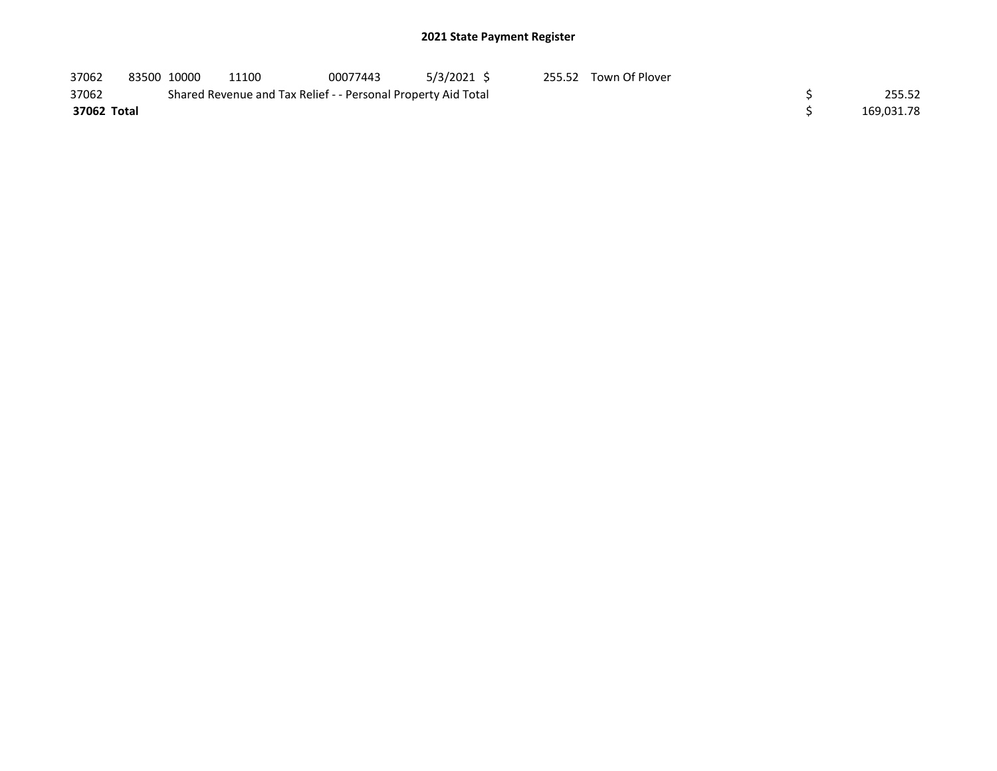| 37062       | 83500 10000 | 11100                                                         | 00077443 | 5/3/2021 \$ | 255.52 Town Of Plover |            |
|-------------|-------------|---------------------------------------------------------------|----------|-------------|-----------------------|------------|
| 37062       |             | Shared Revenue and Tax Relief - - Personal Property Aid Total |          |             |                       | 255.52     |
| 37062 Total |             |                                                               |          |             |                       | 169,031.78 |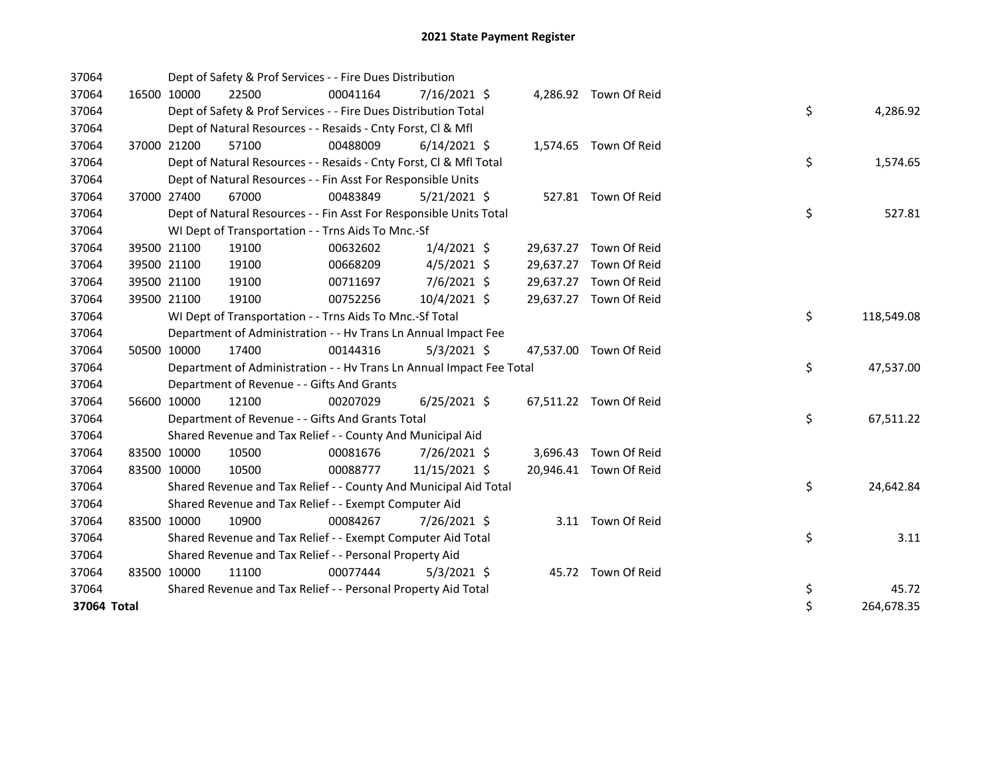| 37064       |             | Dept of Safety & Prof Services - - Fire Dues Distribution            |          |                |  |                        |    |            |
|-------------|-------------|----------------------------------------------------------------------|----------|----------------|--|------------------------|----|------------|
| 37064       | 16500 10000 | 22500                                                                | 00041164 | $7/16/2021$ \$ |  | 4,286.92 Town Of Reid  |    |            |
| 37064       |             | Dept of Safety & Prof Services - - Fire Dues Distribution Total      |          |                |  |                        | \$ | 4,286.92   |
| 37064       |             | Dept of Natural Resources - - Resaids - Cnty Forst, CI & Mfl         |          |                |  |                        |    |            |
| 37064       | 37000 21200 | 57100                                                                | 00488009 | $6/14/2021$ \$ |  | 1,574.65 Town Of Reid  |    |            |
| 37064       |             | Dept of Natural Resources - - Resaids - Cnty Forst, Cl & Mfl Total   |          |                |  |                        | \$ | 1,574.65   |
| 37064       |             | Dept of Natural Resources - - Fin Asst For Responsible Units         |          |                |  |                        |    |            |
| 37064       | 37000 27400 | 67000                                                                | 00483849 | $5/21/2021$ \$ |  | 527.81 Town Of Reid    |    |            |
| 37064       |             | Dept of Natural Resources - - Fin Asst For Responsible Units Total   |          |                |  |                        | \$ | 527.81     |
| 37064       |             | WI Dept of Transportation - - Trns Aids To Mnc.-Sf                   |          |                |  |                        |    |            |
| 37064       | 39500 21100 | 19100                                                                | 00632602 | $1/4/2021$ \$  |  | 29,637.27 Town Of Reid |    |            |
| 37064       | 39500 21100 | 19100                                                                | 00668209 | $4/5/2021$ \$  |  | 29,637.27 Town Of Reid |    |            |
| 37064       | 39500 21100 | 19100                                                                | 00711697 | 7/6/2021 \$    |  | 29,637.27 Town Of Reid |    |            |
| 37064       | 39500 21100 | 19100                                                                | 00752256 | 10/4/2021 \$   |  | 29,637.27 Town Of Reid |    |            |
| 37064       |             | WI Dept of Transportation - - Trns Aids To Mnc.-Sf Total             |          |                |  |                        | \$ | 118,549.08 |
| 37064       |             | Department of Administration - - Hv Trans Ln Annual Impact Fee       |          |                |  |                        |    |            |
| 37064       | 50500 10000 | 17400                                                                | 00144316 | $5/3/2021$ \$  |  | 47,537.00 Town Of Reid |    |            |
| 37064       |             | Department of Administration - - Hv Trans Ln Annual Impact Fee Total |          |                |  |                        | \$ | 47,537.00  |
| 37064       |             | Department of Revenue - - Gifts And Grants                           |          |                |  |                        |    |            |
| 37064       | 56600 10000 | 12100                                                                | 00207029 | $6/25/2021$ \$ |  | 67,511.22 Town Of Reid |    |            |
| 37064       |             | Department of Revenue - - Gifts And Grants Total                     |          |                |  |                        | \$ | 67,511.22  |
| 37064       |             | Shared Revenue and Tax Relief - - County And Municipal Aid           |          |                |  |                        |    |            |
| 37064       | 83500 10000 | 10500                                                                | 00081676 | 7/26/2021 \$   |  | 3,696.43 Town Of Reid  |    |            |
| 37064       | 83500 10000 | 10500                                                                | 00088777 | 11/15/2021 \$  |  | 20,946.41 Town Of Reid |    |            |
| 37064       |             | Shared Revenue and Tax Relief - - County And Municipal Aid Total     |          |                |  |                        | \$ | 24,642.84  |
| 37064       |             | Shared Revenue and Tax Relief - - Exempt Computer Aid                |          |                |  |                        |    |            |
| 37064       | 83500 10000 | 10900                                                                | 00084267 | 7/26/2021 \$   |  | 3.11 Town Of Reid      |    |            |
| 37064       |             | Shared Revenue and Tax Relief - - Exempt Computer Aid Total          |          |                |  |                        | \$ | 3.11       |
| 37064       |             | Shared Revenue and Tax Relief - - Personal Property Aid              |          |                |  |                        |    |            |
| 37064       | 83500 10000 | 11100                                                                | 00077444 | $5/3/2021$ \$  |  | 45.72 Town Of Reid     |    |            |
| 37064       |             | Shared Revenue and Tax Relief - - Personal Property Aid Total        |          |                |  |                        | \$ | 45.72      |
| 37064 Total |             |                                                                      |          |                |  |                        | \$ | 264,678.35 |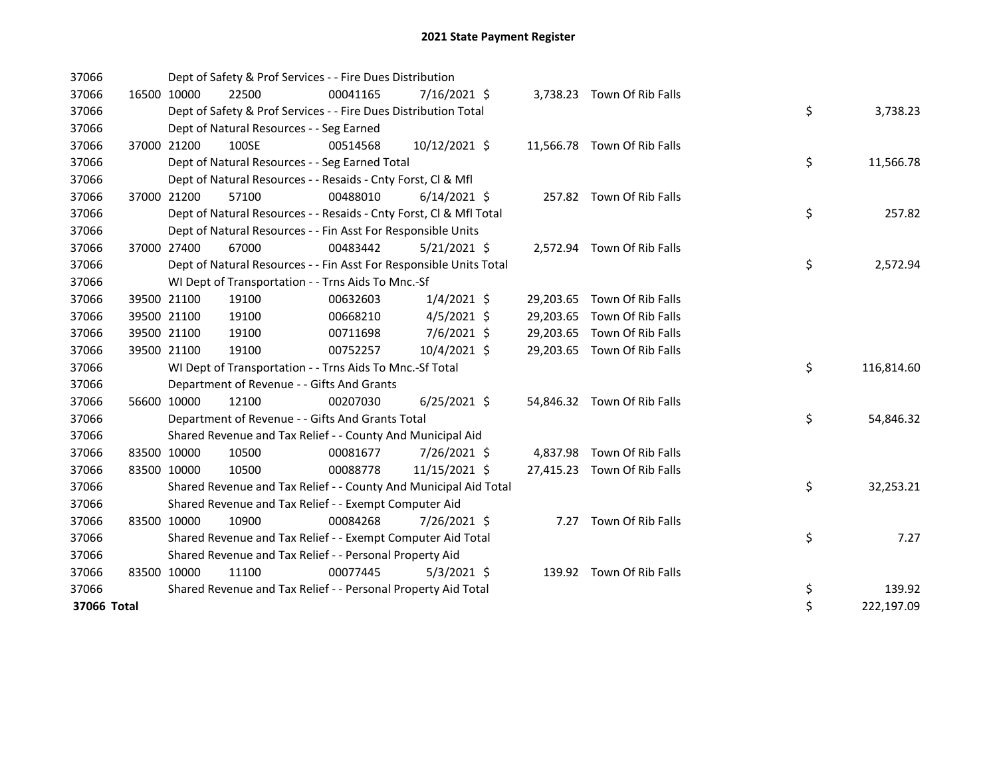| 37066       |             | Dept of Safety & Prof Services - - Fire Dues Distribution          |          |                |  |  |                             |  |    |            |  |
|-------------|-------------|--------------------------------------------------------------------|----------|----------------|--|--|-----------------------------|--|----|------------|--|
| 37066       | 16500 10000 | 22500                                                              | 00041165 | $7/16/2021$ \$ |  |  | 3,738.23 Town Of Rib Falls  |  |    |            |  |
| 37066       |             | Dept of Safety & Prof Services - - Fire Dues Distribution Total    |          |                |  |  |                             |  | \$ | 3,738.23   |  |
| 37066       |             | Dept of Natural Resources - - Seg Earned                           |          |                |  |  |                             |  |    |            |  |
| 37066       | 37000 21200 | 100SE                                                              | 00514568 | 10/12/2021 \$  |  |  | 11,566.78 Town Of Rib Falls |  |    |            |  |
| 37066       |             | Dept of Natural Resources - - Seg Earned Total                     |          |                |  |  |                             |  | \$ | 11,566.78  |  |
| 37066       |             | Dept of Natural Resources - - Resaids - Cnty Forst, Cl & Mfl       |          |                |  |  |                             |  |    |            |  |
| 37066       | 37000 21200 | 57100                                                              | 00488010 | $6/14/2021$ \$ |  |  | 257.82 Town Of Rib Falls    |  |    |            |  |
| 37066       |             | Dept of Natural Resources - - Resaids - Cnty Forst, Cl & Mfl Total |          |                |  |  |                             |  | \$ | 257.82     |  |
| 37066       |             | Dept of Natural Resources - - Fin Asst For Responsible Units       |          |                |  |  |                             |  |    |            |  |
| 37066       | 37000 27400 | 67000                                                              | 00483442 | $5/21/2021$ \$ |  |  | 2,572.94 Town Of Rib Falls  |  |    |            |  |
| 37066       |             | Dept of Natural Resources - - Fin Asst For Responsible Units Total |          |                |  |  |                             |  | \$ | 2,572.94   |  |
| 37066       |             | WI Dept of Transportation - - Trns Aids To Mnc.-Sf                 |          |                |  |  |                             |  |    |            |  |
| 37066       | 39500 21100 | 19100                                                              | 00632603 | $1/4/2021$ \$  |  |  | 29,203.65 Town Of Rib Falls |  |    |            |  |
| 37066       | 39500 21100 | 19100                                                              | 00668210 | $4/5/2021$ \$  |  |  | 29,203.65 Town Of Rib Falls |  |    |            |  |
| 37066       | 39500 21100 | 19100                                                              | 00711698 | 7/6/2021 \$    |  |  | 29,203.65 Town Of Rib Falls |  |    |            |  |
| 37066       | 39500 21100 | 19100                                                              | 00752257 | 10/4/2021 \$   |  |  | 29,203.65 Town Of Rib Falls |  |    |            |  |
| 37066       |             | WI Dept of Transportation - - Trns Aids To Mnc.-Sf Total           |          |                |  |  |                             |  | \$ | 116,814.60 |  |
| 37066       |             | Department of Revenue - - Gifts And Grants                         |          |                |  |  |                             |  |    |            |  |
| 37066       | 56600 10000 | 12100                                                              | 00207030 | $6/25/2021$ \$ |  |  | 54,846.32 Town Of Rib Falls |  |    |            |  |
| 37066       |             | Department of Revenue - - Gifts And Grants Total                   |          |                |  |  |                             |  | \$ | 54,846.32  |  |
| 37066       |             | Shared Revenue and Tax Relief - - County And Municipal Aid         |          |                |  |  |                             |  |    |            |  |
| 37066       | 83500 10000 | 10500                                                              | 00081677 | 7/26/2021 \$   |  |  | 4,837.98 Town Of Rib Falls  |  |    |            |  |
| 37066       | 83500 10000 | 10500                                                              | 00088778 | 11/15/2021 \$  |  |  | 27,415.23 Town Of Rib Falls |  |    |            |  |
| 37066       |             | Shared Revenue and Tax Relief - - County And Municipal Aid Total   |          |                |  |  |                             |  | \$ | 32,253.21  |  |
| 37066       |             | Shared Revenue and Tax Relief - - Exempt Computer Aid              |          |                |  |  |                             |  |    |            |  |
| 37066       | 83500 10000 | 10900                                                              | 00084268 | 7/26/2021 \$   |  |  | 7.27 Town Of Rib Falls      |  |    |            |  |
| 37066       |             | Shared Revenue and Tax Relief - - Exempt Computer Aid Total        |          |                |  |  |                             |  | \$ | 7.27       |  |
| 37066       |             | Shared Revenue and Tax Relief - - Personal Property Aid            |          |                |  |  |                             |  |    |            |  |
| 37066       | 83500 10000 | 11100                                                              | 00077445 | $5/3/2021$ \$  |  |  | 139.92 Town Of Rib Falls    |  |    |            |  |
| 37066       |             | Shared Revenue and Tax Relief - - Personal Property Aid Total      |          |                |  |  |                             |  | \$ | 139.92     |  |
| 37066 Total |             |                                                                    |          |                |  |  |                             |  | \$ | 222,197.09 |  |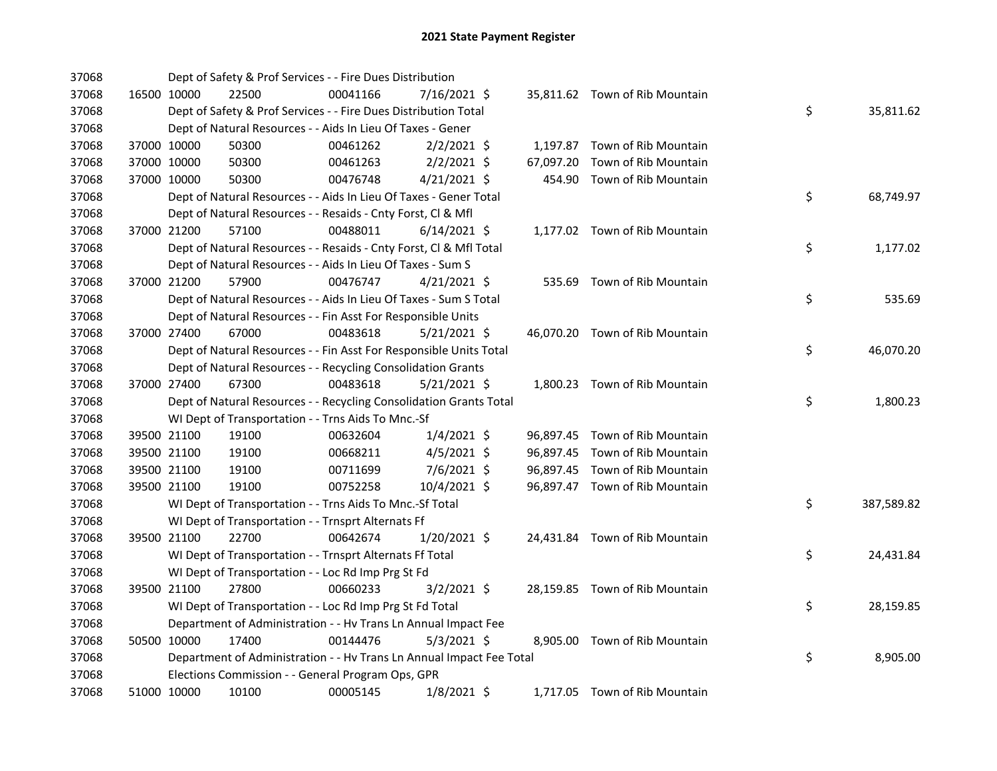| 37068 |             |             | Dept of Safety & Prof Services - - Fire Dues Distribution            |          |                |  |                                |    |            |
|-------|-------------|-------------|----------------------------------------------------------------------|----------|----------------|--|--------------------------------|----|------------|
| 37068 |             | 16500 10000 | 22500                                                                | 00041166 | 7/16/2021 \$   |  | 35,811.62 Town of Rib Mountain |    |            |
| 37068 |             |             | Dept of Safety & Prof Services - - Fire Dues Distribution Total      |          |                |  |                                | \$ | 35,811.62  |
| 37068 |             |             | Dept of Natural Resources - - Aids In Lieu Of Taxes - Gener          |          |                |  |                                |    |            |
| 37068 |             | 37000 10000 | 50300                                                                | 00461262 | $2/2/2021$ \$  |  | 1,197.87 Town of Rib Mountain  |    |            |
| 37068 |             | 37000 10000 | 50300                                                                | 00461263 | $2/2/2021$ \$  |  | 67,097.20 Town of Rib Mountain |    |            |
| 37068 | 37000 10000 |             | 50300                                                                | 00476748 | $4/21/2021$ \$ |  | 454.90 Town of Rib Mountain    |    |            |
| 37068 |             |             | Dept of Natural Resources - - Aids In Lieu Of Taxes - Gener Total    |          |                |  |                                | \$ | 68,749.97  |
| 37068 |             |             | Dept of Natural Resources - - Resaids - Cnty Forst, Cl & Mfl         |          |                |  |                                |    |            |
| 37068 |             | 37000 21200 | 57100                                                                | 00488011 | $6/14/2021$ \$ |  | 1,177.02 Town of Rib Mountain  |    |            |
| 37068 |             |             | Dept of Natural Resources - - Resaids - Cnty Forst, Cl & Mfl Total   |          |                |  |                                | \$ | 1,177.02   |
| 37068 |             |             | Dept of Natural Resources - - Aids In Lieu Of Taxes - Sum S          |          |                |  |                                |    |            |
| 37068 |             | 37000 21200 | 57900                                                                | 00476747 | $4/21/2021$ \$ |  | 535.69 Town of Rib Mountain    |    |            |
| 37068 |             |             | Dept of Natural Resources - - Aids In Lieu Of Taxes - Sum S Total    |          |                |  |                                | \$ | 535.69     |
| 37068 |             |             | Dept of Natural Resources - - Fin Asst For Responsible Units         |          |                |  |                                |    |            |
| 37068 | 37000 27400 |             | 67000                                                                | 00483618 | 5/21/2021 \$   |  | 46,070.20 Town of Rib Mountain |    |            |
| 37068 |             |             | Dept of Natural Resources - - Fin Asst For Responsible Units Total   |          |                |  |                                | \$ | 46,070.20  |
| 37068 |             |             | Dept of Natural Resources - - Recycling Consolidation Grants         |          |                |  |                                |    |            |
| 37068 |             | 37000 27400 | 67300                                                                | 00483618 | $5/21/2021$ \$ |  | 1,800.23 Town of Rib Mountain  |    |            |
| 37068 |             |             | Dept of Natural Resources - - Recycling Consolidation Grants Total   |          |                |  |                                | \$ | 1,800.23   |
| 37068 |             |             | WI Dept of Transportation - - Trns Aids To Mnc.-Sf                   |          |                |  |                                |    |            |
| 37068 |             | 39500 21100 | 19100                                                                | 00632604 | $1/4/2021$ \$  |  | 96,897.45 Town of Rib Mountain |    |            |
| 37068 |             | 39500 21100 | 19100                                                                | 00668211 | $4/5/2021$ \$  |  | 96,897.45 Town of Rib Mountain |    |            |
| 37068 |             | 39500 21100 | 19100                                                                | 00711699 | 7/6/2021 \$    |  | 96,897.45 Town of Rib Mountain |    |            |
| 37068 |             | 39500 21100 | 19100                                                                | 00752258 | 10/4/2021 \$   |  | 96,897.47 Town of Rib Mountain |    |            |
| 37068 |             |             | WI Dept of Transportation - - Trns Aids To Mnc.-Sf Total             |          |                |  |                                | \$ | 387,589.82 |
| 37068 |             |             | WI Dept of Transportation - - Trnsprt Alternats Ff                   |          |                |  |                                |    |            |
| 37068 |             | 39500 21100 | 22700                                                                | 00642674 | $1/20/2021$ \$ |  | 24,431.84 Town of Rib Mountain |    |            |
| 37068 |             |             | WI Dept of Transportation - - Trnsprt Alternats Ff Total             |          |                |  |                                | \$ | 24,431.84  |
| 37068 |             |             | WI Dept of Transportation - - Loc Rd Imp Prg St Fd                   |          |                |  |                                |    |            |
| 37068 |             | 39500 21100 | 27800                                                                | 00660233 | $3/2/2021$ \$  |  | 28,159.85 Town of Rib Mountain |    |            |
| 37068 |             |             | WI Dept of Transportation - - Loc Rd Imp Prg St Fd Total             |          |                |  |                                | \$ | 28,159.85  |
| 37068 |             |             | Department of Administration - - Hv Trans Ln Annual Impact Fee       |          |                |  |                                |    |            |
| 37068 |             | 50500 10000 | 17400                                                                | 00144476 | $5/3/2021$ \$  |  | 8,905.00 Town of Rib Mountain  |    |            |
| 37068 |             |             | Department of Administration - - Hv Trans Ln Annual Impact Fee Total |          |                |  |                                | \$ | 8,905.00   |
| 37068 |             |             | Elections Commission - - General Program Ops, GPR                    |          |                |  |                                |    |            |
| 37068 |             | 51000 10000 | 10100                                                                | 00005145 | $1/8/2021$ \$  |  | 1,717.05 Town of Rib Mountain  |    |            |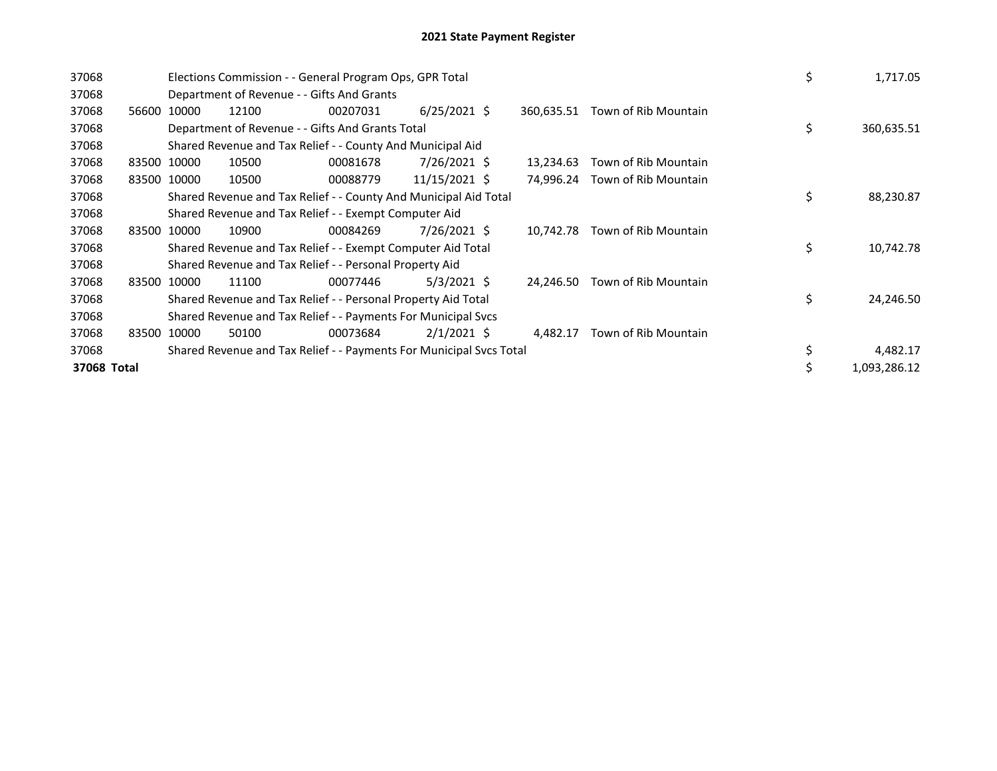| 37068       |                                                                     |             | Elections Commission - - General Program Ops, GPR Total          | \$       |                | 1,717.05 |            |                      |    |  |              |
|-------------|---------------------------------------------------------------------|-------------|------------------------------------------------------------------|----------|----------------|----------|------------|----------------------|----|--|--------------|
| 37068       |                                                                     |             | Department of Revenue - - Gifts And Grants                       |          |                |          |            |                      |    |  |              |
| 37068       | 56600                                                               | 10000       | 12100                                                            | 00207031 | $6/25/2021$ \$ |          | 360,635.51 | Town of Rib Mountain |    |  |              |
| 37068       |                                                                     |             | Department of Revenue - - Gifts And Grants Total                 |          |                |          |            |                      | \$ |  | 360,635.51   |
| 37068       |                                                                     |             | Shared Revenue and Tax Relief - - County And Municipal Aid       |          |                |          |            |                      |    |  |              |
| 37068       | 83500 10000                                                         |             | 10500                                                            | 00081678 | 7/26/2021 \$   |          | 13,234.63  | Town of Rib Mountain |    |  |              |
| 37068       |                                                                     | 83500 10000 | 10500                                                            | 00088779 | 11/15/2021 \$  |          | 74,996.24  | Town of Rib Mountain |    |  |              |
| 37068       |                                                                     |             | Shared Revenue and Tax Relief - - County And Municipal Aid Total |          |                |          |            |                      |    |  | 88,230.87    |
| 37068       |                                                                     |             | Shared Revenue and Tax Relief - - Exempt Computer Aid            |          |                |          |            |                      |    |  |              |
| 37068       |                                                                     | 83500 10000 | 10900                                                            | 00084269 | 7/26/2021 \$   |          | 10,742.78  | Town of Rib Mountain |    |  |              |
| 37068       |                                                                     |             | Shared Revenue and Tax Relief - - Exempt Computer Aid Total      |          |                |          |            |                      | \$ |  | 10,742.78    |
| 37068       |                                                                     |             | Shared Revenue and Tax Relief - - Personal Property Aid          |          |                |          |            |                      |    |  |              |
| 37068       |                                                                     | 83500 10000 | 11100                                                            | 00077446 | $5/3/2021$ \$  |          | 24,246.50  | Town of Rib Mountain |    |  |              |
| 37068       |                                                                     |             | Shared Revenue and Tax Relief - - Personal Property Aid Total    |          |                |          |            |                      | \$ |  | 24,246.50    |
| 37068       |                                                                     |             | Shared Revenue and Tax Relief - - Payments For Municipal Svcs    |          |                |          |            |                      |    |  |              |
| 37068       | 83500                                                               | 10000       | 50100                                                            | 00073684 | $2/1/2021$ \$  |          | 4,482.17   | Town of Rib Mountain |    |  |              |
| 37068       | Shared Revenue and Tax Relief - - Payments For Municipal Svcs Total |             |                                                                  |          |                |          |            |                      |    |  | 4,482.17     |
| 37068 Total |                                                                     |             |                                                                  |          |                |          |            |                      | \$ |  | 1,093,286.12 |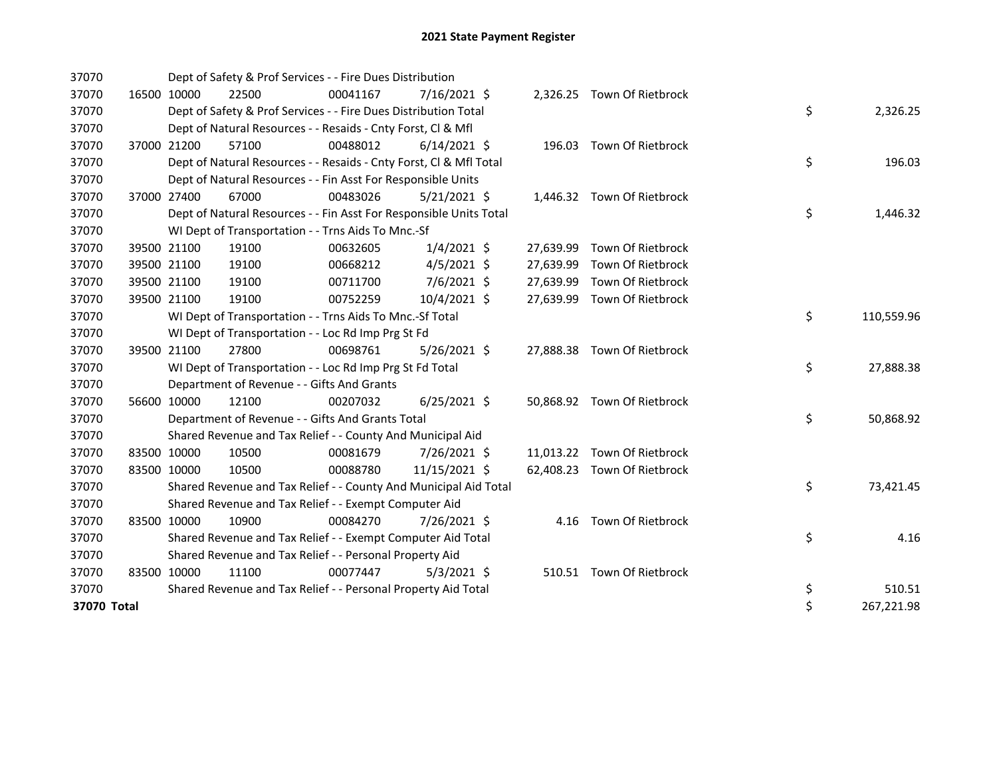| 37070       |             | Dept of Safety & Prof Services - - Fire Dues Distribution          |          |                |  |                             |    |            |
|-------------|-------------|--------------------------------------------------------------------|----------|----------------|--|-----------------------------|----|------------|
| 37070       | 16500 10000 | 22500                                                              | 00041167 | $7/16/2021$ \$ |  | 2,326.25 Town Of Rietbrock  |    |            |
| 37070       |             | Dept of Safety & Prof Services - - Fire Dues Distribution Total    |          |                |  |                             | \$ | 2,326.25   |
| 37070       |             | Dept of Natural Resources - - Resaids - Cnty Forst, CI & Mfl       |          |                |  |                             |    |            |
| 37070       | 37000 21200 | 57100                                                              | 00488012 | $6/14/2021$ \$ |  | 196.03 Town Of Rietbrock    |    |            |
| 37070       |             | Dept of Natural Resources - - Resaids - Cnty Forst, Cl & Mfl Total |          |                |  |                             | \$ | 196.03     |
| 37070       |             | Dept of Natural Resources - - Fin Asst For Responsible Units       |          |                |  |                             |    |            |
| 37070       | 37000 27400 | 67000                                                              | 00483026 | $5/21/2021$ \$ |  | 1,446.32 Town Of Rietbrock  |    |            |
| 37070       |             | Dept of Natural Resources - - Fin Asst For Responsible Units Total |          |                |  |                             | \$ | 1,446.32   |
| 37070       |             | WI Dept of Transportation - - Trns Aids To Mnc.-Sf                 |          |                |  |                             |    |            |
| 37070       | 39500 21100 | 19100                                                              | 00632605 | $1/4/2021$ \$  |  | 27,639.99 Town Of Rietbrock |    |            |
| 37070       | 39500 21100 | 19100                                                              | 00668212 | $4/5/2021$ \$  |  | 27,639.99 Town Of Rietbrock |    |            |
| 37070       | 39500 21100 | 19100                                                              | 00711700 | 7/6/2021 \$    |  | 27,639.99 Town Of Rietbrock |    |            |
| 37070       | 39500 21100 | 19100                                                              | 00752259 | 10/4/2021 \$   |  | 27,639.99 Town Of Rietbrock |    |            |
| 37070       |             | WI Dept of Transportation - - Trns Aids To Mnc.-Sf Total           |          |                |  |                             | \$ | 110,559.96 |
| 37070       |             | WI Dept of Transportation - - Loc Rd Imp Prg St Fd                 |          |                |  |                             |    |            |
| 37070       | 39500 21100 | 27800                                                              | 00698761 | $5/26/2021$ \$ |  | 27,888.38 Town Of Rietbrock |    |            |
| 37070       |             | WI Dept of Transportation - - Loc Rd Imp Prg St Fd Total           |          |                |  |                             | \$ | 27,888.38  |
| 37070       |             | Department of Revenue - - Gifts And Grants                         |          |                |  |                             |    |            |
| 37070       | 56600 10000 | 12100                                                              | 00207032 | $6/25/2021$ \$ |  | 50,868.92 Town Of Rietbrock |    |            |
| 37070       |             | Department of Revenue - - Gifts And Grants Total                   |          |                |  |                             | \$ | 50,868.92  |
| 37070       |             | Shared Revenue and Tax Relief - - County And Municipal Aid         |          |                |  |                             |    |            |
| 37070       | 83500 10000 | 10500                                                              | 00081679 | 7/26/2021 \$   |  | 11,013.22 Town Of Rietbrock |    |            |
| 37070       | 83500 10000 | 10500                                                              | 00088780 | 11/15/2021 \$  |  | 62,408.23 Town Of Rietbrock |    |            |
| 37070       |             | Shared Revenue and Tax Relief - - County And Municipal Aid Total   |          |                |  |                             | \$ | 73,421.45  |
| 37070       |             | Shared Revenue and Tax Relief - - Exempt Computer Aid              |          |                |  |                             |    |            |
| 37070       | 83500 10000 | 10900                                                              | 00084270 | 7/26/2021 \$   |  | 4.16 Town Of Rietbrock      |    |            |
| 37070       |             | Shared Revenue and Tax Relief - - Exempt Computer Aid Total        |          |                |  |                             | \$ | 4.16       |
| 37070       |             | Shared Revenue and Tax Relief - - Personal Property Aid            |          |                |  |                             |    |            |
| 37070       | 83500 10000 | 11100                                                              | 00077447 | $5/3/2021$ \$  |  | 510.51 Town Of Rietbrock    |    |            |
| 37070       |             | Shared Revenue and Tax Relief - - Personal Property Aid Total      |          |                |  |                             | \$ | 510.51     |
| 37070 Total |             |                                                                    |          |                |  |                             | \$ | 267,221.98 |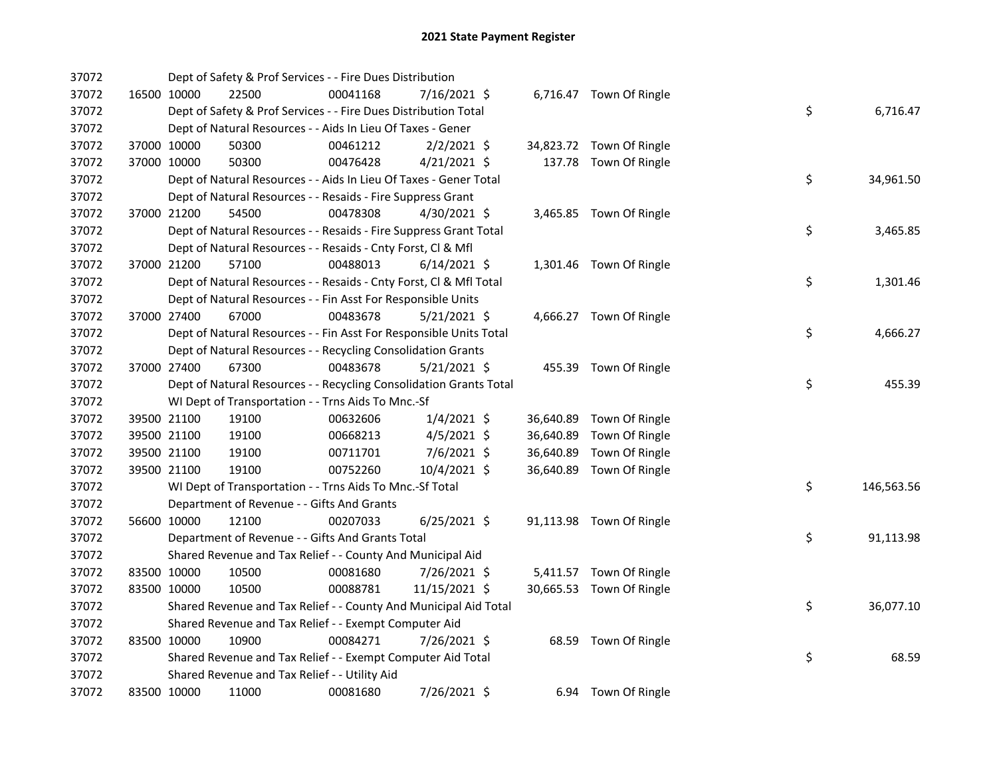| 37072 |             | Dept of Safety & Prof Services - - Fire Dues Distribution          |          |                |  |                          |    |            |
|-------|-------------|--------------------------------------------------------------------|----------|----------------|--|--------------------------|----|------------|
| 37072 | 16500 10000 | 22500                                                              | 00041168 | 7/16/2021 \$   |  | 6,716.47 Town Of Ringle  |    |            |
| 37072 |             | Dept of Safety & Prof Services - - Fire Dues Distribution Total    |          |                |  |                          | \$ | 6,716.47   |
| 37072 |             | Dept of Natural Resources - - Aids In Lieu Of Taxes - Gener        |          |                |  |                          |    |            |
| 37072 | 37000 10000 | 50300                                                              | 00461212 | $2/2/2021$ \$  |  | 34,823.72 Town Of Ringle |    |            |
| 37072 | 37000 10000 | 50300                                                              | 00476428 | $4/21/2021$ \$ |  | 137.78 Town Of Ringle    |    |            |
| 37072 |             | Dept of Natural Resources - - Aids In Lieu Of Taxes - Gener Total  |          |                |  |                          | \$ | 34,961.50  |
| 37072 |             | Dept of Natural Resources - - Resaids - Fire Suppress Grant        |          |                |  |                          |    |            |
| 37072 | 37000 21200 | 54500                                                              | 00478308 | 4/30/2021 \$   |  | 3,465.85 Town Of Ringle  |    |            |
| 37072 |             | Dept of Natural Resources - - Resaids - Fire Suppress Grant Total  |          |                |  |                          | \$ | 3,465.85   |
| 37072 |             | Dept of Natural Resources - - Resaids - Cnty Forst, Cl & Mfl       |          |                |  |                          |    |            |
| 37072 | 37000 21200 | 57100                                                              | 00488013 | $6/14/2021$ \$ |  | 1,301.46 Town Of Ringle  |    |            |
| 37072 |             | Dept of Natural Resources - - Resaids - Cnty Forst, CI & Mfl Total |          |                |  |                          | \$ | 1,301.46   |
| 37072 |             | Dept of Natural Resources - - Fin Asst For Responsible Units       |          |                |  |                          |    |            |
| 37072 | 37000 27400 | 67000                                                              | 00483678 | 5/21/2021 \$   |  | 4,666.27 Town Of Ringle  |    |            |
| 37072 |             | Dept of Natural Resources - - Fin Asst For Responsible Units Total |          |                |  |                          | \$ | 4,666.27   |
| 37072 |             | Dept of Natural Resources - - Recycling Consolidation Grants       |          |                |  |                          |    |            |
| 37072 | 37000 27400 | 67300                                                              | 00483678 | $5/21/2021$ \$ |  | 455.39 Town Of Ringle    |    |            |
| 37072 |             | Dept of Natural Resources - - Recycling Consolidation Grants Total |          |                |  |                          | \$ | 455.39     |
| 37072 |             | WI Dept of Transportation - - Trns Aids To Mnc.-Sf                 |          |                |  |                          |    |            |
| 37072 | 39500 21100 | 19100                                                              | 00632606 | $1/4/2021$ \$  |  | 36,640.89 Town Of Ringle |    |            |
| 37072 | 39500 21100 | 19100                                                              | 00668213 | $4/5/2021$ \$  |  | 36,640.89 Town Of Ringle |    |            |
| 37072 | 39500 21100 | 19100                                                              | 00711701 | 7/6/2021 \$    |  | 36,640.89 Town Of Ringle |    |            |
| 37072 | 39500 21100 | 19100                                                              | 00752260 | 10/4/2021 \$   |  | 36,640.89 Town Of Ringle |    |            |
| 37072 |             | WI Dept of Transportation - - Trns Aids To Mnc.-Sf Total           |          |                |  |                          | \$ | 146,563.56 |
| 37072 |             | Department of Revenue - - Gifts And Grants                         |          |                |  |                          |    |            |
| 37072 | 56600 10000 | 12100                                                              | 00207033 | $6/25/2021$ \$ |  | 91,113.98 Town Of Ringle |    |            |
| 37072 |             | Department of Revenue - - Gifts And Grants Total                   |          |                |  |                          | \$ | 91,113.98  |
| 37072 |             | Shared Revenue and Tax Relief - - County And Municipal Aid         |          |                |  |                          |    |            |
| 37072 | 83500 10000 | 10500                                                              | 00081680 | 7/26/2021 \$   |  | 5,411.57 Town Of Ringle  |    |            |
| 37072 | 83500 10000 | 10500                                                              | 00088781 | 11/15/2021 \$  |  | 30,665.53 Town Of Ringle |    |            |
| 37072 |             | Shared Revenue and Tax Relief - - County And Municipal Aid Total   |          |                |  |                          | \$ | 36,077.10  |
| 37072 |             | Shared Revenue and Tax Relief - - Exempt Computer Aid              |          |                |  |                          |    |            |
| 37072 | 83500 10000 | 10900                                                              | 00084271 | 7/26/2021 \$   |  | 68.59 Town Of Ringle     |    |            |
| 37072 |             | Shared Revenue and Tax Relief - - Exempt Computer Aid Total        |          |                |  |                          | \$ | 68.59      |
| 37072 |             | Shared Revenue and Tax Relief - - Utility Aid                      |          |                |  |                          |    |            |
| 37072 | 83500 10000 | 11000                                                              | 00081680 | 7/26/2021 \$   |  | 6.94 Town Of Ringle      |    |            |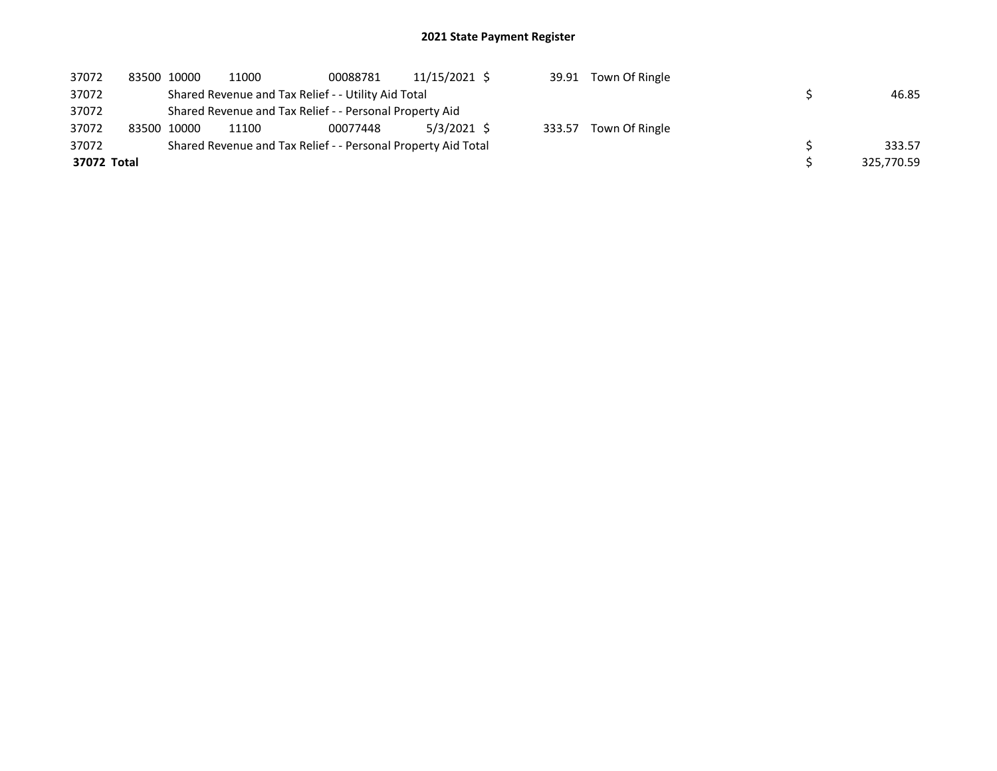| 37072       |  | 83500 10000                                                   | 11000                                                   | 00088781 | 11/15/2021 \$ |  |  | 39.91 Town Of Ringle  |            |        |
|-------------|--|---------------------------------------------------------------|---------------------------------------------------------|----------|---------------|--|--|-----------------------|------------|--------|
| 37072       |  |                                                               | Shared Revenue and Tax Relief - - Utility Aid Total     |          |               |  |  |                       |            |        |
| 37072       |  |                                                               | Shared Revenue and Tax Relief - - Personal Property Aid |          |               |  |  |                       |            |        |
| 37072       |  | 83500 10000                                                   | 11100                                                   | 00077448 | 5/3/2021 \$   |  |  | 333.57 Town Of Ringle |            |        |
| 37072       |  | Shared Revenue and Tax Relief - - Personal Property Aid Total |                                                         |          |               |  |  |                       |            | 333.57 |
| 37072 Total |  |                                                               |                                                         |          |               |  |  |                       | 325,770.59 |        |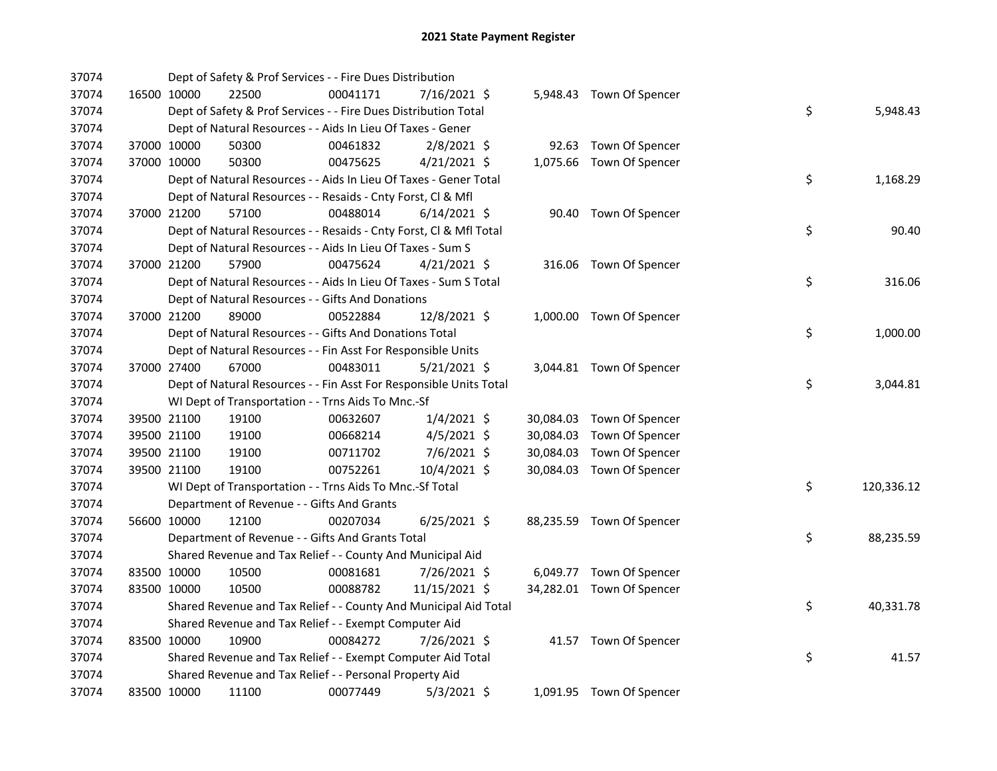| 37074 |             | Dept of Safety & Prof Services - - Fire Dues Distribution          |          |                |  |                           |    |            |
|-------|-------------|--------------------------------------------------------------------|----------|----------------|--|---------------------------|----|------------|
| 37074 | 16500 10000 | 22500                                                              | 00041171 | 7/16/2021 \$   |  | 5,948.43 Town Of Spencer  |    |            |
| 37074 |             | Dept of Safety & Prof Services - - Fire Dues Distribution Total    |          |                |  |                           | \$ | 5,948.43   |
| 37074 |             | Dept of Natural Resources - - Aids In Lieu Of Taxes - Gener        |          |                |  |                           |    |            |
| 37074 | 37000 10000 | 50300                                                              | 00461832 | 2/8/2021 \$    |  | 92.63 Town Of Spencer     |    |            |
| 37074 | 37000 10000 | 50300                                                              | 00475625 | $4/21/2021$ \$ |  | 1,075.66 Town Of Spencer  |    |            |
| 37074 |             | Dept of Natural Resources - - Aids In Lieu Of Taxes - Gener Total  |          |                |  |                           | \$ | 1,168.29   |
| 37074 |             | Dept of Natural Resources - - Resaids - Cnty Forst, Cl & Mfl       |          |                |  |                           |    |            |
| 37074 | 37000 21200 | 57100                                                              | 00488014 | $6/14/2021$ \$ |  | 90.40 Town Of Spencer     |    |            |
| 37074 |             | Dept of Natural Resources - - Resaids - Cnty Forst, Cl & Mfl Total |          |                |  |                           | \$ | 90.40      |
| 37074 |             | Dept of Natural Resources - - Aids In Lieu Of Taxes - Sum S        |          |                |  |                           |    |            |
| 37074 | 37000 21200 | 57900                                                              | 00475624 | $4/21/2021$ \$ |  | 316.06 Town Of Spencer    |    |            |
| 37074 |             | Dept of Natural Resources - - Aids In Lieu Of Taxes - Sum S Total  |          |                |  |                           | \$ | 316.06     |
| 37074 |             | Dept of Natural Resources - - Gifts And Donations                  |          |                |  |                           |    |            |
| 37074 | 37000 21200 | 89000                                                              | 00522884 | 12/8/2021 \$   |  | 1,000.00 Town Of Spencer  |    |            |
| 37074 |             | Dept of Natural Resources - - Gifts And Donations Total            |          |                |  |                           | \$ | 1,000.00   |
| 37074 |             | Dept of Natural Resources - - Fin Asst For Responsible Units       |          |                |  |                           |    |            |
| 37074 | 37000 27400 | 67000                                                              | 00483011 | $5/21/2021$ \$ |  | 3,044.81 Town Of Spencer  |    |            |
| 37074 |             | Dept of Natural Resources - - Fin Asst For Responsible Units Total |          |                |  |                           | \$ | 3,044.81   |
| 37074 |             | WI Dept of Transportation - - Trns Aids To Mnc.-Sf                 |          |                |  |                           |    |            |
| 37074 | 39500 21100 | 19100                                                              | 00632607 | $1/4/2021$ \$  |  | 30,084.03 Town Of Spencer |    |            |
| 37074 | 39500 21100 | 19100                                                              | 00668214 | $4/5/2021$ \$  |  | 30,084.03 Town Of Spencer |    |            |
| 37074 | 39500 21100 | 19100                                                              | 00711702 | 7/6/2021 \$    |  | 30,084.03 Town Of Spencer |    |            |
| 37074 | 39500 21100 | 19100                                                              | 00752261 | 10/4/2021 \$   |  | 30,084.03 Town Of Spencer |    |            |
| 37074 |             | WI Dept of Transportation - - Trns Aids To Mnc.-Sf Total           |          |                |  |                           | \$ | 120,336.12 |
| 37074 |             | Department of Revenue - - Gifts And Grants                         |          |                |  |                           |    |            |
| 37074 | 56600 10000 | 12100                                                              | 00207034 | $6/25/2021$ \$ |  | 88,235.59 Town Of Spencer |    |            |
| 37074 |             | Department of Revenue - - Gifts And Grants Total                   |          |                |  |                           | \$ | 88,235.59  |
| 37074 |             | Shared Revenue and Tax Relief - - County And Municipal Aid         |          |                |  |                           |    |            |
| 37074 | 83500 10000 | 10500                                                              | 00081681 | 7/26/2021 \$   |  | 6,049.77 Town Of Spencer  |    |            |
| 37074 | 83500 10000 | 10500                                                              | 00088782 | 11/15/2021 \$  |  | 34,282.01 Town Of Spencer |    |            |
| 37074 |             | Shared Revenue and Tax Relief - - County And Municipal Aid Total   |          |                |  |                           | \$ | 40,331.78  |
| 37074 |             | Shared Revenue and Tax Relief - - Exempt Computer Aid              |          |                |  |                           |    |            |
| 37074 | 83500 10000 | 10900                                                              | 00084272 | 7/26/2021 \$   |  | 41.57 Town Of Spencer     |    |            |
| 37074 |             | Shared Revenue and Tax Relief - - Exempt Computer Aid Total        |          |                |  |                           | \$ | 41.57      |
| 37074 |             | Shared Revenue and Tax Relief - - Personal Property Aid            |          |                |  |                           |    |            |
| 37074 | 83500 10000 | 11100                                                              | 00077449 | $5/3/2021$ \$  |  | 1,091.95 Town Of Spencer  |    |            |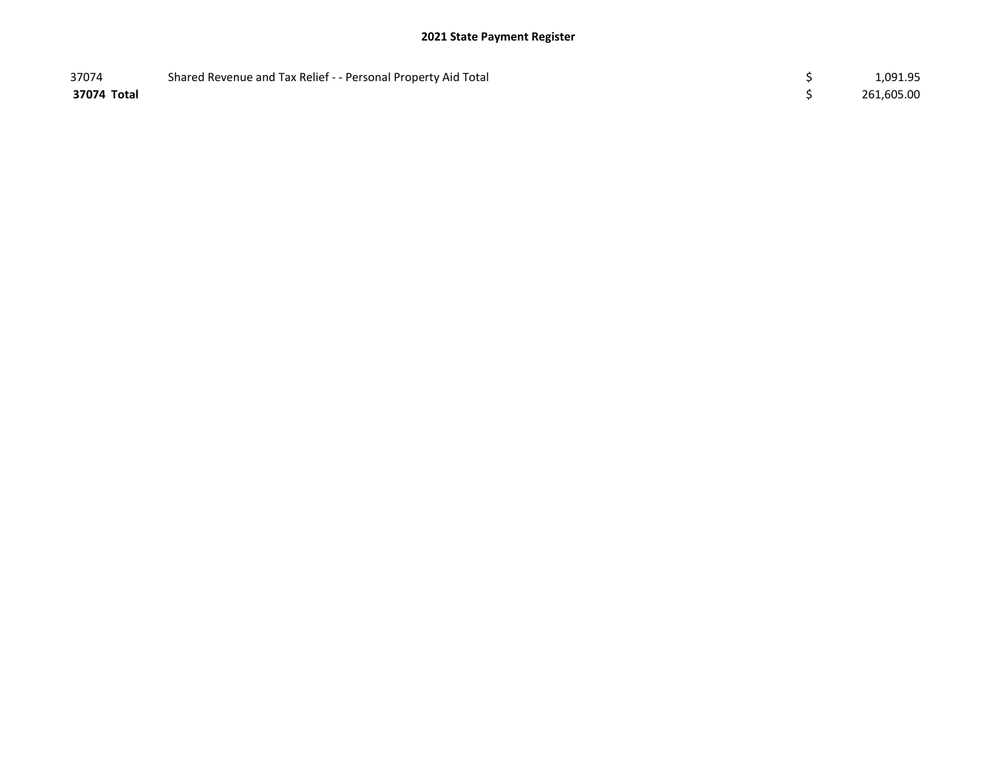| 37074       | Shared Revenue and Tax Relief - - Personal Property Aid Total | 1,091.95   |
|-------------|---------------------------------------------------------------|------------|
| 37074 Total |                                                               | 261,605.00 |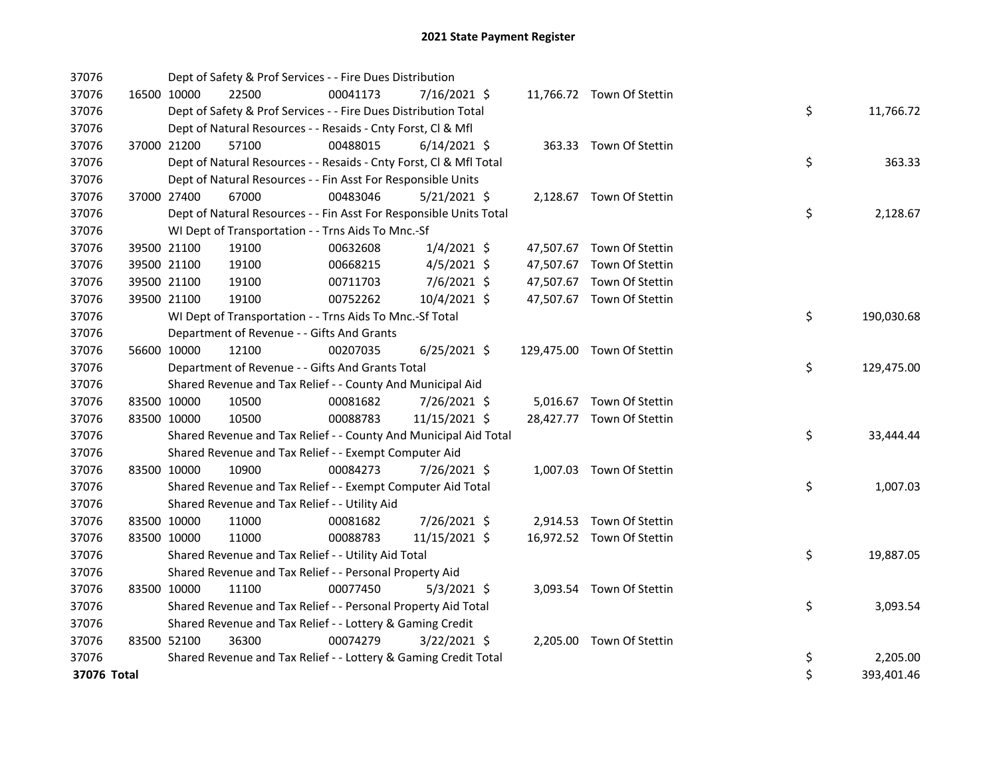| 37076       |             |                                                  | Dept of Safety & Prof Services - - Fire Dues Distribution          |          |                |  |  |                            |  |                  |
|-------------|-------------|--------------------------------------------------|--------------------------------------------------------------------|----------|----------------|--|--|----------------------------|--|------------------|
| 37076       |             | 16500 10000                                      | 22500                                                              | 00041173 | 7/16/2021 \$   |  |  | 11,766.72 Town Of Stettin  |  |                  |
| 37076       |             |                                                  | Dept of Safety & Prof Services - - Fire Dues Distribution Total    |          |                |  |  |                            |  | \$<br>11,766.72  |
| 37076       |             |                                                  | Dept of Natural Resources - - Resaids - Cnty Forst, Cl & Mfl       |          |                |  |  |                            |  |                  |
| 37076       |             | 37000 21200                                      | 57100                                                              | 00488015 | $6/14/2021$ \$ |  |  | 363.33 Town Of Stettin     |  |                  |
| 37076       |             |                                                  | Dept of Natural Resources - - Resaids - Cnty Forst, Cl & Mfl Total |          |                |  |  |                            |  | \$<br>363.33     |
| 37076       |             |                                                  | Dept of Natural Resources - - Fin Asst For Responsible Units       |          |                |  |  |                            |  |                  |
| 37076       |             | 37000 27400                                      | 67000                                                              | 00483046 | $5/21/2021$ \$ |  |  | 2,128.67 Town Of Stettin   |  |                  |
| 37076       |             |                                                  | Dept of Natural Resources - - Fin Asst For Responsible Units Total |          | \$<br>2,128.67 |  |  |                            |  |                  |
| 37076       |             |                                                  | WI Dept of Transportation - - Trns Aids To Mnc.-Sf                 |          |                |  |  |                            |  |                  |
| 37076       |             | 39500 21100                                      | 19100                                                              | 00632608 | $1/4/2021$ \$  |  |  | 47,507.67 Town Of Stettin  |  |                  |
| 37076       |             | 39500 21100                                      | 19100                                                              | 00668215 | $4/5/2021$ \$  |  |  | 47,507.67 Town Of Stettin  |  |                  |
| 37076       |             | 39500 21100                                      | 19100                                                              | 00711703 | 7/6/2021 \$    |  |  | 47,507.67 Town Of Stettin  |  |                  |
| 37076       |             | 39500 21100                                      | 19100                                                              | 00752262 | 10/4/2021 \$   |  |  | 47,507.67 Town Of Stettin  |  |                  |
| 37076       |             |                                                  | WI Dept of Transportation - - Trns Aids To Mnc.-Sf Total           |          |                |  |  |                            |  | \$<br>190,030.68 |
| 37076       |             |                                                  | Department of Revenue - - Gifts And Grants                         |          |                |  |  |                            |  |                  |
| 37076       |             | 56600 10000                                      | 12100                                                              | 00207035 | $6/25/2021$ \$ |  |  | 129,475.00 Town Of Stettin |  |                  |
| 37076       |             | Department of Revenue - - Gifts And Grants Total |                                                                    |          |                |  |  |                            |  | \$<br>129,475.00 |
| 37076       |             |                                                  | Shared Revenue and Tax Relief - - County And Municipal Aid         |          |                |  |  |                            |  |                  |
| 37076       | 83500 10000 |                                                  | 10500                                                              | 00081682 | 7/26/2021 \$   |  |  | 5,016.67 Town Of Stettin   |  |                  |
| 37076       |             | 83500 10000                                      | 10500                                                              | 00088783 | 11/15/2021 \$  |  |  | 28,427.77 Town Of Stettin  |  |                  |
| 37076       |             |                                                  | Shared Revenue and Tax Relief - - County And Municipal Aid Total   |          |                |  |  |                            |  | \$<br>33,444.44  |
| 37076       |             |                                                  | Shared Revenue and Tax Relief - - Exempt Computer Aid              |          |                |  |  |                            |  |                  |
| 37076       |             | 83500 10000                                      | 10900                                                              | 00084273 | 7/26/2021 \$   |  |  | 1,007.03 Town Of Stettin   |  |                  |
| 37076       |             |                                                  | Shared Revenue and Tax Relief - - Exempt Computer Aid Total        |          |                |  |  |                            |  | \$<br>1,007.03   |
| 37076       |             |                                                  | Shared Revenue and Tax Relief - - Utility Aid                      |          |                |  |  |                            |  |                  |
| 37076       |             | 83500 10000                                      | 11000                                                              | 00081682 | 7/26/2021 \$   |  |  | 2,914.53 Town Of Stettin   |  |                  |
| 37076       |             | 83500 10000                                      | 11000                                                              | 00088783 | 11/15/2021 \$  |  |  | 16,972.52 Town Of Stettin  |  |                  |
| 37076       |             |                                                  | Shared Revenue and Tax Relief - - Utility Aid Total                |          |                |  |  |                            |  | \$<br>19,887.05  |
| 37076       |             |                                                  | Shared Revenue and Tax Relief - - Personal Property Aid            |          |                |  |  |                            |  |                  |
| 37076       |             | 83500 10000                                      | 11100                                                              | 00077450 | $5/3/2021$ \$  |  |  | 3,093.54 Town Of Stettin   |  |                  |
| 37076       |             |                                                  | Shared Revenue and Tax Relief - - Personal Property Aid Total      |          |                |  |  |                            |  | \$<br>3,093.54   |
| 37076       |             |                                                  | Shared Revenue and Tax Relief - - Lottery & Gaming Credit          |          |                |  |  |                            |  |                  |
| 37076       |             | 83500 52100                                      | 36300                                                              | 00074279 | 3/22/2021 \$   |  |  | 2,205.00 Town Of Stettin   |  |                  |
| 37076       |             |                                                  | Shared Revenue and Tax Relief - - Lottery & Gaming Credit Total    |          |                |  |  |                            |  | \$<br>2,205.00   |
| 37076 Total |             |                                                  |                                                                    |          |                |  |  |                            |  | \$<br>393,401.46 |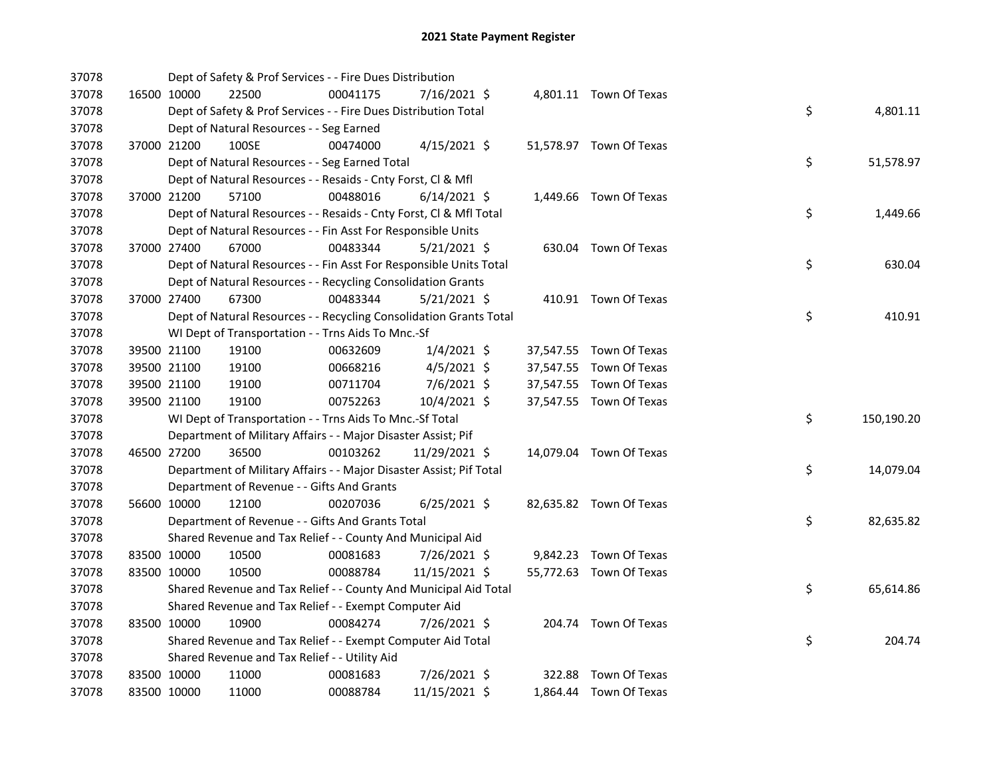| 37078 |             | Dept of Safety & Prof Services - - Fire Dues Distribution           |          |                |  |                         |    |            |
|-------|-------------|---------------------------------------------------------------------|----------|----------------|--|-------------------------|----|------------|
| 37078 | 16500 10000 | 22500                                                               | 00041175 | 7/16/2021 \$   |  | 4,801.11 Town Of Texas  |    |            |
| 37078 |             | Dept of Safety & Prof Services - - Fire Dues Distribution Total     |          |                |  |                         | \$ | 4,801.11   |
| 37078 |             | Dept of Natural Resources - - Seg Earned                            |          |                |  |                         |    |            |
| 37078 | 37000 21200 | 100SE                                                               | 00474000 | $4/15/2021$ \$ |  | 51,578.97 Town Of Texas |    |            |
| 37078 |             | Dept of Natural Resources - - Seg Earned Total                      |          |                |  |                         | \$ | 51,578.97  |
| 37078 |             | Dept of Natural Resources - - Resaids - Cnty Forst, Cl & Mfl        |          |                |  |                         |    |            |
| 37078 | 37000 21200 | 57100                                                               | 00488016 | $6/14/2021$ \$ |  | 1,449.66 Town Of Texas  |    |            |
| 37078 |             | Dept of Natural Resources - - Resaids - Cnty Forst, CI & Mfl Total  |          |                |  |                         | \$ | 1,449.66   |
| 37078 |             | Dept of Natural Resources - - Fin Asst For Responsible Units        |          |                |  |                         |    |            |
| 37078 | 37000 27400 | 67000                                                               | 00483344 | $5/21/2021$ \$ |  | 630.04 Town Of Texas    |    |            |
| 37078 |             | Dept of Natural Resources - - Fin Asst For Responsible Units Total  |          |                |  |                         | \$ | 630.04     |
| 37078 |             | Dept of Natural Resources - - Recycling Consolidation Grants        |          |                |  |                         |    |            |
| 37078 | 37000 27400 | 67300                                                               | 00483344 | $5/21/2021$ \$ |  | 410.91 Town Of Texas    |    |            |
| 37078 |             | Dept of Natural Resources - - Recycling Consolidation Grants Total  |          |                |  |                         | \$ | 410.91     |
| 37078 |             | WI Dept of Transportation - - Trns Aids To Mnc.-Sf                  |          |                |  |                         |    |            |
| 37078 | 39500 21100 | 19100                                                               | 00632609 | $1/4/2021$ \$  |  | 37,547.55 Town Of Texas |    |            |
| 37078 | 39500 21100 | 19100                                                               | 00668216 | $4/5/2021$ \$  |  | 37,547.55 Town Of Texas |    |            |
| 37078 | 39500 21100 | 19100                                                               | 00711704 | 7/6/2021 \$    |  | 37,547.55 Town Of Texas |    |            |
| 37078 | 39500 21100 | 19100                                                               | 00752263 | 10/4/2021 \$   |  | 37,547.55 Town Of Texas |    |            |
| 37078 |             | WI Dept of Transportation - - Trns Aids To Mnc.-Sf Total            |          |                |  |                         | \$ | 150,190.20 |
| 37078 |             | Department of Military Affairs - - Major Disaster Assist; Pif       |          |                |  |                         |    |            |
| 37078 | 46500 27200 | 36500                                                               | 00103262 | 11/29/2021 \$  |  | 14,079.04 Town Of Texas |    |            |
| 37078 |             | Department of Military Affairs - - Major Disaster Assist; Pif Total |          |                |  |                         | \$ | 14,079.04  |
| 37078 |             | Department of Revenue - - Gifts And Grants                          |          |                |  |                         |    |            |
| 37078 | 56600 10000 | 12100                                                               | 00207036 | $6/25/2021$ \$ |  | 82,635.82 Town Of Texas |    |            |
| 37078 |             | Department of Revenue - - Gifts And Grants Total                    |          |                |  |                         | \$ | 82,635.82  |
| 37078 |             | Shared Revenue and Tax Relief - - County And Municipal Aid          |          |                |  |                         |    |            |
| 37078 | 83500 10000 | 10500                                                               | 00081683 | 7/26/2021 \$   |  | 9,842.23 Town Of Texas  |    |            |
| 37078 | 83500 10000 | 10500                                                               | 00088784 | 11/15/2021 \$  |  | 55,772.63 Town Of Texas |    |            |
| 37078 |             | Shared Revenue and Tax Relief - - County And Municipal Aid Total    |          |                |  |                         | \$ | 65,614.86  |
| 37078 |             | Shared Revenue and Tax Relief - - Exempt Computer Aid               |          |                |  |                         |    |            |
| 37078 | 83500 10000 | 10900                                                               | 00084274 | 7/26/2021 \$   |  | 204.74 Town Of Texas    |    |            |
| 37078 |             | Shared Revenue and Tax Relief - - Exempt Computer Aid Total         |          |                |  |                         | \$ | 204.74     |
| 37078 |             | Shared Revenue and Tax Relief - - Utility Aid                       |          |                |  |                         |    |            |
| 37078 | 83500 10000 | 11000                                                               | 00081683 | 7/26/2021 \$   |  | 322.88 Town Of Texas    |    |            |
| 37078 | 83500 10000 | 11000                                                               | 00088784 | 11/15/2021 \$  |  | 1,864.44 Town Of Texas  |    |            |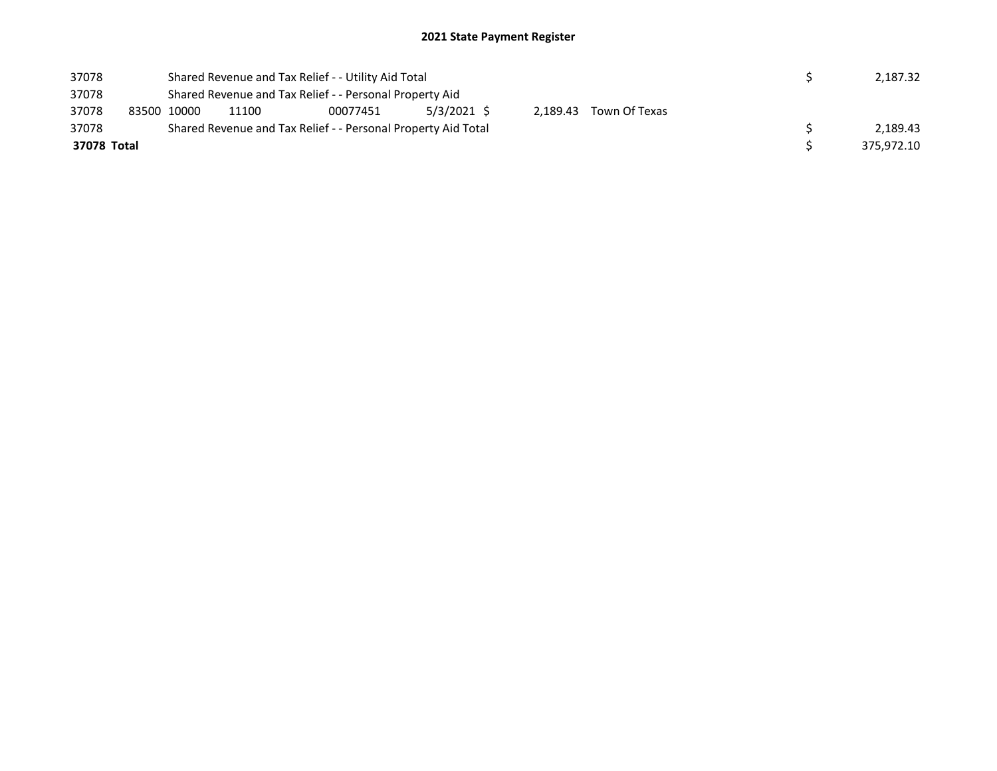| 37078       |                                                         | Shared Revenue and Tax Relief - - Utility Aid Total |                                                               | 2,187.32 |  |  |  |            |
|-------------|---------------------------------------------------------|-----------------------------------------------------|---------------------------------------------------------------|----------|--|--|--|------------|
| 37078       | Shared Revenue and Tax Relief - - Personal Property Aid |                                                     |                                                               |          |  |  |  |            |
| 37078       | 83500 10000                                             |                                                     |                                                               |          |  |  |  |            |
| 37078       |                                                         |                                                     | Shared Revenue and Tax Relief - - Personal Property Aid Total |          |  |  |  | 2.189.43   |
| 37078 Total |                                                         |                                                     |                                                               |          |  |  |  | 375.972.10 |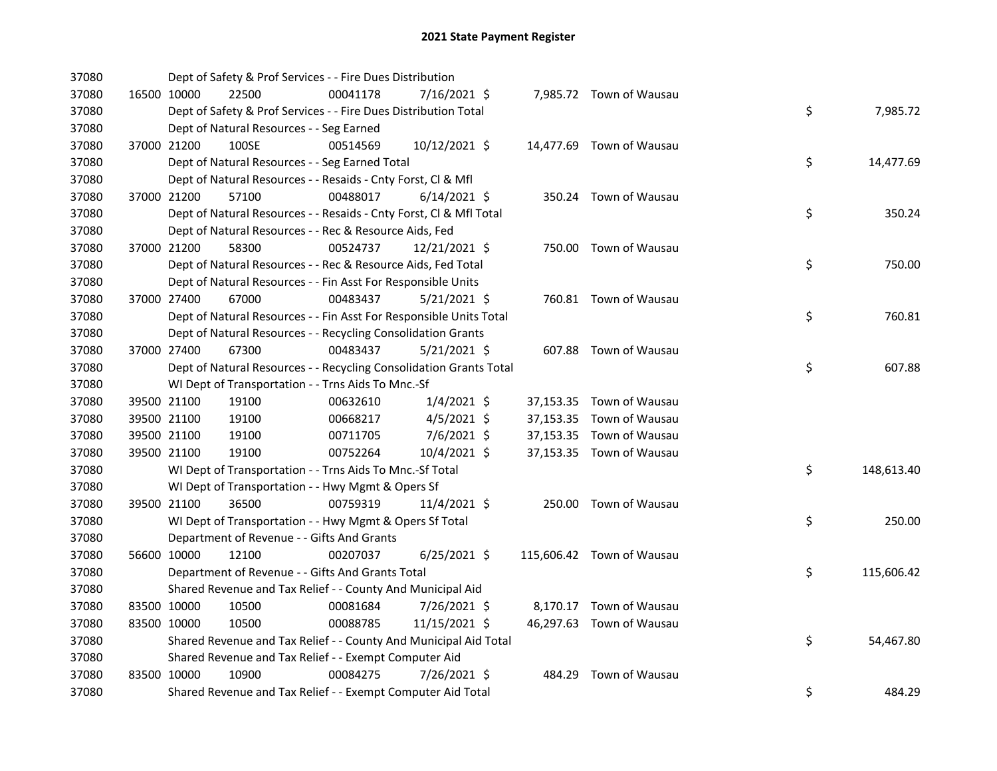| 37080 |             | Dept of Safety & Prof Services - - Fire Dues Distribution          |          |                |  |                           |    |            |
|-------|-------------|--------------------------------------------------------------------|----------|----------------|--|---------------------------|----|------------|
| 37080 | 16500 10000 | 22500                                                              | 00041178 | 7/16/2021 \$   |  | 7,985.72 Town of Wausau   |    |            |
| 37080 |             | Dept of Safety & Prof Services - - Fire Dues Distribution Total    |          |                |  |                           | \$ | 7,985.72   |
| 37080 |             | Dept of Natural Resources - - Seg Earned                           |          |                |  |                           |    |            |
| 37080 | 37000 21200 | 100SE                                                              | 00514569 | 10/12/2021 \$  |  | 14,477.69 Town of Wausau  |    |            |
| 37080 |             | Dept of Natural Resources - - Seg Earned Total                     |          |                |  |                           | \$ | 14,477.69  |
| 37080 |             | Dept of Natural Resources - - Resaids - Cnty Forst, Cl & Mfl       |          |                |  |                           |    |            |
| 37080 | 37000 21200 | 57100                                                              | 00488017 | $6/14/2021$ \$ |  | 350.24 Town of Wausau     |    |            |
| 37080 |             | Dept of Natural Resources - - Resaids - Cnty Forst, Cl & Mfl Total |          |                |  |                           | \$ | 350.24     |
| 37080 |             | Dept of Natural Resources - - Rec & Resource Aids, Fed             |          |                |  |                           |    |            |
| 37080 | 37000 21200 | 58300                                                              | 00524737 | 12/21/2021 \$  |  | 750.00 Town of Wausau     |    |            |
| 37080 |             | Dept of Natural Resources - - Rec & Resource Aids, Fed Total       |          |                |  |                           | \$ | 750.00     |
| 37080 |             | Dept of Natural Resources - - Fin Asst For Responsible Units       |          |                |  |                           |    |            |
| 37080 | 37000 27400 | 67000                                                              | 00483437 | 5/21/2021 \$   |  | 760.81 Town of Wausau     |    |            |
| 37080 |             | Dept of Natural Resources - - Fin Asst For Responsible Units Total |          |                |  |                           | \$ | 760.81     |
| 37080 |             | Dept of Natural Resources - - Recycling Consolidation Grants       |          |                |  |                           |    |            |
| 37080 | 37000 27400 | 67300                                                              | 00483437 | $5/21/2021$ \$ |  | 607.88 Town of Wausau     |    |            |
| 37080 |             | Dept of Natural Resources - - Recycling Consolidation Grants Total |          |                |  |                           | \$ | 607.88     |
| 37080 |             | WI Dept of Transportation - - Trns Aids To Mnc.-Sf                 |          |                |  |                           |    |            |
| 37080 | 39500 21100 | 19100                                                              | 00632610 | $1/4/2021$ \$  |  | 37,153.35 Town of Wausau  |    |            |
| 37080 | 39500 21100 | 19100                                                              | 00668217 | $4/5/2021$ \$  |  | 37,153.35 Town of Wausau  |    |            |
| 37080 | 39500 21100 | 19100                                                              | 00711705 | 7/6/2021 \$    |  | 37,153.35 Town of Wausau  |    |            |
| 37080 | 39500 21100 | 19100                                                              | 00752264 | 10/4/2021 \$   |  | 37,153.35 Town of Wausau  |    |            |
| 37080 |             | WI Dept of Transportation - - Trns Aids To Mnc.-Sf Total           |          |                |  |                           | \$ | 148,613.40 |
| 37080 |             | WI Dept of Transportation - - Hwy Mgmt & Opers Sf                  |          |                |  |                           |    |            |
| 37080 | 39500 21100 | 36500                                                              | 00759319 | 11/4/2021 \$   |  | 250.00 Town of Wausau     |    |            |
| 37080 |             | WI Dept of Transportation - - Hwy Mgmt & Opers Sf Total            |          |                |  |                           | \$ | 250.00     |
| 37080 |             | Department of Revenue - - Gifts And Grants                         |          |                |  |                           |    |            |
| 37080 | 56600 10000 | 12100                                                              | 00207037 | $6/25/2021$ \$ |  | 115,606.42 Town of Wausau |    |            |
| 37080 |             | Department of Revenue - - Gifts And Grants Total                   |          |                |  |                           | \$ | 115,606.42 |
| 37080 |             | Shared Revenue and Tax Relief - - County And Municipal Aid         |          |                |  |                           |    |            |
| 37080 | 83500 10000 | 10500                                                              | 00081684 | 7/26/2021 \$   |  | 8,170.17 Town of Wausau   |    |            |
| 37080 | 83500 10000 | 10500                                                              | 00088785 | 11/15/2021 \$  |  | 46,297.63 Town of Wausau  |    |            |
| 37080 |             | Shared Revenue and Tax Relief - - County And Municipal Aid Total   |          |                |  |                           | \$ | 54,467.80  |
| 37080 |             | Shared Revenue and Tax Relief - - Exempt Computer Aid              |          |                |  |                           |    |            |
| 37080 | 83500 10000 | 10900                                                              | 00084275 | 7/26/2021 \$   |  | 484.29 Town of Wausau     |    |            |
| 37080 |             | Shared Revenue and Tax Relief - - Exempt Computer Aid Total        |          |                |  |                           | \$ | 484.29     |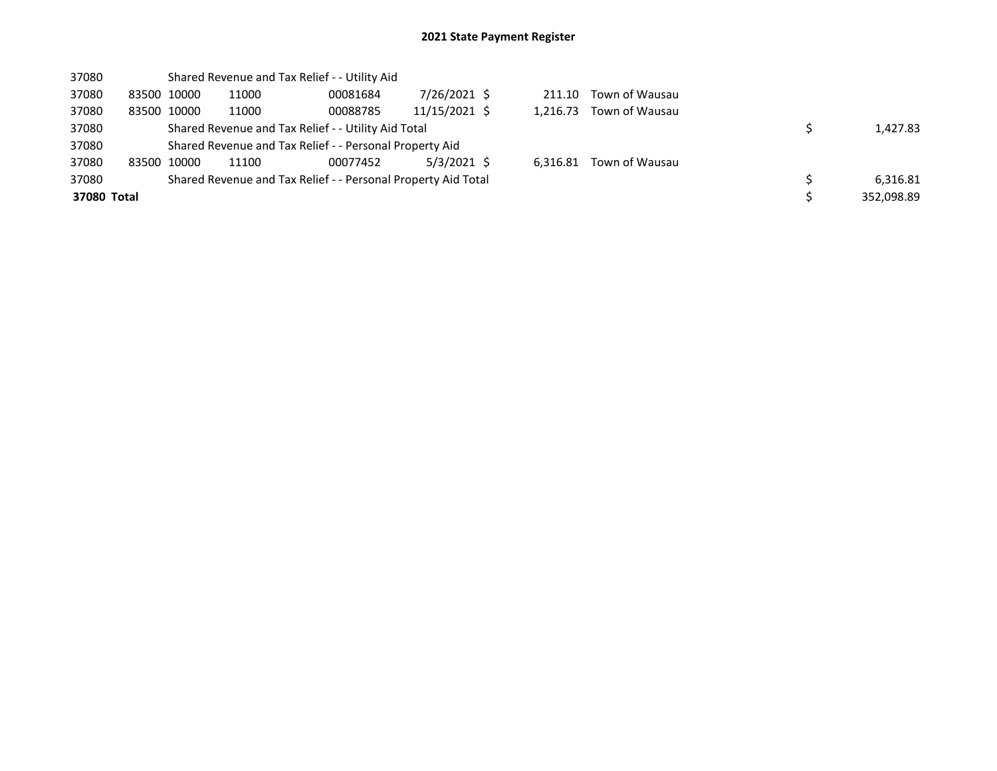| 37080       |             |       | Shared Revenue and Tax Relief - - Utility Aid                 |               |          |                |            |
|-------------|-------------|-------|---------------------------------------------------------------|---------------|----------|----------------|------------|
| 37080       | 83500 10000 | 11000 | 00081684                                                      | 7/26/2021 \$  | 211.10   | Town of Wausau |            |
| 37080       | 83500 10000 | 11000 | 00088785                                                      | 11/15/2021 \$ | 1.216.73 | Town of Wausau |            |
| 37080       |             |       | Shared Revenue and Tax Relief - - Utility Aid Total           |               | 1,427.83 |                |            |
| 37080       |             |       | Shared Revenue and Tax Relief - - Personal Property Aid       |               |          |                |            |
| 37080       | 83500 10000 | 11100 | 00077452                                                      | 5/3/2021 \$   | 6.316.81 | Town of Wausau |            |
| 37080       |             |       | Shared Revenue and Tax Relief - - Personal Property Aid Total |               |          |                | 6,316.81   |
| 37080 Total |             |       |                                                               |               |          |                | 352,098.89 |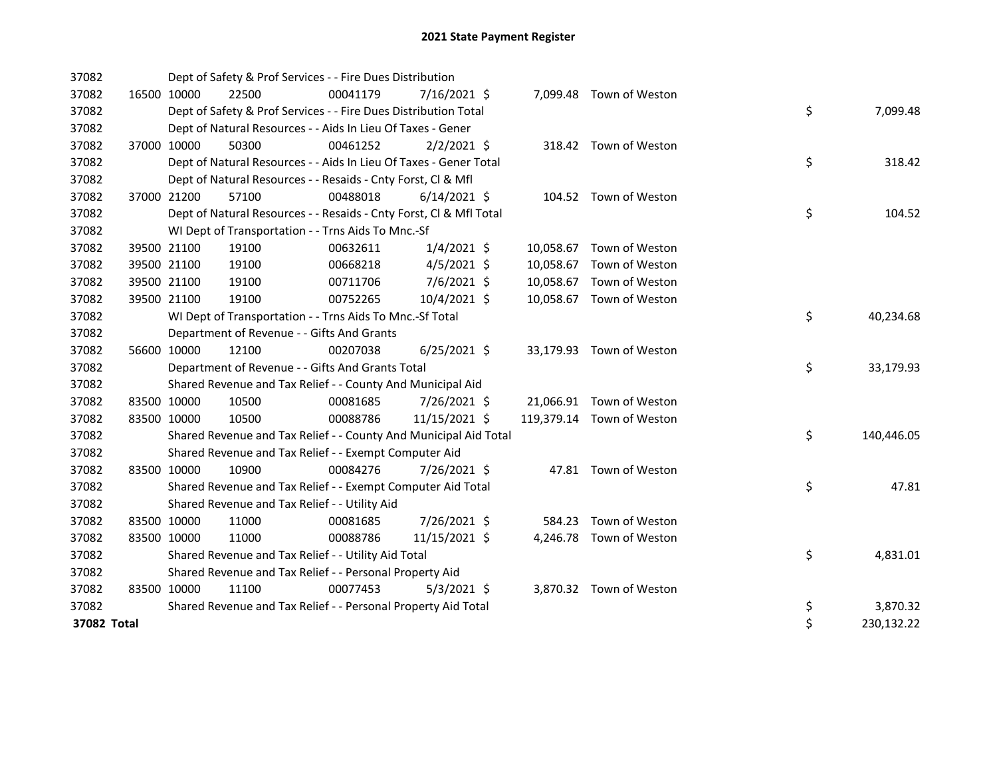| 37082       |             |             | Dept of Safety & Prof Services - - Fire Dues Distribution          |          |                |  |                           |    |            |
|-------------|-------------|-------------|--------------------------------------------------------------------|----------|----------------|--|---------------------------|----|------------|
| 37082       |             | 16500 10000 | 22500                                                              | 00041179 | 7/16/2021 \$   |  | 7,099.48 Town of Weston   |    |            |
| 37082       |             |             | Dept of Safety & Prof Services - - Fire Dues Distribution Total    |          |                |  |                           | \$ | 7,099.48   |
| 37082       |             |             | Dept of Natural Resources - - Aids In Lieu Of Taxes - Gener        |          |                |  |                           |    |            |
| 37082       |             | 37000 10000 | 50300                                                              | 00461252 | $2/2/2021$ \$  |  | 318.42 Town of Weston     |    |            |
| 37082       |             |             | Dept of Natural Resources - - Aids In Lieu Of Taxes - Gener Total  |          |                |  |                           | \$ | 318.42     |
| 37082       |             |             | Dept of Natural Resources - - Resaids - Cnty Forst, Cl & Mfl       |          |                |  |                           |    |            |
| 37082       |             | 37000 21200 | 57100                                                              | 00488018 | $6/14/2021$ \$ |  | 104.52 Town of Weston     |    |            |
| 37082       |             |             | Dept of Natural Resources - - Resaids - Cnty Forst, Cl & Mfl Total |          |                |  |                           | \$ | 104.52     |
| 37082       |             |             | WI Dept of Transportation - - Trns Aids To Mnc.-Sf                 |          |                |  |                           |    |            |
| 37082       |             | 39500 21100 | 19100                                                              | 00632611 | $1/4/2021$ \$  |  | 10,058.67 Town of Weston  |    |            |
| 37082       |             | 39500 21100 | 19100                                                              | 00668218 | $4/5/2021$ \$  |  | 10,058.67 Town of Weston  |    |            |
| 37082       |             | 39500 21100 | 19100                                                              | 00711706 | 7/6/2021 \$    |  | 10,058.67 Town of Weston  |    |            |
| 37082       |             | 39500 21100 | 19100                                                              | 00752265 | 10/4/2021 \$   |  | 10,058.67 Town of Weston  |    |            |
| 37082       |             |             | WI Dept of Transportation - - Trns Aids To Mnc.-Sf Total           |          |                |  |                           | \$ | 40,234.68  |
| 37082       |             |             | Department of Revenue - - Gifts And Grants                         |          |                |  |                           |    |            |
| 37082       |             | 56600 10000 | 12100                                                              | 00207038 | $6/25/2021$ \$ |  | 33,179.93 Town of Weston  |    |            |
| 37082       |             |             | Department of Revenue - - Gifts And Grants Total                   |          |                |  |                           | \$ | 33,179.93  |
| 37082       |             |             | Shared Revenue and Tax Relief - - County And Municipal Aid         |          |                |  |                           |    |            |
| 37082       | 83500 10000 |             | 10500                                                              | 00081685 | 7/26/2021 \$   |  | 21,066.91 Town of Weston  |    |            |
| 37082       | 83500 10000 |             | 10500                                                              | 00088786 | 11/15/2021 \$  |  | 119,379.14 Town of Weston |    |            |
| 37082       |             |             | Shared Revenue and Tax Relief - - County And Municipal Aid Total   |          |                |  |                           | \$ | 140,446.05 |
| 37082       |             |             | Shared Revenue and Tax Relief - - Exempt Computer Aid              |          |                |  |                           |    |            |
| 37082       | 83500 10000 |             | 10900                                                              | 00084276 | 7/26/2021 \$   |  | 47.81 Town of Weston      |    |            |
| 37082       |             |             | Shared Revenue and Tax Relief - - Exempt Computer Aid Total        |          |                |  |                           | \$ | 47.81      |
| 37082       |             |             | Shared Revenue and Tax Relief - - Utility Aid                      |          |                |  |                           |    |            |
| 37082       | 83500 10000 |             | 11000                                                              | 00081685 | 7/26/2021 \$   |  | 584.23 Town of Weston     |    |            |
| 37082       | 83500 10000 |             | 11000                                                              | 00088786 | 11/15/2021 \$  |  | 4,246.78 Town of Weston   |    |            |
| 37082       |             |             | Shared Revenue and Tax Relief - - Utility Aid Total                |          |                |  |                           | \$ | 4,831.01   |
| 37082       |             |             | Shared Revenue and Tax Relief - - Personal Property Aid            |          |                |  |                           |    |            |
| 37082       | 83500 10000 |             | 11100                                                              | 00077453 | $5/3/2021$ \$  |  | 3,870.32 Town of Weston   |    |            |
| 37082       |             |             | Shared Revenue and Tax Relief - - Personal Property Aid Total      |          |                |  |                           | \$ | 3,870.32   |
| 37082 Total |             |             |                                                                    |          |                |  |                           | \$ | 230,132.22 |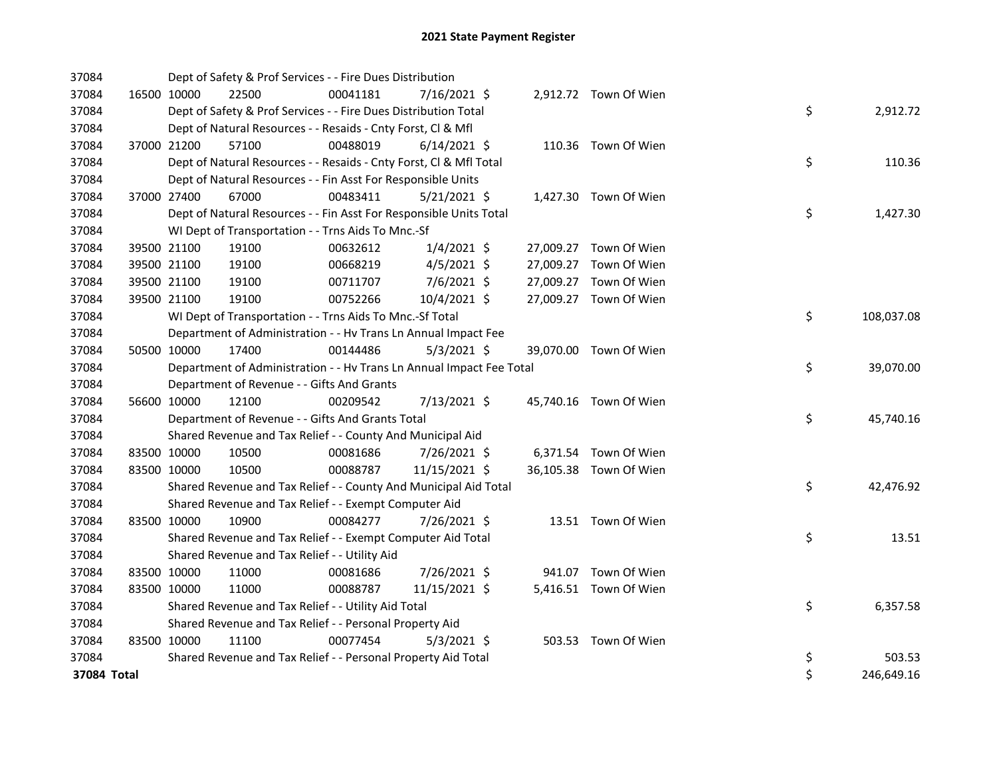| 37084       |             | Dept of Safety & Prof Services - - Fire Dues Distribution            |          |                |  |                        |    |            |
|-------------|-------------|----------------------------------------------------------------------|----------|----------------|--|------------------------|----|------------|
| 37084       | 16500 10000 | 22500                                                                | 00041181 | 7/16/2021 \$   |  | 2,912.72 Town Of Wien  |    |            |
| 37084       |             | Dept of Safety & Prof Services - - Fire Dues Distribution Total      |          |                |  |                        | \$ | 2,912.72   |
| 37084       |             | Dept of Natural Resources - - Resaids - Cnty Forst, Cl & Mfl         |          |                |  |                        |    |            |
| 37084       | 37000 21200 | 57100                                                                | 00488019 | $6/14/2021$ \$ |  | 110.36 Town Of Wien    |    |            |
| 37084       |             | Dept of Natural Resources - - Resaids - Cnty Forst, CI & Mfl Total   |          |                |  |                        | \$ | 110.36     |
| 37084       |             | Dept of Natural Resources - - Fin Asst For Responsible Units         |          |                |  |                        |    |            |
| 37084       | 37000 27400 | 67000                                                                | 00483411 | $5/21/2021$ \$ |  | 1,427.30 Town Of Wien  |    |            |
| 37084       |             | Dept of Natural Resources - - Fin Asst For Responsible Units Total   |          |                |  |                        | \$ | 1,427.30   |
| 37084       |             | WI Dept of Transportation - - Trns Aids To Mnc.-Sf                   |          |                |  |                        |    |            |
| 37084       | 39500 21100 | 19100                                                                | 00632612 | $1/4/2021$ \$  |  | 27,009.27 Town Of Wien |    |            |
| 37084       | 39500 21100 | 19100                                                                | 00668219 | $4/5/2021$ \$  |  | 27,009.27 Town Of Wien |    |            |
| 37084       | 39500 21100 | 19100                                                                | 00711707 | 7/6/2021 \$    |  | 27,009.27 Town Of Wien |    |            |
| 37084       | 39500 21100 | 19100                                                                | 00752266 | 10/4/2021 \$   |  | 27,009.27 Town Of Wien |    |            |
| 37084       |             | WI Dept of Transportation - - Trns Aids To Mnc.-Sf Total             |          |                |  |                        | \$ | 108,037.08 |
| 37084       |             | Department of Administration - - Hv Trans Ln Annual Impact Fee       |          |                |  |                        |    |            |
| 37084       | 50500 10000 | 17400                                                                | 00144486 | $5/3/2021$ \$  |  | 39,070.00 Town Of Wien |    |            |
| 37084       |             | Department of Administration - - Hv Trans Ln Annual Impact Fee Total |          |                |  |                        | \$ | 39,070.00  |
| 37084       |             | Department of Revenue - - Gifts And Grants                           |          |                |  |                        |    |            |
| 37084       | 56600 10000 | 12100                                                                | 00209542 | 7/13/2021 \$   |  | 45,740.16 Town Of Wien |    |            |
| 37084       |             | Department of Revenue - - Gifts And Grants Total                     |          |                |  |                        | \$ | 45,740.16  |
| 37084       |             | Shared Revenue and Tax Relief - - County And Municipal Aid           |          |                |  |                        |    |            |
| 37084       | 83500 10000 | 10500                                                                | 00081686 | 7/26/2021 \$   |  | 6,371.54 Town Of Wien  |    |            |
| 37084       | 83500 10000 | 10500                                                                | 00088787 | 11/15/2021 \$  |  | 36,105.38 Town Of Wien |    |            |
| 37084       |             | Shared Revenue and Tax Relief - - County And Municipal Aid Total     |          |                |  |                        | \$ | 42,476.92  |
| 37084       |             | Shared Revenue and Tax Relief - - Exempt Computer Aid                |          |                |  |                        |    |            |
| 37084       | 83500 10000 | 10900                                                                | 00084277 | 7/26/2021 \$   |  | 13.51 Town Of Wien     |    |            |
| 37084       |             | Shared Revenue and Tax Relief - - Exempt Computer Aid Total          |          |                |  |                        | \$ | 13.51      |
| 37084       |             | Shared Revenue and Tax Relief - - Utility Aid                        |          |                |  |                        |    |            |
| 37084       | 83500 10000 | 11000                                                                | 00081686 | 7/26/2021 \$   |  | 941.07 Town Of Wien    |    |            |
| 37084       | 83500 10000 | 11000                                                                | 00088787 | 11/15/2021 \$  |  | 5,416.51 Town Of Wien  |    |            |
| 37084       |             | Shared Revenue and Tax Relief - - Utility Aid Total                  |          |                |  |                        | \$ | 6,357.58   |
| 37084       |             | Shared Revenue and Tax Relief - - Personal Property Aid              |          |                |  |                        |    |            |
| 37084       | 83500 10000 | 11100                                                                | 00077454 | $5/3/2021$ \$  |  | 503.53 Town Of Wien    |    |            |
| 37084       |             | Shared Revenue and Tax Relief - - Personal Property Aid Total        |          |                |  |                        | \$ | 503.53     |
| 37084 Total |             |                                                                      |          |                |  |                        | \$ | 246,649.16 |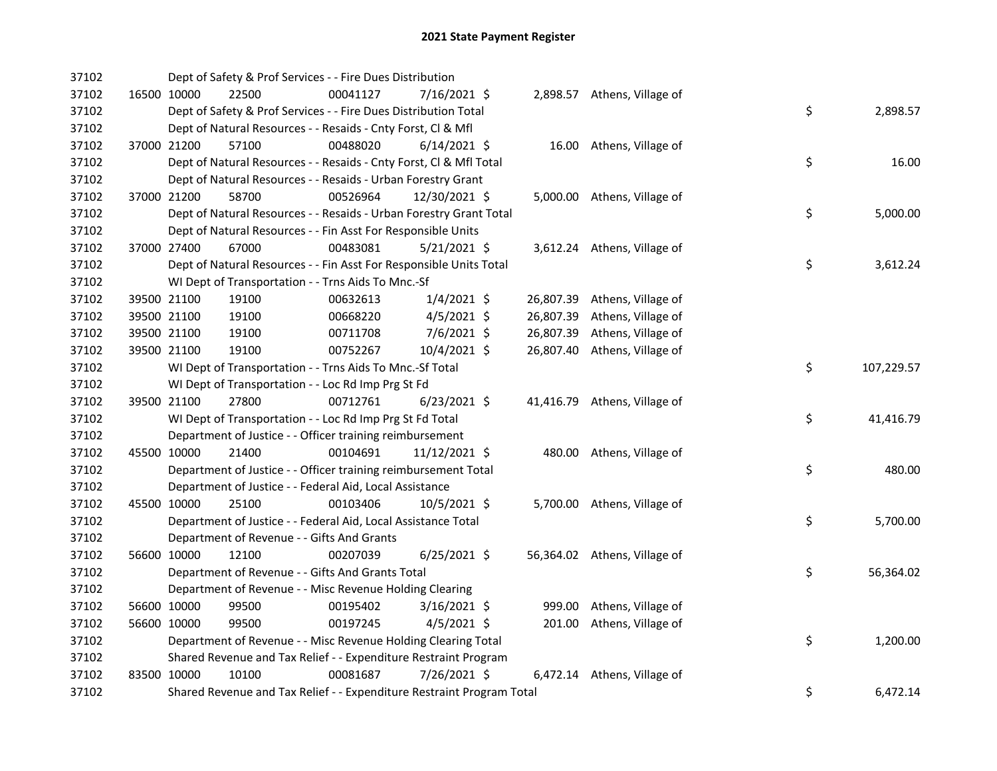| 37102 |             | Dept of Safety & Prof Services - - Fire Dues Distribution             |          |                |  |                              |    |            |
|-------|-------------|-----------------------------------------------------------------------|----------|----------------|--|------------------------------|----|------------|
| 37102 | 16500 10000 | 22500                                                                 | 00041127 | 7/16/2021 \$   |  | 2,898.57 Athens, Village of  |    |            |
| 37102 |             | Dept of Safety & Prof Services - - Fire Dues Distribution Total       |          |                |  |                              | \$ | 2,898.57   |
| 37102 |             | Dept of Natural Resources - - Resaids - Cnty Forst, Cl & Mfl          |          |                |  |                              |    |            |
| 37102 | 37000 21200 | 57100                                                                 | 00488020 | $6/14/2021$ \$ |  | 16.00 Athens, Village of     |    |            |
| 37102 |             | Dept of Natural Resources - - Resaids - Cnty Forst, Cl & Mfl Total    |          |                |  |                              | \$ | 16.00      |
| 37102 |             | Dept of Natural Resources - - Resaids - Urban Forestry Grant          |          |                |  |                              |    |            |
| 37102 | 37000 21200 | 58700                                                                 | 00526964 | 12/30/2021 \$  |  | 5,000.00 Athens, Village of  |    |            |
| 37102 |             | Dept of Natural Resources - - Resaids - Urban Forestry Grant Total    |          |                |  |                              | \$ | 5,000.00   |
| 37102 |             | Dept of Natural Resources - - Fin Asst For Responsible Units          |          |                |  |                              |    |            |
| 37102 | 37000 27400 | 67000                                                                 | 00483081 | $5/21/2021$ \$ |  | 3,612.24 Athens, Village of  |    |            |
| 37102 |             | Dept of Natural Resources - - Fin Asst For Responsible Units Total    |          |                |  |                              | \$ | 3,612.24   |
| 37102 |             | WI Dept of Transportation - - Trns Aids To Mnc.-Sf                    |          |                |  |                              |    |            |
| 37102 | 39500 21100 | 19100                                                                 | 00632613 | $1/4/2021$ \$  |  | 26,807.39 Athens, Village of |    |            |
| 37102 | 39500 21100 | 19100                                                                 | 00668220 | $4/5/2021$ \$  |  | 26,807.39 Athens, Village of |    |            |
| 37102 | 39500 21100 | 19100                                                                 | 00711708 | 7/6/2021 \$    |  | 26,807.39 Athens, Village of |    |            |
| 37102 | 39500 21100 | 19100                                                                 | 00752267 | 10/4/2021 \$   |  | 26,807.40 Athens, Village of |    |            |
| 37102 |             | WI Dept of Transportation - - Trns Aids To Mnc.-Sf Total              |          |                |  |                              | \$ | 107,229.57 |
| 37102 |             | WI Dept of Transportation - - Loc Rd Imp Prg St Fd                    |          |                |  |                              |    |            |
| 37102 | 39500 21100 | 27800                                                                 | 00712761 | 6/23/2021 \$   |  | 41,416.79 Athens, Village of |    |            |
| 37102 |             | WI Dept of Transportation - - Loc Rd Imp Prg St Fd Total              |          |                |  |                              | \$ | 41,416.79  |
| 37102 |             | Department of Justice - - Officer training reimbursement              |          |                |  |                              |    |            |
| 37102 | 45500 10000 | 21400                                                                 | 00104691 | 11/12/2021 \$  |  | 480.00 Athens, Village of    |    |            |
| 37102 |             | Department of Justice - - Officer training reimbursement Total        |          |                |  |                              | \$ | 480.00     |
| 37102 |             | Department of Justice - - Federal Aid, Local Assistance               |          |                |  |                              |    |            |
| 37102 | 45500 10000 | 25100                                                                 | 00103406 | $10/5/2021$ \$ |  | 5,700.00 Athens, Village of  |    |            |
| 37102 |             | Department of Justice - - Federal Aid, Local Assistance Total         |          |                |  |                              | \$ | 5,700.00   |
| 37102 |             | Department of Revenue - - Gifts And Grants                            |          |                |  |                              |    |            |
| 37102 | 56600 10000 | 12100                                                                 | 00207039 | $6/25/2021$ \$ |  | 56,364.02 Athens, Village of |    |            |
| 37102 |             | Department of Revenue - - Gifts And Grants Total                      |          |                |  |                              | \$ | 56,364.02  |
| 37102 |             | Department of Revenue - - Misc Revenue Holding Clearing               |          |                |  |                              |    |            |
| 37102 | 56600 10000 | 99500                                                                 | 00195402 | $3/16/2021$ \$ |  | 999.00 Athens, Village of    |    |            |
| 37102 | 56600 10000 | 99500                                                                 | 00197245 | $4/5/2021$ \$  |  | 201.00 Athens, Village of    |    |            |
| 37102 |             | Department of Revenue - - Misc Revenue Holding Clearing Total         |          |                |  |                              | \$ | 1,200.00   |
| 37102 |             | Shared Revenue and Tax Relief - - Expenditure Restraint Program       |          |                |  |                              |    |            |
| 37102 | 83500 10000 | 10100                                                                 | 00081687 | 7/26/2021 \$   |  | 6,472.14 Athens, Village of  |    |            |
| 37102 |             | Shared Revenue and Tax Relief - - Expenditure Restraint Program Total |          |                |  |                              | \$ | 6,472.14   |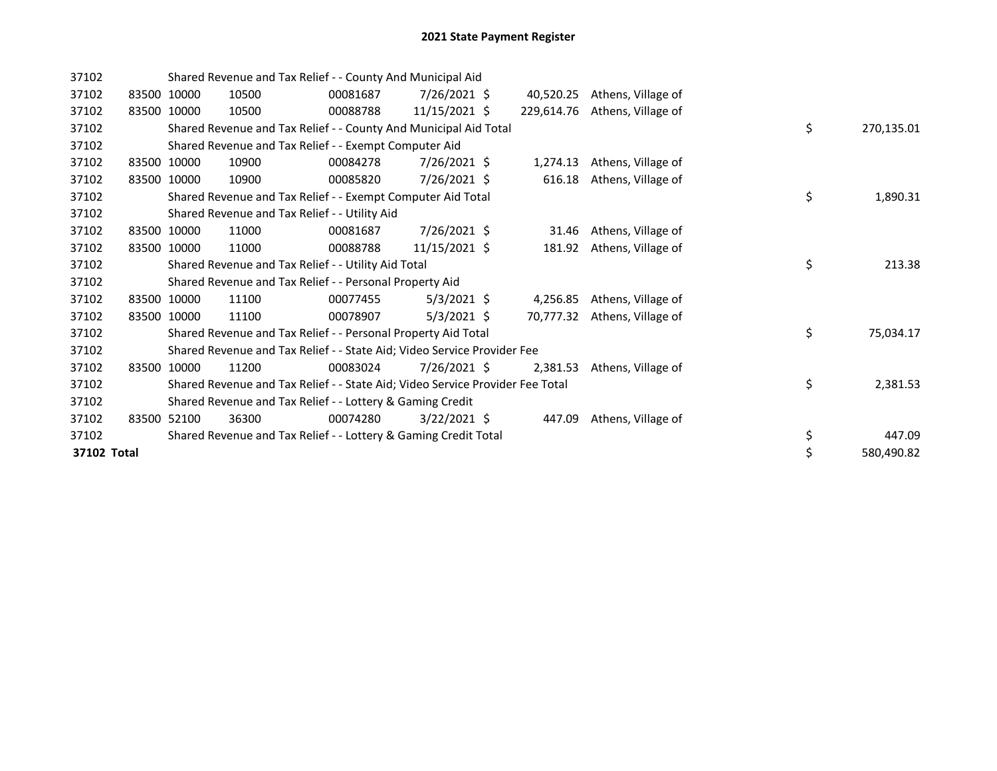| 37102       |       |             | Shared Revenue and Tax Relief - - County And Municipal Aid                    |          |                |            |                    |    |            |
|-------------|-------|-------------|-------------------------------------------------------------------------------|----------|----------------|------------|--------------------|----|------------|
| 37102       |       | 83500 10000 | 10500                                                                         | 00081687 | 7/26/2021 \$   | 40,520.25  | Athens, Village of |    |            |
| 37102       |       | 83500 10000 | 10500                                                                         | 00088788 | 11/15/2021 \$  | 229,614.76 | Athens, Village of |    |            |
| 37102       |       |             | Shared Revenue and Tax Relief - - County And Municipal Aid Total              |          |                |            |                    | \$ | 270,135.01 |
| 37102       |       |             | Shared Revenue and Tax Relief - - Exempt Computer Aid                         |          |                |            |                    |    |            |
| 37102       |       | 83500 10000 | 10900                                                                         | 00084278 | 7/26/2021 \$   | 1,274.13   | Athens, Village of |    |            |
| 37102       |       | 83500 10000 | 10900                                                                         | 00085820 | 7/26/2021 \$   | 616.18     | Athens, Village of |    |            |
| 37102       |       |             | Shared Revenue and Tax Relief - - Exempt Computer Aid Total                   |          |                |            |                    | \$ | 1,890.31   |
| 37102       |       |             | Shared Revenue and Tax Relief - - Utility Aid                                 |          |                |            |                    |    |            |
| 37102       |       | 83500 10000 | 11000                                                                         | 00081687 | 7/26/2021 \$   | 31.46      | Athens, Village of |    |            |
| 37102       |       | 83500 10000 | 11000                                                                         | 00088788 | 11/15/2021 \$  | 181.92     | Athens, Village of |    |            |
| 37102       |       |             | Shared Revenue and Tax Relief - - Utility Aid Total                           |          |                |            |                    | \$ | 213.38     |
| 37102       |       |             | Shared Revenue and Tax Relief - - Personal Property Aid                       |          |                |            |                    |    |            |
| 37102       |       | 83500 10000 | 11100                                                                         | 00077455 | $5/3/2021$ \$  | 4,256.85   | Athens, Village of |    |            |
| 37102       |       | 83500 10000 | 11100                                                                         | 00078907 | $5/3/2021$ \$  | 70,777.32  | Athens, Village of |    |            |
| 37102       |       |             | Shared Revenue and Tax Relief - - Personal Property Aid Total                 |          |                |            |                    | \$ | 75,034.17  |
| 37102       |       |             | Shared Revenue and Tax Relief - - State Aid; Video Service Provider Fee       |          |                |            |                    |    |            |
| 37102       | 83500 | 10000       | 11200                                                                         | 00083024 | $7/26/2021$ \$ | 2,381.53   | Athens, Village of |    |            |
| 37102       |       |             | Shared Revenue and Tax Relief - - State Aid; Video Service Provider Fee Total |          |                |            |                    | \$ | 2,381.53   |
| 37102       |       |             | Shared Revenue and Tax Relief - - Lottery & Gaming Credit                     |          |                |            |                    |    |            |
| 37102       |       | 83500 52100 | 36300                                                                         | 00074280 | $3/22/2021$ \$ | 447.09     | Athens, Village of |    |            |
| 37102       |       |             | Shared Revenue and Tax Relief - - Lottery & Gaming Credit Total               |          |                |            |                    | \$ | 447.09     |
| 37102 Total |       |             |                                                                               |          |                |            |                    | \$ | 580,490.82 |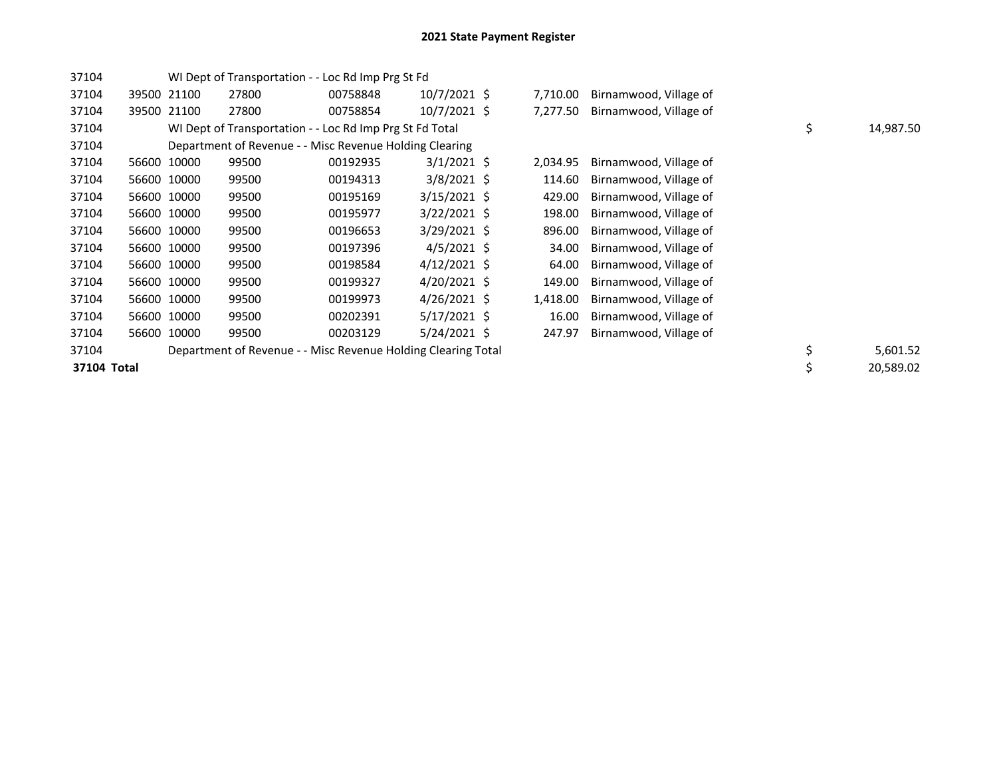| 37104       |             | WI Dept of Transportation - - Loc Rd Imp Prg St Fd            |          |                |          |                        |                 |
|-------------|-------------|---------------------------------------------------------------|----------|----------------|----------|------------------------|-----------------|
| 37104       | 39500 21100 | 27800                                                         | 00758848 | $10/7/2021$ \$ | 7,710.00 | Birnamwood, Village of |                 |
| 37104       | 39500 21100 | 27800                                                         | 00758854 | $10/7/2021$ \$ | 7,277.50 | Birnamwood, Village of |                 |
| 37104       |             | WI Dept of Transportation - - Loc Rd Imp Prg St Fd Total      |          |                |          |                        | \$<br>14,987.50 |
| 37104       |             | Department of Revenue - - Misc Revenue Holding Clearing       |          |                |          |                        |                 |
| 37104       | 56600 10000 | 99500                                                         | 00192935 | $3/1/2021$ \$  | 2,034.95 | Birnamwood, Village of |                 |
| 37104       | 56600 10000 | 99500                                                         | 00194313 | $3/8/2021$ \$  | 114.60   | Birnamwood, Village of |                 |
| 37104       | 56600 10000 | 99500                                                         | 00195169 | $3/15/2021$ \$ | 429.00   | Birnamwood, Village of |                 |
| 37104       | 56600 10000 | 99500                                                         | 00195977 | $3/22/2021$ \$ | 198.00   | Birnamwood, Village of |                 |
| 37104       | 56600 10000 | 99500                                                         | 00196653 | $3/29/2021$ \$ | 896.00   | Birnamwood, Village of |                 |
| 37104       | 56600 10000 | 99500                                                         | 00197396 | $4/5/2021$ \$  | 34.00    | Birnamwood, Village of |                 |
| 37104       | 56600 10000 | 99500                                                         | 00198584 | $4/12/2021$ \$ | 64.00    | Birnamwood, Village of |                 |
| 37104       | 56600 10000 | 99500                                                         | 00199327 | $4/20/2021$ \$ | 149.00   | Birnamwood, Village of |                 |
| 37104       | 56600 10000 | 99500                                                         | 00199973 | $4/26/2021$ \$ | 1,418.00 | Birnamwood, Village of |                 |
| 37104       | 56600 10000 | 99500                                                         | 00202391 | 5/17/2021 \$   | 16.00    | Birnamwood, Village of |                 |
| 37104       | 56600 10000 | 99500                                                         | 00203129 | 5/24/2021 \$   | 247.97   | Birnamwood, Village of |                 |
| 37104       |             | Department of Revenue - - Misc Revenue Holding Clearing Total |          |                |          |                        | \$<br>5,601.52  |
| 37104 Total |             |                                                               |          |                |          |                        | \$<br>20,589.02 |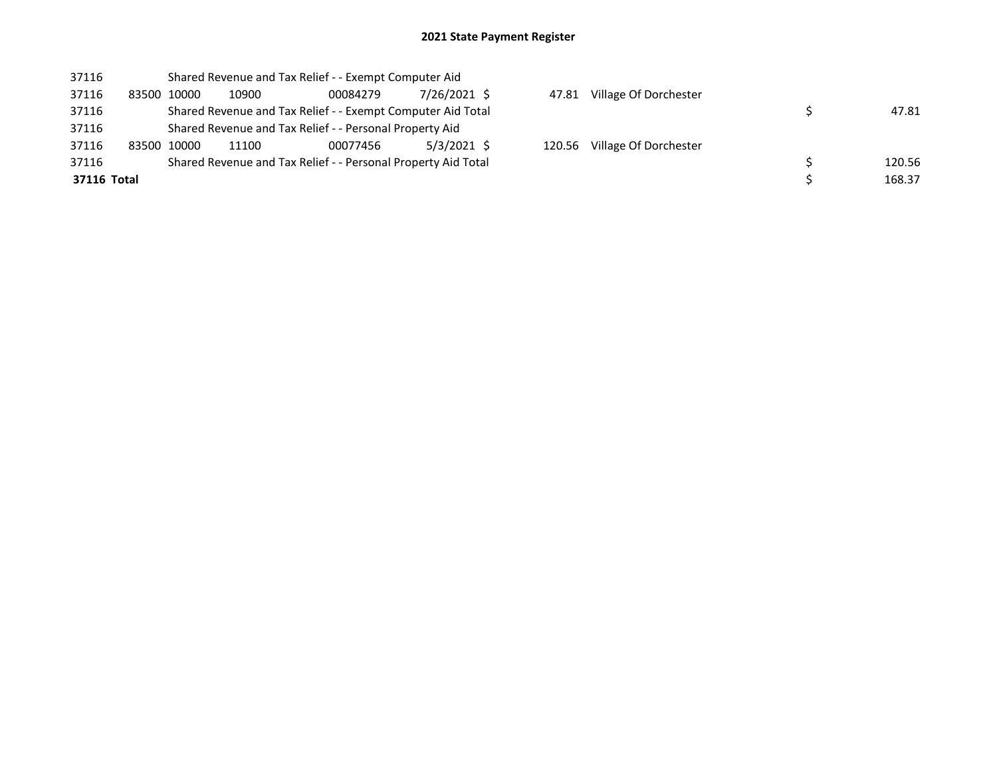## 2021 State Payment Register

| 37116       |             |             | Shared Revenue and Tax Relief - - Exempt Computer Aid         |          |              |        |                       |        |
|-------------|-------------|-------------|---------------------------------------------------------------|----------|--------------|--------|-----------------------|--------|
| 37116       |             | 83500 10000 | 10900                                                         | 00084279 | 7/26/2021 \$ | 47.81  | Village Of Dorchester |        |
| 37116       |             |             | Shared Revenue and Tax Relief - - Exempt Computer Aid Total   |          |              |        |                       | 47.81  |
| 37116       |             |             | Shared Revenue and Tax Relief - - Personal Property Aid       |          |              |        |                       |        |
| 37116       | 83500 10000 |             | 11100                                                         | 00077456 | 5/3/2021 \$  | 120.56 | Village Of Dorchester |        |
| 37116       |             |             | Shared Revenue and Tax Relief - - Personal Property Aid Total |          |              |        |                       | 120.56 |
| 37116 Total |             |             |                                                               |          |              |        |                       | 168.37 |
|             |             |             |                                                               |          |              |        |                       |        |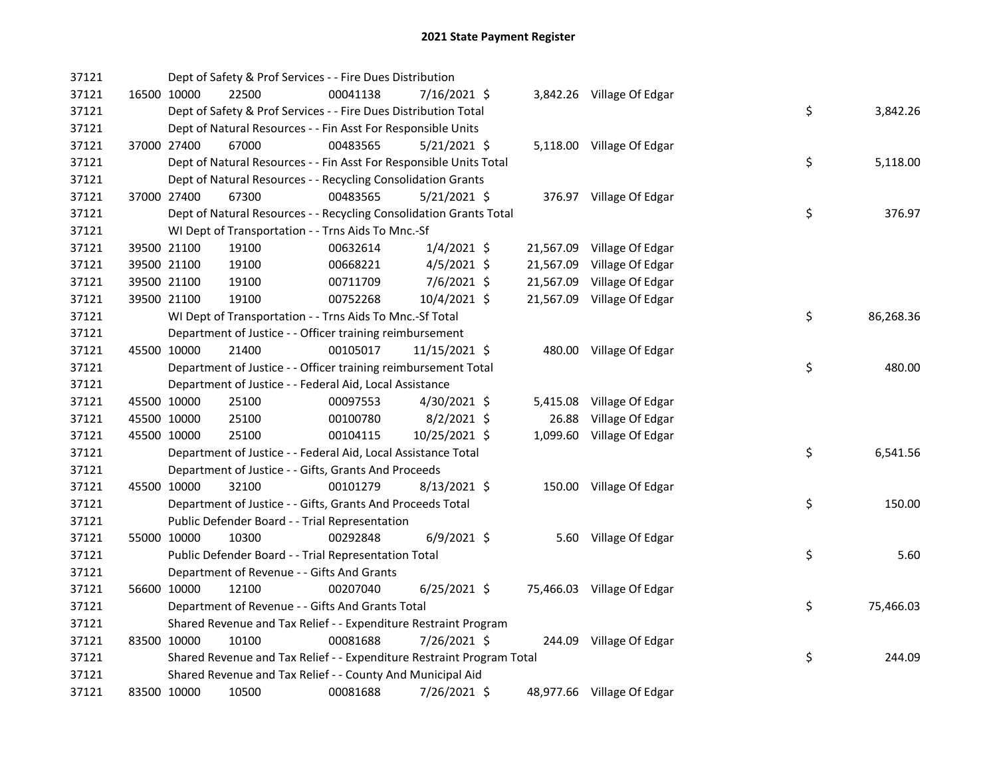| 37121 |             | Dept of Safety & Prof Services - - Fire Dues Distribution             |          |                |       |                            |                 |
|-------|-------------|-----------------------------------------------------------------------|----------|----------------|-------|----------------------------|-----------------|
| 37121 |             | 16500 10000<br>22500                                                  | 00041138 | 7/16/2021 \$   |       | 3,842.26 Village Of Edgar  |                 |
| 37121 |             | Dept of Safety & Prof Services - - Fire Dues Distribution Total       |          |                |       |                            | \$<br>3,842.26  |
| 37121 |             | Dept of Natural Resources - - Fin Asst For Responsible Units          |          |                |       |                            |                 |
| 37121 |             | 37000 27400<br>67000                                                  | 00483565 | $5/21/2021$ \$ |       | 5,118.00 Village Of Edgar  |                 |
| 37121 |             | Dept of Natural Resources - - Fin Asst For Responsible Units Total    |          |                |       |                            | \$<br>5,118.00  |
| 37121 |             | Dept of Natural Resources - - Recycling Consolidation Grants          |          |                |       |                            |                 |
| 37121 | 37000 27400 | 67300                                                                 | 00483565 | $5/21/2021$ \$ |       | 376.97 Village Of Edgar    |                 |
| 37121 |             | Dept of Natural Resources - - Recycling Consolidation Grants Total    |          |                |       |                            | \$<br>376.97    |
| 37121 |             | WI Dept of Transportation - - Trns Aids To Mnc.-Sf                    |          |                |       |                            |                 |
| 37121 |             | 39500 21100<br>19100                                                  | 00632614 | $1/4/2021$ \$  |       | 21,567.09 Village Of Edgar |                 |
| 37121 |             | 39500 21100<br>19100                                                  | 00668221 | $4/5/2021$ \$  |       | 21,567.09 Village Of Edgar |                 |
| 37121 | 39500 21100 | 19100                                                                 | 00711709 | 7/6/2021 \$    |       | 21,567.09 Village Of Edgar |                 |
| 37121 | 39500 21100 | 19100                                                                 | 00752268 | 10/4/2021 \$   |       | 21,567.09 Village Of Edgar |                 |
| 37121 |             | WI Dept of Transportation - - Trns Aids To Mnc.-Sf Total              |          |                |       |                            | \$<br>86,268.36 |
| 37121 |             | Department of Justice - - Officer training reimbursement              |          |                |       |                            |                 |
| 37121 | 45500 10000 | 21400                                                                 | 00105017 | 11/15/2021 \$  |       | 480.00 Village Of Edgar    |                 |
| 37121 |             | Department of Justice - - Officer training reimbursement Total        |          |                |       |                            | \$<br>480.00    |
| 37121 |             | Department of Justice - - Federal Aid, Local Assistance               |          |                |       |                            |                 |
| 37121 |             | 45500 10000<br>25100                                                  | 00097553 | 4/30/2021 \$   |       | 5,415.08 Village Of Edgar  |                 |
| 37121 | 45500 10000 | 25100                                                                 | 00100780 | $8/2/2021$ \$  | 26.88 | Village Of Edgar           |                 |
| 37121 | 45500 10000 | 25100                                                                 | 00104115 | 10/25/2021 \$  |       | 1,099.60 Village Of Edgar  |                 |
| 37121 |             | Department of Justice - - Federal Aid, Local Assistance Total         |          |                |       |                            | \$<br>6,541.56  |
| 37121 |             | Department of Justice - - Gifts, Grants And Proceeds                  |          |                |       |                            |                 |
| 37121 |             | 45500 10000<br>32100                                                  | 00101279 | $8/13/2021$ \$ |       | 150.00 Village Of Edgar    |                 |
| 37121 |             | Department of Justice - - Gifts, Grants And Proceeds Total            |          |                |       |                            | \$<br>150.00    |
| 37121 |             | Public Defender Board - - Trial Representation                        |          |                |       |                            |                 |
| 37121 |             | 10300<br>55000 10000                                                  | 00292848 | $6/9/2021$ \$  |       | 5.60 Village Of Edgar      |                 |
| 37121 |             | Public Defender Board - - Trial Representation Total                  |          |                |       |                            | \$<br>5.60      |
| 37121 |             | Department of Revenue - - Gifts And Grants                            |          |                |       |                            |                 |
| 37121 |             | 56600 10000<br>12100                                                  | 00207040 | $6/25/2021$ \$ |       | 75,466.03 Village Of Edgar |                 |
| 37121 |             | Department of Revenue - - Gifts And Grants Total                      |          |                |       |                            | \$<br>75,466.03 |
| 37121 |             | Shared Revenue and Tax Relief - - Expenditure Restraint Program       |          |                |       |                            |                 |
| 37121 | 83500 10000 | 10100                                                                 | 00081688 | 7/26/2021 \$   |       | 244.09 Village Of Edgar    |                 |
| 37121 |             | Shared Revenue and Tax Relief - - Expenditure Restraint Program Total |          |                |       |                            | \$<br>244.09    |
| 37121 |             | Shared Revenue and Tax Relief - - County And Municipal Aid            |          |                |       |                            |                 |
| 37121 | 83500 10000 | 10500                                                                 | 00081688 | 7/26/2021 \$   |       | 48,977.66 Village Of Edgar |                 |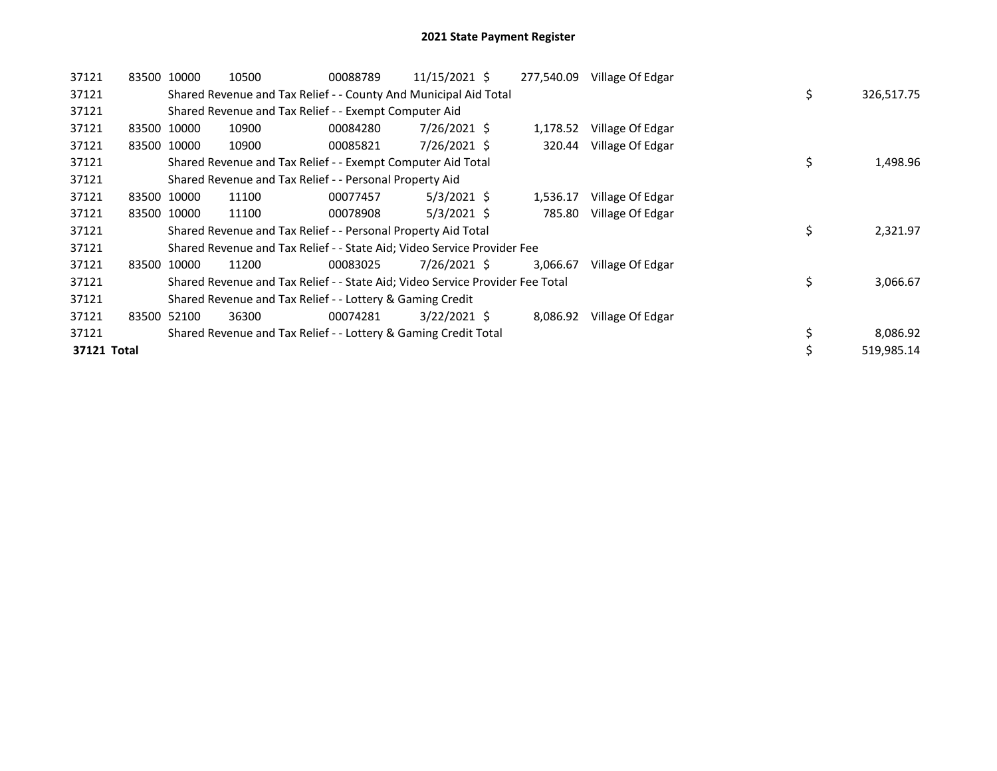| 37121       | 83500 10000 | 10500                                                                         | 00088789 | 11/15/2021 \$  | 277,540.09 | Village Of Edgar |    |            |
|-------------|-------------|-------------------------------------------------------------------------------|----------|----------------|------------|------------------|----|------------|
| 37121       |             | Shared Revenue and Tax Relief - - County And Municipal Aid Total              |          |                |            |                  | \$ | 326,517.75 |
| 37121       |             | Shared Revenue and Tax Relief - - Exempt Computer Aid                         |          |                |            |                  |    |            |
| 37121       | 83500 10000 | 10900                                                                         | 00084280 | 7/26/2021 \$   | 1,178.52   | Village Of Edgar |    |            |
| 37121       | 83500 10000 | 10900                                                                         | 00085821 | 7/26/2021 \$   | 320.44     | Village Of Edgar |    |            |
| 37121       |             | Shared Revenue and Tax Relief - - Exempt Computer Aid Total                   |          |                |            |                  | \$ | 1,498.96   |
| 37121       |             | Shared Revenue and Tax Relief - - Personal Property Aid                       |          |                |            |                  |    |            |
| 37121       | 83500 10000 | 11100                                                                         | 00077457 | $5/3/2021$ \$  | 1,536.17   | Village Of Edgar |    |            |
| 37121       | 83500 10000 | 11100                                                                         | 00078908 | $5/3/2021$ \$  | 785.80     | Village Of Edgar |    |            |
| 37121       |             | Shared Revenue and Tax Relief - - Personal Property Aid Total                 |          |                |            |                  | \$ | 2,321.97   |
| 37121       |             | Shared Revenue and Tax Relief - - State Aid; Video Service Provider Fee       |          |                |            |                  |    |            |
| 37121       | 83500 10000 | 11200                                                                         | 00083025 | 7/26/2021 \$   | 3,066.67   | Village Of Edgar |    |            |
| 37121       |             | Shared Revenue and Tax Relief - - State Aid; Video Service Provider Fee Total |          |                |            |                  | \$ | 3,066.67   |
| 37121       |             | Shared Revenue and Tax Relief - - Lottery & Gaming Credit                     |          |                |            |                  |    |            |
| 37121       | 83500 52100 | 36300                                                                         | 00074281 | $3/22/2021$ \$ | 8,086.92   | Village Of Edgar |    |            |
| 37121       |             | Shared Revenue and Tax Relief - - Lottery & Gaming Credit Total               |          |                |            |                  | \$ | 8,086.92   |
| 37121 Total |             |                                                                               |          |                |            |                  |    | 519,985.14 |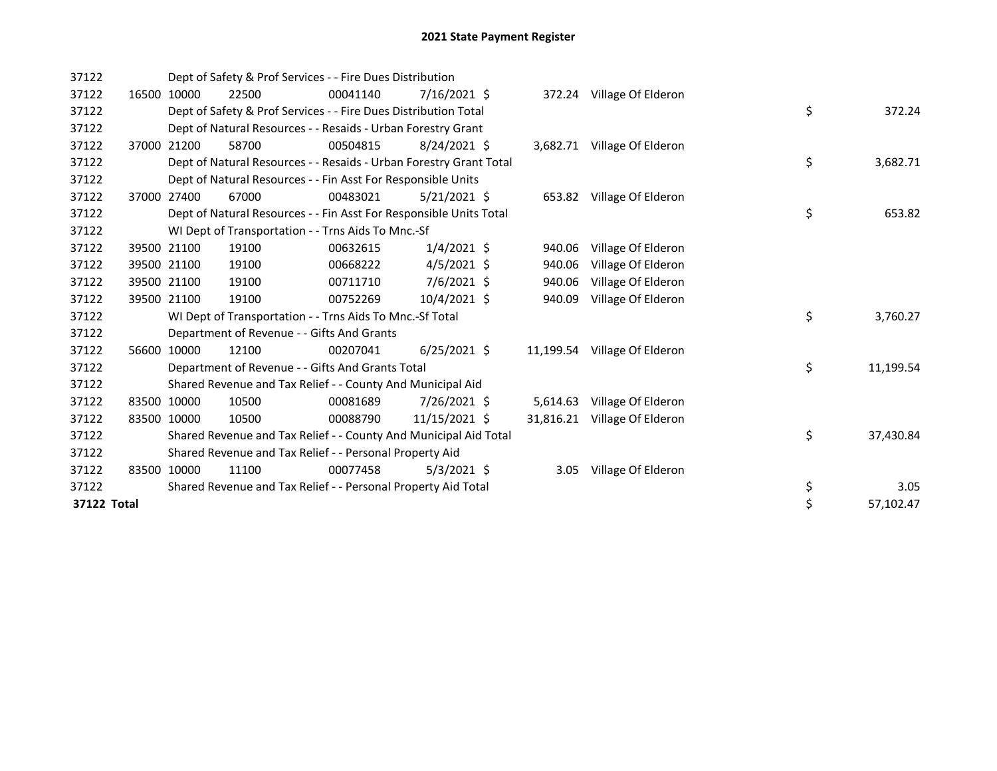| 37122       |             | Dept of Safety & Prof Services - - Fire Dues Distribution          |          |                |           |                              |    |           |
|-------------|-------------|--------------------------------------------------------------------|----------|----------------|-----------|------------------------------|----|-----------|
| 37122       | 16500 10000 | 22500                                                              | 00041140 | $7/16/2021$ \$ |           | 372.24 Village Of Elderon    |    |           |
| 37122       |             | Dept of Safety & Prof Services - - Fire Dues Distribution Total    |          |                |           |                              | \$ | 372.24    |
| 37122       |             | Dept of Natural Resources - - Resaids - Urban Forestry Grant       |          |                |           |                              |    |           |
| 37122       | 37000 21200 | 58700                                                              | 00504815 | 8/24/2021 \$   |           | 3,682.71 Village Of Elderon  |    |           |
| 37122       |             | Dept of Natural Resources - - Resaids - Urban Forestry Grant Total |          |                |           |                              | \$ | 3,682.71  |
| 37122       |             | Dept of Natural Resources - - Fin Asst For Responsible Units       |          |                |           |                              |    |           |
| 37122       | 37000 27400 | 67000                                                              | 00483021 | $5/21/2021$ \$ |           | 653.82 Village Of Elderon    |    |           |
| 37122       |             | Dept of Natural Resources - - Fin Asst For Responsible Units Total |          |                |           |                              | \$ | 653.82    |
| 37122       |             | WI Dept of Transportation - - Trns Aids To Mnc.-Sf                 |          |                |           |                              |    |           |
| 37122       | 39500 21100 | 19100                                                              | 00632615 | $1/4/2021$ \$  | 940.06    | Village Of Elderon           |    |           |
| 37122       | 39500 21100 | 19100                                                              | 00668222 | $4/5/2021$ \$  | 940.06    | Village Of Elderon           |    |           |
| 37122       | 39500 21100 | 19100                                                              | 00711710 | $7/6/2021$ \$  | 940.06    | Village Of Elderon           |    |           |
| 37122       | 39500 21100 | 19100                                                              | 00752269 | 10/4/2021 \$   | 940.09    | Village Of Elderon           |    |           |
| 37122       |             | WI Dept of Transportation - - Trns Aids To Mnc.-Sf Total           |          |                |           |                              | \$ | 3,760.27  |
| 37122       |             | Department of Revenue - - Gifts And Grants                         |          |                |           |                              |    |           |
| 37122       | 56600 10000 | 12100                                                              | 00207041 | $6/25/2021$ \$ |           | 11,199.54 Village Of Elderon |    |           |
| 37122       |             | Department of Revenue - - Gifts And Grants Total                   |          |                |           |                              | \$ | 11,199.54 |
| 37122       |             | Shared Revenue and Tax Relief - - County And Municipal Aid         |          |                |           |                              |    |           |
| 37122       | 83500 10000 | 10500                                                              | 00081689 | 7/26/2021 \$   | 5,614.63  | Village Of Elderon           |    |           |
| 37122       | 83500 10000 | 10500                                                              | 00088790 | 11/15/2021 \$  | 31,816.21 | Village Of Elderon           |    |           |
| 37122       |             | Shared Revenue and Tax Relief - - County And Municipal Aid Total   |          |                |           |                              | \$ | 37,430.84 |
| 37122       |             | Shared Revenue and Tax Relief - - Personal Property Aid            |          |                |           |                              |    |           |
| 37122       | 83500 10000 | 11100                                                              | 00077458 | $5/3/2021$ \$  | 3.05      | Village Of Elderon           |    |           |
| 37122       |             | Shared Revenue and Tax Relief - - Personal Property Aid Total      |          |                |           |                              | \$ | 3.05      |
| 37122 Total |             |                                                                    |          |                |           |                              | \$ | 57,102.47 |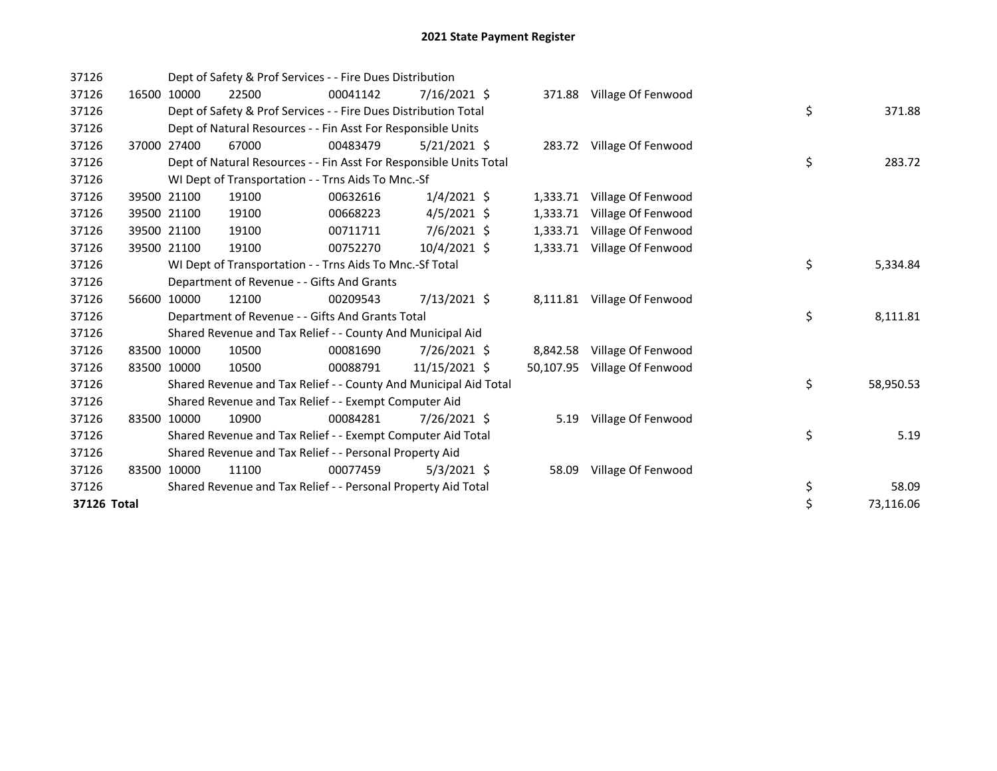| 37126       |             | Dept of Safety & Prof Services - - Fire Dues Distribution          |          |                |          |                              |    |           |
|-------------|-------------|--------------------------------------------------------------------|----------|----------------|----------|------------------------------|----|-----------|
| 37126       | 16500 10000 | 22500                                                              | 00041142 | $7/16/2021$ \$ |          | 371.88 Village Of Fenwood    |    |           |
| 37126       |             | Dept of Safety & Prof Services - - Fire Dues Distribution Total    |          |                |          |                              | \$ | 371.88    |
| 37126       |             | Dept of Natural Resources - - Fin Asst For Responsible Units       |          |                |          |                              |    |           |
| 37126       | 37000 27400 | 67000                                                              | 00483479 | $5/21/2021$ \$ |          | 283.72 Village Of Fenwood    |    |           |
| 37126       |             | Dept of Natural Resources - - Fin Asst For Responsible Units Total |          |                |          |                              | \$ | 283.72    |
| 37126       |             | WI Dept of Transportation - - Trns Aids To Mnc.-Sf                 |          |                |          |                              |    |           |
| 37126       | 39500 21100 | 19100                                                              | 00632616 | $1/4/2021$ \$  | 1,333.71 | Village Of Fenwood           |    |           |
| 37126       | 39500 21100 | 19100                                                              | 00668223 | $4/5/2021$ \$  | 1,333.71 | Village Of Fenwood           |    |           |
| 37126       | 39500 21100 | 19100                                                              | 00711711 | 7/6/2021 \$    | 1,333.71 | Village Of Fenwood           |    |           |
| 37126       | 39500 21100 | 19100                                                              | 00752270 | 10/4/2021 \$   | 1,333.71 | Village Of Fenwood           |    |           |
| 37126       |             | WI Dept of Transportation - - Trns Aids To Mnc.-Sf Total           |          |                |          |                              | \$ | 5,334.84  |
| 37126       |             | Department of Revenue - - Gifts And Grants                         |          |                |          |                              |    |           |
| 37126       | 56600 10000 | 12100                                                              | 00209543 | 7/13/2021 \$   |          | 8,111.81 Village Of Fenwood  |    |           |
| 37126       |             | Department of Revenue - - Gifts And Grants Total                   |          |                |          |                              | \$ | 8,111.81  |
| 37126       |             | Shared Revenue and Tax Relief - - County And Municipal Aid         |          |                |          |                              |    |           |
| 37126       | 83500 10000 | 10500                                                              | 00081690 | 7/26/2021 \$   |          | 8,842.58 Village Of Fenwood  |    |           |
| 37126       | 83500 10000 | 10500                                                              | 00088791 | 11/15/2021 \$  |          | 50,107.95 Village Of Fenwood |    |           |
| 37126       |             | Shared Revenue and Tax Relief - - County And Municipal Aid Total   |          |                |          |                              | \$ | 58,950.53 |
| 37126       |             | Shared Revenue and Tax Relief - - Exempt Computer Aid              |          |                |          |                              |    |           |
| 37126       | 83500 10000 | 10900                                                              | 00084281 | 7/26/2021 \$   | 5.19     | Village Of Fenwood           |    |           |
| 37126       |             | Shared Revenue and Tax Relief - - Exempt Computer Aid Total        |          |                |          |                              | \$ | 5.19      |
| 37126       |             | Shared Revenue and Tax Relief - - Personal Property Aid            |          |                |          |                              |    |           |
| 37126       | 83500 10000 | 11100                                                              | 00077459 | $5/3/2021$ \$  | 58.09    | Village Of Fenwood           |    |           |
| 37126       |             | Shared Revenue and Tax Relief - - Personal Property Aid Total      |          |                |          |                              | \$ | 58.09     |
| 37126 Total |             |                                                                    |          |                |          |                              | \$ | 73,116.06 |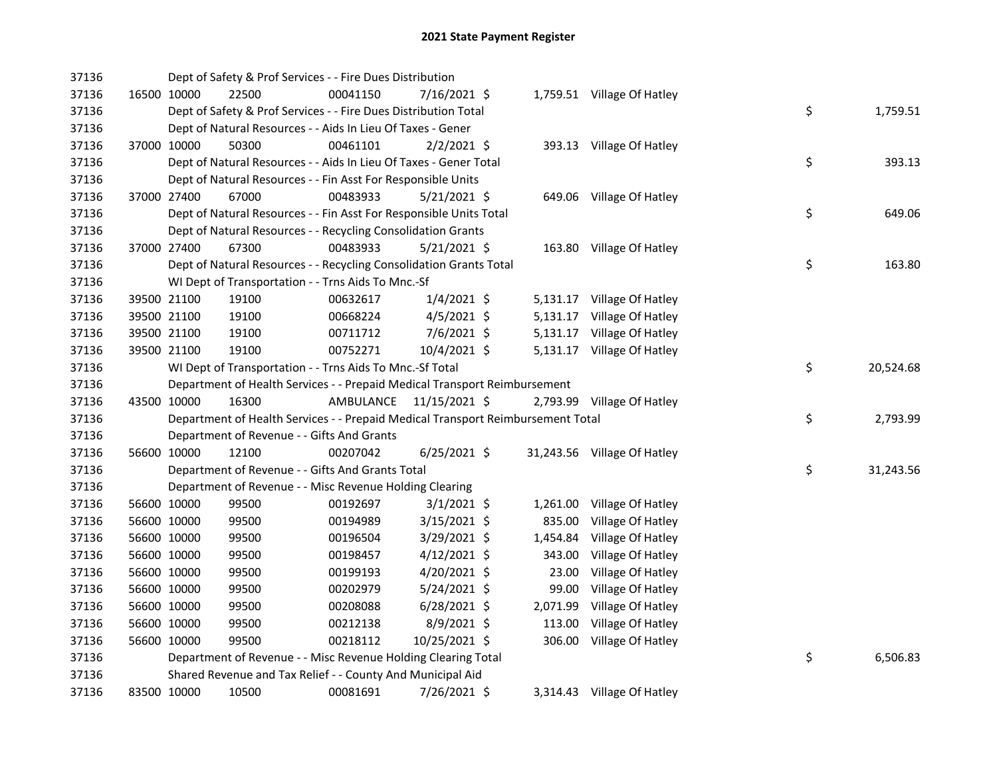| 37136 |             | Dept of Safety & Prof Services - - Fire Dues Distribution                       |           |                |          |                             |    |           |
|-------|-------------|---------------------------------------------------------------------------------|-----------|----------------|----------|-----------------------------|----|-----------|
| 37136 | 16500 10000 | 22500                                                                           | 00041150  | 7/16/2021 \$   |          | 1,759.51 Village Of Hatley  |    |           |
| 37136 |             | Dept of Safety & Prof Services - - Fire Dues Distribution Total                 |           |                |          |                             | \$ | 1,759.51  |
| 37136 |             | Dept of Natural Resources - - Aids In Lieu Of Taxes - Gener                     |           |                |          |                             |    |           |
| 37136 | 37000 10000 | 50300                                                                           | 00461101  | $2/2/2021$ \$  |          | 393.13 Village Of Hatley    |    |           |
| 37136 |             | Dept of Natural Resources - - Aids In Lieu Of Taxes - Gener Total               |           |                |          |                             | \$ | 393.13    |
| 37136 |             | Dept of Natural Resources - - Fin Asst For Responsible Units                    |           |                |          |                             |    |           |
| 37136 | 37000 27400 | 67000                                                                           | 00483933  | $5/21/2021$ \$ |          | 649.06 Village Of Hatley    |    |           |
| 37136 |             | Dept of Natural Resources - - Fin Asst For Responsible Units Total              |           |                |          |                             | \$ | 649.06    |
| 37136 |             | Dept of Natural Resources - - Recycling Consolidation Grants                    |           |                |          |                             |    |           |
| 37136 | 37000 27400 | 67300                                                                           | 00483933  | $5/21/2021$ \$ |          | 163.80 Village Of Hatley    |    |           |
| 37136 |             | Dept of Natural Resources - - Recycling Consolidation Grants Total              |           |                |          |                             | \$ | 163.80    |
| 37136 |             | WI Dept of Transportation - - Trns Aids To Mnc.-Sf                              |           |                |          |                             |    |           |
| 37136 | 39500 21100 | 19100                                                                           | 00632617  | $1/4/2021$ \$  |          | 5,131.17 Village Of Hatley  |    |           |
| 37136 | 39500 21100 | 19100                                                                           | 00668224  | $4/5/2021$ \$  |          | 5,131.17 Village Of Hatley  |    |           |
| 37136 | 39500 21100 | 19100                                                                           | 00711712  | 7/6/2021 \$    |          | 5,131.17 Village Of Hatley  |    |           |
| 37136 | 39500 21100 | 19100                                                                           | 00752271  | 10/4/2021 \$   |          | 5,131.17 Village Of Hatley  |    |           |
| 37136 |             | WI Dept of Transportation - - Trns Aids To Mnc.-Sf Total                        |           |                |          |                             | \$ | 20,524.68 |
| 37136 |             | Department of Health Services - - Prepaid Medical Transport Reimbursement       |           |                |          |                             |    |           |
| 37136 | 43500 10000 | 16300                                                                           | AMBULANCE | 11/15/2021 \$  |          | 2,793.99 Village Of Hatley  |    |           |
|       |             |                                                                                 |           |                |          |                             |    |           |
| 37136 |             | Department of Health Services - - Prepaid Medical Transport Reimbursement Total |           |                |          |                             | \$ | 2,793.99  |
| 37136 |             | Department of Revenue - - Gifts And Grants                                      |           |                |          |                             |    |           |
| 37136 | 56600 10000 | 12100                                                                           | 00207042  | $6/25/2021$ \$ |          | 31,243.56 Village Of Hatley |    |           |
| 37136 |             | Department of Revenue - - Gifts And Grants Total                                |           |                |          |                             | \$ | 31,243.56 |
| 37136 |             | Department of Revenue - - Misc Revenue Holding Clearing                         |           |                |          |                             |    |           |
| 37136 | 56600 10000 | 99500                                                                           | 00192697  | $3/1/2021$ \$  | 1,261.00 | Village Of Hatley           |    |           |
| 37136 | 56600 10000 | 99500                                                                           | 00194989  | 3/15/2021 \$   | 835.00   | Village Of Hatley           |    |           |
| 37136 | 56600 10000 | 99500                                                                           | 00196504  | 3/29/2021 \$   | 1,454.84 | Village Of Hatley           |    |           |
| 37136 | 56600 10000 | 99500                                                                           | 00198457  | $4/12/2021$ \$ | 343.00   | Village Of Hatley           |    |           |
| 37136 | 56600 10000 | 99500                                                                           | 00199193  | $4/20/2021$ \$ | 23.00    | Village Of Hatley           |    |           |
| 37136 | 56600 10000 | 99500                                                                           | 00202979  | 5/24/2021 \$   | 99.00    | Village Of Hatley           |    |           |
| 37136 | 56600 10000 | 99500                                                                           | 00208088  | $6/28/2021$ \$ | 2,071.99 | Village Of Hatley           |    |           |
| 37136 | 56600 10000 | 99500                                                                           | 00212138  | $8/9/2021$ \$  | 113.00   | Village Of Hatley           |    |           |
| 37136 | 56600 10000 | 99500                                                                           | 00218112  | 10/25/2021 \$  |          | 306.00 Village Of Hatley    |    |           |
| 37136 |             | Department of Revenue - - Misc Revenue Holding Clearing Total                   |           |                |          |                             | \$ | 6,506.83  |
| 37136 |             | Shared Revenue and Tax Relief - - County And Municipal Aid                      |           |                |          |                             |    |           |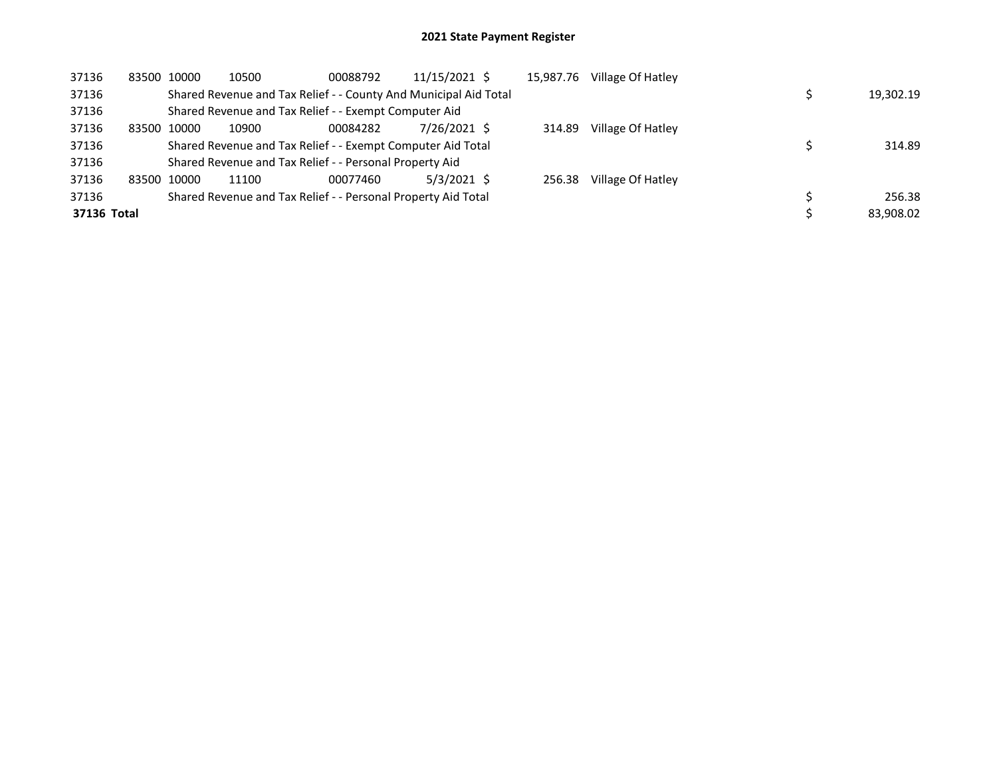| 37136       |       | 83500 10000 | 10500                                                            | 00088792 | 11/15/2021 \$ | 15,987.76 | Village Of Hatley |  |           |
|-------------|-------|-------------|------------------------------------------------------------------|----------|---------------|-----------|-------------------|--|-----------|
| 37136       |       |             | Shared Revenue and Tax Relief - - County And Municipal Aid Total |          |               |           |                   |  | 19,302.19 |
| 37136       |       |             | Shared Revenue and Tax Relief - - Exempt Computer Aid            |          |               |           |                   |  |           |
| 37136       | 83500 | 10000       | 10900                                                            | 00084282 | 7/26/2021 \$  | 314.89    | Village Of Hatley |  |           |
| 37136       |       |             | Shared Revenue and Tax Relief - - Exempt Computer Aid Total      |          |               |           |                   |  | 314.89    |
| 37136       |       |             | Shared Revenue and Tax Relief - - Personal Property Aid          |          |               |           |                   |  |           |
| 37136       |       | 83500 10000 | 11100                                                            | 00077460 | $5/3/2021$ \$ | 256.38    | Village Of Hatley |  |           |
| 37136       |       |             | Shared Revenue and Tax Relief - - Personal Property Aid Total    |          |               |           |                   |  | 256.38    |
| 37136 Total |       |             |                                                                  |          |               |           |                   |  | 83.908.02 |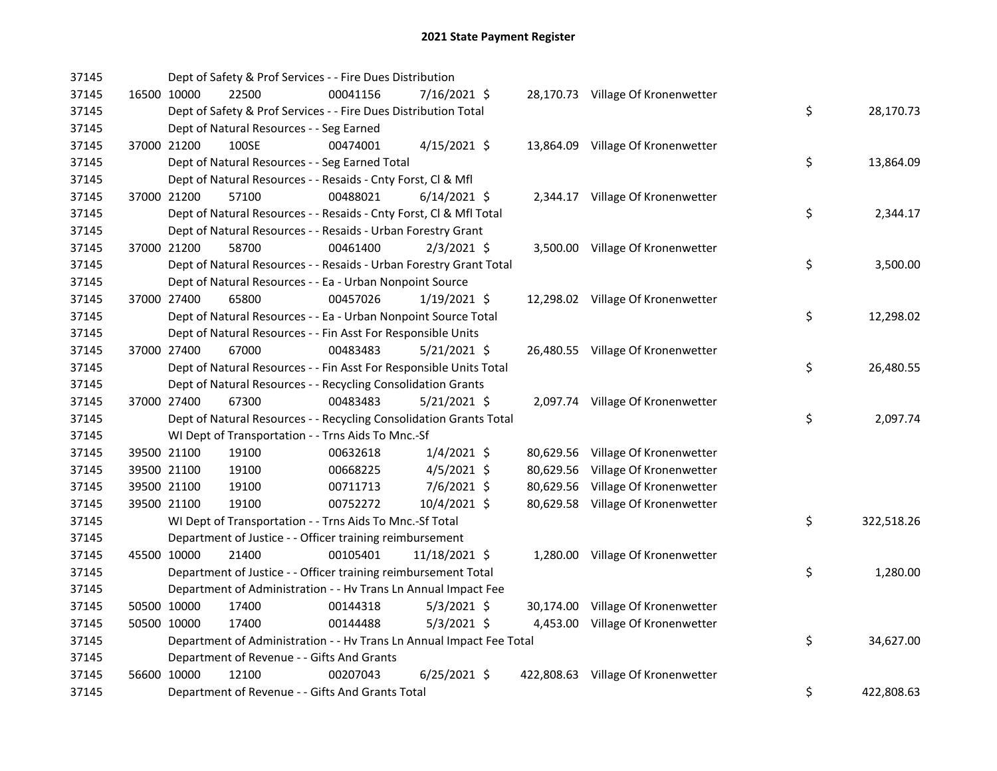| 37145 |             | Dept of Safety & Prof Services - - Fire Dues Distribution            |          |                |           |                                    |                  |
|-------|-------------|----------------------------------------------------------------------|----------|----------------|-----------|------------------------------------|------------------|
| 37145 |             | 16500 10000<br>22500                                                 | 00041156 | 7/16/2021 \$   |           | 28,170.73 Village Of Kronenwetter  |                  |
| 37145 |             | Dept of Safety & Prof Services - - Fire Dues Distribution Total      |          |                |           |                                    | \$<br>28,170.73  |
| 37145 |             | Dept of Natural Resources - - Seg Earned                             |          |                |           |                                    |                  |
| 37145 |             | 37000 21200<br>100SE                                                 | 00474001 | $4/15/2021$ \$ |           | 13,864.09 Village Of Kronenwetter  |                  |
| 37145 |             | Dept of Natural Resources - - Seg Earned Total                       |          |                |           |                                    | \$<br>13,864.09  |
| 37145 |             | Dept of Natural Resources - - Resaids - Cnty Forst, Cl & Mfl         |          |                |           |                                    |                  |
| 37145 |             | 37000 21200<br>57100                                                 | 00488021 | $6/14/2021$ \$ |           | 2,344.17 Village Of Kronenwetter   |                  |
| 37145 |             | Dept of Natural Resources - - Resaids - Cnty Forst, CI & Mfl Total   |          |                |           |                                    | \$<br>2,344.17   |
| 37145 |             | Dept of Natural Resources - - Resaids - Urban Forestry Grant         |          |                |           |                                    |                  |
| 37145 |             | 37000 21200<br>58700                                                 | 00461400 | $2/3/2021$ \$  |           | 3,500.00 Village Of Kronenwetter   |                  |
| 37145 |             | Dept of Natural Resources - - Resaids - Urban Forestry Grant Total   |          |                |           |                                    | \$<br>3,500.00   |
| 37145 |             | Dept of Natural Resources - - Ea - Urban Nonpoint Source             |          |                |           |                                    |                  |
| 37145 |             | 37000 27400<br>65800                                                 | 00457026 | $1/19/2021$ \$ |           | 12,298.02 Village Of Kronenwetter  |                  |
| 37145 |             | Dept of Natural Resources - - Ea - Urban Nonpoint Source Total       |          |                |           |                                    | \$<br>12,298.02  |
| 37145 |             | Dept of Natural Resources - - Fin Asst For Responsible Units         |          |                |           |                                    |                  |
| 37145 |             | 67000<br>37000 27400                                                 | 00483483 | $5/21/2021$ \$ |           | 26,480.55 Village Of Kronenwetter  |                  |
| 37145 |             | Dept of Natural Resources - - Fin Asst For Responsible Units Total   |          |                |           |                                    | \$<br>26,480.55  |
| 37145 |             | Dept of Natural Resources - - Recycling Consolidation Grants         |          |                |           |                                    |                  |
| 37145 |             | 67300<br>37000 27400                                                 | 00483483 | $5/21/2021$ \$ |           | 2,097.74 Village Of Kronenwetter   |                  |
| 37145 |             | Dept of Natural Resources - - Recycling Consolidation Grants Total   |          |                |           |                                    | \$<br>2,097.74   |
| 37145 |             | WI Dept of Transportation - - Trns Aids To Mnc.-Sf                   |          |                |           |                                    |                  |
| 37145 |             | 19100<br>39500 21100                                                 | 00632618 | $1/4/2021$ \$  |           | 80,629.56 Village Of Kronenwetter  |                  |
| 37145 |             | 39500 21100<br>19100                                                 | 00668225 | 4/5/2021 \$    | 80,629.56 | Village Of Kronenwetter            |                  |
| 37145 | 39500 21100 | 19100                                                                | 00711713 | $7/6/2021$ \$  |           | 80,629.56 Village Of Kronenwetter  |                  |
| 37145 |             | 39500 21100<br>19100                                                 | 00752272 | 10/4/2021 \$   |           | 80,629.58 Village Of Kronenwetter  |                  |
| 37145 |             | WI Dept of Transportation - - Trns Aids To Mnc.-Sf Total             |          |                |           |                                    | \$<br>322,518.26 |
| 37145 |             | Department of Justice - - Officer training reimbursement             |          |                |           |                                    |                  |
| 37145 |             | 45500 10000<br>21400                                                 | 00105401 | 11/18/2021 \$  |           | 1,280.00 Village Of Kronenwetter   |                  |
| 37145 |             | Department of Justice - - Officer training reimbursement Total       |          |                |           |                                    | \$<br>1,280.00   |
| 37145 |             | Department of Administration - - Hv Trans Ln Annual Impact Fee       |          |                |           |                                    |                  |
| 37145 |             | 50500 10000<br>17400                                                 | 00144318 | $5/3/2021$ \$  |           | 30,174.00 Village Of Kronenwetter  |                  |
| 37145 |             | 50500 10000<br>17400                                                 | 00144488 | $5/3/2021$ \$  |           | 4,453.00 Village Of Kronenwetter   |                  |
| 37145 |             | Department of Administration - - Hv Trans Ln Annual Impact Fee Total |          |                |           |                                    | \$<br>34,627.00  |
| 37145 |             | Department of Revenue - - Gifts And Grants                           |          |                |           |                                    |                  |
| 37145 |             | 56600 10000<br>12100                                                 | 00207043 | $6/25/2021$ \$ |           | 422,808.63 Village Of Kronenwetter |                  |
| 37145 |             | Department of Revenue - - Gifts And Grants Total                     |          |                |           |                                    | \$<br>422,808.63 |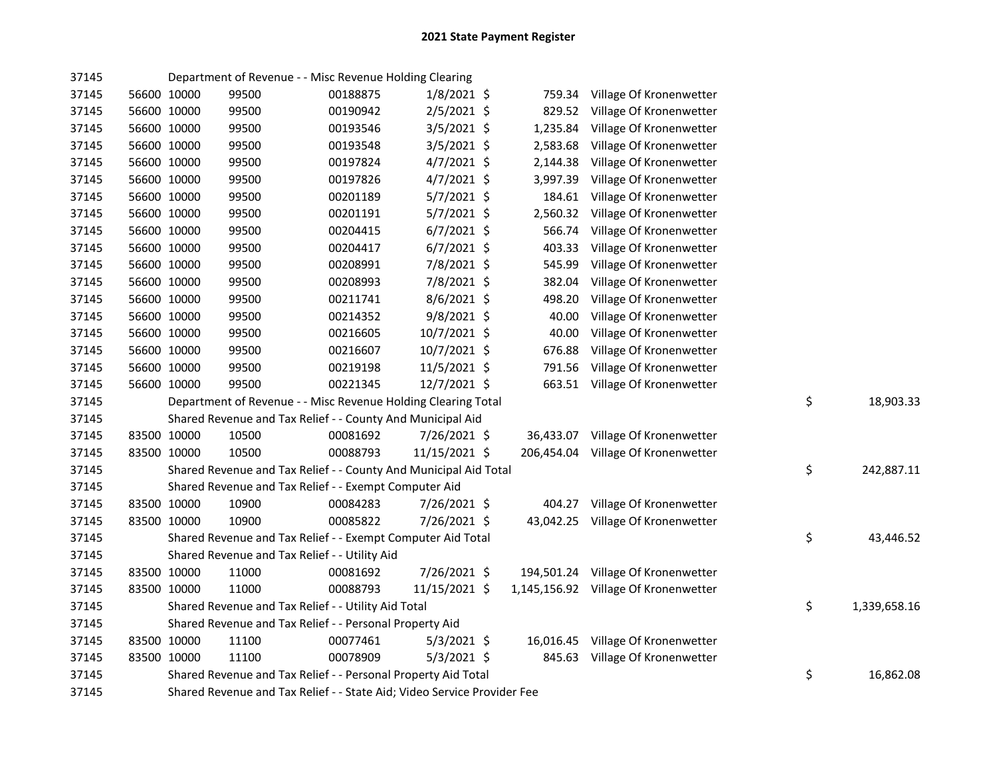| 37145 |             | Department of Revenue - - Misc Revenue Holding Clearing                 |          |               |            |                                      |                    |
|-------|-------------|-------------------------------------------------------------------------|----------|---------------|------------|--------------------------------------|--------------------|
| 37145 | 56600 10000 | 99500                                                                   | 00188875 | $1/8/2021$ \$ | 759.34     | Village Of Kronenwetter              |                    |
| 37145 | 56600 10000 | 99500                                                                   | 00190942 | $2/5/2021$ \$ | 829.52     | Village Of Kronenwetter              |                    |
| 37145 | 56600 10000 | 99500                                                                   | 00193546 | $3/5/2021$ \$ | 1,235.84   | Village Of Kronenwetter              |                    |
| 37145 | 56600 10000 | 99500                                                                   | 00193548 | 3/5/2021 \$   | 2,583.68   | Village Of Kronenwetter              |                    |
| 37145 | 56600 10000 | 99500                                                                   | 00197824 | $4/7/2021$ \$ | 2,144.38   | Village Of Kronenwetter              |                    |
| 37145 | 56600 10000 | 99500                                                                   | 00197826 | $4/7/2021$ \$ | 3,997.39   | Village Of Kronenwetter              |                    |
| 37145 | 56600 10000 | 99500                                                                   | 00201189 | $5/7/2021$ \$ | 184.61     | Village Of Kronenwetter              |                    |
| 37145 | 56600 10000 | 99500                                                                   | 00201191 | $5/7/2021$ \$ | 2,560.32   | Village Of Kronenwetter              |                    |
| 37145 | 56600 10000 | 99500                                                                   | 00204415 | $6/7/2021$ \$ | 566.74     | Village Of Kronenwetter              |                    |
| 37145 | 56600 10000 | 99500                                                                   | 00204417 | $6/7/2021$ \$ | 403.33     | Village Of Kronenwetter              |                    |
| 37145 | 56600 10000 | 99500                                                                   | 00208991 | 7/8/2021 \$   | 545.99     | Village Of Kronenwetter              |                    |
| 37145 | 56600 10000 | 99500                                                                   | 00208993 | 7/8/2021 \$   | 382.04     | Village Of Kronenwetter              |                    |
| 37145 | 56600 10000 | 99500                                                                   | 00211741 | $8/6/2021$ \$ | 498.20     | Village Of Kronenwetter              |                    |
| 37145 | 56600 10000 | 99500                                                                   | 00214352 | $9/8/2021$ \$ | 40.00      | Village Of Kronenwetter              |                    |
| 37145 | 56600 10000 | 99500                                                                   | 00216605 | 10/7/2021 \$  | 40.00      | Village Of Kronenwetter              |                    |
| 37145 | 56600 10000 | 99500                                                                   | 00216607 | 10/7/2021 \$  | 676.88     | Village Of Kronenwetter              |                    |
| 37145 | 56600 10000 | 99500                                                                   | 00219198 | 11/5/2021 \$  | 791.56     | Village Of Kronenwetter              |                    |
| 37145 | 56600 10000 | 99500                                                                   | 00221345 | 12/7/2021 \$  |            | 663.51 Village Of Kronenwetter       |                    |
| 37145 |             | Department of Revenue - - Misc Revenue Holding Clearing Total           |          |               |            |                                      | \$<br>18,903.33    |
| 37145 |             | Shared Revenue and Tax Relief - - County And Municipal Aid              |          |               |            |                                      |                    |
| 37145 | 83500 10000 | 10500                                                                   | 00081692 | 7/26/2021 \$  | 36,433.07  | Village Of Kronenwetter              |                    |
| 37145 | 83500 10000 | 10500                                                                   | 00088793 | 11/15/2021 \$ | 206,454.04 | Village Of Kronenwetter              |                    |
| 37145 |             | Shared Revenue and Tax Relief - - County And Municipal Aid Total        |          |               |            |                                      | \$<br>242,887.11   |
| 37145 |             | Shared Revenue and Tax Relief - - Exempt Computer Aid                   |          |               |            |                                      |                    |
| 37145 | 83500 10000 | 10900                                                                   | 00084283 | 7/26/2021 \$  |            | 404.27 Village Of Kronenwetter       |                    |
| 37145 | 83500 10000 | 10900                                                                   | 00085822 | 7/26/2021 \$  |            | 43,042.25 Village Of Kronenwetter    |                    |
| 37145 |             | Shared Revenue and Tax Relief - - Exempt Computer Aid Total             |          |               |            |                                      | \$<br>43,446.52    |
| 37145 |             | Shared Revenue and Tax Relief - - Utility Aid                           |          |               |            |                                      |                    |
| 37145 | 83500 10000 | 11000                                                                   | 00081692 | 7/26/2021 \$  |            | 194,501.24 Village Of Kronenwetter   |                    |
| 37145 | 83500 10000 | 11000                                                                   | 00088793 | 11/15/2021 \$ |            | 1,145,156.92 Village Of Kronenwetter |                    |
| 37145 |             | Shared Revenue and Tax Relief - - Utility Aid Total                     |          |               |            |                                      | \$<br>1,339,658.16 |
| 37145 |             | Shared Revenue and Tax Relief - - Personal Property Aid                 |          |               |            |                                      |                    |
| 37145 | 83500 10000 | 11100                                                                   | 00077461 | $5/3/2021$ \$ |            | 16,016.45 Village Of Kronenwetter    |                    |
| 37145 | 83500 10000 | 11100                                                                   | 00078909 | $5/3/2021$ \$ |            | 845.63 Village Of Kronenwetter       |                    |
| 37145 |             | Shared Revenue and Tax Relief - - Personal Property Aid Total           |          |               |            |                                      | \$<br>16,862.08    |
| 37145 |             | Shared Revenue and Tax Relief - - State Aid; Video Service Provider Fee |          |               |            |                                      |                    |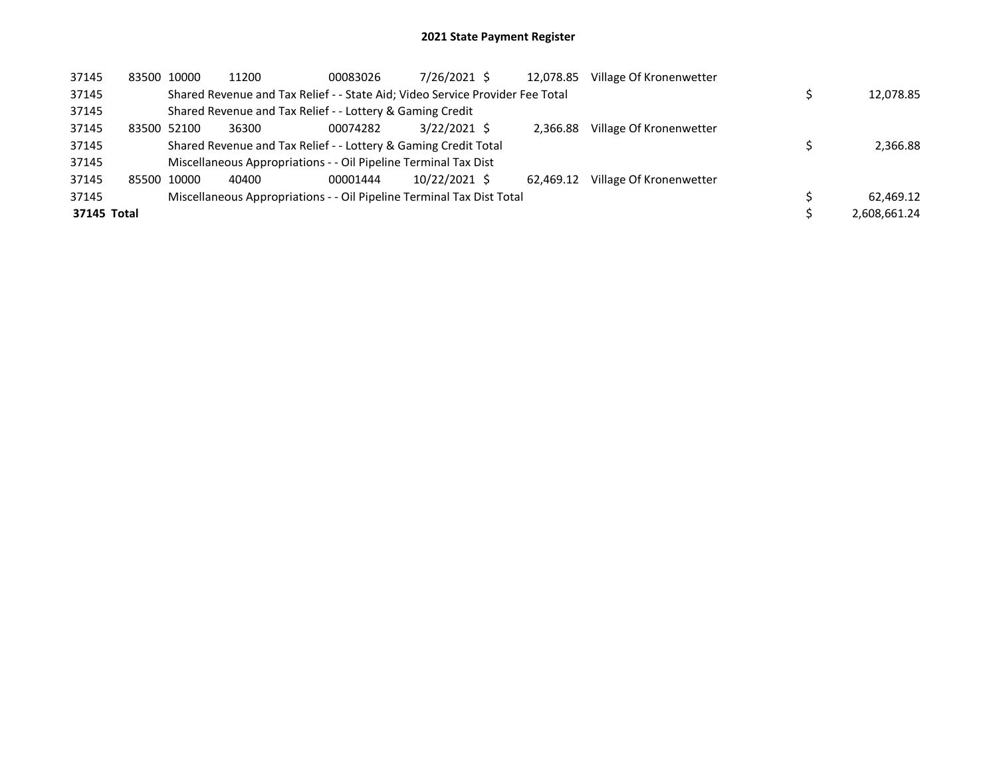| 37145       |       | 83500 10000 | 11200 | 00083026                                                                      | 7/26/2021 \$   | 12,078.85 | Village Of Kronenwetter |              |
|-------------|-------|-------------|-------|-------------------------------------------------------------------------------|----------------|-----------|-------------------------|--------------|
| 37145       |       |             |       | Shared Revenue and Tax Relief - - State Aid; Video Service Provider Fee Total |                |           |                         | 12,078.85    |
| 37145       |       |             |       | Shared Revenue and Tax Relief - - Lottery & Gaming Credit                     |                |           |                         |              |
| 37145       |       | 83500 52100 | 36300 | 00074282                                                                      | $3/22/2021$ \$ | 2.366.88  | Village Of Kronenwetter |              |
| 37145       |       |             |       | Shared Revenue and Tax Relief - - Lottery & Gaming Credit Total               |                |           |                         | 2,366.88     |
| 37145       |       |             |       | Miscellaneous Appropriations - - Oil Pipeline Terminal Tax Dist               |                |           |                         |              |
| 37145       | 85500 | 10000       | 40400 | 00001444                                                                      | 10/22/2021 \$  | 62.469.12 | Village Of Kronenwetter |              |
| 37145       |       |             |       | Miscellaneous Appropriations - - Oil Pipeline Terminal Tax Dist Total         |                |           |                         | 62.469.12    |
| 37145 Total |       |             |       |                                                                               |                |           |                         | 2.608.661.24 |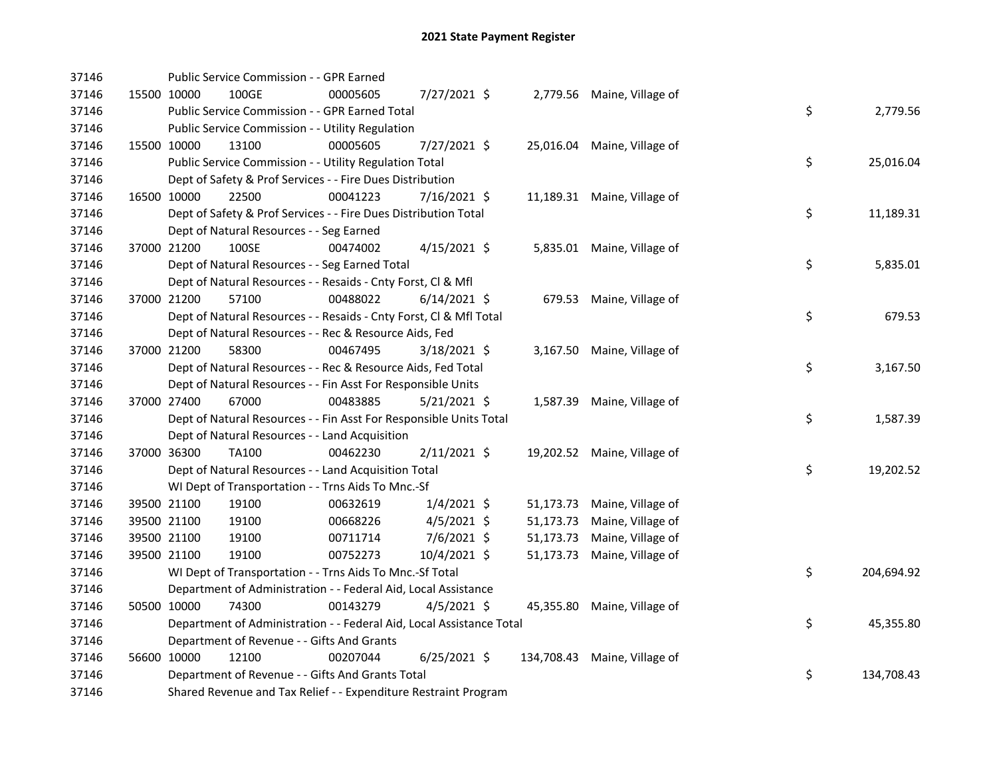| 37146 |             | Public Service Commission - - GPR Earned                             |          |                |           |                              |    |            |
|-------|-------------|----------------------------------------------------------------------|----------|----------------|-----------|------------------------------|----|------------|
| 37146 |             | 15500 10000<br>100GE                                                 | 00005605 | 7/27/2021 \$   |           | 2,779.56 Maine, Village of   |    |            |
| 37146 |             | Public Service Commission - - GPR Earned Total                       |          |                |           |                              | \$ | 2,779.56   |
| 37146 |             | Public Service Commission - - Utility Regulation                     |          |                |           |                              |    |            |
| 37146 | 15500 10000 | 13100                                                                | 00005605 | 7/27/2021 \$   |           | 25,016.04 Maine, Village of  |    |            |
| 37146 |             | Public Service Commission - - Utility Regulation Total               |          |                |           |                              | \$ | 25,016.04  |
| 37146 |             | Dept of Safety & Prof Services - - Fire Dues Distribution            |          |                |           |                              |    |            |
| 37146 | 16500 10000 | 22500                                                                | 00041223 | 7/16/2021 \$   |           | 11,189.31 Maine, Village of  |    |            |
| 37146 |             | Dept of Safety & Prof Services - - Fire Dues Distribution Total      |          |                |           |                              | \$ | 11,189.31  |
| 37146 |             | Dept of Natural Resources - - Seg Earned                             |          |                |           |                              |    |            |
| 37146 | 37000 21200 | 100SE                                                                | 00474002 | $4/15/2021$ \$ |           | 5,835.01 Maine, Village of   |    |            |
| 37146 |             | Dept of Natural Resources - - Seg Earned Total                       |          |                |           |                              | \$ | 5,835.01   |
| 37146 |             | Dept of Natural Resources - - Resaids - Cnty Forst, Cl & Mfl         |          |                |           |                              |    |            |
| 37146 |             | 37000 21200<br>57100                                                 | 00488022 | $6/14/2021$ \$ |           | 679.53 Maine, Village of     |    |            |
| 37146 |             | Dept of Natural Resources - - Resaids - Cnty Forst, Cl & Mfl Total   |          |                |           |                              | \$ | 679.53     |
| 37146 |             | Dept of Natural Resources - - Rec & Resource Aids, Fed               |          |                |           |                              |    |            |
| 37146 | 37000 21200 | 58300                                                                | 00467495 | $3/18/2021$ \$ |           | 3,167.50 Maine, Village of   |    |            |
| 37146 |             | Dept of Natural Resources - - Rec & Resource Aids, Fed Total         |          |                |           |                              | \$ | 3,167.50   |
| 37146 |             | Dept of Natural Resources - - Fin Asst For Responsible Units         |          |                |           |                              |    |            |
| 37146 | 37000 27400 | 67000                                                                | 00483885 | $5/21/2021$ \$ |           | 1,587.39 Maine, Village of   |    |            |
| 37146 |             | Dept of Natural Resources - - Fin Asst For Responsible Units Total   |          |                |           |                              | \$ | 1,587.39   |
| 37146 |             | Dept of Natural Resources - - Land Acquisition                       |          |                |           |                              |    |            |
| 37146 | 37000 36300 | <b>TA100</b>                                                         | 00462230 | $2/11/2021$ \$ |           | 19,202.52 Maine, Village of  |    |            |
| 37146 |             | Dept of Natural Resources - - Land Acquisition Total                 |          |                |           |                              | \$ | 19,202.52  |
| 37146 |             | WI Dept of Transportation - - Trns Aids To Mnc.-Sf                   |          |                |           |                              |    |            |
| 37146 |             | 19100<br>39500 21100                                                 | 00632619 | $1/4/2021$ \$  |           | 51,173.73 Maine, Village of  |    |            |
| 37146 | 39500 21100 | 19100                                                                | 00668226 | 4/5/2021 \$    | 51,173.73 | Maine, Village of            |    |            |
| 37146 | 39500 21100 | 19100                                                                | 00711714 | $7/6/2021$ \$  | 51,173.73 | Maine, Village of            |    |            |
| 37146 | 39500 21100 | 19100                                                                | 00752273 | 10/4/2021 \$   |           | 51,173.73 Maine, Village of  |    |            |
| 37146 |             | WI Dept of Transportation - - Trns Aids To Mnc.-Sf Total             |          |                |           |                              | \$ | 204,694.92 |
| 37146 |             | Department of Administration - - Federal Aid, Local Assistance       |          |                |           |                              |    |            |
| 37146 | 50500 10000 | 74300                                                                | 00143279 | $4/5/2021$ \$  |           | 45,355.80 Maine, Village of  |    |            |
| 37146 |             | Department of Administration - - Federal Aid, Local Assistance Total |          |                |           |                              | \$ | 45,355.80  |
| 37146 |             | Department of Revenue - - Gifts And Grants                           |          |                |           |                              |    |            |
| 37146 | 56600 10000 | 12100                                                                | 00207044 | $6/25/2021$ \$ |           | 134,708.43 Maine, Village of |    |            |
| 37146 |             | Department of Revenue - - Gifts And Grants Total                     |          |                |           |                              | \$ | 134,708.43 |
| 37146 |             | Shared Revenue and Tax Relief - - Expenditure Restraint Program      |          |                |           |                              |    |            |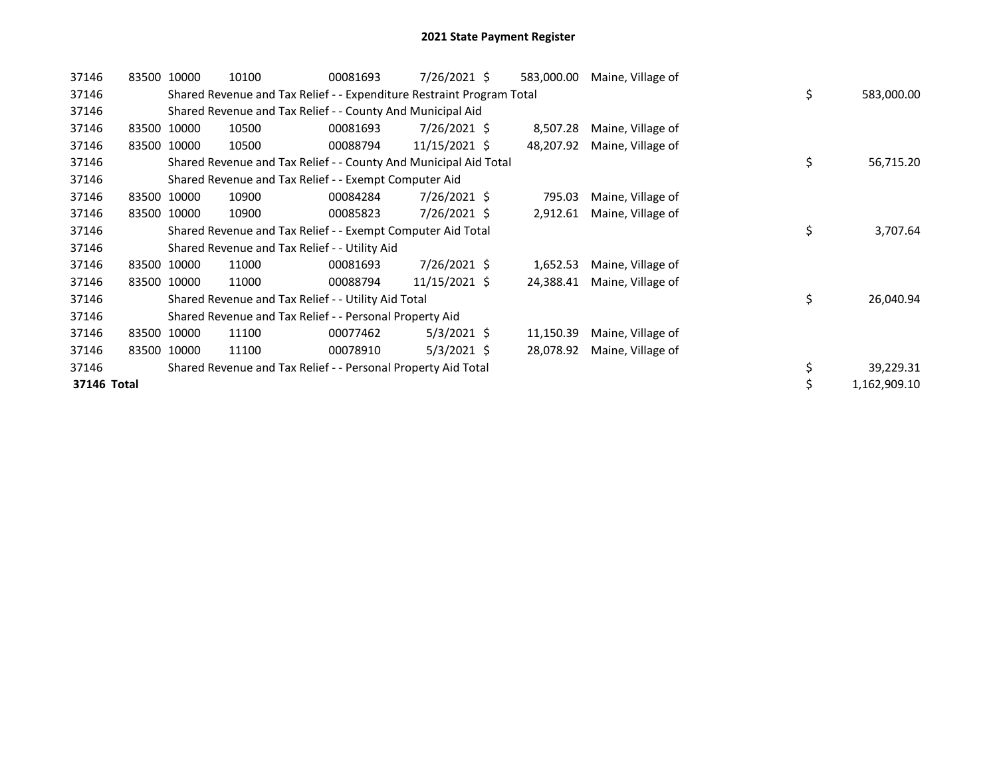| 37146       | 83500 10000 | 10100                                                                 | 00081693 | $7/26/2021$ \$ | 583,000.00 | Maine, Village of |    |              |
|-------------|-------------|-----------------------------------------------------------------------|----------|----------------|------------|-------------------|----|--------------|
| 37146       |             | Shared Revenue and Tax Relief - - Expenditure Restraint Program Total |          |                |            |                   | \$ | 583,000.00   |
| 37146       |             | Shared Revenue and Tax Relief - - County And Municipal Aid            |          |                |            |                   |    |              |
| 37146       | 83500 10000 | 10500                                                                 | 00081693 | 7/26/2021 \$   | 8,507.28   | Maine, Village of |    |              |
| 37146       | 83500 10000 | 10500                                                                 | 00088794 | 11/15/2021 \$  | 48,207.92  | Maine, Village of |    |              |
| 37146       |             | Shared Revenue and Tax Relief - - County And Municipal Aid Total      |          |                |            |                   | \$ | 56,715.20    |
| 37146       |             | Shared Revenue and Tax Relief - - Exempt Computer Aid                 |          |                |            |                   |    |              |
| 37146       | 83500 10000 | 10900                                                                 | 00084284 | $7/26/2021$ \$ | 795.03     | Maine, Village of |    |              |
| 37146       | 83500 10000 | 10900                                                                 | 00085823 | $7/26/2021$ \$ | 2,912.61   | Maine, Village of |    |              |
| 37146       |             | Shared Revenue and Tax Relief - - Exempt Computer Aid Total           |          |                |            |                   | \$ | 3,707.64     |
| 37146       |             | Shared Revenue and Tax Relief - - Utility Aid                         |          |                |            |                   |    |              |
| 37146       | 83500 10000 | 11000                                                                 | 00081693 | $7/26/2021$ \$ | 1,652.53   | Maine, Village of |    |              |
| 37146       | 83500 10000 | 11000                                                                 | 00088794 | 11/15/2021 \$  | 24,388.41  | Maine, Village of |    |              |
| 37146       |             | Shared Revenue and Tax Relief - - Utility Aid Total                   |          |                |            |                   | \$ | 26,040.94    |
| 37146       |             | Shared Revenue and Tax Relief - - Personal Property Aid               |          |                |            |                   |    |              |
| 37146       | 83500 10000 | 11100                                                                 | 00077462 | $5/3/2021$ \$  | 11,150.39  | Maine, Village of |    |              |
| 37146       | 83500 10000 | 11100                                                                 | 00078910 | $5/3/2021$ \$  | 28,078.92  | Maine, Village of |    |              |
| 37146       |             | Shared Revenue and Tax Relief - - Personal Property Aid Total         |          |                |            |                   | \$ | 39,229.31    |
| 37146 Total |             |                                                                       |          |                |            |                   |    | 1,162,909.10 |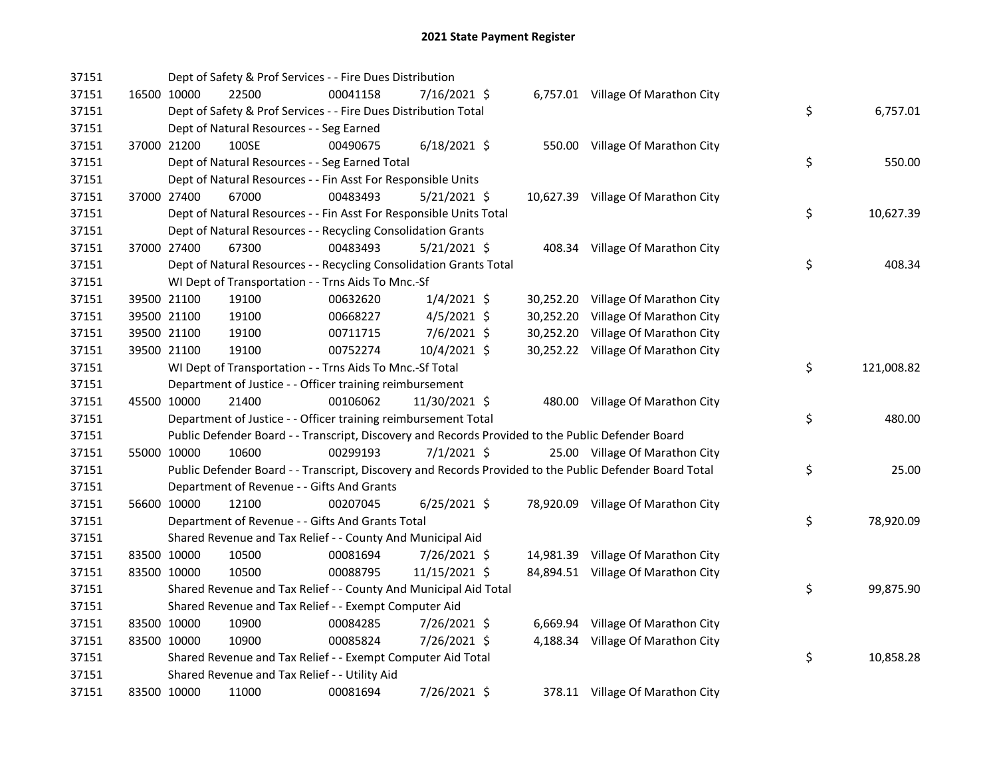| 37151 |             | Dept of Safety & Prof Services - - Fire Dues Distribution          |          |                |           |                                                                                                         |    |            |
|-------|-------------|--------------------------------------------------------------------|----------|----------------|-----------|---------------------------------------------------------------------------------------------------------|----|------------|
| 37151 | 16500 10000 | 22500                                                              | 00041158 | 7/16/2021 \$   |           | 6,757.01 Village Of Marathon City                                                                       |    |            |
| 37151 |             | Dept of Safety & Prof Services - - Fire Dues Distribution Total    |          |                |           |                                                                                                         | \$ | 6,757.01   |
| 37151 |             | Dept of Natural Resources - - Seg Earned                           |          |                |           |                                                                                                         |    |            |
| 37151 | 37000 21200 | 100SE                                                              | 00490675 | $6/18/2021$ \$ |           | 550.00 Village Of Marathon City                                                                         |    |            |
| 37151 |             | Dept of Natural Resources - - Seg Earned Total                     |          |                |           |                                                                                                         | \$ | 550.00     |
| 37151 |             | Dept of Natural Resources - - Fin Asst For Responsible Units       |          |                |           |                                                                                                         |    |            |
| 37151 | 37000 27400 | 67000                                                              | 00483493 | $5/21/2021$ \$ |           | 10,627.39 Village Of Marathon City                                                                      |    |            |
| 37151 |             | Dept of Natural Resources - - Fin Asst For Responsible Units Total |          |                |           |                                                                                                         | \$ | 10,627.39  |
| 37151 |             | Dept of Natural Resources - - Recycling Consolidation Grants       |          |                |           |                                                                                                         |    |            |
| 37151 | 37000 27400 | 67300                                                              | 00483493 | $5/21/2021$ \$ |           | 408.34 Village Of Marathon City                                                                         |    |            |
| 37151 |             | Dept of Natural Resources - - Recycling Consolidation Grants Total |          |                |           |                                                                                                         | \$ | 408.34     |
| 37151 |             | WI Dept of Transportation - - Trns Aids To Mnc.-Sf                 |          |                |           |                                                                                                         |    |            |
| 37151 | 39500 21100 | 19100                                                              | 00632620 | $1/4/2021$ \$  |           | 30,252.20 Village Of Marathon City                                                                      |    |            |
| 37151 | 39500 21100 | 19100                                                              | 00668227 | $4/5/2021$ \$  | 30,252.20 | Village Of Marathon City                                                                                |    |            |
| 37151 | 39500 21100 | 19100                                                              | 00711715 | 7/6/2021 \$    | 30,252.20 | Village Of Marathon City                                                                                |    |            |
| 37151 | 39500 21100 | 19100                                                              | 00752274 | 10/4/2021 \$   |           | 30,252.22 Village Of Marathon City                                                                      |    |            |
| 37151 |             | WI Dept of Transportation - - Trns Aids To Mnc.-Sf Total           |          |                |           |                                                                                                         | \$ | 121,008.82 |
| 37151 |             | Department of Justice - - Officer training reimbursement           |          |                |           |                                                                                                         |    |            |
| 37151 | 45500 10000 | 21400                                                              | 00106062 | 11/30/2021 \$  |           | 480.00 Village Of Marathon City                                                                         |    |            |
| 37151 |             | Department of Justice - - Officer training reimbursement Total     |          |                |           |                                                                                                         | \$ | 480.00     |
| 37151 |             |                                                                    |          |                |           | Public Defender Board - - Transcript, Discovery and Records Provided to the Public Defender Board       |    |            |
| 37151 | 55000 10000 | 10600                                                              | 00299193 | $7/1/2021$ \$  |           | 25.00 Village Of Marathon City                                                                          |    |            |
| 37151 |             |                                                                    |          |                |           | Public Defender Board - - Transcript, Discovery and Records Provided to the Public Defender Board Total | \$ | 25.00      |
| 37151 |             | Department of Revenue - - Gifts And Grants                         |          |                |           |                                                                                                         |    |            |
| 37151 | 56600 10000 | 12100                                                              | 00207045 | $6/25/2021$ \$ |           | 78,920.09 Village Of Marathon City                                                                      |    |            |
| 37151 |             | Department of Revenue - - Gifts And Grants Total                   |          |                |           |                                                                                                         | \$ | 78,920.09  |
| 37151 |             | Shared Revenue and Tax Relief - - County And Municipal Aid         |          |                |           |                                                                                                         |    |            |
| 37151 | 83500 10000 | 10500                                                              | 00081694 | 7/26/2021 \$   |           | 14,981.39 Village Of Marathon City                                                                      |    |            |
| 37151 | 83500 10000 | 10500                                                              | 00088795 | 11/15/2021 \$  |           | 84,894.51 Village Of Marathon City                                                                      |    |            |
| 37151 |             | Shared Revenue and Tax Relief - - County And Municipal Aid Total   |          |                |           |                                                                                                         | \$ | 99,875.90  |
| 37151 |             | Shared Revenue and Tax Relief - - Exempt Computer Aid              |          |                |           |                                                                                                         |    |            |
| 37151 | 83500 10000 | 10900                                                              | 00084285 | 7/26/2021 \$   |           | 6,669.94 Village Of Marathon City                                                                       |    |            |
| 37151 | 83500 10000 | 10900                                                              | 00085824 | 7/26/2021 \$   |           | 4,188.34 Village Of Marathon City                                                                       |    |            |
| 37151 |             | Shared Revenue and Tax Relief - - Exempt Computer Aid Total        |          |                |           |                                                                                                         | \$ | 10,858.28  |
| 37151 |             | Shared Revenue and Tax Relief - - Utility Aid                      |          |                |           |                                                                                                         |    |            |
| 37151 | 83500 10000 | 11000                                                              | 00081694 | 7/26/2021 \$   |           | 378.11 Village Of Marathon City                                                                         |    |            |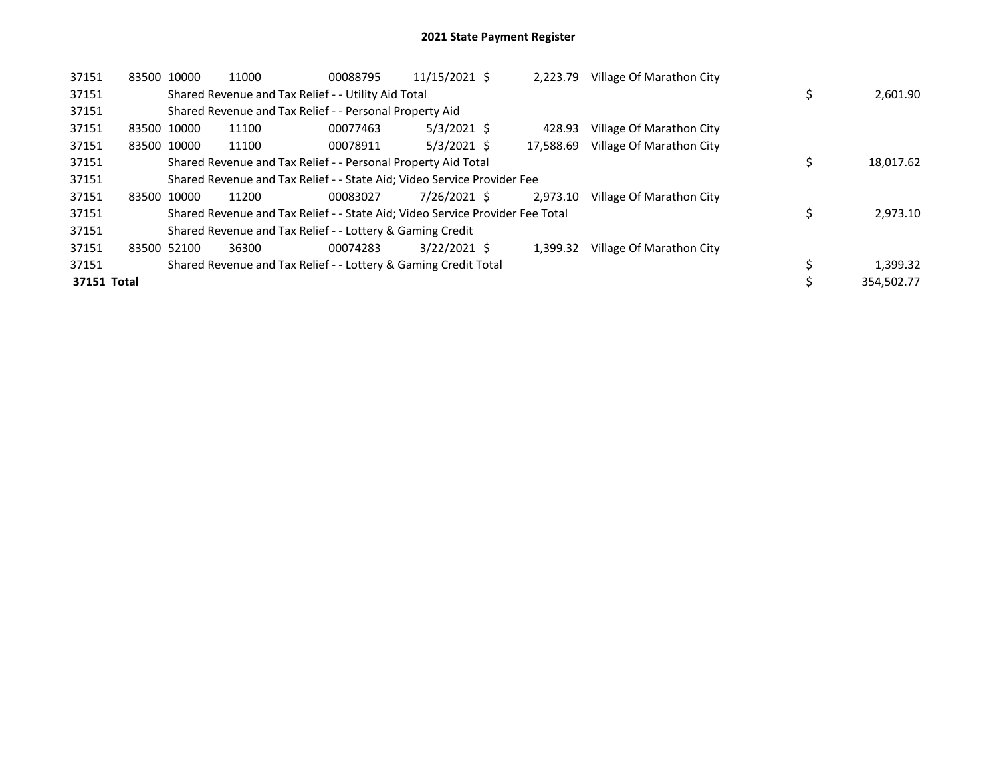| 37151       | 83500 10000 | 11000                                                                         | 00088795 | 11/15/2021 \$  | 2,223.79  | Village Of Marathon City |            |
|-------------|-------------|-------------------------------------------------------------------------------|----------|----------------|-----------|--------------------------|------------|
| 37151       |             | Shared Revenue and Tax Relief - - Utility Aid Total                           |          |                |           |                          | 2,601.90   |
| 37151       |             | Shared Revenue and Tax Relief - - Personal Property Aid                       |          |                |           |                          |            |
| 37151       | 83500 10000 | 11100                                                                         | 00077463 | $5/3/2021$ \$  | 428.93    | Village Of Marathon City |            |
| 37151       | 83500 10000 | 11100                                                                         | 00078911 | $5/3/2021$ \$  | 17.588.69 | Village Of Marathon City |            |
| 37151       |             | Shared Revenue and Tax Relief - - Personal Property Aid Total                 |          |                |           |                          | 18,017.62  |
| 37151       |             | Shared Revenue and Tax Relief - - State Aid; Video Service Provider Fee       |          |                |           |                          |            |
| 37151       | 83500 10000 | 11200                                                                         | 00083027 | 7/26/2021 \$   | 2.973.10  | Village Of Marathon City |            |
| 37151       |             | Shared Revenue and Tax Relief - - State Aid; Video Service Provider Fee Total |          |                |           |                          | 2,973.10   |
| 37151       |             | Shared Revenue and Tax Relief - - Lottery & Gaming Credit                     |          |                |           |                          |            |
| 37151       | 83500 52100 | 36300                                                                         | 00074283 | $3/22/2021$ \$ | 1.399.32  | Village Of Marathon City |            |
| 37151       |             | Shared Revenue and Tax Relief - - Lottery & Gaming Credit Total               |          |                |           |                          | 1,399.32   |
| 37151 Total |             |                                                                               |          |                |           |                          | 354.502.77 |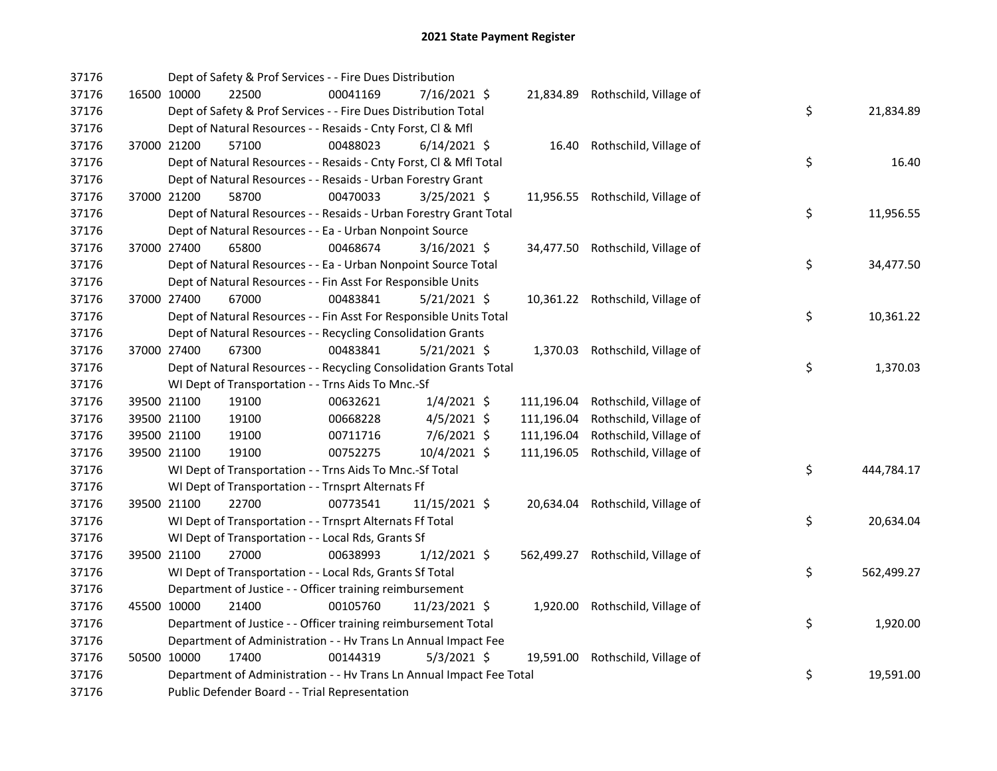| 37176 |             | Dept of Safety & Prof Services - - Fire Dues Distribution            |          |                |            |                                   |    |            |
|-------|-------------|----------------------------------------------------------------------|----------|----------------|------------|-----------------------------------|----|------------|
| 37176 | 16500 10000 | 22500                                                                | 00041169 | 7/16/2021 \$   |            | 21,834.89 Rothschild, Village of  |    |            |
| 37176 |             | Dept of Safety & Prof Services - - Fire Dues Distribution Total      |          |                |            |                                   | \$ | 21,834.89  |
| 37176 |             | Dept of Natural Resources - - Resaids - Cnty Forst, Cl & Mfl         |          |                |            |                                   |    |            |
| 37176 | 37000 21200 | 57100                                                                | 00488023 | $6/14/2021$ \$ |            | 16.40 Rothschild, Village of      |    |            |
| 37176 |             | Dept of Natural Resources - - Resaids - Cnty Forst, Cl & Mfl Total   |          |                |            |                                   | \$ | 16.40      |
| 37176 |             | Dept of Natural Resources - - Resaids - Urban Forestry Grant         |          |                |            |                                   |    |            |
| 37176 | 37000 21200 | 58700                                                                | 00470033 | $3/25/2021$ \$ |            | 11,956.55 Rothschild, Village of  |    |            |
| 37176 |             | Dept of Natural Resources - - Resaids - Urban Forestry Grant Total   |          |                |            |                                   | \$ | 11,956.55  |
| 37176 |             | Dept of Natural Resources - - Ea - Urban Nonpoint Source             |          |                |            |                                   |    |            |
| 37176 | 37000 27400 | 65800                                                                | 00468674 | $3/16/2021$ \$ |            | 34,477.50 Rothschild, Village of  |    |            |
| 37176 |             | Dept of Natural Resources - - Ea - Urban Nonpoint Source Total       |          |                |            |                                   | \$ | 34,477.50  |
| 37176 |             | Dept of Natural Resources - - Fin Asst For Responsible Units         |          |                |            |                                   |    |            |
| 37176 | 37000 27400 | 67000                                                                | 00483841 | 5/21/2021 \$   |            | 10,361.22 Rothschild, Village of  |    |            |
| 37176 |             | Dept of Natural Resources - - Fin Asst For Responsible Units Total   |          |                |            |                                   | \$ | 10,361.22  |
| 37176 |             | Dept of Natural Resources - - Recycling Consolidation Grants         |          |                |            |                                   |    |            |
| 37176 | 37000 27400 | 67300                                                                | 00483841 | $5/21/2021$ \$ |            | 1,370.03 Rothschild, Village of   |    |            |
| 37176 |             | Dept of Natural Resources - - Recycling Consolidation Grants Total   |          |                |            |                                   | \$ | 1,370.03   |
| 37176 |             | WI Dept of Transportation - - Trns Aids To Mnc.-Sf                   |          |                |            |                                   |    |            |
| 37176 | 39500 21100 | 19100                                                                | 00632621 | $1/4/2021$ \$  | 111,196.04 | Rothschild, Village of            |    |            |
| 37176 | 39500 21100 | 19100                                                                | 00668228 | 4/5/2021 \$    | 111,196.04 | Rothschild, Village of            |    |            |
| 37176 | 39500 21100 | 19100                                                                | 00711716 | 7/6/2021 \$    | 111,196.04 | Rothschild, Village of            |    |            |
| 37176 | 39500 21100 | 19100                                                                | 00752275 | 10/4/2021 \$   | 111,196.05 | Rothschild, Village of            |    |            |
| 37176 |             | WI Dept of Transportation - - Trns Aids To Mnc.-Sf Total             |          |                |            |                                   | \$ | 444,784.17 |
| 37176 |             | WI Dept of Transportation - - Trnsprt Alternats Ff                   |          |                |            |                                   |    |            |
| 37176 | 39500 21100 | 22700                                                                | 00773541 | 11/15/2021 \$  |            | 20,634.04 Rothschild, Village of  |    |            |
| 37176 |             | WI Dept of Transportation - - Trnsprt Alternats Ff Total             |          |                |            |                                   | \$ | 20,634.04  |
| 37176 |             | WI Dept of Transportation - - Local Rds, Grants Sf                   |          |                |            |                                   |    |            |
| 37176 | 39500 21100 | 27000                                                                | 00638993 | $1/12/2021$ \$ |            | 562,499.27 Rothschild, Village of |    |            |
| 37176 |             | WI Dept of Transportation - - Local Rds, Grants Sf Total             |          |                |            |                                   | \$ | 562,499.27 |
| 37176 |             | Department of Justice - - Officer training reimbursement             |          |                |            |                                   |    |            |
| 37176 | 45500 10000 | 21400                                                                | 00105760 | 11/23/2021 \$  |            | 1,920.00 Rothschild, Village of   |    |            |
| 37176 |             | Department of Justice - - Officer training reimbursement Total       |          |                |            |                                   | \$ | 1,920.00   |
| 37176 |             | Department of Administration - - Hv Trans Ln Annual Impact Fee       |          |                |            |                                   |    |            |
| 37176 | 50500 10000 | 17400                                                                | 00144319 | $5/3/2021$ \$  |            | 19,591.00 Rothschild, Village of  |    |            |
| 37176 |             | Department of Administration - - Hv Trans Ln Annual Impact Fee Total |          |                |            |                                   | \$ | 19,591.00  |
| 37176 |             | Public Defender Board - - Trial Representation                       |          |                |            |                                   |    |            |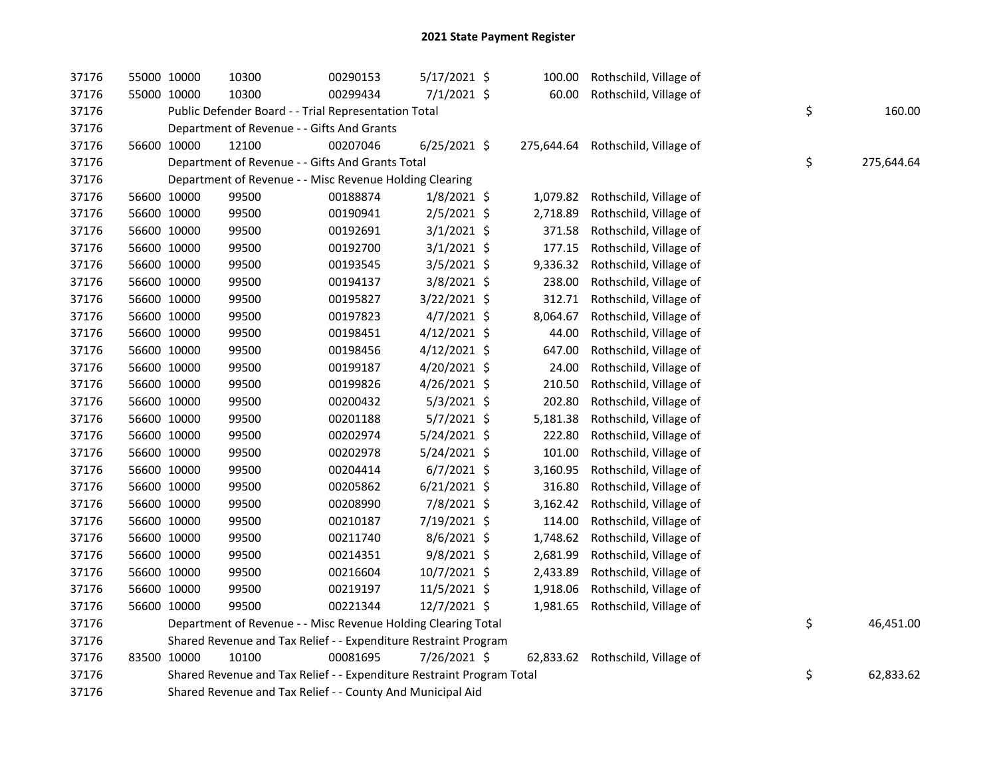| 37176 | 55000 10000 |             | 10300                                                                 | 00290153 | 5/17/2021 \$   | 100.00   | Rothschild, Village of            |    |            |
|-------|-------------|-------------|-----------------------------------------------------------------------|----------|----------------|----------|-----------------------------------|----|------------|
| 37176 |             | 55000 10000 | 10300                                                                 | 00299434 | 7/1/2021 \$    | 60.00    | Rothschild, Village of            |    |            |
| 37176 |             |             | Public Defender Board - - Trial Representation Total                  |          |                |          |                                   | \$ | 160.00     |
| 37176 |             |             | Department of Revenue - - Gifts And Grants                            |          |                |          |                                   |    |            |
| 37176 |             | 56600 10000 | 12100                                                                 | 00207046 | $6/25/2021$ \$ |          | 275,644.64 Rothschild, Village of |    |            |
| 37176 |             |             | Department of Revenue - - Gifts And Grants Total                      |          |                |          |                                   | \$ | 275,644.64 |
| 37176 |             |             | Department of Revenue - - Misc Revenue Holding Clearing               |          |                |          |                                   |    |            |
| 37176 |             | 56600 10000 | 99500                                                                 | 00188874 | $1/8/2021$ \$  | 1,079.82 | Rothschild, Village of            |    |            |
| 37176 |             | 56600 10000 | 99500                                                                 | 00190941 | 2/5/2021 \$    | 2,718.89 | Rothschild, Village of            |    |            |
| 37176 |             | 56600 10000 | 99500                                                                 | 00192691 | $3/1/2021$ \$  | 371.58   | Rothschild, Village of            |    |            |
| 37176 |             | 56600 10000 | 99500                                                                 | 00192700 | $3/1/2021$ \$  | 177.15   | Rothschild, Village of            |    |            |
| 37176 |             | 56600 10000 | 99500                                                                 | 00193545 | $3/5/2021$ \$  | 9,336.32 | Rothschild, Village of            |    |            |
| 37176 |             | 56600 10000 | 99500                                                                 | 00194137 | 3/8/2021 \$    | 238.00   | Rothschild, Village of            |    |            |
| 37176 |             | 56600 10000 | 99500                                                                 | 00195827 | 3/22/2021 \$   | 312.71   | Rothschild, Village of            |    |            |
| 37176 |             | 56600 10000 | 99500                                                                 | 00197823 | $4/7/2021$ \$  | 8,064.67 | Rothschild, Village of            |    |            |
| 37176 |             | 56600 10000 | 99500                                                                 | 00198451 | $4/12/2021$ \$ | 44.00    | Rothschild, Village of            |    |            |
| 37176 |             | 56600 10000 | 99500                                                                 | 00198456 | $4/12/2021$ \$ | 647.00   | Rothschild, Village of            |    |            |
| 37176 |             | 56600 10000 | 99500                                                                 | 00199187 | 4/20/2021 \$   | 24.00    | Rothschild, Village of            |    |            |
| 37176 |             | 56600 10000 | 99500                                                                 | 00199826 | 4/26/2021 \$   | 210.50   | Rothschild, Village of            |    |            |
| 37176 |             | 56600 10000 | 99500                                                                 | 00200432 | $5/3/2021$ \$  | 202.80   | Rothschild, Village of            |    |            |
| 37176 |             | 56600 10000 | 99500                                                                 | 00201188 | $5/7/2021$ \$  | 5,181.38 | Rothschild, Village of            |    |            |
| 37176 |             | 56600 10000 | 99500                                                                 | 00202974 | 5/24/2021 \$   | 222.80   | Rothschild, Village of            |    |            |
| 37176 |             | 56600 10000 | 99500                                                                 | 00202978 | 5/24/2021 \$   | 101.00   | Rothschild, Village of            |    |            |
| 37176 |             | 56600 10000 | 99500                                                                 | 00204414 | $6/7/2021$ \$  | 3,160.95 | Rothschild, Village of            |    |            |
| 37176 |             | 56600 10000 | 99500                                                                 | 00205862 | $6/21/2021$ \$ | 316.80   | Rothschild, Village of            |    |            |
| 37176 | 56600 10000 |             | 99500                                                                 | 00208990 | 7/8/2021 \$    | 3,162.42 | Rothschild, Village of            |    |            |
| 37176 |             | 56600 10000 | 99500                                                                 | 00210187 | 7/19/2021 \$   | 114.00   | Rothschild, Village of            |    |            |
| 37176 |             | 56600 10000 | 99500                                                                 | 00211740 | $8/6/2021$ \$  | 1,748.62 | Rothschild, Village of            |    |            |
| 37176 |             | 56600 10000 | 99500                                                                 | 00214351 | 9/8/2021 \$    | 2,681.99 | Rothschild, Village of            |    |            |
| 37176 |             | 56600 10000 | 99500                                                                 | 00216604 | 10/7/2021 \$   | 2,433.89 | Rothschild, Village of            |    |            |
| 37176 |             | 56600 10000 | 99500                                                                 | 00219197 | 11/5/2021 \$   | 1,918.06 | Rothschild, Village of            |    |            |
| 37176 |             | 56600 10000 | 99500                                                                 | 00221344 | 12/7/2021 \$   | 1,981.65 | Rothschild, Village of            |    |            |
| 37176 |             |             | Department of Revenue - - Misc Revenue Holding Clearing Total         |          |                |          |                                   | \$ | 46,451.00  |
| 37176 |             |             | Shared Revenue and Tax Relief - - Expenditure Restraint Program       |          |                |          |                                   |    |            |
| 37176 | 83500 10000 |             | 10100                                                                 | 00081695 | 7/26/2021 \$   |          | 62,833.62 Rothschild, Village of  |    |            |
| 37176 |             |             | Shared Revenue and Tax Relief - - Expenditure Restraint Program Total |          |                |          |                                   | \$ | 62,833.62  |
| 37176 |             |             | Shared Revenue and Tax Relief - - County And Municipal Aid            |          |                |          |                                   |    |            |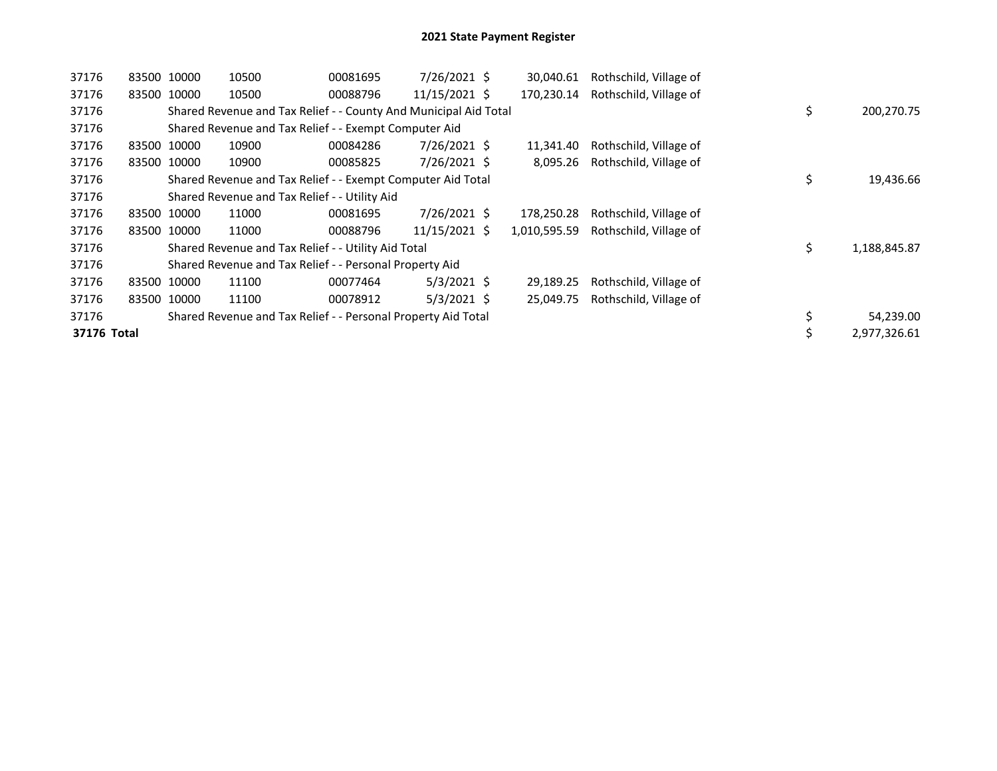| 37176       |       | 83500 10000 | 10500                                                            | 00081695 | 7/26/2021 \$  | 30,040.61    | Rothschild, Village of |    |              |
|-------------|-------|-------------|------------------------------------------------------------------|----------|---------------|--------------|------------------------|----|--------------|
| 37176       |       | 83500 10000 | 10500                                                            | 00088796 | 11/15/2021 \$ | 170,230.14   | Rothschild, Village of |    |              |
| 37176       |       |             | Shared Revenue and Tax Relief - - County And Municipal Aid Total |          |               |              |                        | \$ | 200,270.75   |
| 37176       |       |             | Shared Revenue and Tax Relief - - Exempt Computer Aid            |          |               |              |                        |    |              |
| 37176       |       | 83500 10000 | 10900                                                            | 00084286 | 7/26/2021 \$  | 11,341.40    | Rothschild, Village of |    |              |
| 37176       |       | 83500 10000 | 10900                                                            | 00085825 | 7/26/2021 \$  | 8,095.26     | Rothschild, Village of |    |              |
| 37176       |       |             | Shared Revenue and Tax Relief - - Exempt Computer Aid Total      |          |               |              |                        | \$ | 19,436.66    |
| 37176       |       |             | Shared Revenue and Tax Relief - - Utility Aid                    |          |               |              |                        |    |              |
| 37176       |       | 83500 10000 | 11000                                                            | 00081695 | 7/26/2021 \$  | 178,250.28   | Rothschild, Village of |    |              |
| 37176       |       | 83500 10000 | 11000                                                            | 00088796 | 11/15/2021 \$ | 1,010,595.59 | Rothschild, Village of |    |              |
| 37176       |       |             | Shared Revenue and Tax Relief - - Utility Aid Total              |          |               |              |                        | \$ | 1,188,845.87 |
| 37176       |       |             | Shared Revenue and Tax Relief - - Personal Property Aid          |          |               |              |                        |    |              |
| 37176       | 83500 | 10000       | 11100                                                            | 00077464 | $5/3/2021$ \$ | 29,189.25    | Rothschild, Village of |    |              |
| 37176       |       | 83500 10000 | 11100                                                            | 00078912 | $5/3/2021$ \$ | 25,049.75    | Rothschild, Village of |    |              |
| 37176       |       |             | Shared Revenue and Tax Relief - - Personal Property Aid Total    |          |               |              |                        | \$ | 54,239.00    |
| 37176 Total |       |             |                                                                  |          |               |              |                        | \$ | 2,977,326.61 |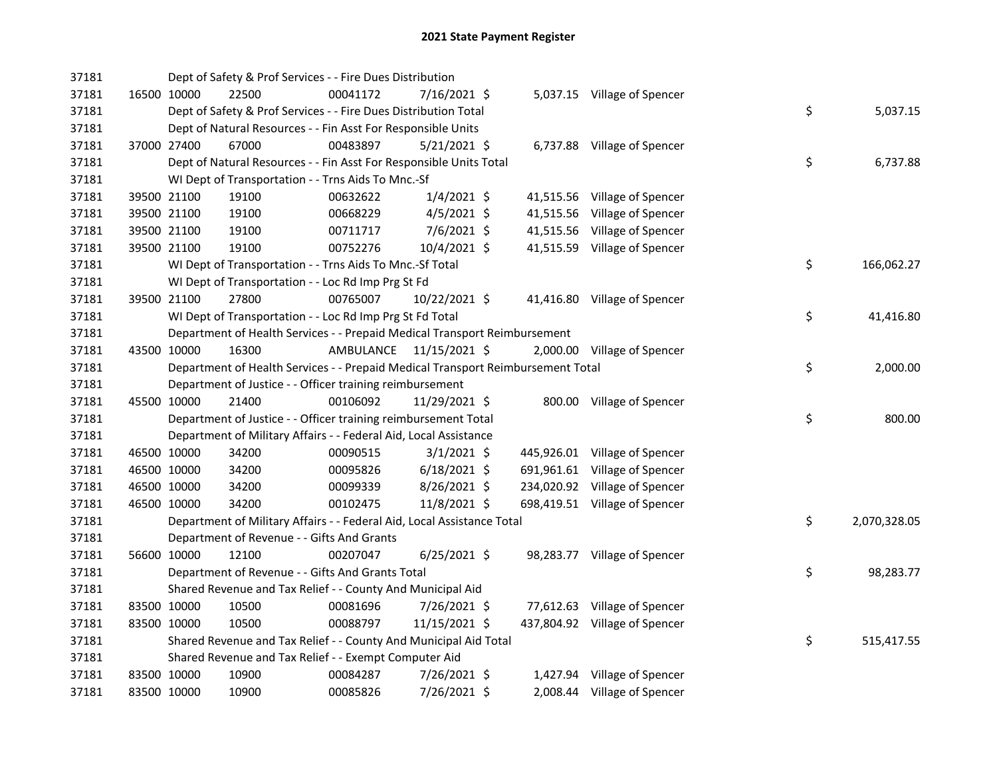| 37181 |             | Dept of Safety & Prof Services - - Fire Dues Distribution                       |           |                |  |                               |    |              |
|-------|-------------|---------------------------------------------------------------------------------|-----------|----------------|--|-------------------------------|----|--------------|
| 37181 | 16500 10000 | 22500                                                                           | 00041172  | 7/16/2021 \$   |  | 5,037.15 Village of Spencer   |    |              |
| 37181 |             | Dept of Safety & Prof Services - - Fire Dues Distribution Total                 |           |                |  |                               | \$ | 5,037.15     |
| 37181 |             | Dept of Natural Resources - - Fin Asst For Responsible Units                    |           |                |  |                               |    |              |
| 37181 | 37000 27400 | 67000                                                                           | 00483897  | 5/21/2021 \$   |  | 6,737.88 Village of Spencer   |    |              |
| 37181 |             | Dept of Natural Resources - - Fin Asst For Responsible Units Total              |           |                |  |                               | \$ | 6,737.88     |
| 37181 |             | WI Dept of Transportation - - Trns Aids To Mnc.-Sf                              |           |                |  |                               |    |              |
| 37181 | 39500 21100 | 19100                                                                           | 00632622  | $1/4/2021$ \$  |  | 41,515.56 Village of Spencer  |    |              |
| 37181 | 39500 21100 | 19100                                                                           | 00668229  | $4/5/2021$ \$  |  | 41,515.56 Village of Spencer  |    |              |
| 37181 | 39500 21100 | 19100                                                                           | 00711717  | $7/6/2021$ \$  |  | 41,515.56 Village of Spencer  |    |              |
| 37181 | 39500 21100 | 19100                                                                           | 00752276  | 10/4/2021 \$   |  | 41,515.59 Village of Spencer  |    |              |
| 37181 |             | WI Dept of Transportation - - Trns Aids To Mnc.-Sf Total                        |           |                |  |                               | \$ | 166,062.27   |
| 37181 |             | WI Dept of Transportation - - Loc Rd Imp Prg St Fd                              |           |                |  |                               |    |              |
| 37181 | 39500 21100 | 27800                                                                           | 00765007  | 10/22/2021 \$  |  | 41,416.80 Village of Spencer  |    |              |
| 37181 |             | WI Dept of Transportation - - Loc Rd Imp Prg St Fd Total                        |           |                |  |                               | \$ | 41,416.80    |
| 37181 |             | Department of Health Services - - Prepaid Medical Transport Reimbursement       |           |                |  |                               |    |              |
| 37181 | 43500 10000 | 16300                                                                           | AMBULANCE | 11/15/2021 \$  |  | 2,000.00 Village of Spencer   |    |              |
| 37181 |             | Department of Health Services - - Prepaid Medical Transport Reimbursement Total |           |                |  |                               | \$ | 2,000.00     |
| 37181 |             | Department of Justice - - Officer training reimbursement                        |           |                |  |                               |    |              |
| 37181 | 45500 10000 | 21400                                                                           | 00106092  | 11/29/2021 \$  |  | 800.00 Village of Spencer     |    |              |
| 37181 |             | Department of Justice - - Officer training reimbursement Total                  |           |                |  |                               | \$ | 800.00       |
| 37181 |             | Department of Military Affairs - - Federal Aid, Local Assistance                |           |                |  |                               |    |              |
| 37181 | 46500 10000 | 34200                                                                           | 00090515  | $3/1/2021$ \$  |  | 445,926.01 Village of Spencer |    |              |
| 37181 | 46500 10000 | 34200                                                                           | 00095826  | $6/18/2021$ \$ |  | 691,961.61 Village of Spencer |    |              |
| 37181 | 46500 10000 | 34200                                                                           | 00099339  | 8/26/2021 \$   |  | 234,020.92 Village of Spencer |    |              |
| 37181 | 46500 10000 | 34200                                                                           | 00102475  | 11/8/2021 \$   |  | 698,419.51 Village of Spencer |    |              |
| 37181 |             | Department of Military Affairs - - Federal Aid, Local Assistance Total          |           |                |  |                               | \$ | 2,070,328.05 |
| 37181 |             | Department of Revenue - - Gifts And Grants                                      |           |                |  |                               |    |              |
| 37181 | 56600 10000 | 12100                                                                           | 00207047  | $6/25/2021$ \$ |  | 98,283.77 Village of Spencer  |    |              |
| 37181 |             | Department of Revenue - - Gifts And Grants Total                                |           |                |  |                               | \$ | 98,283.77    |
| 37181 |             | Shared Revenue and Tax Relief - - County And Municipal Aid                      |           |                |  |                               |    |              |
| 37181 | 83500 10000 | 10500                                                                           | 00081696  | $7/26/2021$ \$ |  | 77,612.63 Village of Spencer  |    |              |
| 37181 | 83500 10000 | 10500                                                                           | 00088797  | 11/15/2021 \$  |  | 437,804.92 Village of Spencer |    |              |
| 37181 |             | Shared Revenue and Tax Relief - - County And Municipal Aid Total                |           |                |  |                               | \$ | 515,417.55   |
| 37181 |             | Shared Revenue and Tax Relief - - Exempt Computer Aid                           |           |                |  |                               |    |              |
| 37181 | 83500 10000 | 10900                                                                           | 00084287  | $7/26/2021$ \$ |  | 1,427.94 Village of Spencer   |    |              |
| 37181 | 83500 10000 | 10900                                                                           | 00085826  | 7/26/2021 \$   |  | 2,008.44 Village of Spencer   |    |              |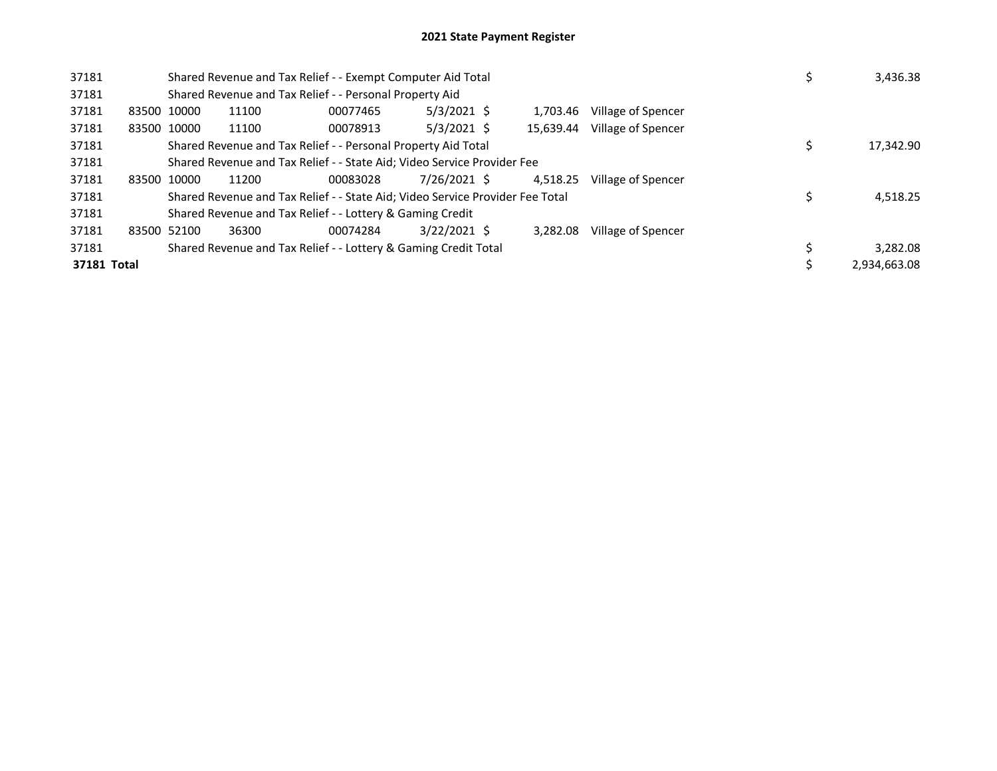| 37181       |             | Shared Revenue and Tax Relief - - Exempt Computer Aid Total                   |          |                | 3,436.38  |                    |  |              |
|-------------|-------------|-------------------------------------------------------------------------------|----------|----------------|-----------|--------------------|--|--------------|
| 37181       |             | Shared Revenue and Tax Relief - - Personal Property Aid                       |          |                |           |                    |  |              |
| 37181       | 83500 10000 | 11100                                                                         | 00077465 | $5/3/2021$ \$  | 1.703.46  | Village of Spencer |  |              |
| 37181       | 83500 10000 | 11100                                                                         | 00078913 | $5/3/2021$ \$  | 15.639.44 | Village of Spencer |  |              |
| 37181       |             | Shared Revenue and Tax Relief - - Personal Property Aid Total                 |          |                | 17,342.90 |                    |  |              |
| 37181       |             | Shared Revenue and Tax Relief - - State Aid; Video Service Provider Fee       |          |                |           |                    |  |              |
| 37181       | 83500 10000 | 11200                                                                         | 00083028 | 7/26/2021 \$   | 4.518.25  | Village of Spencer |  |              |
| 37181       |             | Shared Revenue and Tax Relief - - State Aid; Video Service Provider Fee Total |          |                |           |                    |  | 4,518.25     |
| 37181       |             | Shared Revenue and Tax Relief - - Lottery & Gaming Credit                     |          |                |           |                    |  |              |
| 37181       | 83500 52100 | 36300                                                                         | 00074284 | $3/22/2021$ \$ | 3.282.08  | Village of Spencer |  |              |
| 37181       |             | Shared Revenue and Tax Relief - - Lottery & Gaming Credit Total               |          |                |           |                    |  | 3,282.08     |
| 37181 Total |             |                                                                               |          |                |           |                    |  | 2.934.663.08 |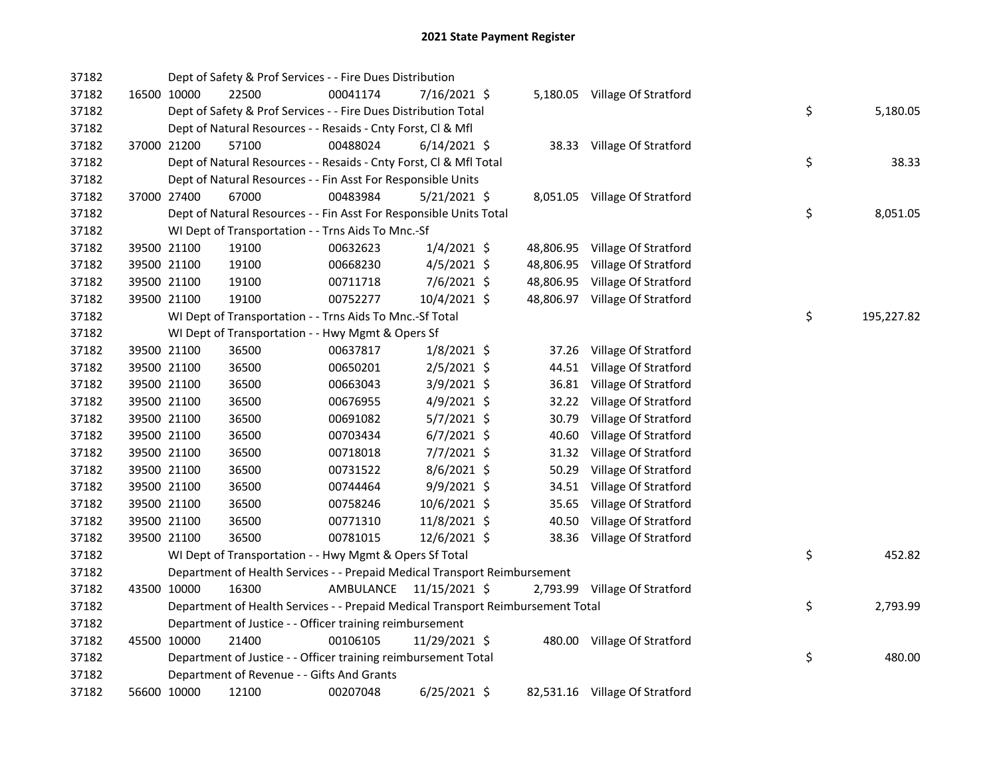| 37182 |             | Dept of Safety & Prof Services - - Fire Dues Distribution                       |           |                |       |                                |    |            |
|-------|-------------|---------------------------------------------------------------------------------|-----------|----------------|-------|--------------------------------|----|------------|
| 37182 | 16500 10000 | 22500                                                                           | 00041174  | 7/16/2021 \$   |       | 5,180.05 Village Of Stratford  |    |            |
| 37182 |             | Dept of Safety & Prof Services - - Fire Dues Distribution Total                 |           |                |       |                                | \$ | 5,180.05   |
| 37182 |             | Dept of Natural Resources - - Resaids - Cnty Forst, Cl & Mfl                    |           |                |       |                                |    |            |
| 37182 | 37000 21200 | 57100                                                                           | 00488024  | $6/14/2021$ \$ |       | 38.33 Village Of Stratford     |    |            |
| 37182 |             | Dept of Natural Resources - - Resaids - Cnty Forst, Cl & Mfl Total              |           |                |       |                                | \$ | 38.33      |
| 37182 |             | Dept of Natural Resources - - Fin Asst For Responsible Units                    |           |                |       |                                |    |            |
| 37182 | 37000 27400 | 67000                                                                           | 00483984  | $5/21/2021$ \$ |       | 8,051.05 Village Of Stratford  |    |            |
| 37182 |             | Dept of Natural Resources - - Fin Asst For Responsible Units Total              |           |                |       |                                | \$ | 8,051.05   |
| 37182 |             | WI Dept of Transportation - - Trns Aids To Mnc.-Sf                              |           |                |       |                                |    |            |
| 37182 | 39500 21100 | 19100                                                                           | 00632623  | $1/4/2021$ \$  |       | 48,806.95 Village Of Stratford |    |            |
| 37182 | 39500 21100 | 19100                                                                           | 00668230  | $4/5/2021$ \$  |       | 48,806.95 Village Of Stratford |    |            |
| 37182 | 39500 21100 | 19100                                                                           | 00711718  | $7/6/2021$ \$  |       | 48,806.95 Village Of Stratford |    |            |
| 37182 | 39500 21100 | 19100                                                                           | 00752277  | 10/4/2021 \$   |       | 48,806.97 Village Of Stratford |    |            |
| 37182 |             | WI Dept of Transportation - - Trns Aids To Mnc.-Sf Total                        |           |                |       |                                | \$ | 195,227.82 |
| 37182 |             | WI Dept of Transportation - - Hwy Mgmt & Opers Sf                               |           |                |       |                                |    |            |
| 37182 | 39500 21100 | 36500                                                                           | 00637817  | $1/8/2021$ \$  | 37.26 | Village Of Stratford           |    |            |
| 37182 | 39500 21100 | 36500                                                                           | 00650201  | $2/5/2021$ \$  | 44.51 | Village Of Stratford           |    |            |
| 37182 | 39500 21100 | 36500                                                                           | 00663043  | $3/9/2021$ \$  | 36.81 | Village Of Stratford           |    |            |
| 37182 | 39500 21100 | 36500                                                                           | 00676955  | 4/9/2021 \$    | 32.22 | Village Of Stratford           |    |            |
| 37182 | 39500 21100 | 36500                                                                           | 00691082  | $5/7/2021$ \$  | 30.79 | Village Of Stratford           |    |            |
| 37182 | 39500 21100 | 36500                                                                           | 00703434  | $6/7/2021$ \$  | 40.60 | Village Of Stratford           |    |            |
| 37182 | 39500 21100 | 36500                                                                           | 00718018  | 7/7/2021 \$    | 31.32 | Village Of Stratford           |    |            |
| 37182 | 39500 21100 | 36500                                                                           | 00731522  | 8/6/2021 \$    | 50.29 | Village Of Stratford           |    |            |
| 37182 | 39500 21100 | 36500                                                                           | 00744464  | $9/9/2021$ \$  | 34.51 | Village Of Stratford           |    |            |
| 37182 | 39500 21100 | 36500                                                                           | 00758246  | 10/6/2021 \$   | 35.65 | Village Of Stratford           |    |            |
| 37182 | 39500 21100 | 36500                                                                           | 00771310  | 11/8/2021 \$   | 40.50 | Village Of Stratford           |    |            |
| 37182 | 39500 21100 | 36500                                                                           | 00781015  | 12/6/2021 \$   | 38.36 | Village Of Stratford           |    |            |
| 37182 |             | WI Dept of Transportation - - Hwy Mgmt & Opers Sf Total                         |           |                |       |                                | \$ | 452.82     |
| 37182 |             | Department of Health Services - - Prepaid Medical Transport Reimbursement       |           |                |       |                                |    |            |
| 37182 | 43500 10000 | 16300                                                                           | AMBULANCE | 11/15/2021 \$  |       | 2,793.99 Village Of Stratford  |    |            |
| 37182 |             | Department of Health Services - - Prepaid Medical Transport Reimbursement Total |           |                |       |                                | \$ | 2,793.99   |
| 37182 |             | Department of Justice - - Officer training reimbursement                        |           |                |       |                                |    |            |
| 37182 | 45500 10000 | 21400                                                                           | 00106105  | 11/29/2021 \$  |       | 480.00 Village Of Stratford    |    |            |
| 37182 |             | Department of Justice - - Officer training reimbursement Total                  |           |                |       |                                | \$ | 480.00     |
| 37182 |             | Department of Revenue - - Gifts And Grants                                      |           |                |       |                                |    |            |
| 37182 | 56600 10000 | 12100                                                                           | 00207048  | $6/25/2021$ \$ |       | 82,531.16 Village Of Stratford |    |            |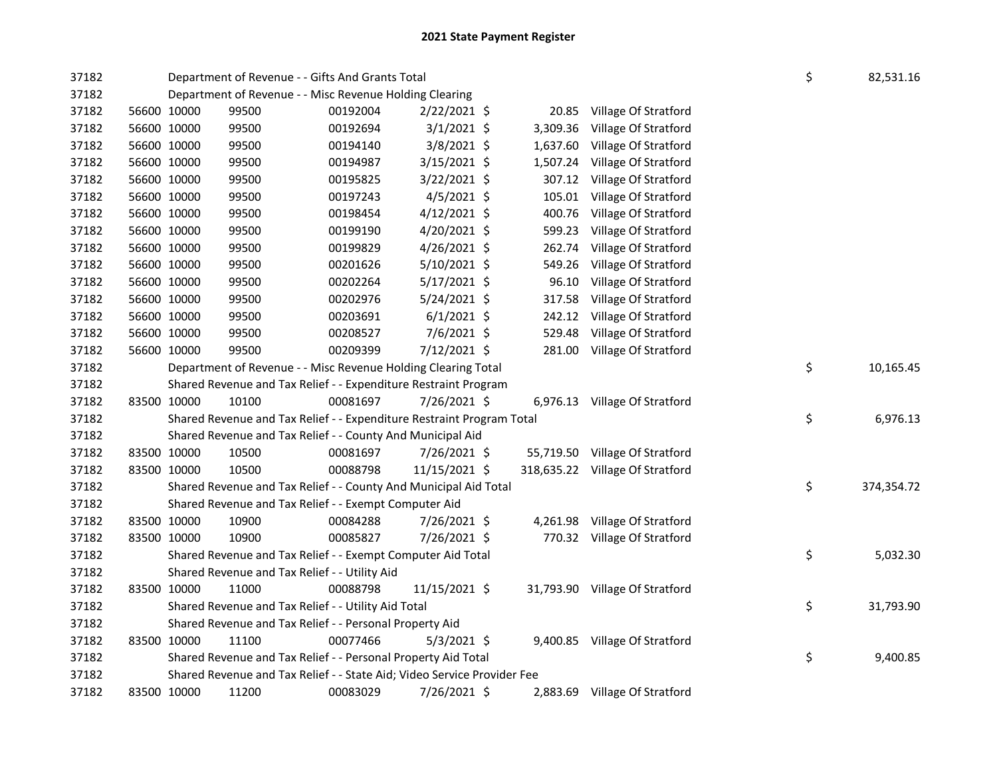| 37182 |                                                         | Department of Revenue - - Gifts And Grants Total                        |          |                |  |          |                                 |  |    | 82,531.16  |
|-------|---------------------------------------------------------|-------------------------------------------------------------------------|----------|----------------|--|----------|---------------------------------|--|----|------------|
| 37182 | Department of Revenue - - Misc Revenue Holding Clearing |                                                                         |          |                |  |          |                                 |  |    |            |
| 37182 | 56600 10000                                             | 99500                                                                   | 00192004 | $2/22/2021$ \$ |  | 20.85    | Village Of Stratford            |  |    |            |
| 37182 | 56600 10000                                             | 99500                                                                   | 00192694 | $3/1/2021$ \$  |  | 3,309.36 | Village Of Stratford            |  |    |            |
| 37182 | 56600 10000                                             | 99500                                                                   | 00194140 | $3/8/2021$ \$  |  | 1,637.60 | Village Of Stratford            |  |    |            |
| 37182 | 56600 10000                                             | 99500                                                                   | 00194987 | 3/15/2021 \$   |  | 1,507.24 | Village Of Stratford            |  |    |            |
| 37182 | 56600 10000                                             | 99500                                                                   | 00195825 | 3/22/2021 \$   |  | 307.12   | Village Of Stratford            |  |    |            |
| 37182 | 56600 10000                                             | 99500                                                                   | 00197243 | $4/5/2021$ \$  |  | 105.01   | Village Of Stratford            |  |    |            |
| 37182 | 56600 10000                                             | 99500                                                                   | 00198454 | 4/12/2021 \$   |  | 400.76   | Village Of Stratford            |  |    |            |
| 37182 | 56600 10000                                             | 99500                                                                   | 00199190 | 4/20/2021 \$   |  | 599.23   | Village Of Stratford            |  |    |            |
| 37182 | 56600 10000                                             | 99500                                                                   | 00199829 | 4/26/2021 \$   |  | 262.74   | Village Of Stratford            |  |    |            |
| 37182 | 56600 10000                                             | 99500                                                                   | 00201626 | 5/10/2021 \$   |  | 549.26   | Village Of Stratford            |  |    |            |
| 37182 | 56600 10000                                             | 99500                                                                   | 00202264 | $5/17/2021$ \$ |  | 96.10    | Village Of Stratford            |  |    |            |
| 37182 | 56600 10000                                             | 99500                                                                   | 00202976 | $5/24/2021$ \$ |  | 317.58   | Village Of Stratford            |  |    |            |
| 37182 | 56600 10000                                             | 99500                                                                   | 00203691 | $6/1/2021$ \$  |  | 242.12   | Village Of Stratford            |  |    |            |
| 37182 | 56600 10000                                             | 99500                                                                   | 00208527 | 7/6/2021 \$    |  | 529.48   | Village Of Stratford            |  |    |            |
| 37182 | 56600 10000                                             | 99500                                                                   | 00209399 | 7/12/2021 \$   |  | 281.00   | Village Of Stratford            |  |    |            |
| 37182 |                                                         | Department of Revenue - - Misc Revenue Holding Clearing Total           |          |                |  |          |                                 |  | \$ | 10,165.45  |
| 37182 |                                                         | Shared Revenue and Tax Relief - - Expenditure Restraint Program         |          |                |  |          |                                 |  |    |            |
| 37182 | 83500 10000                                             | 10100                                                                   | 00081697 | 7/26/2021 \$   |  |          | 6,976.13 Village Of Stratford   |  |    |            |
| 37182 |                                                         | Shared Revenue and Tax Relief - - Expenditure Restraint Program Total   |          |                |  |          |                                 |  | \$ | 6,976.13   |
| 37182 |                                                         | Shared Revenue and Tax Relief - - County And Municipal Aid              |          |                |  |          |                                 |  |    |            |
| 37182 | 83500 10000                                             | 10500                                                                   | 00081697 | 7/26/2021 \$   |  |          | 55,719.50 Village Of Stratford  |  |    |            |
| 37182 | 83500 10000                                             | 10500                                                                   | 00088798 | 11/15/2021 \$  |  |          | 318,635.22 Village Of Stratford |  |    |            |
| 37182 |                                                         | Shared Revenue and Tax Relief - - County And Municipal Aid Total        |          |                |  |          |                                 |  | \$ | 374,354.72 |
| 37182 |                                                         | Shared Revenue and Tax Relief - - Exempt Computer Aid                   |          |                |  |          |                                 |  |    |            |
| 37182 | 83500 10000                                             | 10900                                                                   | 00084288 | 7/26/2021 \$   |  |          | 4,261.98 Village Of Stratford   |  |    |            |
| 37182 | 83500 10000                                             | 10900                                                                   | 00085827 | 7/26/2021 \$   |  |          | 770.32 Village Of Stratford     |  |    |            |
| 37182 |                                                         | Shared Revenue and Tax Relief - - Exempt Computer Aid Total             |          |                |  |          |                                 |  | \$ | 5,032.30   |
| 37182 |                                                         | Shared Revenue and Tax Relief - - Utility Aid                           |          |                |  |          |                                 |  |    |            |
| 37182 | 83500 10000                                             | 11000                                                                   | 00088798 | 11/15/2021 \$  |  |          | 31,793.90 Village Of Stratford  |  |    |            |
| 37182 |                                                         | Shared Revenue and Tax Relief - - Utility Aid Total                     |          |                |  |          |                                 |  | \$ | 31,793.90  |
| 37182 |                                                         | Shared Revenue and Tax Relief - - Personal Property Aid                 |          |                |  |          |                                 |  |    |            |
| 37182 | 83500 10000                                             | 11100                                                                   | 00077466 | $5/3/2021$ \$  |  |          | 9,400.85 Village Of Stratford   |  |    |            |
| 37182 |                                                         | Shared Revenue and Tax Relief - - Personal Property Aid Total           |          |                |  |          |                                 |  | \$ | 9,400.85   |
| 37182 |                                                         | Shared Revenue and Tax Relief - - State Aid; Video Service Provider Fee |          |                |  |          |                                 |  |    |            |
| 37182 | 83500 10000                                             | 11200                                                                   | 00083029 | 7/26/2021 \$   |  |          | 2,883.69 Village Of Stratford   |  |    |            |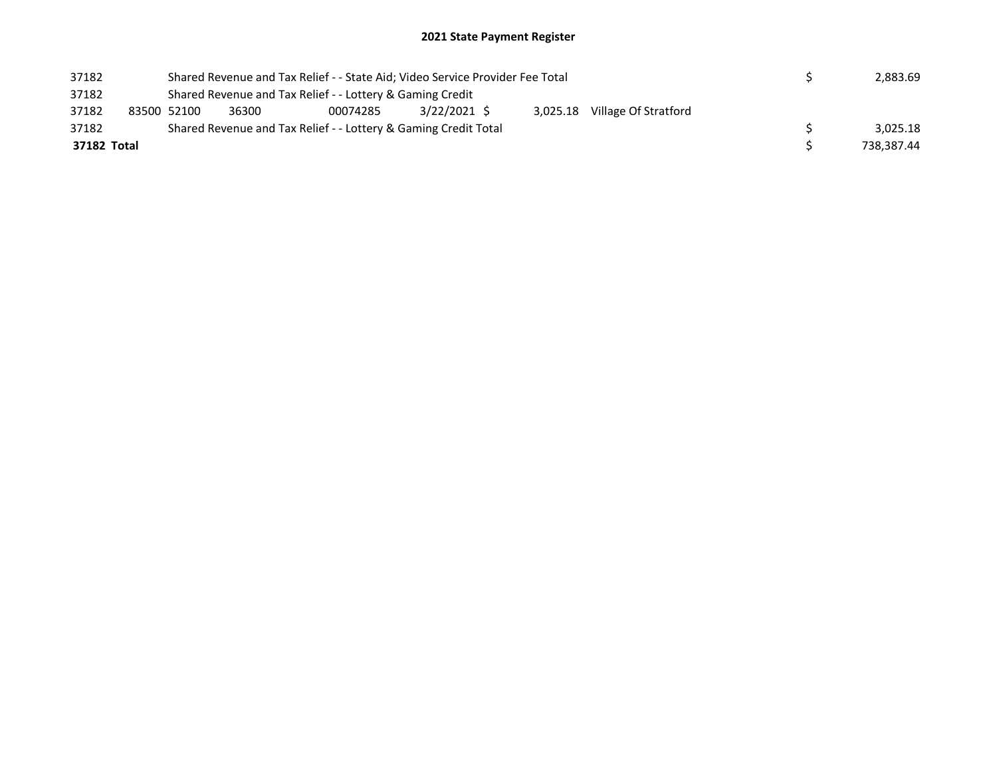## 2021 State Payment Register

| 37182       |  |                                                                                                                          | Shared Revenue and Tax Relief - - State Aid; Video Service Provider Fee Total |  |  | 2,883.69 |  |  |            |  |          |
|-------------|--|--------------------------------------------------------------------------------------------------------------------------|-------------------------------------------------------------------------------|--|--|----------|--|--|------------|--|----------|
| 37182       |  | Shared Revenue and Tax Relief - - Lottery & Gaming Credit<br>$3/22/2021$ \$<br>3,025.18 Village Of Stratford<br>00074285 |                                                                               |  |  |          |  |  |            |  |          |
| 37182       |  | 83500 52100                                                                                                              | 36300                                                                         |  |  |          |  |  |            |  |          |
| 37182       |  |                                                                                                                          | Shared Revenue and Tax Relief - - Lottery & Gaming Credit Total               |  |  |          |  |  |            |  | 3.025.18 |
| 37182 Total |  |                                                                                                                          |                                                                               |  |  |          |  |  | 738.387.44 |  |          |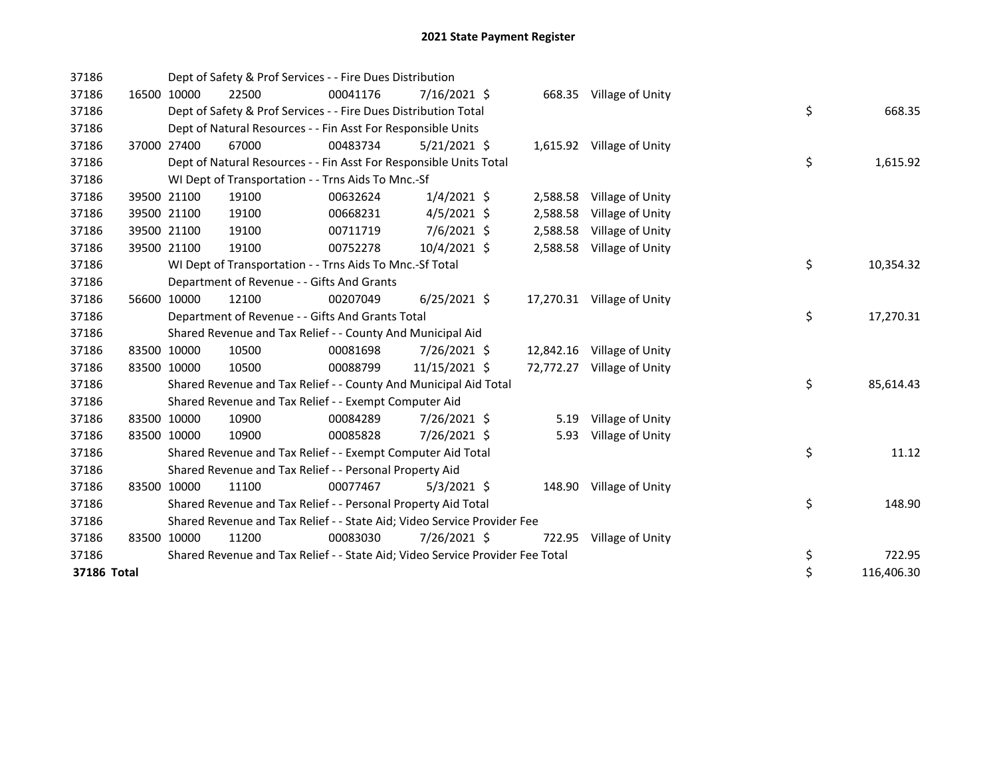| 37186       |             | Dept of Safety & Prof Services - - Fire Dues Distribution                     |          |                |          |                            |    |            |
|-------------|-------------|-------------------------------------------------------------------------------|----------|----------------|----------|----------------------------|----|------------|
| 37186       | 16500 10000 | 22500                                                                         | 00041176 | $7/16/2021$ \$ |          | 668.35 Village of Unity    |    |            |
| 37186       |             | Dept of Safety & Prof Services - - Fire Dues Distribution Total               |          |                |          |                            | \$ | 668.35     |
| 37186       |             | Dept of Natural Resources - - Fin Asst For Responsible Units                  |          |                |          |                            |    |            |
| 37186       | 37000 27400 | 67000                                                                         | 00483734 | $5/21/2021$ \$ |          | 1,615.92 Village of Unity  |    |            |
| 37186       |             | Dept of Natural Resources - - Fin Asst For Responsible Units Total            |          |                |          |                            | \$ | 1,615.92   |
| 37186       |             | WI Dept of Transportation - - Trns Aids To Mnc.-Sf                            |          |                |          |                            |    |            |
| 37186       | 39500 21100 | 19100                                                                         | 00632624 | $1/4/2021$ \$  |          | 2,588.58 Village of Unity  |    |            |
| 37186       | 39500 21100 | 19100                                                                         | 00668231 | $4/5/2021$ \$  | 2,588.58 | Village of Unity           |    |            |
| 37186       | 39500 21100 | 19100                                                                         | 00711719 | 7/6/2021 \$    | 2,588.58 | Village of Unity           |    |            |
| 37186       | 39500 21100 | 19100                                                                         | 00752278 | 10/4/2021 \$   |          | 2,588.58 Village of Unity  |    |            |
| 37186       |             | WI Dept of Transportation - - Trns Aids To Mnc.-Sf Total                      |          |                |          |                            | \$ | 10,354.32  |
| 37186       |             | Department of Revenue - - Gifts And Grants                                    |          |                |          |                            |    |            |
| 37186       | 56600 10000 | 12100                                                                         | 00207049 | $6/25/2021$ \$ |          | 17,270.31 Village of Unity |    |            |
| 37186       |             | Department of Revenue - - Gifts And Grants Total                              |          |                |          |                            | \$ | 17,270.31  |
| 37186       |             | Shared Revenue and Tax Relief - - County And Municipal Aid                    |          |                |          |                            |    |            |
| 37186       | 83500 10000 | 10500                                                                         | 00081698 | 7/26/2021 \$   |          | 12,842.16 Village of Unity |    |            |
| 37186       | 83500 10000 | 10500                                                                         | 00088799 | 11/15/2021 \$  |          | 72,772.27 Village of Unity |    |            |
| 37186       |             | Shared Revenue and Tax Relief - - County And Municipal Aid Total              |          |                |          |                            | \$ | 85,614.43  |
| 37186       |             | Shared Revenue and Tax Relief - - Exempt Computer Aid                         |          |                |          |                            |    |            |
| 37186       | 83500 10000 | 10900                                                                         | 00084289 | 7/26/2021 \$   |          | 5.19 Village of Unity      |    |            |
| 37186       | 83500 10000 | 10900                                                                         | 00085828 | 7/26/2021 \$   | 5.93     | Village of Unity           |    |            |
| 37186       |             | Shared Revenue and Tax Relief - - Exempt Computer Aid Total                   |          |                |          |                            | \$ | 11.12      |
| 37186       |             | Shared Revenue and Tax Relief - - Personal Property Aid                       |          |                |          |                            |    |            |
| 37186       | 83500 10000 | 11100                                                                         | 00077467 | $5/3/2021$ \$  |          | 148.90 Village of Unity    |    |            |
| 37186       |             | Shared Revenue and Tax Relief - - Personal Property Aid Total                 |          |                |          |                            | \$ | 148.90     |
| 37186       |             | Shared Revenue and Tax Relief - - State Aid; Video Service Provider Fee       |          |                |          |                            |    |            |
| 37186       | 83500 10000 | 11200                                                                         | 00083030 | 7/26/2021 \$   |          | 722.95 Village of Unity    |    |            |
| 37186       |             | Shared Revenue and Tax Relief - - State Aid; Video Service Provider Fee Total |          |                |          |                            | \$ | 722.95     |
| 37186 Total |             |                                                                               |          |                |          |                            | \$ | 116,406.30 |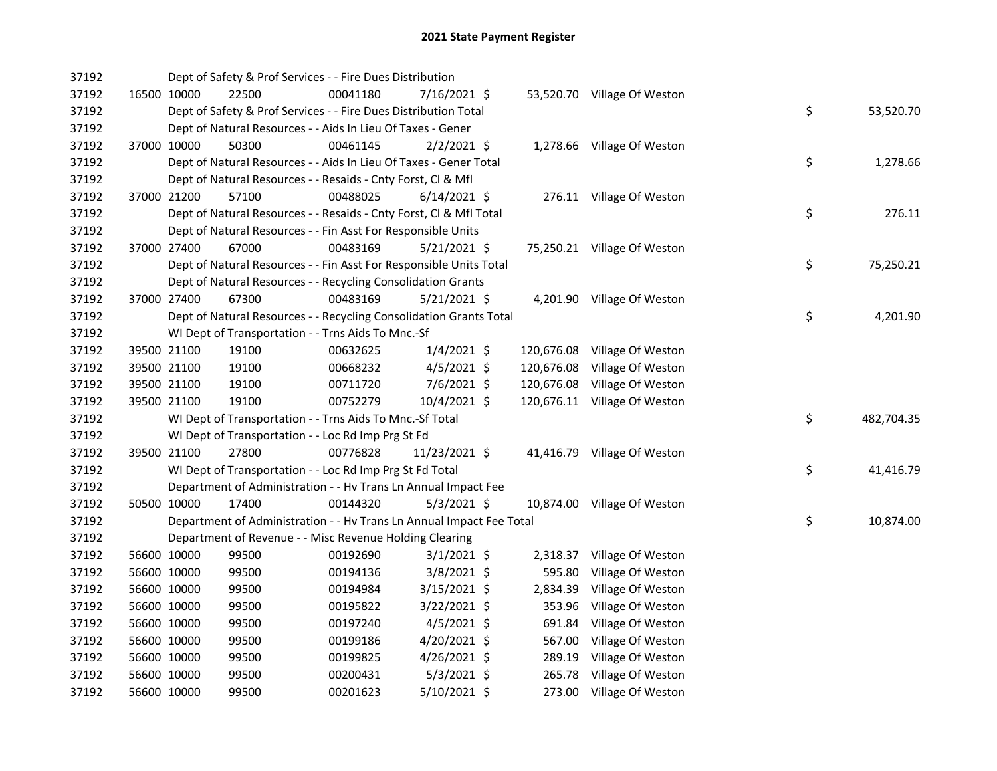| 37192 |             | Dept of Safety & Prof Services - - Fire Dues Distribution            |          |                |            |                              |    |            |
|-------|-------------|----------------------------------------------------------------------|----------|----------------|------------|------------------------------|----|------------|
| 37192 | 16500 10000 | 22500                                                                | 00041180 | 7/16/2021 \$   |            | 53,520.70 Village Of Weston  |    |            |
| 37192 |             | Dept of Safety & Prof Services - - Fire Dues Distribution Total      |          |                |            |                              | \$ | 53,520.70  |
| 37192 |             | Dept of Natural Resources - - Aids In Lieu Of Taxes - Gener          |          |                |            |                              |    |            |
| 37192 | 37000 10000 | 50300                                                                | 00461145 | $2/2/2021$ \$  |            | 1,278.66 Village Of Weston   |    |            |
| 37192 |             | Dept of Natural Resources - - Aids In Lieu Of Taxes - Gener Total    |          |                |            |                              | \$ | 1,278.66   |
| 37192 |             | Dept of Natural Resources - - Resaids - Cnty Forst, Cl & Mfl         |          |                |            |                              |    |            |
| 37192 | 37000 21200 | 57100                                                                | 00488025 | $6/14/2021$ \$ |            | 276.11 Village Of Weston     |    |            |
| 37192 |             | Dept of Natural Resources - - Resaids - Cnty Forst, Cl & Mfl Total   |          |                |            |                              | \$ | 276.11     |
| 37192 |             | Dept of Natural Resources - - Fin Asst For Responsible Units         |          |                |            |                              |    |            |
| 37192 | 37000 27400 | 67000                                                                | 00483169 | 5/21/2021 \$   |            | 75,250.21 Village Of Weston  |    |            |
| 37192 |             | Dept of Natural Resources - - Fin Asst For Responsible Units Total   |          |                |            |                              | \$ | 75,250.21  |
| 37192 |             | Dept of Natural Resources - - Recycling Consolidation Grants         |          |                |            |                              |    |            |
| 37192 | 37000 27400 | 67300                                                                | 00483169 | $5/21/2021$ \$ |            | 4,201.90 Village Of Weston   |    |            |
| 37192 |             | Dept of Natural Resources - - Recycling Consolidation Grants Total   |          |                |            |                              | \$ | 4,201.90   |
| 37192 |             | WI Dept of Transportation - - Trns Aids To Mnc.-Sf                   |          |                |            |                              |    |            |
| 37192 | 39500 21100 | 19100                                                                | 00632625 | $1/4/2021$ \$  | 120,676.08 | Village Of Weston            |    |            |
| 37192 | 39500 21100 | 19100                                                                | 00668232 | $4/5/2021$ \$  | 120,676.08 | Village Of Weston            |    |            |
| 37192 | 39500 21100 | 19100                                                                | 00711720 | 7/6/2021 \$    | 120,676.08 | Village Of Weston            |    |            |
| 37192 | 39500 21100 | 19100                                                                | 00752279 | 10/4/2021 \$   |            | 120,676.11 Village Of Weston |    |            |
| 37192 |             | WI Dept of Transportation - - Trns Aids To Mnc.-Sf Total             |          |                |            |                              | \$ | 482,704.35 |
| 37192 |             | WI Dept of Transportation - - Loc Rd Imp Prg St Fd                   |          |                |            |                              |    |            |
| 37192 | 39500 21100 | 27800                                                                | 00776828 | 11/23/2021 \$  |            | 41,416.79 Village Of Weston  |    |            |
| 37192 |             | WI Dept of Transportation - - Loc Rd Imp Prg St Fd Total             |          |                |            |                              | \$ | 41,416.79  |
| 37192 |             | Department of Administration - - Hv Trans Ln Annual Impact Fee       |          |                |            |                              |    |            |
| 37192 | 50500 10000 | 17400                                                                | 00144320 | $5/3/2021$ \$  |            | 10,874.00 Village Of Weston  |    |            |
| 37192 |             | Department of Administration - - Hv Trans Ln Annual Impact Fee Total |          |                |            |                              | \$ | 10,874.00  |
| 37192 |             | Department of Revenue - - Misc Revenue Holding Clearing              |          |                |            |                              |    |            |
| 37192 | 56600 10000 | 99500                                                                | 00192690 | $3/1/2021$ \$  |            | 2,318.37 Village Of Weston   |    |            |
| 37192 | 56600 10000 | 99500                                                                | 00194136 | $3/8/2021$ \$  | 595.80     | Village Of Weston            |    |            |
| 37192 | 56600 10000 | 99500                                                                | 00194984 | $3/15/2021$ \$ | 2,834.39   | Village Of Weston            |    |            |
| 37192 | 56600 10000 | 99500                                                                | 00195822 | $3/22/2021$ \$ | 353.96     | Village Of Weston            |    |            |
| 37192 | 56600 10000 | 99500                                                                | 00197240 | $4/5/2021$ \$  | 691.84     | Village Of Weston            |    |            |
| 37192 | 56600 10000 | 99500                                                                | 00199186 | $4/20/2021$ \$ | 567.00     | Village Of Weston            |    |            |
| 37192 | 56600 10000 | 99500                                                                | 00199825 | 4/26/2021 \$   | 289.19     | Village Of Weston            |    |            |
| 37192 | 56600 10000 | 99500                                                                | 00200431 | $5/3/2021$ \$  | 265.78     | Village Of Weston            |    |            |
| 37192 | 56600 10000 | 99500                                                                | 00201623 | 5/10/2021 \$   |            | 273.00 Village Of Weston     |    |            |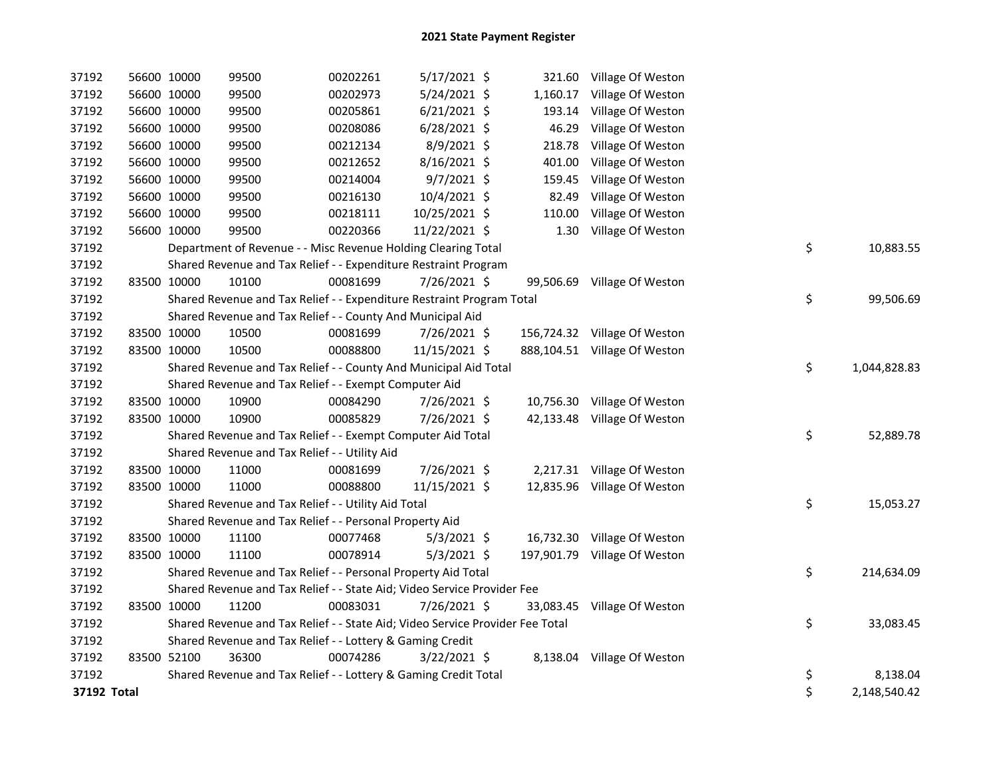| 37192       |             | 56600 10000 | 99500                                                                         | 00202261 | 5/17/2021 \$   |        | 321.60 Village Of Weston     |    |              |
|-------------|-------------|-------------|-------------------------------------------------------------------------------|----------|----------------|--------|------------------------------|----|--------------|
| 37192       |             | 56600 10000 | 99500                                                                         | 00202973 | 5/24/2021 \$   |        | 1,160.17 Village Of Weston   |    |              |
| 37192       |             | 56600 10000 | 99500                                                                         | 00205861 | $6/21/2021$ \$ | 193.14 | Village Of Weston            |    |              |
| 37192       |             | 56600 10000 | 99500                                                                         | 00208086 | 6/28/2021 \$   | 46.29  | Village Of Weston            |    |              |
| 37192       |             | 56600 10000 | 99500                                                                         | 00212134 | 8/9/2021 \$    | 218.78 | Village Of Weston            |    |              |
| 37192       |             | 56600 10000 | 99500                                                                         | 00212652 | 8/16/2021 \$   | 401.00 | Village Of Weston            |    |              |
| 37192       |             | 56600 10000 | 99500                                                                         | 00214004 | $9/7/2021$ \$  | 159.45 | Village Of Weston            |    |              |
| 37192       |             | 56600 10000 | 99500                                                                         | 00216130 | 10/4/2021 \$   | 82.49  | Village Of Weston            |    |              |
| 37192       |             | 56600 10000 | 99500                                                                         | 00218111 | 10/25/2021 \$  | 110.00 | Village Of Weston            |    |              |
| 37192       |             | 56600 10000 | 99500                                                                         | 00220366 | 11/22/2021 \$  |        | 1.30 Village Of Weston       |    |              |
| 37192       |             |             | Department of Revenue - - Misc Revenue Holding Clearing Total                 |          |                |        |                              | \$ | 10,883.55    |
| 37192       |             |             | Shared Revenue and Tax Relief - - Expenditure Restraint Program               |          |                |        |                              |    |              |
| 37192       | 83500 10000 |             | 10100                                                                         | 00081699 | 7/26/2021 \$   |        | 99,506.69 Village Of Weston  |    |              |
| 37192       |             |             | Shared Revenue and Tax Relief - - Expenditure Restraint Program Total         |          |                |        |                              | \$ | 99,506.69    |
| 37192       |             |             | Shared Revenue and Tax Relief - - County And Municipal Aid                    |          |                |        |                              |    |              |
| 37192       | 83500 10000 |             | 10500                                                                         | 00081699 | $7/26/2021$ \$ |        | 156,724.32 Village Of Weston |    |              |
| 37192       |             | 83500 10000 | 10500                                                                         | 00088800 | 11/15/2021 \$  |        | 888,104.51 Village Of Weston |    |              |
| 37192       |             |             | Shared Revenue and Tax Relief - - County And Municipal Aid Total              |          |                |        |                              | \$ | 1,044,828.83 |
| 37192       |             |             | Shared Revenue and Tax Relief - - Exempt Computer Aid                         |          |                |        |                              |    |              |
| 37192       |             | 83500 10000 | 10900                                                                         | 00084290 | 7/26/2021 \$   |        | 10,756.30 Village Of Weston  |    |              |
| 37192       |             | 83500 10000 | 10900                                                                         | 00085829 | 7/26/2021 \$   |        | 42,133.48 Village Of Weston  |    |              |
| 37192       |             |             | Shared Revenue and Tax Relief - - Exempt Computer Aid Total                   |          |                |        |                              | \$ | 52,889.78    |
| 37192       |             |             | Shared Revenue and Tax Relief - - Utility Aid                                 |          |                |        |                              |    |              |
| 37192       |             | 83500 10000 | 11000                                                                         | 00081699 | 7/26/2021 \$   |        | 2,217.31 Village Of Weston   |    |              |
| 37192       | 83500 10000 |             | 11000                                                                         | 00088800 | 11/15/2021 \$  |        | 12,835.96 Village Of Weston  |    |              |
| 37192       |             |             | Shared Revenue and Tax Relief - - Utility Aid Total                           |          |                |        |                              | \$ | 15,053.27    |
| 37192       |             |             | Shared Revenue and Tax Relief - - Personal Property Aid                       |          |                |        |                              |    |              |
| 37192       |             | 83500 10000 | 11100                                                                         | 00077468 | $5/3/2021$ \$  |        | 16,732.30 Village Of Weston  |    |              |
| 37192       |             | 83500 10000 | 11100                                                                         | 00078914 | $5/3/2021$ \$  |        | 197,901.79 Village Of Weston |    |              |
| 37192       |             |             | Shared Revenue and Tax Relief - - Personal Property Aid Total                 |          |                |        |                              | \$ | 214,634.09   |
| 37192       |             |             | Shared Revenue and Tax Relief - - State Aid; Video Service Provider Fee       |          |                |        |                              |    |              |
| 37192       |             | 83500 10000 | 11200                                                                         | 00083031 | 7/26/2021 \$   |        | 33,083.45 Village Of Weston  |    |              |
| 37192       |             |             | Shared Revenue and Tax Relief - - State Aid; Video Service Provider Fee Total |          |                |        |                              | \$ | 33,083.45    |
| 37192       |             |             | Shared Revenue and Tax Relief - - Lottery & Gaming Credit                     |          |                |        |                              |    |              |
| 37192       |             | 83500 52100 | 36300                                                                         | 00074286 | 3/22/2021 \$   |        | 8,138.04 Village Of Weston   |    |              |
| 37192       |             |             | Shared Revenue and Tax Relief - - Lottery & Gaming Credit Total               |          |                |        |                              | \$ | 8,138.04     |
| 37192 Total |             |             |                                                                               |          |                |        |                              | \$ | 2,148,540.42 |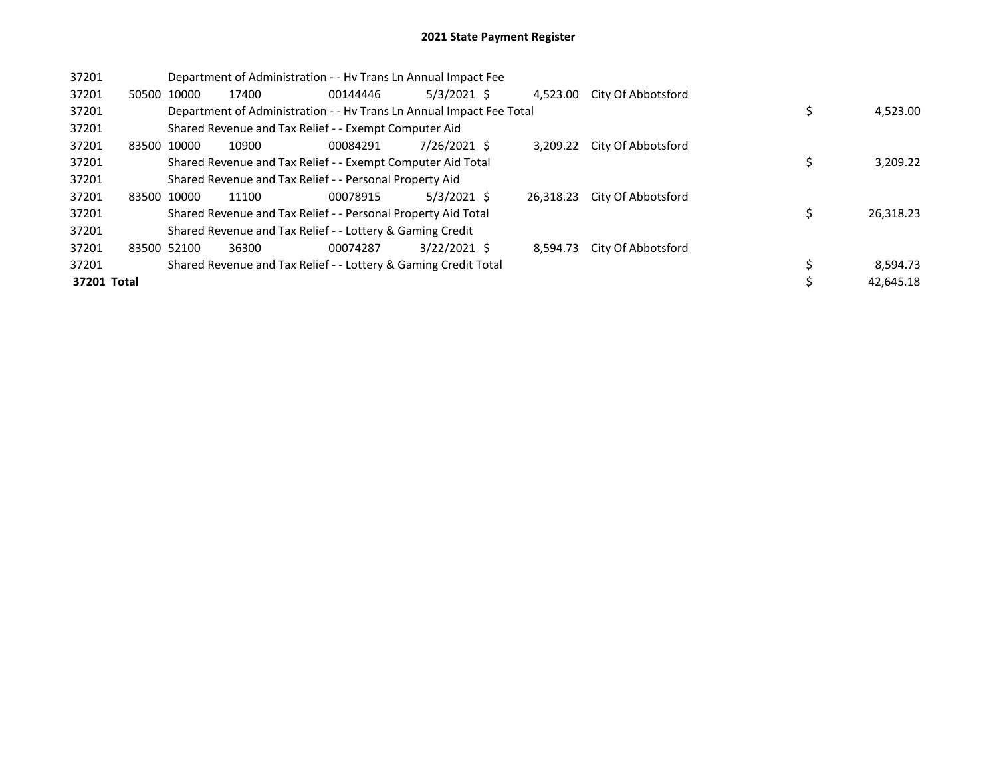## 2021 State Payment Register

| 37201 | Department of Administration - - Hy Trans Ln Annual Impact Fee |             |                                                                      |          |                |  |           |                    |  |  |           |
|-------|----------------------------------------------------------------|-------------|----------------------------------------------------------------------|----------|----------------|--|-----------|--------------------|--|--|-----------|
| 37201 |                                                                | 50500 10000 | 17400                                                                | 00144446 | $5/3/2021$ \$  |  | 4.523.00  | City Of Abbotsford |  |  |           |
| 37201 |                                                                |             | Department of Administration - - Hy Trans Ln Annual Impact Fee Total |          |                |  |           |                    |  |  | 4,523.00  |
| 37201 |                                                                |             | Shared Revenue and Tax Relief - - Exempt Computer Aid                |          |                |  |           |                    |  |  |           |
| 37201 |                                                                | 83500 10000 | 10900                                                                | 00084291 | 7/26/2021 \$   |  | 3.209.22  | City Of Abbotsford |  |  |           |
| 37201 |                                                                |             | Shared Revenue and Tax Relief - - Exempt Computer Aid Total          |          |                |  |           | 3,209.22           |  |  |           |
| 37201 |                                                                |             | Shared Revenue and Tax Relief - - Personal Property Aid              |          |                |  |           |                    |  |  |           |
| 37201 |                                                                | 83500 10000 | 11100                                                                | 00078915 | $5/3/2021$ \$  |  | 26.318.23 | City Of Abbotsford |  |  |           |
| 37201 |                                                                |             | Shared Revenue and Tax Relief - - Personal Property Aid Total        |          |                |  |           |                    |  |  | 26,318.23 |
| 37201 |                                                                |             | Shared Revenue and Tax Relief - - Lottery & Gaming Credit            |          |                |  |           |                    |  |  |           |
| 37201 |                                                                | 83500 52100 | 36300                                                                | 00074287 | $3/22/2021$ \$ |  | 8.594.73  | City Of Abbotsford |  |  |           |
| 37201 |                                                                |             | Shared Revenue and Tax Relief - - Lottery & Gaming Credit Total      |          |                |  |           |                    |  |  | 8,594.73  |
|       | 37201 Total                                                    |             |                                                                      |          |                |  |           |                    |  |  | 42,645.18 |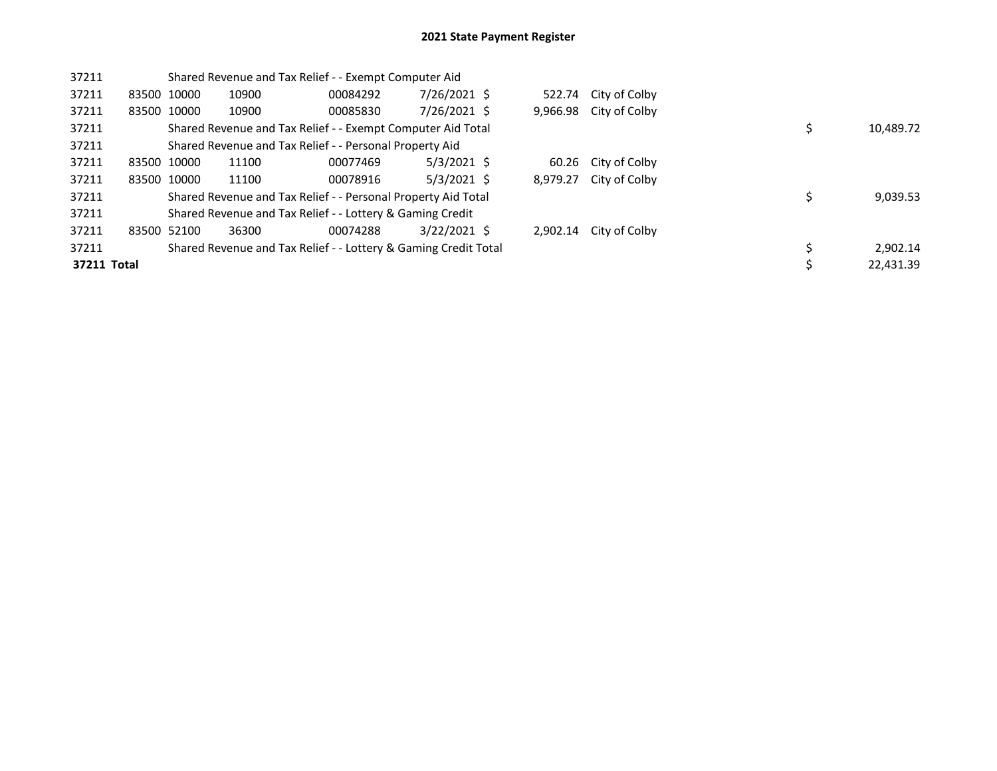| 37211       | Shared Revenue and Tax Relief - - Exempt Computer Aid |             |                                                                 |          |                |  |          |                      |  |           |
|-------------|-------------------------------------------------------|-------------|-----------------------------------------------------------------|----------|----------------|--|----------|----------------------|--|-----------|
| 37211       |                                                       | 83500 10000 | 10900                                                           | 00084292 | 7/26/2021 \$   |  |          | 522.74 City of Colby |  |           |
| 37211       |                                                       | 83500 10000 | 10900                                                           | 00085830 | 7/26/2021 \$   |  | 9,966.98 | City of Colby        |  |           |
| 37211       |                                                       |             | Shared Revenue and Tax Relief - - Exempt Computer Aid Total     |          |                |  |          |                      |  | 10,489.72 |
| 37211       |                                                       |             | Shared Revenue and Tax Relief - - Personal Property Aid         |          |                |  |          |                      |  |           |
| 37211       |                                                       | 83500 10000 | 11100                                                           | 00077469 | $5/3/2021$ \$  |  |          | 60.26 City of Colby  |  |           |
| 37211       |                                                       | 83500 10000 | 11100                                                           | 00078916 | $5/3/2021$ \$  |  | 8,979.27 | City of Colby        |  |           |
| 37211       |                                                       |             | Shared Revenue and Tax Relief - - Personal Property Aid Total   |          |                |  |          |                      |  | 9,039.53  |
| 37211       |                                                       |             | Shared Revenue and Tax Relief - - Lottery & Gaming Credit       |          |                |  |          |                      |  |           |
| 37211       |                                                       | 83500 52100 | 36300                                                           | 00074288 | $3/22/2021$ \$ |  | 2.902.14 | City of Colby        |  |           |
| 37211       |                                                       |             | Shared Revenue and Tax Relief - - Lottery & Gaming Credit Total |          |                |  |          |                      |  | 2,902.14  |
| 37211 Total |                                                       |             |                                                                 |          |                |  |          |                      |  | 22.431.39 |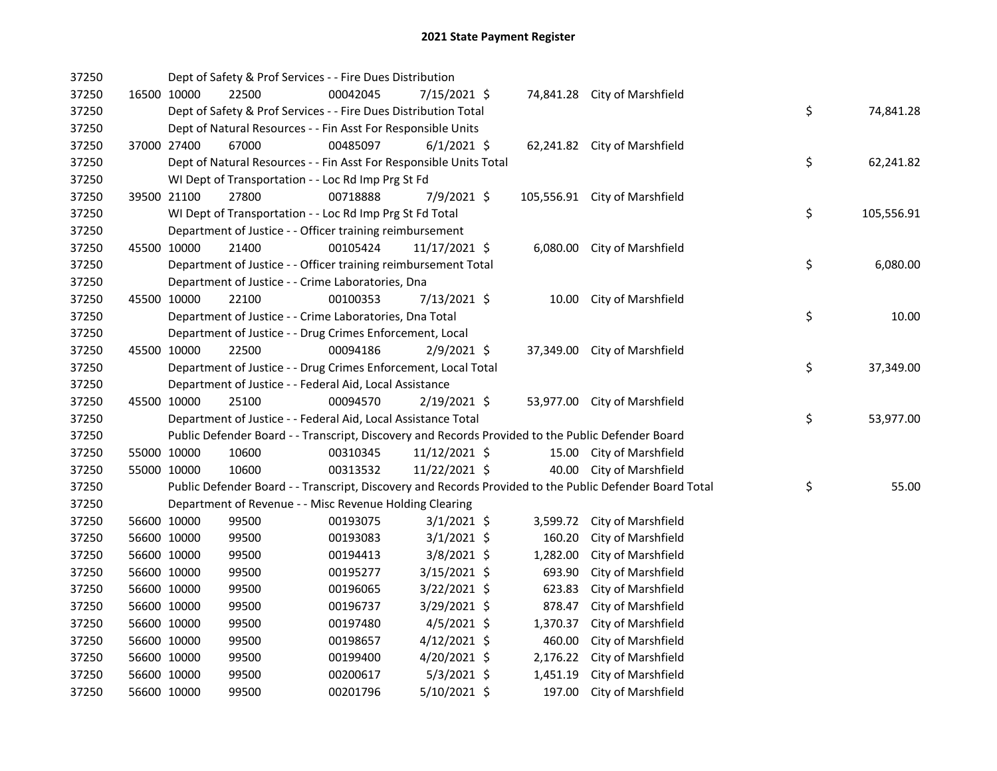| 37250 |             |             | Dept of Safety & Prof Services - - Fire Dues Distribution                                         |          |                |          |                                                                                                         |                  |
|-------|-------------|-------------|---------------------------------------------------------------------------------------------------|----------|----------------|----------|---------------------------------------------------------------------------------------------------------|------------------|
| 37250 |             | 16500 10000 | 22500                                                                                             | 00042045 | 7/15/2021 \$   |          | 74,841.28 City of Marshfield                                                                            |                  |
| 37250 |             |             | Dept of Safety & Prof Services - - Fire Dues Distribution Total                                   |          |                |          |                                                                                                         | \$<br>74,841.28  |
| 37250 |             |             | Dept of Natural Resources - - Fin Asst For Responsible Units                                      |          |                |          |                                                                                                         |                  |
| 37250 |             | 37000 27400 | 67000                                                                                             | 00485097 | $6/1/2021$ \$  |          | 62,241.82 City of Marshfield                                                                            |                  |
| 37250 |             |             | Dept of Natural Resources - - Fin Asst For Responsible Units Total                                |          |                |          |                                                                                                         | \$<br>62,241.82  |
| 37250 |             |             | WI Dept of Transportation - - Loc Rd Imp Prg St Fd                                                |          |                |          |                                                                                                         |                  |
| 37250 |             | 39500 21100 | 27800                                                                                             | 00718888 | 7/9/2021 \$    |          | 105,556.91 City of Marshfield                                                                           |                  |
| 37250 |             |             | WI Dept of Transportation - - Loc Rd Imp Prg St Fd Total                                          |          |                |          |                                                                                                         | \$<br>105,556.91 |
| 37250 |             |             | Department of Justice - - Officer training reimbursement                                          |          |                |          |                                                                                                         |                  |
| 37250 |             | 45500 10000 | 21400                                                                                             | 00105424 | 11/17/2021 \$  |          | 6,080.00 City of Marshfield                                                                             |                  |
| 37250 |             |             | Department of Justice - - Officer training reimbursement Total                                    |          |                |          |                                                                                                         | \$<br>6,080.00   |
| 37250 |             |             | Department of Justice - - Crime Laboratories, Dna                                                 |          |                |          |                                                                                                         |                  |
| 37250 |             | 45500 10000 | 22100                                                                                             | 00100353 | 7/13/2021 \$   |          | 10.00 City of Marshfield                                                                                |                  |
| 37250 |             |             | Department of Justice - - Crime Laboratories, Dna Total                                           |          |                |          |                                                                                                         | \$<br>10.00      |
| 37250 |             |             | Department of Justice - - Drug Crimes Enforcement, Local                                          |          |                |          |                                                                                                         |                  |
| 37250 | 45500 10000 |             | 22500                                                                                             | 00094186 | $2/9/2021$ \$  |          | 37,349.00 City of Marshfield                                                                            |                  |
| 37250 |             |             | Department of Justice - - Drug Crimes Enforcement, Local Total                                    |          |                |          |                                                                                                         | \$<br>37,349.00  |
| 37250 |             |             | Department of Justice - - Federal Aid, Local Assistance                                           |          |                |          |                                                                                                         |                  |
| 37250 |             | 45500 10000 | 25100                                                                                             | 00094570 | 2/19/2021 \$   |          | 53,977.00 City of Marshfield                                                                            |                  |
| 37250 |             |             | Department of Justice - - Federal Aid, Local Assistance Total                                     |          |                |          |                                                                                                         | \$<br>53,977.00  |
| 37250 |             |             | Public Defender Board - - Transcript, Discovery and Records Provided to the Public Defender Board |          |                |          |                                                                                                         |                  |
| 37250 |             | 55000 10000 | 10600                                                                                             | 00310345 | 11/12/2021 \$  |          | 15.00 City of Marshfield                                                                                |                  |
| 37250 |             | 55000 10000 | 10600                                                                                             | 00313532 | 11/22/2021 \$  |          | 40.00 City of Marshfield                                                                                |                  |
| 37250 |             |             |                                                                                                   |          |                |          | Public Defender Board - - Transcript, Discovery and Records Provided to the Public Defender Board Total | \$<br>55.00      |
| 37250 |             |             | Department of Revenue - - Misc Revenue Holding Clearing                                           |          |                |          |                                                                                                         |                  |
| 37250 |             | 56600 10000 | 99500                                                                                             | 00193075 | $3/1/2021$ \$  | 3,599.72 | City of Marshfield                                                                                      |                  |
| 37250 |             | 56600 10000 | 99500                                                                                             | 00193083 | $3/1/2021$ \$  | 160.20   | City of Marshfield                                                                                      |                  |
| 37250 |             | 56600 10000 | 99500                                                                                             | 00194413 | $3/8/2021$ \$  | 1,282.00 | City of Marshfield                                                                                      |                  |
| 37250 |             | 56600 10000 | 99500                                                                                             | 00195277 | $3/15/2021$ \$ | 693.90   | City of Marshfield                                                                                      |                  |
| 37250 |             | 56600 10000 | 99500                                                                                             | 00196065 | 3/22/2021 \$   | 623.83   | City of Marshfield                                                                                      |                  |
| 37250 |             | 56600 10000 | 99500                                                                                             | 00196737 | 3/29/2021 \$   | 878.47   | City of Marshfield                                                                                      |                  |
| 37250 |             | 56600 10000 | 99500                                                                                             | 00197480 | $4/5/2021$ \$  | 1,370.37 | City of Marshfield                                                                                      |                  |
| 37250 |             | 56600 10000 | 99500                                                                                             | 00198657 | $4/12/2021$ \$ | 460.00   | City of Marshfield                                                                                      |                  |
| 37250 |             | 56600 10000 | 99500                                                                                             | 00199400 | 4/20/2021 \$   | 2,176.22 | City of Marshfield                                                                                      |                  |
| 37250 |             | 56600 10000 | 99500                                                                                             | 00200617 | $5/3/2021$ \$  | 1,451.19 | City of Marshfield                                                                                      |                  |
| 37250 |             | 56600 10000 | 99500                                                                                             | 00201796 | $5/10/2021$ \$ | 197.00   | City of Marshfield                                                                                      |                  |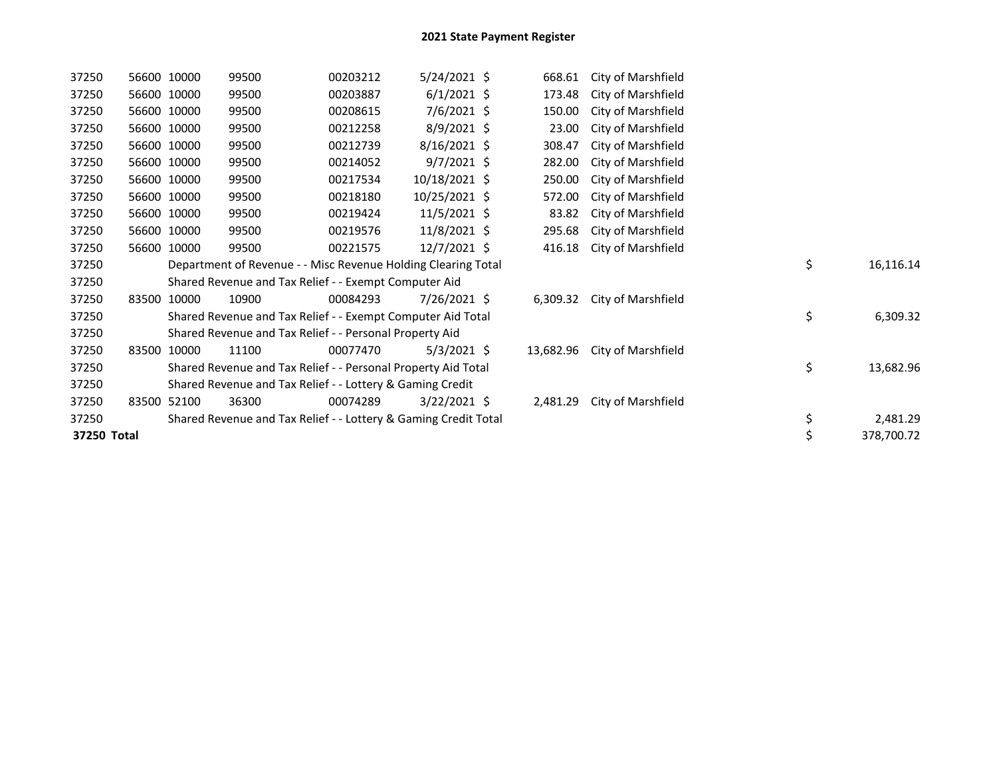| 37250       | 56600 10000 | 99500                                                           | 00203212 | 5/24/2021 \$   | 668.61    | City of Marshfield |    |            |
|-------------|-------------|-----------------------------------------------------------------|----------|----------------|-----------|--------------------|----|------------|
| 37250       | 56600 10000 | 99500                                                           | 00203887 | $6/1/2021$ \$  | 173.48    | City of Marshfield |    |            |
| 37250       | 56600 10000 | 99500                                                           | 00208615 | $7/6/2021$ \$  | 150.00    | City of Marshfield |    |            |
| 37250       | 56600 10000 | 99500                                                           | 00212258 | 8/9/2021 \$    | 23.00     | City of Marshfield |    |            |
| 37250       | 56600 10000 | 99500                                                           | 00212739 | $8/16/2021$ \$ | 308.47    | City of Marshfield |    |            |
| 37250       | 56600 10000 | 99500                                                           | 00214052 | $9/7/2021$ \$  | 282.00    | City of Marshfield |    |            |
| 37250       | 56600 10000 | 99500                                                           | 00217534 | 10/18/2021 \$  | 250.00    | City of Marshfield |    |            |
| 37250       | 56600 10000 | 99500                                                           | 00218180 | 10/25/2021 \$  | 572.00    | City of Marshfield |    |            |
| 37250       | 56600 10000 | 99500                                                           | 00219424 | $11/5/2021$ \$ | 83.82     | City of Marshfield |    |            |
| 37250       | 56600 10000 | 99500                                                           | 00219576 | 11/8/2021 \$   | 295.68    | City of Marshfield |    |            |
| 37250       | 56600 10000 | 99500                                                           | 00221575 | 12/7/2021 \$   | 416.18    | City of Marshfield |    |            |
| 37250       |             | Department of Revenue - - Misc Revenue Holding Clearing Total   |          |                |           |                    | \$ | 16,116.14  |
| 37250       |             | Shared Revenue and Tax Relief - - Exempt Computer Aid           |          |                |           |                    |    |            |
| 37250       | 83500 10000 | 10900                                                           | 00084293 | 7/26/2021 \$   | 6,309.32  | City of Marshfield |    |            |
| 37250       |             | Shared Revenue and Tax Relief - - Exempt Computer Aid Total     |          |                |           |                    | \$ | 6,309.32   |
| 37250       |             | Shared Revenue and Tax Relief - - Personal Property Aid         |          |                |           |                    |    |            |
| 37250       | 83500 10000 | 11100                                                           | 00077470 | $5/3/2021$ \$  | 13,682.96 | City of Marshfield |    |            |
| 37250       |             | Shared Revenue and Tax Relief - - Personal Property Aid Total   |          |                |           |                    | \$ | 13,682.96  |
| 37250       |             | Shared Revenue and Tax Relief - - Lottery & Gaming Credit       |          |                |           |                    |    |            |
| 37250       | 83500 52100 | 36300                                                           | 00074289 | $3/22/2021$ \$ | 2,481.29  | City of Marshfield |    |            |
| 37250       |             | Shared Revenue and Tax Relief - - Lottery & Gaming Credit Total |          |                |           |                    | \$ | 2,481.29   |
| 37250 Total |             |                                                                 |          |                |           |                    | \$ | 378,700.72 |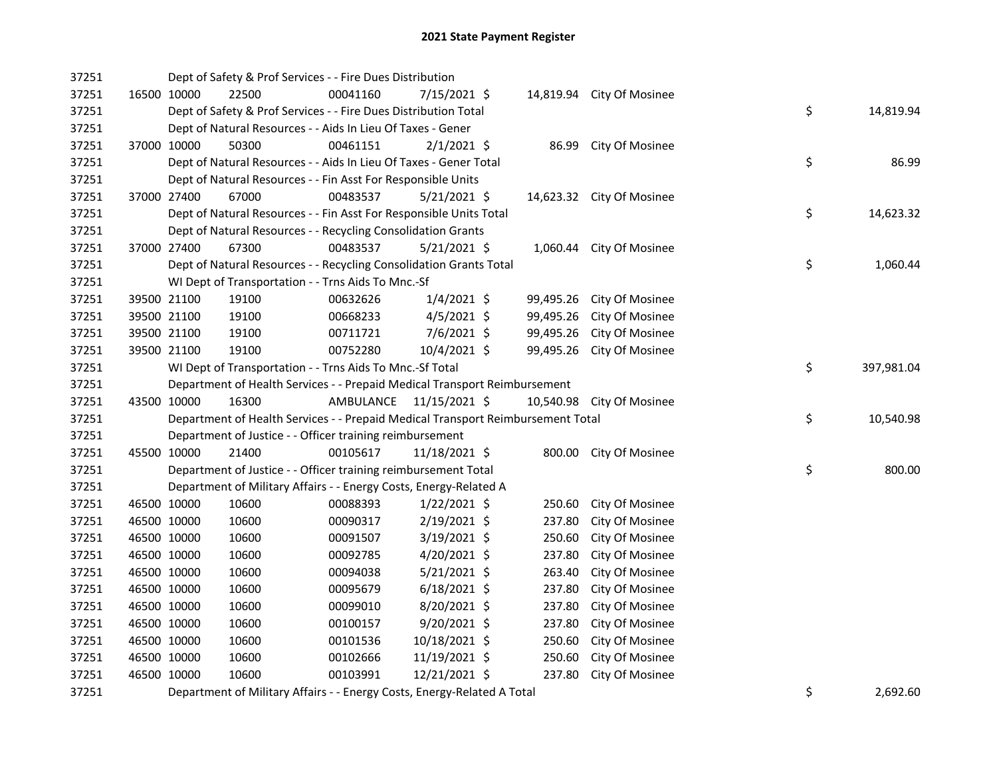| 37251 |             | Dept of Safety & Prof Services - - Fire Dues Distribution                       |           |                |           |                           |    |            |
|-------|-------------|---------------------------------------------------------------------------------|-----------|----------------|-----------|---------------------------|----|------------|
| 37251 | 16500 10000 | 22500                                                                           | 00041160  | 7/15/2021 \$   |           | 14,819.94 City Of Mosinee |    |            |
| 37251 |             | Dept of Safety & Prof Services - - Fire Dues Distribution Total                 |           |                |           |                           | \$ | 14,819.94  |
| 37251 |             | Dept of Natural Resources - - Aids In Lieu Of Taxes - Gener                     |           |                |           |                           |    |            |
| 37251 | 37000 10000 | 50300                                                                           | 00461151  | $2/1/2021$ \$  | 86.99     | <b>City Of Mosinee</b>    |    |            |
| 37251 |             | Dept of Natural Resources - - Aids In Lieu Of Taxes - Gener Total               |           |                |           |                           | \$ | 86.99      |
| 37251 |             | Dept of Natural Resources - - Fin Asst For Responsible Units                    |           |                |           |                           |    |            |
| 37251 | 37000 27400 | 67000                                                                           | 00483537  | 5/21/2021 \$   |           | 14,623.32 City Of Mosinee |    |            |
| 37251 |             | Dept of Natural Resources - - Fin Asst For Responsible Units Total              |           |                |           |                           | \$ | 14,623.32  |
| 37251 |             | Dept of Natural Resources - - Recycling Consolidation Grants                    |           |                |           |                           |    |            |
| 37251 | 37000 27400 | 67300                                                                           | 00483537  | $5/21/2021$ \$ | 1,060.44  | City Of Mosinee           |    |            |
| 37251 |             | Dept of Natural Resources - - Recycling Consolidation Grants Total              |           |                |           |                           | \$ | 1,060.44   |
| 37251 |             | WI Dept of Transportation - - Trns Aids To Mnc.-Sf                              |           |                |           |                           |    |            |
| 37251 | 39500 21100 | 19100                                                                           | 00632626  | $1/4/2021$ \$  | 99,495.26 | City Of Mosinee           |    |            |
| 37251 | 39500 21100 | 19100                                                                           | 00668233  | $4/5/2021$ \$  | 99,495.26 | City Of Mosinee           |    |            |
| 37251 | 39500 21100 | 19100                                                                           | 00711721  | $7/6/2021$ \$  | 99,495.26 | City Of Mosinee           |    |            |
| 37251 | 39500 21100 | 19100                                                                           | 00752280  | 10/4/2021 \$   | 99,495.26 | City Of Mosinee           |    |            |
| 37251 |             | WI Dept of Transportation - - Trns Aids To Mnc.-Sf Total                        |           |                |           |                           | \$ | 397,981.04 |
| 37251 |             | Department of Health Services - - Prepaid Medical Transport Reimbursement       |           |                |           |                           |    |            |
|       |             |                                                                                 |           |                |           |                           |    |            |
| 37251 | 43500 10000 | 16300                                                                           | AMBULANCE | 11/15/2021 \$  | 10,540.98 | City Of Mosinee           |    |            |
| 37251 |             | Department of Health Services - - Prepaid Medical Transport Reimbursement Total |           |                |           |                           | \$ | 10,540.98  |
| 37251 |             | Department of Justice - - Officer training reimbursement                        |           |                |           |                           |    |            |
| 37251 | 45500 10000 | 21400                                                                           | 00105617  | 11/18/2021 \$  |           | 800.00 City Of Mosinee    |    |            |
| 37251 |             | Department of Justice - - Officer training reimbursement Total                  |           |                |           |                           | \$ | 800.00     |
| 37251 |             | Department of Military Affairs - - Energy Costs, Energy-Related A               |           |                |           |                           |    |            |
| 37251 | 46500 10000 | 10600                                                                           | 00088393  | $1/22/2021$ \$ | 250.60    | City Of Mosinee           |    |            |
| 37251 | 46500 10000 | 10600                                                                           | 00090317  | 2/19/2021 \$   | 237.80    | City Of Mosinee           |    |            |
| 37251 | 46500 10000 | 10600                                                                           | 00091507  | $3/19/2021$ \$ | 250.60    | City Of Mosinee           |    |            |
| 37251 | 46500 10000 | 10600                                                                           | 00092785  | 4/20/2021 \$   | 237.80    | City Of Mosinee           |    |            |
| 37251 | 46500 10000 | 10600                                                                           | 00094038  | $5/21/2021$ \$ | 263.40    | City Of Mosinee           |    |            |
| 37251 | 46500 10000 | 10600                                                                           | 00095679  | $6/18/2021$ \$ | 237.80    | City Of Mosinee           |    |            |
| 37251 | 46500 10000 | 10600                                                                           | 00099010  | 8/20/2021 \$   | 237.80    | City Of Mosinee           |    |            |
| 37251 | 46500 10000 | 10600                                                                           | 00100157  | 9/20/2021 \$   | 237.80    | City Of Mosinee           |    |            |
| 37251 | 46500 10000 | 10600                                                                           | 00101536  | 10/18/2021 \$  | 250.60    | City Of Mosinee           |    |            |
| 37251 | 46500 10000 | 10600                                                                           | 00102666  | 11/19/2021 \$  | 250.60    | City Of Mosinee           |    |            |
| 37251 | 46500 10000 | 10600                                                                           | 00103991  | 12/21/2021 \$  | 237.80    | City Of Mosinee           |    |            |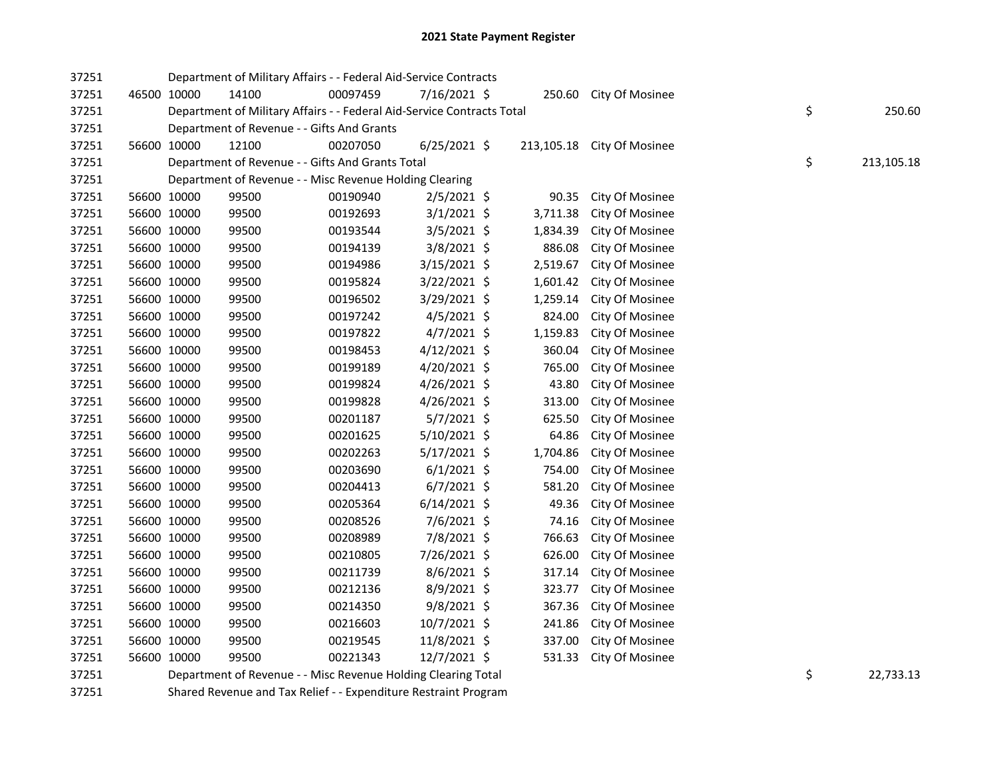| 37251 |             |             | Department of Military Affairs - - Federal Aid-Service Contracts       |          |                |            |                        |    |            |
|-------|-------------|-------------|------------------------------------------------------------------------|----------|----------------|------------|------------------------|----|------------|
| 37251 |             | 46500 10000 | 14100                                                                  | 00097459 | 7/16/2021 \$   | 250.60     | <b>City Of Mosinee</b> |    |            |
| 37251 |             |             | Department of Military Affairs - - Federal Aid-Service Contracts Total |          |                |            |                        | \$ | 250.60     |
| 37251 |             |             | Department of Revenue - - Gifts And Grants                             |          |                |            |                        |    |            |
| 37251 |             | 56600 10000 | 12100                                                                  | 00207050 | $6/25/2021$ \$ | 213,105.18 | City Of Mosinee        |    |            |
| 37251 |             |             | Department of Revenue - - Gifts And Grants Total                       |          |                |            |                        | \$ | 213,105.18 |
| 37251 |             |             | Department of Revenue - - Misc Revenue Holding Clearing                |          |                |            |                        |    |            |
| 37251 |             | 56600 10000 | 99500                                                                  | 00190940 | 2/5/2021 \$    | 90.35      | City Of Mosinee        |    |            |
| 37251 |             | 56600 10000 | 99500                                                                  | 00192693 | $3/1/2021$ \$  | 3,711.38   | City Of Mosinee        |    |            |
| 37251 | 56600 10000 |             | 99500                                                                  | 00193544 | $3/5/2021$ \$  | 1,834.39   | City Of Mosinee        |    |            |
| 37251 | 56600 10000 |             | 99500                                                                  | 00194139 | 3/8/2021 \$    | 886.08     | City Of Mosinee        |    |            |
| 37251 | 56600 10000 |             | 99500                                                                  | 00194986 | $3/15/2021$ \$ | 2,519.67   | City Of Mosinee        |    |            |
| 37251 | 56600 10000 |             | 99500                                                                  | 00195824 | 3/22/2021 \$   | 1,601.42   | City Of Mosinee        |    |            |
| 37251 | 56600 10000 |             | 99500                                                                  | 00196502 | 3/29/2021 \$   | 1,259.14   | City Of Mosinee        |    |            |
| 37251 | 56600 10000 |             | 99500                                                                  | 00197242 | 4/5/2021 \$    | 824.00     | City Of Mosinee        |    |            |
| 37251 | 56600 10000 |             | 99500                                                                  | 00197822 | 4/7/2021 \$    | 1,159.83   | City Of Mosinee        |    |            |
| 37251 |             | 56600 10000 | 99500                                                                  | 00198453 | $4/12/2021$ \$ | 360.04     | City Of Mosinee        |    |            |
| 37251 |             | 56600 10000 | 99500                                                                  | 00199189 | 4/20/2021 \$   | 765.00     | City Of Mosinee        |    |            |
| 37251 |             | 56600 10000 | 99500                                                                  | 00199824 | 4/26/2021 \$   | 43.80      | City Of Mosinee        |    |            |
| 37251 |             | 56600 10000 | 99500                                                                  | 00199828 | 4/26/2021 \$   | 313.00     | City Of Mosinee        |    |            |
| 37251 |             | 56600 10000 | 99500                                                                  | 00201187 | 5/7/2021 \$    | 625.50     | City Of Mosinee        |    |            |
| 37251 | 56600 10000 |             | 99500                                                                  | 00201625 | 5/10/2021 \$   | 64.86      | City Of Mosinee        |    |            |
| 37251 | 56600 10000 |             | 99500                                                                  | 00202263 | 5/17/2021 \$   | 1,704.86   | City Of Mosinee        |    |            |
| 37251 |             | 56600 10000 | 99500                                                                  | 00203690 | $6/1/2021$ \$  | 754.00     | City Of Mosinee        |    |            |
| 37251 | 56600 10000 |             | 99500                                                                  | 00204413 | $6/7/2021$ \$  | 581.20     | City Of Mosinee        |    |            |
| 37251 | 56600 10000 |             | 99500                                                                  | 00205364 | $6/14/2021$ \$ | 49.36      | City Of Mosinee        |    |            |
| 37251 | 56600 10000 |             | 99500                                                                  | 00208526 | 7/6/2021 \$    | 74.16      | City Of Mosinee        |    |            |
| 37251 | 56600 10000 |             | 99500                                                                  | 00208989 | 7/8/2021 \$    | 766.63     | City Of Mosinee        |    |            |
| 37251 | 56600 10000 |             | 99500                                                                  | 00210805 | 7/26/2021 \$   | 626.00     | City Of Mosinee        |    |            |
| 37251 |             | 56600 10000 | 99500                                                                  | 00211739 | 8/6/2021 \$    | 317.14     | City Of Mosinee        |    |            |
| 37251 |             | 56600 10000 | 99500                                                                  | 00212136 | 8/9/2021 \$    | 323.77     | City Of Mosinee        |    |            |
| 37251 | 56600 10000 |             | 99500                                                                  | 00214350 | 9/8/2021 \$    | 367.36     | City Of Mosinee        |    |            |
| 37251 |             | 56600 10000 | 99500                                                                  | 00216603 | 10/7/2021 \$   | 241.86     | City Of Mosinee        |    |            |
| 37251 | 56600 10000 |             | 99500                                                                  | 00219545 | 11/8/2021 \$   | 337.00     | City Of Mosinee        |    |            |
| 37251 | 56600 10000 |             | 99500                                                                  | 00221343 | 12/7/2021 \$   | 531.33     | City Of Mosinee        |    |            |
| 37251 |             |             | Department of Revenue - - Misc Revenue Holding Clearing Total          |          |                |            |                        | \$ | 22,733.13  |

37251 Shared Revenue and Tax Relief - - Expenditure Restraint Program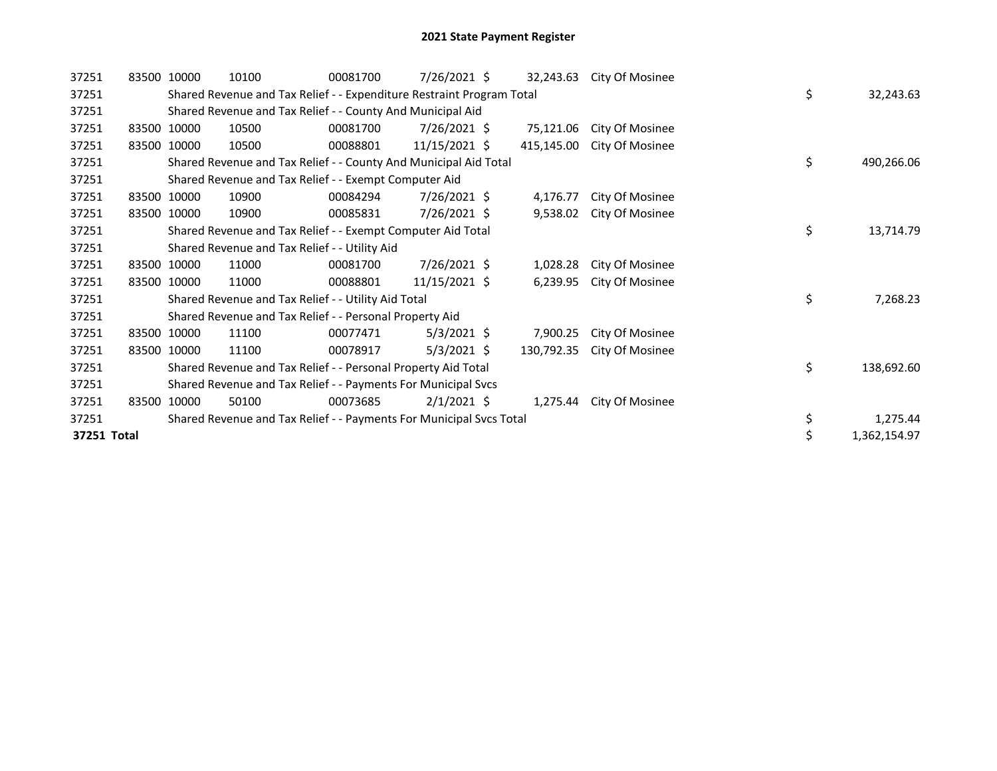| 37251       | 83500 10000 | 10100                                                                 | 00081700 | 7/26/2021 \$  | 32,243.63  | City Of Mosinee |    |              |
|-------------|-------------|-----------------------------------------------------------------------|----------|---------------|------------|-----------------|----|--------------|
| 37251       |             | Shared Revenue and Tax Relief - - Expenditure Restraint Program Total |          |               |            |                 | \$ | 32,243.63    |
| 37251       |             | Shared Revenue and Tax Relief - - County And Municipal Aid            |          |               |            |                 |    |              |
| 37251       | 83500 10000 | 10500                                                                 | 00081700 | 7/26/2021 \$  | 75,121.06  | City Of Mosinee |    |              |
| 37251       | 83500 10000 | 10500                                                                 | 00088801 | 11/15/2021 \$ | 415,145.00 | City Of Mosinee |    |              |
| 37251       |             | Shared Revenue and Tax Relief - - County And Municipal Aid Total      |          |               |            |                 | \$ | 490,266.06   |
| 37251       |             | Shared Revenue and Tax Relief - - Exempt Computer Aid                 |          |               |            |                 |    |              |
| 37251       | 83500 10000 | 10900                                                                 | 00084294 | 7/26/2021 \$  | 4,176.77   | City Of Mosinee |    |              |
| 37251       | 83500 10000 | 10900                                                                 | 00085831 | 7/26/2021 \$  | 9,538.02   | City Of Mosinee |    |              |
| 37251       |             | Shared Revenue and Tax Relief - - Exempt Computer Aid Total           |          |               |            |                 | \$ | 13,714.79    |
| 37251       |             | Shared Revenue and Tax Relief - - Utility Aid                         |          |               |            |                 |    |              |
| 37251       | 83500 10000 | 11000                                                                 | 00081700 | 7/26/2021 \$  | 1,028.28   | City Of Mosinee |    |              |
| 37251       | 83500 10000 | 11000                                                                 | 00088801 | 11/15/2021 \$ | 6,239.95   | City Of Mosinee |    |              |
| 37251       |             | Shared Revenue and Tax Relief - - Utility Aid Total                   |          |               |            |                 | \$ | 7,268.23     |
| 37251       |             | Shared Revenue and Tax Relief - - Personal Property Aid               |          |               |            |                 |    |              |
| 37251       | 83500 10000 | 11100                                                                 | 00077471 | $5/3/2021$ \$ | 7,900.25   | City Of Mosinee |    |              |
| 37251       | 83500 10000 | 11100                                                                 | 00078917 | $5/3/2021$ \$ | 130,792.35 | City Of Mosinee |    |              |
| 37251       |             | Shared Revenue and Tax Relief - - Personal Property Aid Total         |          |               |            |                 | \$ | 138,692.60   |
| 37251       |             | Shared Revenue and Tax Relief - - Payments For Municipal Svcs         |          |               |            |                 |    |              |
| 37251       | 83500 10000 | 50100                                                                 | 00073685 | $2/1/2021$ \$ | 1,275.44   | City Of Mosinee |    |              |
| 37251       |             | Shared Revenue and Tax Relief - - Payments For Municipal Svcs Total   |          |               |            |                 | \$ | 1,275.44     |
| 37251 Total |             |                                                                       |          |               |            |                 | \$ | 1,362,154.97 |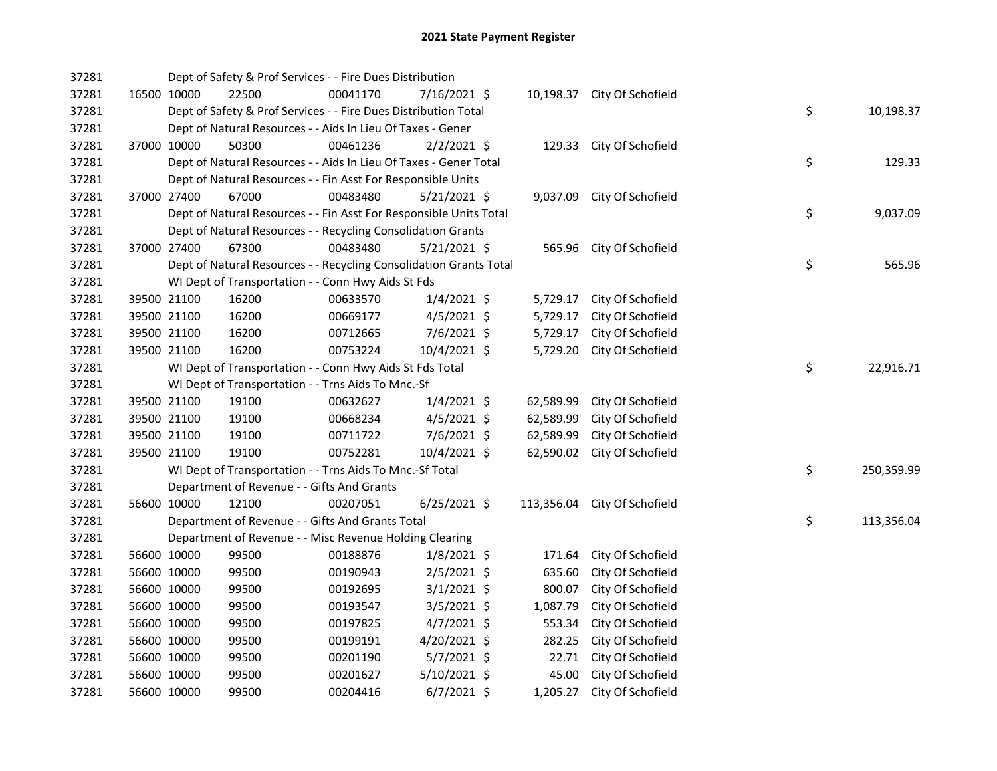| 37281 |             |             | Dept of Safety & Prof Services - - Fire Dues Distribution          |          |                |           |                              |    |            |
|-------|-------------|-------------|--------------------------------------------------------------------|----------|----------------|-----------|------------------------------|----|------------|
| 37281 |             | 16500 10000 | 22500                                                              | 00041170 | 7/16/2021 \$   |           | 10,198.37 City Of Schofield  |    |            |
| 37281 |             |             | Dept of Safety & Prof Services - - Fire Dues Distribution Total    |          |                |           |                              | \$ | 10,198.37  |
| 37281 |             |             | Dept of Natural Resources - - Aids In Lieu Of Taxes - Gener        |          |                |           |                              |    |            |
| 37281 |             | 37000 10000 | 50300                                                              | 00461236 | $2/2/2021$ \$  |           | 129.33 City Of Schofield     |    |            |
| 37281 |             |             | Dept of Natural Resources - - Aids In Lieu Of Taxes - Gener Total  |          |                |           |                              | \$ | 129.33     |
| 37281 |             |             | Dept of Natural Resources - - Fin Asst For Responsible Units       |          |                |           |                              |    |            |
| 37281 |             | 37000 27400 | 67000                                                              | 00483480 | $5/21/2021$ \$ | 9,037.09  | City Of Schofield            |    |            |
| 37281 |             |             | Dept of Natural Resources - - Fin Asst For Responsible Units Total |          |                |           |                              | \$ | 9,037.09   |
| 37281 |             |             | Dept of Natural Resources - - Recycling Consolidation Grants       |          |                |           |                              |    |            |
| 37281 |             | 37000 27400 | 67300                                                              | 00483480 | $5/21/2021$ \$ | 565.96    | City Of Schofield            |    |            |
| 37281 |             |             | Dept of Natural Resources - - Recycling Consolidation Grants Total |          |                |           |                              | \$ | 565.96     |
| 37281 |             |             | WI Dept of Transportation - - Conn Hwy Aids St Fds                 |          |                |           |                              |    |            |
| 37281 |             | 39500 21100 | 16200                                                              | 00633570 | 1/4/2021 \$    | 5,729.17  | City Of Schofield            |    |            |
| 37281 |             | 39500 21100 | 16200                                                              | 00669177 | 4/5/2021 \$    | 5,729.17  | City Of Schofield            |    |            |
| 37281 |             | 39500 21100 | 16200                                                              | 00712665 | 7/6/2021 \$    | 5,729.17  | City Of Schofield            |    |            |
| 37281 |             | 39500 21100 | 16200                                                              | 00753224 | 10/4/2021 \$   | 5,729.20  | City Of Schofield            |    |            |
| 37281 |             |             | WI Dept of Transportation - - Conn Hwy Aids St Fds Total           |          |                |           |                              | \$ | 22,916.71  |
| 37281 |             |             | WI Dept of Transportation - - Trns Aids To Mnc.-Sf                 |          |                |           |                              |    |            |
| 37281 |             | 39500 21100 | 19100                                                              | 00632627 | $1/4/2021$ \$  | 62,589.99 | City Of Schofield            |    |            |
| 37281 |             | 39500 21100 | 19100                                                              | 00668234 | $4/5/2021$ \$  | 62,589.99 | City Of Schofield            |    |            |
| 37281 |             | 39500 21100 | 19100                                                              | 00711722 | 7/6/2021 \$    | 62,589.99 | City Of Schofield            |    |            |
| 37281 |             | 39500 21100 | 19100                                                              | 00752281 | $10/4/2021$ \$ | 62,590.02 | City Of Schofield            |    |            |
| 37281 |             |             | WI Dept of Transportation - - Trns Aids To Mnc.-Sf Total           |          |                |           |                              | \$ | 250,359.99 |
| 37281 |             |             | Department of Revenue - - Gifts And Grants                         |          |                |           |                              |    |            |
| 37281 |             | 56600 10000 | 12100                                                              | 00207051 | $6/25/2021$ \$ |           | 113,356.04 City Of Schofield |    |            |
| 37281 |             |             | Department of Revenue - - Gifts And Grants Total                   |          |                |           |                              | \$ | 113,356.04 |
| 37281 |             |             | Department of Revenue - - Misc Revenue Holding Clearing            |          |                |           |                              |    |            |
| 37281 |             | 56600 10000 | 99500                                                              | 00188876 | $1/8/2021$ \$  | 171.64    | City Of Schofield            |    |            |
| 37281 |             | 56600 10000 | 99500                                                              | 00190943 | $2/5/2021$ \$  | 635.60    | City Of Schofield            |    |            |
| 37281 |             | 56600 10000 | 99500                                                              | 00192695 | $3/1/2021$ \$  | 800.07    | City Of Schofield            |    |            |
| 37281 |             | 56600 10000 | 99500                                                              | 00193547 | 3/5/2021 \$    | 1,087.79  | City Of Schofield            |    |            |
| 37281 |             | 56600 10000 | 99500                                                              | 00197825 | $4/7/2021$ \$  | 553.34    | City Of Schofield            |    |            |
| 37281 |             | 56600 10000 | 99500                                                              | 00199191 | 4/20/2021 \$   | 282.25    | City Of Schofield            |    |            |
| 37281 |             | 56600 10000 | 99500                                                              | 00201190 | 5/7/2021 \$    | 22.71     | City Of Schofield            |    |            |
| 37281 |             | 56600 10000 | 99500                                                              | 00201627 | 5/10/2021 \$   | 45.00     | City Of Schofield            |    |            |
| 37281 | 56600 10000 |             | 99500                                                              | 00204416 | $6/7/2021$ \$  | 1,205.27  | City Of Schofield            |    |            |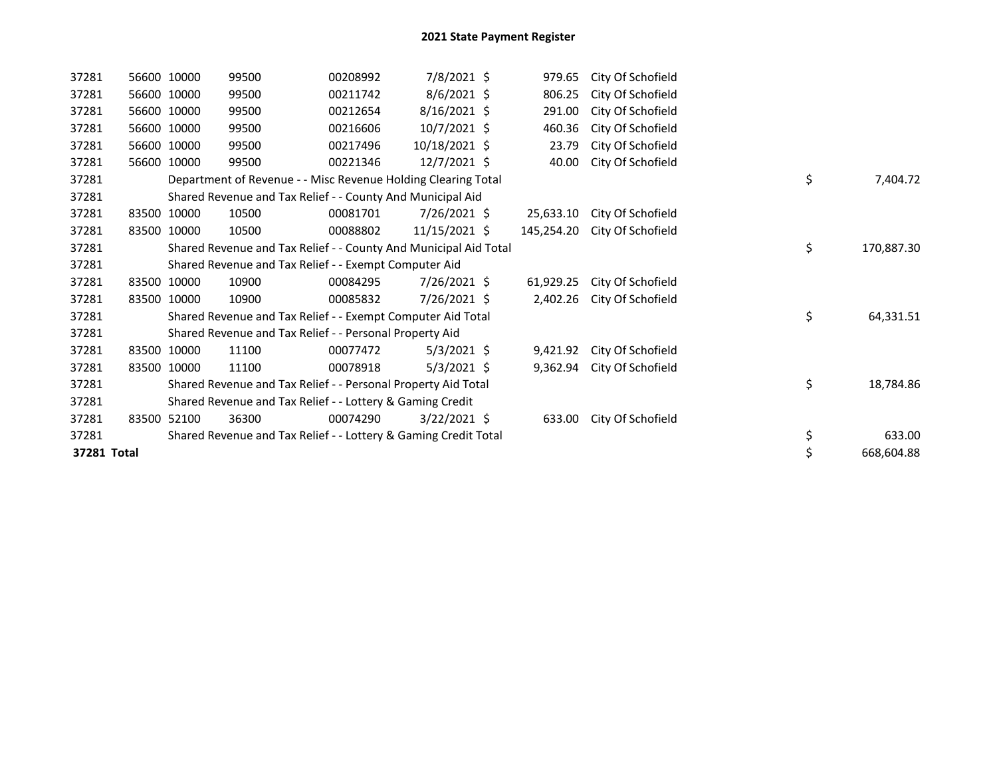| 37281       |       | 56600 10000 | 99500                                                            | 00208992 | 7/8/2021 \$    | 979.65     | City Of Schofield |    |            |
|-------------|-------|-------------|------------------------------------------------------------------|----------|----------------|------------|-------------------|----|------------|
| 37281       |       | 56600 10000 | 99500                                                            | 00211742 | $8/6/2021$ \$  | 806.25     | City Of Schofield |    |            |
| 37281       |       | 56600 10000 | 99500                                                            | 00212654 | $8/16/2021$ \$ | 291.00     | City Of Schofield |    |            |
| 37281       |       | 56600 10000 | 99500                                                            | 00216606 | 10/7/2021 \$   | 460.36     | City Of Schofield |    |            |
| 37281       | 56600 | 10000       | 99500                                                            | 00217496 | 10/18/2021 \$  | 23.79      | City Of Schofield |    |            |
| 37281       |       | 56600 10000 | 99500                                                            | 00221346 | 12/7/2021 \$   | 40.00      | City Of Schofield |    |            |
| 37281       |       |             | Department of Revenue - - Misc Revenue Holding Clearing Total    |          |                |            |                   | \$ | 7,404.72   |
| 37281       |       |             | Shared Revenue and Tax Relief - - County And Municipal Aid       |          |                |            |                   |    |            |
| 37281       |       | 83500 10000 | 10500                                                            | 00081701 | $7/26/2021$ \$ | 25,633.10  | City Of Schofield |    |            |
| 37281       |       | 83500 10000 | 10500                                                            | 00088802 | 11/15/2021 \$  | 145,254.20 | City Of Schofield |    |            |
| 37281       |       |             | Shared Revenue and Tax Relief - - County And Municipal Aid Total |          |                |            |                   | \$ | 170,887.30 |
| 37281       |       |             | Shared Revenue and Tax Relief - - Exempt Computer Aid            |          |                |            |                   |    |            |
| 37281       |       | 83500 10000 | 10900                                                            | 00084295 | 7/26/2021 \$   | 61,929.25  | City Of Schofield |    |            |
| 37281       |       | 83500 10000 | 10900                                                            | 00085832 | 7/26/2021 \$   | 2,402.26   | City Of Schofield |    |            |
| 37281       |       |             | Shared Revenue and Tax Relief - - Exempt Computer Aid Total      |          |                |            |                   | \$ | 64,331.51  |
| 37281       |       |             | Shared Revenue and Tax Relief - - Personal Property Aid          |          |                |            |                   |    |            |
| 37281       | 83500 | 10000       | 11100                                                            | 00077472 | $5/3/2021$ \$  | 9,421.92   | City Of Schofield |    |            |
| 37281       |       | 83500 10000 | 11100                                                            | 00078918 | $5/3/2021$ \$  | 9,362.94   | City Of Schofield |    |            |
| 37281       |       |             | Shared Revenue and Tax Relief - - Personal Property Aid Total    |          |                |            |                   | \$ | 18,784.86  |
| 37281       |       |             | Shared Revenue and Tax Relief - - Lottery & Gaming Credit        |          |                |            |                   |    |            |
| 37281       | 83500 | 52100       | 36300                                                            | 00074290 | $3/22/2021$ \$ | 633.00     | City Of Schofield |    |            |
| 37281       |       |             | Shared Revenue and Tax Relief - - Lottery & Gaming Credit Total  |          |                |            |                   | \$ | 633.00     |
| 37281 Total |       |             |                                                                  |          |                |            |                   | \$ | 668,604.88 |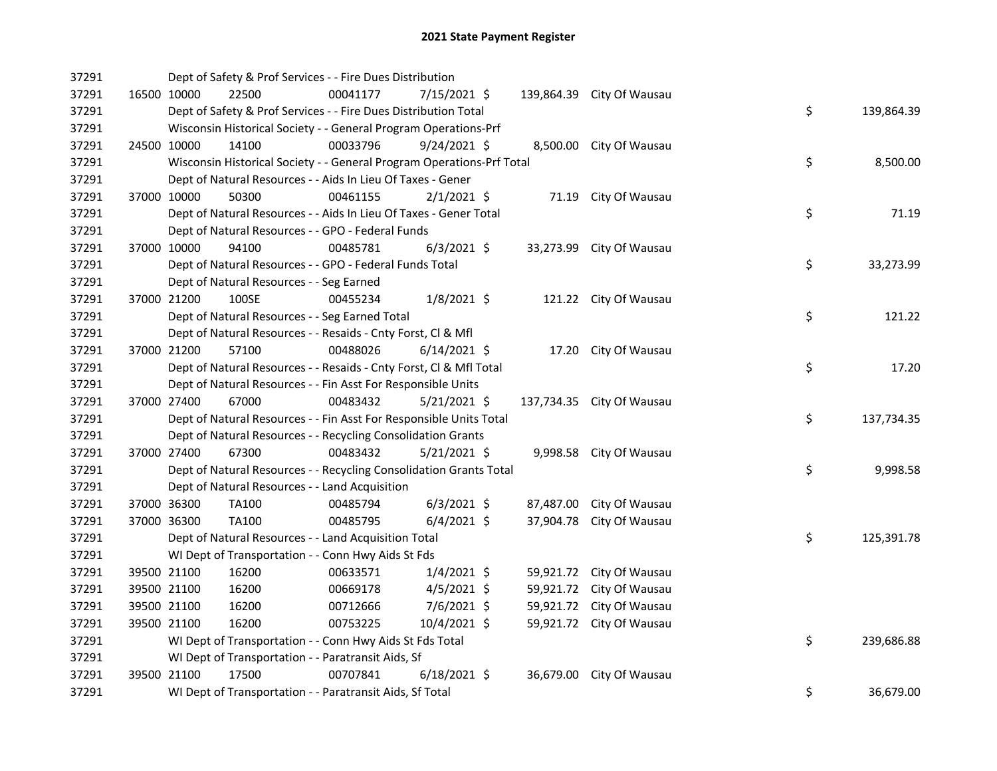| 37291 |             |                                          | Dept of Safety & Prof Services - - Fire Dues Distribution             |                |           |                           |                  |
|-------|-------------|------------------------------------------|-----------------------------------------------------------------------|----------------|-----------|---------------------------|------------------|
| 37291 |             | 16500 10000<br>22500                     | 00041177                                                              | 7/15/2021 \$   |           | 139,864.39 City Of Wausau |                  |
| 37291 |             |                                          | Dept of Safety & Prof Services - - Fire Dues Distribution Total       |                |           |                           | \$<br>139,864.39 |
| 37291 |             |                                          | Wisconsin Historical Society - - General Program Operations-Prf       |                |           |                           |                  |
| 37291 | 24500 10000 | 14100                                    | 00033796                                                              | $9/24/2021$ \$ |           | 8,500.00 City Of Wausau   |                  |
| 37291 |             |                                          | Wisconsin Historical Society - - General Program Operations-Prf Total |                |           |                           | \$<br>8,500.00   |
| 37291 |             |                                          | Dept of Natural Resources - - Aids In Lieu Of Taxes - Gener           |                |           |                           |                  |
| 37291 | 37000 10000 | 50300                                    | 00461155                                                              | $2/1/2021$ \$  |           | 71.19 City Of Wausau      |                  |
| 37291 |             |                                          | Dept of Natural Resources - - Aids In Lieu Of Taxes - Gener Total     |                |           |                           | \$<br>71.19      |
| 37291 |             |                                          | Dept of Natural Resources - - GPO - Federal Funds                     |                |           |                           |                  |
| 37291 |             | 37000 10000<br>94100                     | 00485781                                                              | $6/3/2021$ \$  |           | 33,273.99 City Of Wausau  |                  |
| 37291 |             |                                          | Dept of Natural Resources - - GPO - Federal Funds Total               |                |           |                           | \$<br>33,273.99  |
| 37291 |             | Dept of Natural Resources - - Seg Earned |                                                                       |                |           |                           |                  |
| 37291 | 37000 21200 | 100SE                                    | 00455234                                                              | $1/8/2021$ \$  |           | 121.22 City Of Wausau     |                  |
| 37291 |             |                                          | Dept of Natural Resources - - Seg Earned Total                        |                |           |                           | \$<br>121.22     |
| 37291 |             |                                          | Dept of Natural Resources - - Resaids - Cnty Forst, Cl & Mfl          |                |           |                           |                  |
| 37291 |             | 37000 21200<br>57100                     | 00488026                                                              | $6/14/2021$ \$ |           | 17.20 City Of Wausau      |                  |
| 37291 |             |                                          | Dept of Natural Resources - - Resaids - Cnty Forst, Cl & Mfl Total    |                |           |                           | \$<br>17.20      |
| 37291 |             |                                          | Dept of Natural Resources - - Fin Asst For Responsible Units          |                |           |                           |                  |
| 37291 |             | 67000<br>37000 27400                     | 00483432                                                              | $5/21/2021$ \$ |           | 137,734.35 City Of Wausau |                  |
| 37291 |             |                                          | Dept of Natural Resources - - Fin Asst For Responsible Units Total    |                |           |                           | \$<br>137,734.35 |
| 37291 |             |                                          | Dept of Natural Resources - - Recycling Consolidation Grants          |                |           |                           |                  |
| 37291 | 37000 27400 | 67300                                    | 00483432                                                              | $5/21/2021$ \$ |           | 9,998.58 City Of Wausau   |                  |
| 37291 |             |                                          | Dept of Natural Resources - - Recycling Consolidation Grants Total    |                |           |                           | \$<br>9,998.58   |
| 37291 |             |                                          | Dept of Natural Resources - - Land Acquisition                        |                |           |                           |                  |
| 37291 | 37000 36300 | TA100                                    | 00485794                                                              | $6/3/2021$ \$  |           | 87,487.00 City Of Wausau  |                  |
| 37291 | 37000 36300 | TA100                                    | 00485795                                                              | $6/4/2021$ \$  |           | 37,904.78 City Of Wausau  |                  |
| 37291 |             |                                          | Dept of Natural Resources - - Land Acquisition Total                  |                |           |                           | \$<br>125,391.78 |
| 37291 |             |                                          | WI Dept of Transportation - - Conn Hwy Aids St Fds                    |                |           |                           |                  |
| 37291 |             | 39500 21100<br>16200                     | 00633571                                                              | $1/4/2021$ \$  |           | 59,921.72 City Of Wausau  |                  |
| 37291 |             | 39500 21100<br>16200                     | 00669178                                                              | $4/5/2021$ \$  |           | 59,921.72 City Of Wausau  |                  |
| 37291 | 39500 21100 | 16200                                    | 00712666                                                              | 7/6/2021 \$    |           | 59,921.72 City Of Wausau  |                  |
| 37291 | 39500 21100 | 16200                                    | 00753225                                                              | 10/4/2021 \$   |           | 59,921.72 City Of Wausau  |                  |
| 37291 |             |                                          | WI Dept of Transportation - - Conn Hwy Aids St Fds Total              |                |           |                           | \$<br>239,686.88 |
| 37291 |             |                                          | WI Dept of Transportation - - Paratransit Aids, Sf                    |                |           |                           |                  |
| 37291 | 39500 21100 | 17500                                    | 00707841                                                              | $6/18/2021$ \$ | 36,679.00 | City Of Wausau            |                  |
| 37291 |             |                                          | WI Dept of Transportation - - Paratransit Aids, Sf Total              |                |           |                           | \$<br>36,679.00  |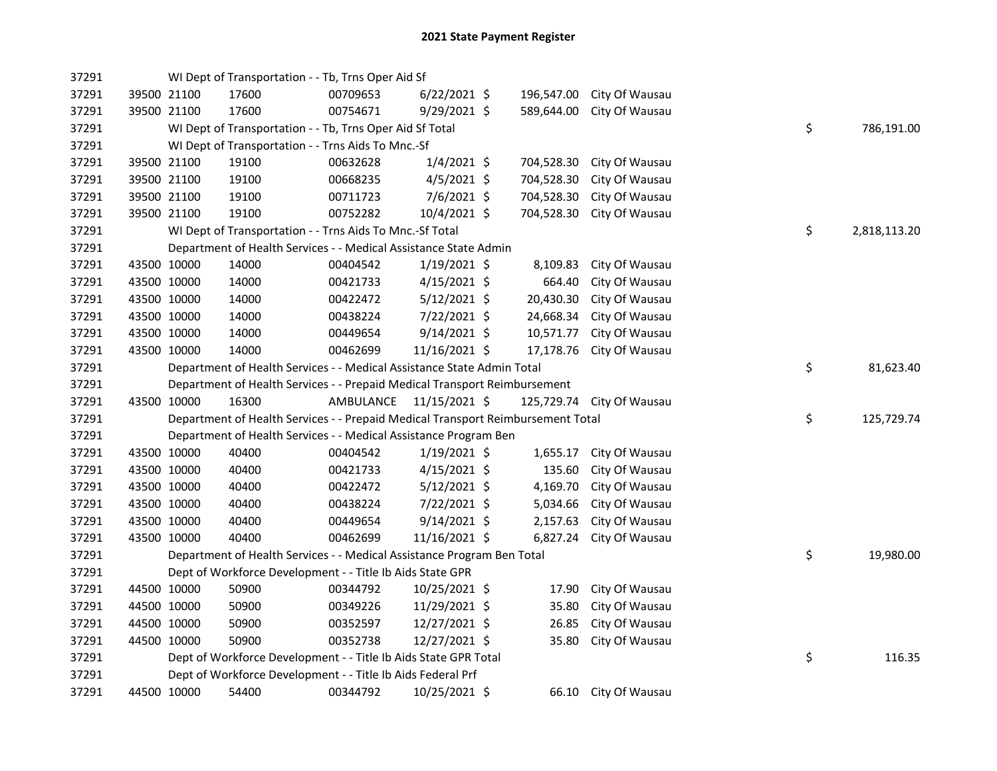| 37291 |             |             | WI Dept of Transportation - - Tb, Trns Oper Aid Sf                              |           |                |            |                           |    |              |
|-------|-------------|-------------|---------------------------------------------------------------------------------|-----------|----------------|------------|---------------------------|----|--------------|
| 37291 |             | 39500 21100 | 17600                                                                           | 00709653  | $6/22/2021$ \$ | 196,547.00 | City Of Wausau            |    |              |
| 37291 |             | 39500 21100 | 17600                                                                           | 00754671  | 9/29/2021 \$   | 589,644.00 | City Of Wausau            |    |              |
| 37291 |             |             | WI Dept of Transportation - - Tb, Trns Oper Aid Sf Total                        |           |                |            |                           | \$ | 786,191.00   |
| 37291 |             |             | WI Dept of Transportation - - Trns Aids To Mnc.-Sf                              |           |                |            |                           |    |              |
| 37291 |             | 39500 21100 | 19100                                                                           | 00632628  | $1/4/2021$ \$  | 704,528.30 | City Of Wausau            |    |              |
| 37291 |             | 39500 21100 | 19100                                                                           | 00668235  | $4/5/2021$ \$  | 704,528.30 | City Of Wausau            |    |              |
| 37291 |             | 39500 21100 | 19100                                                                           | 00711723  | 7/6/2021 \$    | 704,528.30 | City Of Wausau            |    |              |
| 37291 |             | 39500 21100 | 19100                                                                           | 00752282  | 10/4/2021 \$   | 704,528.30 | City Of Wausau            |    |              |
| 37291 |             |             | WI Dept of Transportation - - Trns Aids To Mnc.-Sf Total                        |           |                |            |                           | \$ | 2,818,113.20 |
| 37291 |             |             | Department of Health Services - - Medical Assistance State Admin                |           |                |            |                           |    |              |
| 37291 |             | 43500 10000 | 14000                                                                           | 00404542  | $1/19/2021$ \$ | 8,109.83   | City Of Wausau            |    |              |
| 37291 |             | 43500 10000 | 14000                                                                           | 00421733  | 4/15/2021 \$   | 664.40     | City Of Wausau            |    |              |
| 37291 |             | 43500 10000 | 14000                                                                           | 00422472  | $5/12/2021$ \$ | 20,430.30  | City Of Wausau            |    |              |
| 37291 |             | 43500 10000 | 14000                                                                           | 00438224  | 7/22/2021 \$   | 24,668.34  | City Of Wausau            |    |              |
| 37291 |             | 43500 10000 | 14000                                                                           | 00449654  | $9/14/2021$ \$ | 10,571.77  | City Of Wausau            |    |              |
| 37291 | 43500 10000 |             | 14000                                                                           | 00462699  | 11/16/2021 \$  | 17,178.76  | City Of Wausau            |    |              |
| 37291 |             |             | Department of Health Services - - Medical Assistance State Admin Total          |           |                |            |                           | \$ | 81,623.40    |
| 37291 |             |             | Department of Health Services - - Prepaid Medical Transport Reimbursement       |           |                |            |                           |    |              |
|       |             |             |                                                                                 |           |                |            |                           |    |              |
| 37291 |             | 43500 10000 | 16300                                                                           | AMBULANCE | 11/15/2021 \$  |            | 125,729.74 City Of Wausau |    |              |
| 37291 |             |             | Department of Health Services - - Prepaid Medical Transport Reimbursement Total |           |                |            |                           | \$ | 125,729.74   |
| 37291 |             |             | Department of Health Services - - Medical Assistance Program Ben                |           |                |            |                           |    |              |
| 37291 |             | 43500 10000 | 40400                                                                           | 00404542  | $1/19/2021$ \$ | 1,655.17   | City Of Wausau            |    |              |
| 37291 |             | 43500 10000 | 40400                                                                           | 00421733  | $4/15/2021$ \$ | 135.60     | City Of Wausau            |    |              |
| 37291 |             | 43500 10000 | 40400                                                                           | 00422472  | $5/12/2021$ \$ | 4,169.70   | City Of Wausau            |    |              |
| 37291 |             | 43500 10000 | 40400                                                                           | 00438224  | 7/22/2021 \$   | 5,034.66   | City Of Wausau            |    |              |
| 37291 |             | 43500 10000 | 40400                                                                           | 00449654  | $9/14/2021$ \$ | 2,157.63   | City Of Wausau            |    |              |
| 37291 |             | 43500 10000 | 40400                                                                           | 00462699  | 11/16/2021 \$  | 6,827.24   | City Of Wausau            |    |              |
| 37291 |             |             | Department of Health Services - - Medical Assistance Program Ben Total          |           |                |            |                           | \$ | 19,980.00    |
| 37291 |             |             | Dept of Workforce Development - - Title Ib Aids State GPR                       |           |                |            |                           |    |              |
| 37291 |             | 44500 10000 | 50900                                                                           | 00344792  | 10/25/2021 \$  | 17.90      | City Of Wausau            |    |              |
| 37291 |             | 44500 10000 | 50900                                                                           | 00349226  | 11/29/2021 \$  | 35.80      | City Of Wausau            |    |              |
| 37291 |             | 44500 10000 | 50900                                                                           | 00352597  | 12/27/2021 \$  | 26.85      | City Of Wausau            |    |              |
| 37291 |             | 44500 10000 | 50900                                                                           | 00352738  | 12/27/2021 \$  | 35.80      | City Of Wausau            |    |              |
| 37291 |             |             | Dept of Workforce Development - - Title Ib Aids State GPR Total                 |           |                |            |                           | \$ | 116.35       |
| 37291 |             |             | Dept of Workforce Development - - Title Ib Aids Federal Prf                     |           |                |            |                           |    |              |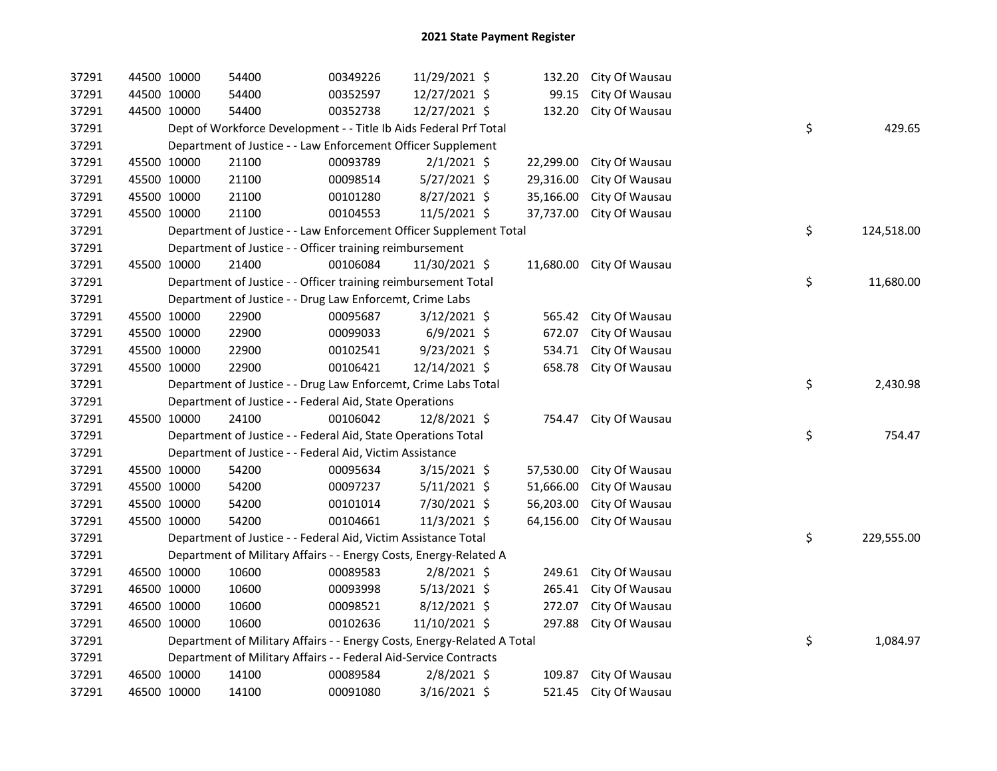| 37291 | 44500 10000 | 54400                                                                   | 00349226 | 11/29/2021 \$  | 132.20    | City Of Wausau |    |            |
|-------|-------------|-------------------------------------------------------------------------|----------|----------------|-----------|----------------|----|------------|
| 37291 | 44500 10000 | 54400                                                                   | 00352597 | 12/27/2021 \$  | 99.15     | City Of Wausau |    |            |
| 37291 | 44500 10000 | 54400                                                                   | 00352738 | 12/27/2021 \$  | 132.20    | City Of Wausau |    |            |
| 37291 |             | Dept of Workforce Development - - Title Ib Aids Federal Prf Total       |          |                |           |                | \$ | 429.65     |
| 37291 |             | Department of Justice - - Law Enforcement Officer Supplement            |          |                |           |                |    |            |
| 37291 | 45500 10000 | 21100                                                                   | 00093789 | $2/1/2021$ \$  | 22,299.00 | City Of Wausau |    |            |
| 37291 | 45500 10000 | 21100                                                                   | 00098514 | 5/27/2021 \$   | 29,316.00 | City Of Wausau |    |            |
| 37291 | 45500 10000 | 21100                                                                   | 00101280 | $8/27/2021$ \$ | 35,166.00 | City Of Wausau |    |            |
| 37291 | 45500 10000 | 21100                                                                   | 00104553 | 11/5/2021 \$   | 37,737.00 | City Of Wausau |    |            |
| 37291 |             | Department of Justice - - Law Enforcement Officer Supplement Total      |          |                |           |                | \$ | 124,518.00 |
| 37291 |             | Department of Justice - - Officer training reimbursement                |          |                |           |                |    |            |
| 37291 | 45500 10000 | 21400                                                                   | 00106084 | 11/30/2021 \$  | 11,680.00 | City Of Wausau |    |            |
| 37291 |             | Department of Justice - - Officer training reimbursement Total          |          |                |           |                | \$ | 11,680.00  |
| 37291 |             | Department of Justice - - Drug Law Enforcemt, Crime Labs                |          |                |           |                |    |            |
| 37291 | 45500 10000 | 22900                                                                   | 00095687 | $3/12/2021$ \$ | 565.42    | City Of Wausau |    |            |
| 37291 | 45500 10000 | 22900                                                                   | 00099033 | $6/9/2021$ \$  | 672.07    | City Of Wausau |    |            |
| 37291 | 45500 10000 | 22900                                                                   | 00102541 | $9/23/2021$ \$ | 534.71    | City Of Wausau |    |            |
| 37291 | 45500 10000 | 22900                                                                   | 00106421 | 12/14/2021 \$  | 658.78    | City Of Wausau |    |            |
| 37291 |             | Department of Justice - - Drug Law Enforcemt, Crime Labs Total          |          |                |           |                | \$ | 2,430.98   |
| 37291 |             | Department of Justice - - Federal Aid, State Operations                 |          |                |           |                |    |            |
| 37291 | 45500 10000 | 24100                                                                   | 00106042 | 12/8/2021 \$   | 754.47    | City Of Wausau |    |            |
| 37291 |             | Department of Justice - - Federal Aid, State Operations Total           |          |                |           |                | \$ | 754.47     |
| 37291 |             | Department of Justice - - Federal Aid, Victim Assistance                |          |                |           |                |    |            |
| 37291 | 45500 10000 | 54200                                                                   | 00095634 | 3/15/2021 \$   | 57,530.00 | City Of Wausau |    |            |
| 37291 | 45500 10000 | 54200                                                                   | 00097237 | $5/11/2021$ \$ | 51,666.00 | City Of Wausau |    |            |
| 37291 | 45500 10000 | 54200                                                                   | 00101014 | 7/30/2021 \$   | 56,203.00 | City Of Wausau |    |            |
| 37291 | 45500 10000 | 54200                                                                   | 00104661 | 11/3/2021 \$   | 64,156.00 | City Of Wausau |    |            |
| 37291 |             | Department of Justice - - Federal Aid, Victim Assistance Total          |          |                |           |                | \$ | 229,555.00 |
| 37291 |             | Department of Military Affairs - - Energy Costs, Energy-Related A       |          |                |           |                |    |            |
| 37291 | 46500 10000 | 10600                                                                   | 00089583 | $2/8/2021$ \$  | 249.61    | City Of Wausau |    |            |
| 37291 | 46500 10000 | 10600                                                                   | 00093998 | $5/13/2021$ \$ | 265.41    | City Of Wausau |    |            |
| 37291 | 46500 10000 | 10600                                                                   | 00098521 | $8/12/2021$ \$ | 272.07    | City Of Wausau |    |            |
| 37291 | 46500 10000 | 10600                                                                   | 00102636 | 11/10/2021 \$  | 297.88    | City Of Wausau |    |            |
| 37291 |             | Department of Military Affairs - - Energy Costs, Energy-Related A Total |          |                |           |                | \$ | 1,084.97   |
| 37291 |             | Department of Military Affairs - - Federal Aid-Service Contracts        |          |                |           |                |    |            |
| 37291 | 46500 10000 | 14100                                                                   | 00089584 | $2/8/2021$ \$  | 109.87    | City Of Wausau |    |            |
| 37291 | 46500 10000 | 14100                                                                   | 00091080 | $3/16/2021$ \$ | 521.45    | City Of Wausau |    |            |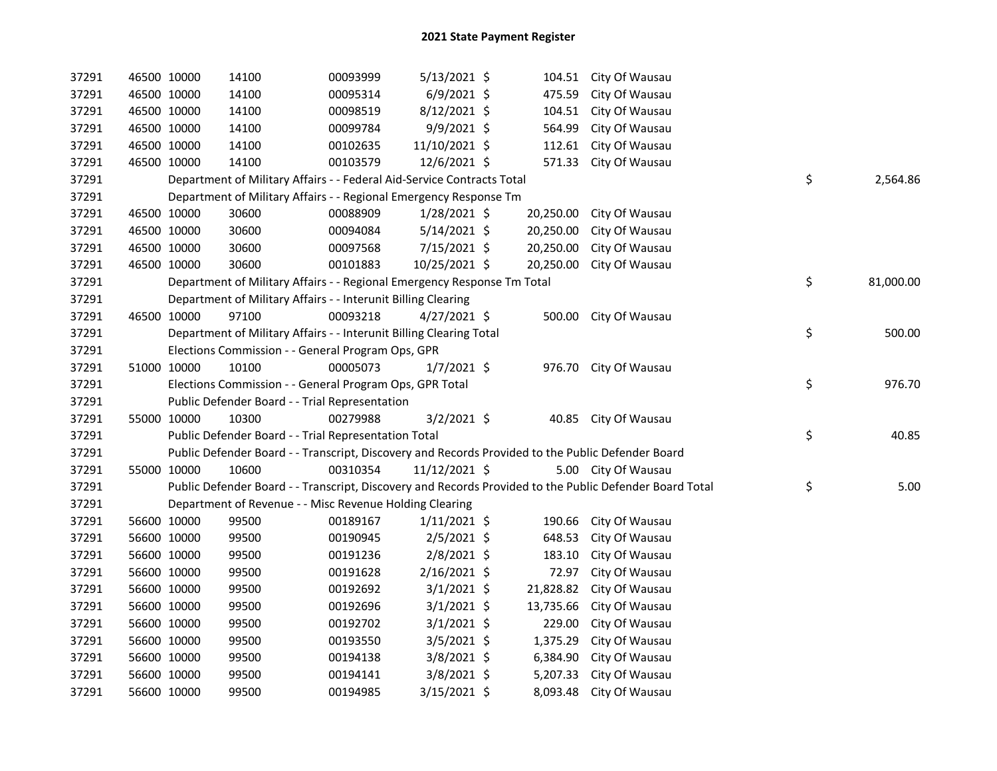| 37291 | 46500 10000 |             | 14100                                                                                             | 00093999 | $5/13/2021$ \$ |           | 104.51 City Of Wausau                                                                                   |                 |
|-------|-------------|-------------|---------------------------------------------------------------------------------------------------|----------|----------------|-----------|---------------------------------------------------------------------------------------------------------|-----------------|
| 37291 |             | 46500 10000 | 14100                                                                                             | 00095314 | $6/9/2021$ \$  | 475.59    | City Of Wausau                                                                                          |                 |
| 37291 | 46500 10000 |             | 14100                                                                                             | 00098519 | 8/12/2021 \$   | 104.51    | City Of Wausau                                                                                          |                 |
| 37291 | 46500 10000 |             | 14100                                                                                             | 00099784 | $9/9/2021$ \$  | 564.99    | City Of Wausau                                                                                          |                 |
| 37291 | 46500 10000 |             | 14100                                                                                             | 00102635 | 11/10/2021 \$  | 112.61    | City Of Wausau                                                                                          |                 |
| 37291 | 46500 10000 |             | 14100                                                                                             | 00103579 | 12/6/2021 \$   | 571.33    | City Of Wausau                                                                                          |                 |
| 37291 |             |             | Department of Military Affairs - - Federal Aid-Service Contracts Total                            |          |                |           |                                                                                                         | \$<br>2,564.86  |
| 37291 |             |             | Department of Military Affairs - - Regional Emergency Response Tm                                 |          |                |           |                                                                                                         |                 |
| 37291 |             | 46500 10000 | 30600                                                                                             | 00088909 | $1/28/2021$ \$ | 20,250.00 | City Of Wausau                                                                                          |                 |
| 37291 |             | 46500 10000 | 30600                                                                                             | 00094084 | $5/14/2021$ \$ | 20,250.00 | City Of Wausau                                                                                          |                 |
| 37291 |             | 46500 10000 | 30600                                                                                             | 00097568 | 7/15/2021 \$   | 20,250.00 | City Of Wausau                                                                                          |                 |
| 37291 | 46500 10000 |             | 30600                                                                                             | 00101883 | 10/25/2021 \$  | 20,250.00 | City Of Wausau                                                                                          |                 |
| 37291 |             |             | Department of Military Affairs - - Regional Emergency Response Tm Total                           |          |                |           |                                                                                                         | \$<br>81,000.00 |
| 37291 |             |             | Department of Military Affairs - - Interunit Billing Clearing                                     |          |                |           |                                                                                                         |                 |
| 37291 | 46500 10000 |             | 97100                                                                                             | 00093218 | $4/27/2021$ \$ |           | 500.00 City Of Wausau                                                                                   |                 |
| 37291 |             |             | Department of Military Affairs - - Interunit Billing Clearing Total                               |          |                |           |                                                                                                         | \$<br>500.00    |
| 37291 |             |             | Elections Commission - - General Program Ops, GPR                                                 |          |                |           |                                                                                                         |                 |
| 37291 | 51000 10000 |             | 10100                                                                                             | 00005073 | $1/7/2021$ \$  |           | 976.70 City Of Wausau                                                                                   |                 |
| 37291 |             |             | Elections Commission - - General Program Ops, GPR Total                                           |          |                |           |                                                                                                         | \$<br>976.70    |
| 37291 |             |             | Public Defender Board - - Trial Representation                                                    |          |                |           |                                                                                                         |                 |
| 37291 | 55000 10000 |             | 10300                                                                                             | 00279988 | $3/2/2021$ \$  |           | 40.85 City Of Wausau                                                                                    |                 |
| 37291 |             |             | Public Defender Board - - Trial Representation Total                                              |          |                |           |                                                                                                         | \$<br>40.85     |
| 37291 |             |             | Public Defender Board - - Transcript, Discovery and Records Provided to the Public Defender Board |          |                |           |                                                                                                         |                 |
| 37291 | 55000 10000 |             | 10600                                                                                             | 00310354 | 11/12/2021 \$  |           | 5.00 City Of Wausau                                                                                     |                 |
| 37291 |             |             |                                                                                                   |          |                |           | Public Defender Board - - Transcript, Discovery and Records Provided to the Public Defender Board Total | \$<br>5.00      |
| 37291 |             |             | Department of Revenue - - Misc Revenue Holding Clearing                                           |          |                |           |                                                                                                         |                 |
| 37291 |             | 56600 10000 | 99500                                                                                             | 00189167 | $1/11/2021$ \$ | 190.66    | City Of Wausau                                                                                          |                 |
| 37291 |             | 56600 10000 | 99500                                                                                             | 00190945 | $2/5/2021$ \$  | 648.53    | City Of Wausau                                                                                          |                 |
| 37291 | 56600 10000 |             | 99500                                                                                             | 00191236 | $2/8/2021$ \$  | 183.10    | City Of Wausau                                                                                          |                 |
| 37291 | 56600 10000 |             | 99500                                                                                             | 00191628 | 2/16/2021 \$   | 72.97     | City Of Wausau                                                                                          |                 |
| 37291 | 56600 10000 |             | 99500                                                                                             | 00192692 | $3/1/2021$ \$  | 21,828.82 | City Of Wausau                                                                                          |                 |
| 37291 | 56600 10000 |             | 99500                                                                                             | 00192696 | $3/1/2021$ \$  | 13,735.66 | City Of Wausau                                                                                          |                 |
| 37291 | 56600 10000 |             | 99500                                                                                             | 00192702 | $3/1/2021$ \$  |           | 229.00 City Of Wausau                                                                                   |                 |
| 37291 | 56600 10000 |             | 99500                                                                                             | 00193550 | 3/5/2021 \$    | 1,375.29  | City Of Wausau                                                                                          |                 |
| 37291 | 56600 10000 |             | 99500                                                                                             | 00194138 | 3/8/2021 \$    | 6,384.90  | City Of Wausau                                                                                          |                 |
| 37291 | 56600 10000 |             | 99500                                                                                             | 00194141 | 3/8/2021 \$    | 5,207.33  | City Of Wausau                                                                                          |                 |
| 37291 | 56600 10000 |             | 99500                                                                                             | 00194985 | 3/15/2021 \$   |           | 8,093.48 City Of Wausau                                                                                 |                 |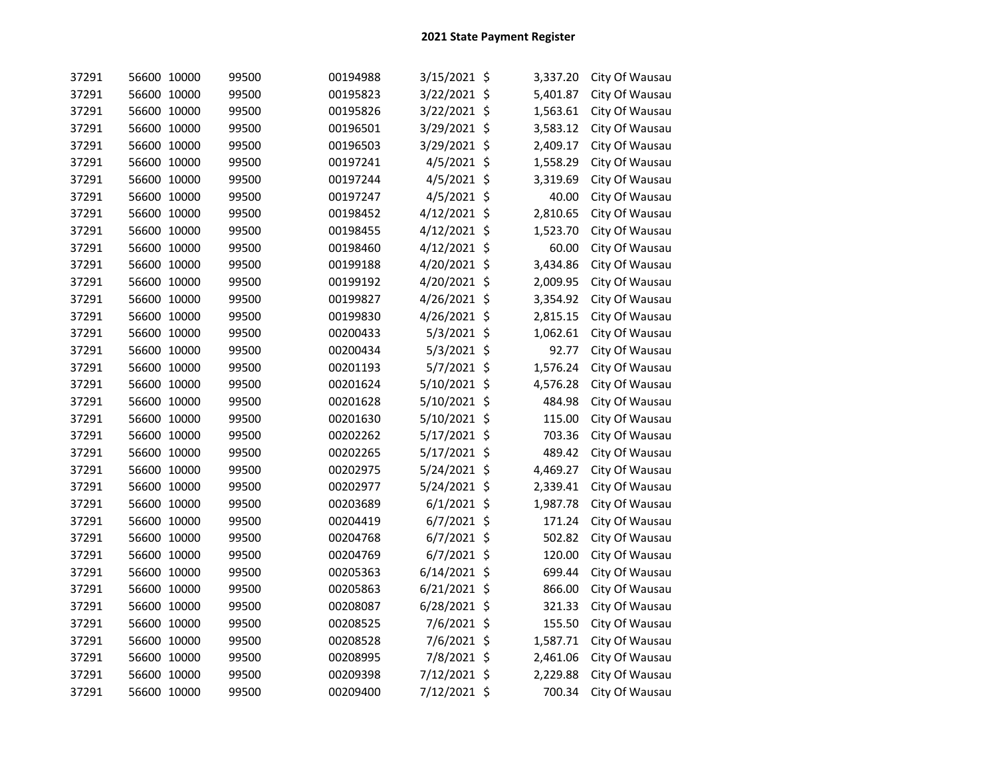| 37291 | 56600 10000 | 99500 | 00194988 | 3/15/2021 \$   |         | 3,337.20 | City Of Wausau |
|-------|-------------|-------|----------|----------------|---------|----------|----------------|
| 37291 | 56600 10000 | 99500 | 00195823 | 3/22/2021 \$   |         | 5,401.87 | City Of Wausau |
| 37291 | 56600 10000 | 99500 | 00195826 | 3/22/2021 \$   |         | 1,563.61 | City Of Wausau |
| 37291 | 56600 10000 | 99500 | 00196501 | 3/29/2021 \$   |         | 3,583.12 | City Of Wausau |
| 37291 | 56600 10000 | 99500 | 00196503 | 3/29/2021 \$   |         | 2,409.17 | City Of Wausau |
| 37291 | 56600 10000 | 99500 | 00197241 | 4/5/2021       | $\zeta$ | 1,558.29 | City Of Wausau |
| 37291 | 56600 10000 | 99500 | 00197244 | 4/5/2021 \$    |         | 3,319.69 | City Of Wausau |
| 37291 | 56600 10000 | 99500 | 00197247 | $4/5/2021$ \$  |         | 40.00    | City Of Wausau |
| 37291 | 56600 10000 | 99500 | 00198452 | 4/12/2021      | $\zeta$ | 2,810.65 | City Of Wausau |
| 37291 | 56600 10000 | 99500 | 00198455 | 4/12/2021      | $\zeta$ | 1,523.70 | City Of Wausau |
| 37291 | 56600 10000 | 99500 | 00198460 | 4/12/2021      | -\$     | 60.00    | City Of Wausau |
| 37291 | 56600 10000 | 99500 | 00199188 | 4/20/2021 \$   |         | 3,434.86 | City Of Wausau |
| 37291 | 56600 10000 | 99500 | 00199192 | 4/20/2021 \$   |         | 2,009.95 | City Of Wausau |
| 37291 | 56600 10000 | 99500 | 00199827 | 4/26/2021 \$   |         | 3,354.92 | City Of Wausau |
| 37291 | 56600 10000 | 99500 | 00199830 | 4/26/2021 \$   |         | 2,815.15 | City Of Wausau |
| 37291 | 56600 10000 | 99500 | 00200433 | 5/3/2021 \$    |         | 1,062.61 | City Of Wausau |
| 37291 | 56600 10000 | 99500 | 00200434 | $5/3/2021$ \$  |         | 92.77    | City Of Wausau |
| 37291 | 56600 10000 | 99500 | 00201193 | 5/7/2021 \$    |         | 1,576.24 | City Of Wausau |
| 37291 | 56600 10000 | 99500 | 00201624 | 5/10/2021 \$   |         | 4,576.28 | City Of Wausau |
| 37291 | 56600 10000 | 99500 | 00201628 | 5/10/2021 \$   |         | 484.98   | City Of Wausau |
| 37291 | 56600 10000 | 99500 | 00201630 | 5/10/2021 \$   |         | 115.00   | City Of Wausau |
| 37291 | 56600 10000 | 99500 | 00202262 | 5/17/2021 \$   |         | 703.36   | City Of Wausau |
| 37291 | 56600 10000 | 99500 | 00202265 | 5/17/2021 \$   |         | 489.42   | City Of Wausau |
| 37291 | 56600 10000 | 99500 | 00202975 | 5/24/2021 \$   |         | 4,469.27 | City Of Wausau |
| 37291 | 56600 10000 | 99500 | 00202977 | 5/24/2021 \$   |         | 2,339.41 | City Of Wausau |
| 37291 | 56600 10000 | 99500 | 00203689 | $6/1/2021$ \$  |         | 1,987.78 | City Of Wausau |
| 37291 | 56600 10000 | 99500 | 00204419 | 6/7/2021 \$    |         | 171.24   | City Of Wausau |
| 37291 | 56600 10000 | 99500 | 00204768 | $6/7/2021$ \$  |         | 502.82   | City Of Wausau |
| 37291 | 56600 10000 | 99500 | 00204769 | $6/7/2021$ \$  |         | 120.00   | City Of Wausau |
| 37291 | 56600 10000 | 99500 | 00205363 | $6/14/2021$ \$ |         | 699.44   | City Of Wausau |
| 37291 | 56600 10000 | 99500 | 00205863 | $6/21/2021$ \$ |         | 866.00   | City Of Wausau |
| 37291 | 56600 10000 | 99500 | 00208087 | 6/28/2021 \$   |         | 321.33   | City Of Wausau |
| 37291 | 56600 10000 | 99500 | 00208525 | 7/6/2021 \$    |         | 155.50   | City Of Wausau |
| 37291 | 56600 10000 | 99500 | 00208528 | 7/6/2021 \$    |         | 1,587.71 | City Of Wausau |
| 37291 | 56600 10000 | 99500 | 00208995 | 7/8/2021 \$    |         | 2,461.06 | City Of Wausau |
| 37291 | 56600 10000 | 99500 | 00209398 | 7/12/2021 \$   |         | 2,229.88 | City Of Wausau |
| 37291 | 56600 10000 | 99500 | 00209400 | 7/12/2021 \$   |         | 700.34   | City Of Wausau |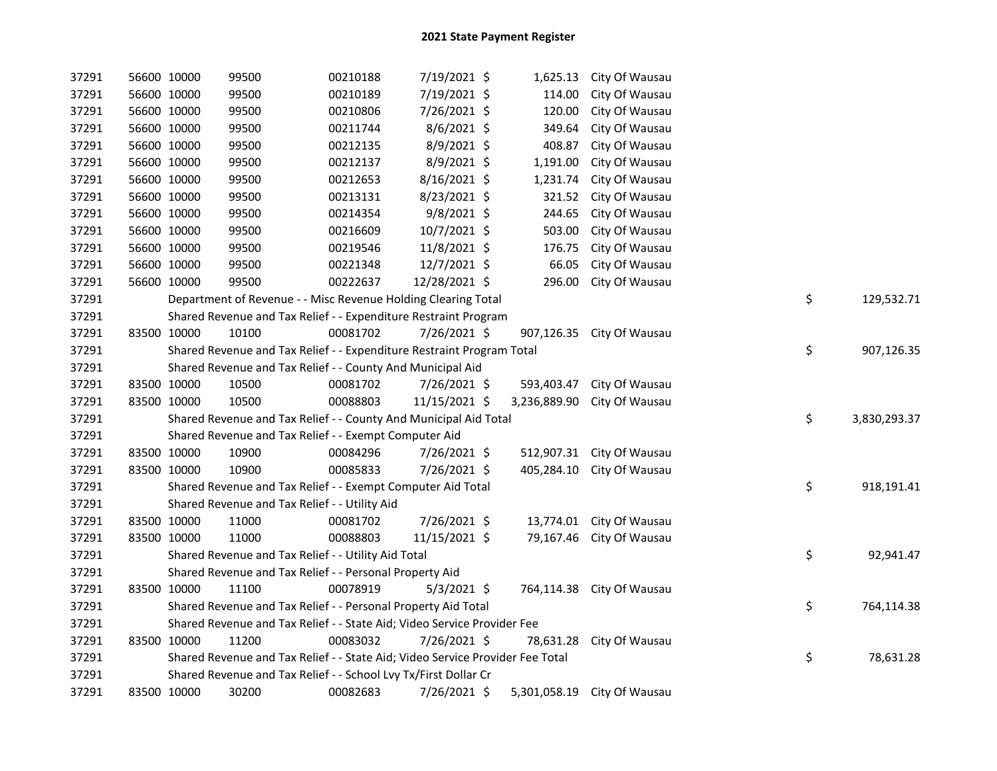| 37291 |             | 56600 10000 | 99500                                                                         | 00210188 | 7/19/2021 \$   |              | 1,625.13 City Of Wausau  |    |              |
|-------|-------------|-------------|-------------------------------------------------------------------------------|----------|----------------|--------------|--------------------------|----|--------------|
| 37291 |             | 56600 10000 | 99500                                                                         | 00210189 | 7/19/2021 \$   | 114.00       | City Of Wausau           |    |              |
| 37291 |             | 56600 10000 | 99500                                                                         | 00210806 | 7/26/2021 \$   | 120.00       | City Of Wausau           |    |              |
| 37291 |             | 56600 10000 | 99500                                                                         | 00211744 | 8/6/2021 \$    | 349.64       | City Of Wausau           |    |              |
| 37291 |             | 56600 10000 | 99500                                                                         | 00212135 | 8/9/2021 \$    | 408.87       | City Of Wausau           |    |              |
| 37291 |             | 56600 10000 | 99500                                                                         | 00212137 | 8/9/2021 \$    | 1,191.00     | City Of Wausau           |    |              |
| 37291 |             | 56600 10000 | 99500                                                                         | 00212653 | 8/16/2021 \$   | 1,231.74     | City Of Wausau           |    |              |
| 37291 |             | 56600 10000 | 99500                                                                         | 00213131 | 8/23/2021 \$   | 321.52       | City Of Wausau           |    |              |
| 37291 |             | 56600 10000 | 99500                                                                         | 00214354 | 9/8/2021 \$    | 244.65       | City Of Wausau           |    |              |
| 37291 |             | 56600 10000 | 99500                                                                         | 00216609 | 10/7/2021 \$   | 503.00       | City Of Wausau           |    |              |
| 37291 |             | 56600 10000 | 99500                                                                         | 00219546 | 11/8/2021 \$   | 176.75       | City Of Wausau           |    |              |
| 37291 |             | 56600 10000 | 99500                                                                         | 00221348 | 12/7/2021 \$   | 66.05        | City Of Wausau           |    |              |
| 37291 |             | 56600 10000 | 99500                                                                         | 00222637 | 12/28/2021 \$  | 296.00       | City Of Wausau           |    |              |
| 37291 |             |             | Department of Revenue - - Misc Revenue Holding Clearing Total                 |          |                |              |                          | \$ | 129,532.71   |
| 37291 |             |             | Shared Revenue and Tax Relief - - Expenditure Restraint Program               |          |                |              |                          |    |              |
| 37291 |             | 83500 10000 | 10100                                                                         | 00081702 | 7/26/2021 \$   | 907,126.35   | City Of Wausau           |    |              |
| 37291 |             |             | Shared Revenue and Tax Relief - - Expenditure Restraint Program Total         |          |                |              |                          | \$ | 907,126.35   |
| 37291 |             |             | Shared Revenue and Tax Relief - - County And Municipal Aid                    |          |                |              |                          |    |              |
| 37291 | 83500 10000 |             | 10500                                                                         | 00081702 | $7/26/2021$ \$ | 593,403.47   | City Of Wausau           |    |              |
| 37291 |             | 83500 10000 | 10500                                                                         | 00088803 | 11/15/2021 \$  | 3,236,889.90 | City Of Wausau           |    |              |
| 37291 |             |             | Shared Revenue and Tax Relief - - County And Municipal Aid Total              |          |                |              |                          | \$ | 3,830,293.37 |
| 37291 |             |             | Shared Revenue and Tax Relief - - Exempt Computer Aid                         |          |                |              |                          |    |              |
| 37291 |             | 83500 10000 | 10900                                                                         | 00084296 | 7/26/2021 \$   | 512,907.31   | City Of Wausau           |    |              |
| 37291 |             | 83500 10000 | 10900                                                                         | 00085833 | 7/26/2021 \$   | 405,284.10   | City Of Wausau           |    |              |
| 37291 |             |             | Shared Revenue and Tax Relief - - Exempt Computer Aid Total                   |          |                |              |                          | \$ | 918,191.41   |
| 37291 |             |             | Shared Revenue and Tax Relief - - Utility Aid                                 |          |                |              |                          |    |              |
| 37291 |             | 83500 10000 | 11000                                                                         | 00081702 | 7/26/2021 \$   | 13,774.01    | City Of Wausau           |    |              |
| 37291 |             | 83500 10000 | 11000                                                                         | 00088803 | 11/15/2021 \$  |              | 79,167.46 City Of Wausau |    |              |
| 37291 |             |             | Shared Revenue and Tax Relief - - Utility Aid Total                           |          |                |              |                          | \$ | 92,941.47    |
| 37291 |             |             | Shared Revenue and Tax Relief - - Personal Property Aid                       |          |                |              |                          |    |              |
| 37291 |             | 83500 10000 | 11100                                                                         | 00078919 | $5/3/2021$ \$  | 764,114.38   | City Of Wausau           |    |              |
| 37291 |             |             | Shared Revenue and Tax Relief - - Personal Property Aid Total                 |          |                |              |                          | \$ | 764,114.38   |
| 37291 |             |             | Shared Revenue and Tax Relief - - State Aid; Video Service Provider Fee       |          |                |              |                          |    |              |
| 37291 |             | 83500 10000 | 11200                                                                         | 00083032 | 7/26/2021 \$   | 78,631.28    | City Of Wausau           |    |              |
| 37291 |             |             | Shared Revenue and Tax Relief - - State Aid; Video Service Provider Fee Total |          |                |              |                          | \$ | 78,631.28    |
| 37291 |             |             | Shared Revenue and Tax Relief - - School Lvy Tx/First Dollar Cr               |          |                |              |                          |    |              |
| 37291 |             | 83500 10000 | 30200                                                                         | 00082683 | 7/26/2021 \$   | 5,301,058.19 | City Of Wausau           |    |              |